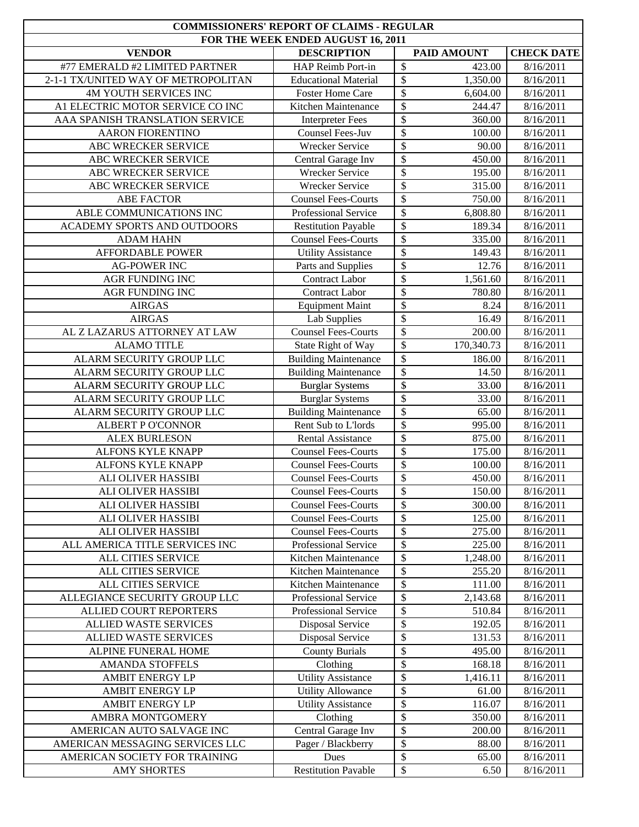| <b>COMMISSIONERS' REPORT OF CLAIMS - REGULAR</b><br>FOR THE WEEK ENDED AUGUST 16, 2011 |                             |                                   |                   |
|----------------------------------------------------------------------------------------|-----------------------------|-----------------------------------|-------------------|
| <b>VENDOR</b>                                                                          | <b>DESCRIPTION</b>          | <b>PAID AMOUNT</b>                | <b>CHECK DATE</b> |
| #77 EMERALD #2 LIMITED PARTNER                                                         | HAP Reimb Port-in           | \$<br>423.00                      | 8/16/2011         |
| 2-1-1 TX/UNITED WAY OF METROPOLITAN                                                    | <b>Educational Material</b> | $\overline{\$}$<br>1,350.00       | 8/16/2011         |
| 4M YOUTH SERVICES INC                                                                  | <b>Foster Home Care</b>     | $\overline{\$}$<br>6,604.00       | 8/16/2011         |
| A1 ELECTRIC MOTOR SERVICE CO INC                                                       | Kitchen Maintenance         | \$<br>244.47                      | 8/16/2011         |
| AAA SPANISH TRANSLATION SERVICE                                                        | <b>Interpreter Fees</b>     | \$<br>360.00                      | 8/16/2011         |
| <b>AARON FIORENTINO</b>                                                                | Counsel Fees-Juv            | \$<br>100.00                      | 8/16/2011         |
| ABC WRECKER SERVICE                                                                    | <b>Wrecker Service</b>      | \$<br>90.00                       | 8/16/2011         |
| ABC WRECKER SERVICE                                                                    | Central Garage Inv          | \$<br>450.00                      | 8/16/2011         |
| ABC WRECKER SERVICE                                                                    | Wrecker Service             | $\overline{\$}$<br>195.00         | 8/16/2011         |
| ABC WRECKER SERVICE                                                                    | Wrecker Service             | $\overline{\$}$<br>315.00         | 8/16/2011         |
| <b>ABE FACTOR</b>                                                                      | <b>Counsel Fees-Courts</b>  | $\overline{\$}$<br>750.00         | 8/16/2011         |
| ABLE COMMUNICATIONS INC                                                                | Professional Service        | \$<br>6,808.80                    | 8/16/2011         |
| ACADEMY SPORTS AND OUTDOORS                                                            | <b>Restitution Payable</b>  | \$<br>189.34                      | 8/16/2011         |
| <b>ADAM HAHN</b>                                                                       | <b>Counsel Fees-Courts</b>  | \$<br>335.00                      | 8/16/2011         |
| <b>AFFORDABLE POWER</b>                                                                | <b>Utility Assistance</b>   | \$<br>149.43                      | 8/16/2011         |
| <b>AG-POWER INC</b>                                                                    | Parts and Supplies          | \$<br>12.76                       | 8/16/2011         |
| <b>AGR FUNDING INC</b>                                                                 | <b>Contract Labor</b>       | \$<br>1,561.60                    | 8/16/2011         |
| <b>AGR FUNDING INC</b>                                                                 | Contract Labor              | $\overline{\$}$<br>780.80         | 8/16/2011         |
| <b>AIRGAS</b>                                                                          | <b>Equipment Maint</b>      | \$<br>8.24                        | 8/16/2011         |
| <b>AIRGAS</b>                                                                          | <b>Lab Supplies</b>         | $\overline{\$}$<br>16.49          | 8/16/2011         |
| AL Z LAZARUS ATTORNEY AT LAW                                                           | <b>Counsel Fees-Courts</b>  | \$<br>200.00                      | 8/16/2011         |
| <b>ALAMO TITLE</b>                                                                     | State Right of Way          | $\overline{\$}$<br>170,340.73     | 8/16/2011         |
| ALARM SECURITY GROUP LLC                                                               | <b>Building Maintenance</b> | \$<br>186.00                      | 8/16/2011         |
| ALARM SECURITY GROUP LLC                                                               | <b>Building Maintenance</b> | $\overline{\$}$<br>14.50          | 8/16/2011         |
| ALARM SECURITY GROUP LLC                                                               | <b>Burglar Systems</b>      | \$<br>33.00                       | 8/16/2011         |
| ALARM SECURITY GROUP LLC                                                               | <b>Burglar Systems</b>      | $\overline{\$}$<br>33.00          | 8/16/2011         |
| ALARM SECURITY GROUP LLC                                                               | <b>Building Maintenance</b> | $\overline{\mathcal{S}}$<br>65.00 | 8/16/2011         |
| <b>ALBERT P O'CONNOR</b>                                                               | Rent Sub to L'Iords         | \$<br>995.00                      | 8/16/2011         |
| <b>ALEX BURLESON</b>                                                                   | <b>Rental Assistance</b>    | \$<br>875.00                      | 8/16/2011         |
| ALFONS KYLE KNAPP                                                                      | <b>Counsel Fees-Courts</b>  | \$<br>175.00                      | 8/16/2011         |
| <b>ALFONS KYLE KNAPP</b>                                                               | <b>Counsel Fees-Courts</b>  | \$<br>100.00                      | 8/16/2011         |
| ALI OLIVER HASSIBI                                                                     | <b>Counsel Fees-Courts</b>  | \$<br>450.00                      | 8/16/2011         |
| ALI OLIVER HASSIBI                                                                     | <b>Counsel Fees-Courts</b>  | \$<br>150.00                      | 8/16/2011         |
| ALI OLIVER HASSIBI                                                                     | <b>Counsel Fees-Courts</b>  | \$<br>300.00                      | 8/16/2011         |
| ALI OLIVER HASSIBI                                                                     | <b>Counsel Fees-Courts</b>  | \$<br>125.00                      | 8/16/2011         |
| ALI OLIVER HASSIBI                                                                     | <b>Counsel Fees-Courts</b>  | \$<br>275.00                      | 8/16/2011         |
| ALL AMERICA TITLE SERVICES INC                                                         | Professional Service        | \$<br>225.00                      | 8/16/2011         |
| ALL CITIES SERVICE                                                                     | Kitchen Maintenance         | \$<br>1,248.00                    | 8/16/2011         |
| ALL CITIES SERVICE                                                                     | Kitchen Maintenance         | \$<br>255.20                      | 8/16/2011         |
| ALL CITIES SERVICE                                                                     | Kitchen Maintenance         | \$<br>111.00                      | 8/16/2011         |
| ALLEGIANCE SECURITY GROUP LLC                                                          | Professional Service        | \$<br>2,143.68                    | 8/16/2011         |
| ALLIED COURT REPORTERS                                                                 | Professional Service        | \$<br>510.84                      | 8/16/2011         |
| ALLIED WASTE SERVICES                                                                  | <b>Disposal Service</b>     | \$<br>192.05                      | 8/16/2011         |
| ALLIED WASTE SERVICES                                                                  | <b>Disposal Service</b>     | \$<br>131.53                      | 8/16/2011         |
| ALPINE FUNERAL HOME                                                                    | <b>County Burials</b>       | \$<br>495.00                      | 8/16/2011         |
| <b>AMANDA STOFFELS</b>                                                                 | Clothing                    | \$<br>168.18                      | 8/16/2011         |
| AMBIT ENERGY LP                                                                        | <b>Utility Assistance</b>   | \$<br>1,416.11                    | 8/16/2011         |
| AMBIT ENERGY LP                                                                        | <b>Utility Allowance</b>    | \$<br>61.00                       | 8/16/2011         |
| <b>AMBIT ENERGY LP</b>                                                                 | <b>Utility Assistance</b>   | \$<br>116.07                      | 8/16/2011         |
| AMBRA MONTGOMERY                                                                       | Clothing                    | \$<br>350.00                      | 8/16/2011         |
| AMERICAN AUTO SALVAGE INC                                                              | Central Garage Inv          | \$<br>200.00                      | 8/16/2011         |
| AMERICAN MESSAGING SERVICES LLC                                                        | Pager / Blackberry          | \$<br>88.00                       | 8/16/2011         |
| AMERICAN SOCIETY FOR TRAINING                                                          | Dues                        | \$<br>65.00                       | 8/16/2011         |
| <b>AMY SHORTES</b>                                                                     | <b>Restitution Pavable</b>  | ${\mathbb S}$<br>6.50             | 8/16/2011         |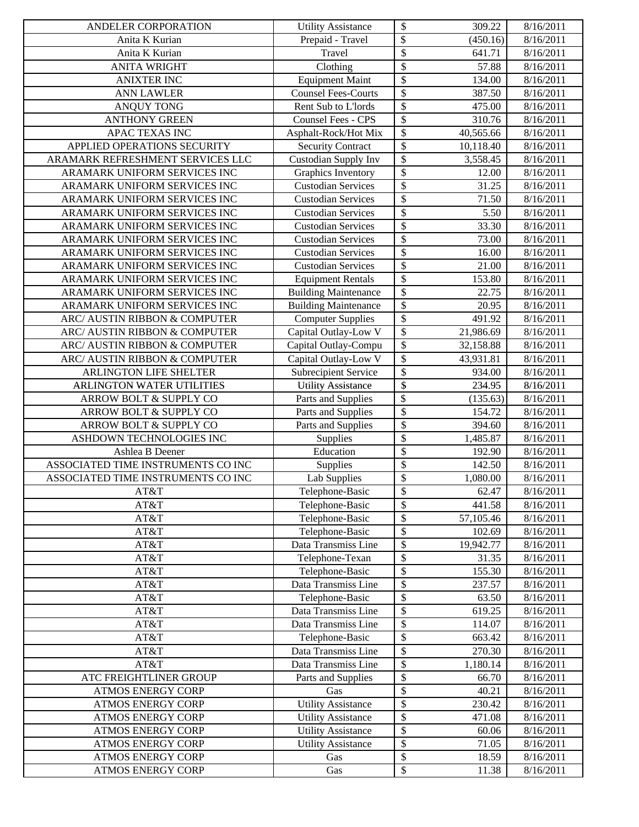| ANDELER CORPORATION                | <b>Utility Assistance</b>   | \$                        | 309.22    | 8/16/2011 |
|------------------------------------|-----------------------------|---------------------------|-----------|-----------|
| Anita K Kurian                     | Prepaid - Travel            | \$                        | (450.16)  | 8/16/2011 |
| Anita K Kurian                     | Travel                      | $\overline{\$}$           | 641.71    | 8/16/2011 |
| <b>ANITA WRIGHT</b>                | Clothing                    | \$                        | 57.88     | 8/16/2011 |
| <b>ANIXTER INC</b>                 | <b>Equipment Maint</b>      | \$                        | 134.00    | 8/16/2011 |
| <b>ANN LAWLER</b>                  | <b>Counsel Fees-Courts</b>  | \$                        | 387.50    | 8/16/2011 |
| <b>ANQUY TONG</b>                  | Rent Sub to L'Iords         | \$                        | 475.00    | 8/16/2011 |
| <b>ANTHONY GREEN</b>               | Counsel Fees - CPS          | \$                        | 310.76    | 8/16/2011 |
| APAC TEXAS INC                     | Asphalt-Rock/Hot Mix        | \$                        | 40,565.66 | 8/16/2011 |
| APPLIED OPERATIONS SECURITY        | <b>Security Contract</b>    | \$                        | 10,118.40 | 8/16/2011 |
| ARAMARK REFRESHMENT SERVICES LLC   | Custodian Supply Inv        | $\overline{\$}$           | 3,558.45  | 8/16/2011 |
| ARAMARK UNIFORM SERVICES INC       | Graphics Inventory          | \$                        | 12.00     | 8/16/2011 |
| ARAMARK UNIFORM SERVICES INC       | <b>Custodian Services</b>   | \$                        | 31.25     | 8/16/2011 |
| ARAMARK UNIFORM SERVICES INC       | <b>Custodian Services</b>   | \$                        | 71.50     | 8/16/2011 |
| ARAMARK UNIFORM SERVICES INC       | <b>Custodian Services</b>   | \$                        | 5.50      | 8/16/2011 |
| ARAMARK UNIFORM SERVICES INC       | <b>Custodian Services</b>   | \$                        | 33.30     | 8/16/2011 |
| ARAMARK UNIFORM SERVICES INC       | <b>Custodian Services</b>   | \$                        | 73.00     | 8/16/2011 |
| ARAMARK UNIFORM SERVICES INC       | <b>Custodian Services</b>   | \$                        | 16.00     | 8/16/2011 |
| ARAMARK UNIFORM SERVICES INC       | <b>Custodian Services</b>   | \$                        | 21.00     | 8/16/2011 |
| ARAMARK UNIFORM SERVICES INC       | <b>Equipment Rentals</b>    | \$                        | 153.80    | 8/16/2011 |
| ARAMARK UNIFORM SERVICES INC       | <b>Building Maintenance</b> | \$                        | 22.75     | 8/16/2011 |
| ARAMARK UNIFORM SERVICES INC       | <b>Building Maintenance</b> | $\overline{\$}$           | 20.95     | 8/16/2011 |
| ARC/ AUSTIN RIBBON & COMPUTER      | Computer Supplies           | \$                        | 491.92    | 8/16/2011 |
| ARC/ AUSTIN RIBBON & COMPUTER      | Capital Outlay-Low V        | $\overline{\$}$           | 21,986.69 | 8/16/2011 |
| ARC/ AUSTIN RIBBON & COMPUTER      | Capital Outlay-Compu        | \$                        | 32,158.88 | 8/16/2011 |
| ARC/ AUSTIN RIBBON & COMPUTER      | Capital Outlay-Low V        | $\overline{\$}$           | 43,931.81 | 8/16/2011 |
| ARLINGTON LIFE SHELTER             | Subrecipient Service        | \$                        | 934.00    | 8/16/2011 |
| ARLINGTON WATER UTILITIES          | <b>Utility Assistance</b>   | $\overline{\$}$           | 234.95    | 8/16/2011 |
| ARROW BOLT & SUPPLY CO             | Parts and Supplies          | $\boldsymbol{\mathsf{S}}$ | (135.63)  | 8/16/2011 |
| ARROW BOLT & SUPPLY CO             | Parts and Supplies          | $\boldsymbol{\$}$         | 154.72    | 8/16/2011 |
| ARROW BOLT & SUPPLY CO             | Parts and Supplies          | \$                        | 394.60    | 8/16/2011 |
| ASHDOWN TECHNOLOGIES INC           | Supplies                    | \$                        | 1,485.87  | 8/16/2011 |
| Ashlea B Deener                    | Education                   | \$                        | 192.90    | 8/16/2011 |
| ASSOCIATED TIME INSTRUMENTS CO INC | Supplies                    | $\overline{\$}$           | 142.50    | 8/16/2011 |
| ASSOCIATED TIME INSTRUMENTS CO INC | Lab Supplies                | \$                        | 1,080.00  | 8/16/2011 |
| AT&T                               | Telephone-Basic             | \$                        | 62.47     | 8/16/2011 |
| AT&T                               | Telephone-Basic             | \$                        | 441.58    | 8/16/2011 |
| AT&T                               | Telephone-Basic             | \$                        | 57,105.46 | 8/16/2011 |
| AT&T                               | Telephone-Basic             | \$                        | 102.69    | 8/16/2011 |
| AT&T                               | Data Transmiss Line         | \$                        | 19,942.77 | 8/16/2011 |
| AT&T                               | Telephone-Texan             | \$                        | 31.35     | 8/16/2011 |
| AT&T                               | Telephone-Basic             | \$                        | 155.30    | 8/16/2011 |
| AT&T                               | Data Transmiss Line         | \$                        | 237.57    | 8/16/2011 |
| AT&T                               | Telephone-Basic             | \$                        | 63.50     | 8/16/2011 |
| AT&T                               | Data Transmiss Line         | \$                        | 619.25    | 8/16/2011 |
| AT&T                               | Data Transmiss Line         | \$                        | 114.07    | 8/16/2011 |
| AT&T                               | Telephone-Basic             | \$                        | 663.42    | 8/16/2011 |
| AT&T                               | Data Transmiss Line         | \$                        | 270.30    | 8/16/2011 |
| AT&T                               | Data Transmiss Line         | \$                        | 1,180.14  | 8/16/2011 |
| ATC FREIGHTLINER GROUP             | Parts and Supplies          | \$                        | 66.70     | 8/16/2011 |
| <b>ATMOS ENERGY CORP</b>           | Gas                         | \$                        | 40.21     | 8/16/2011 |
| <b>ATMOS ENERGY CORP</b>           | <b>Utility Assistance</b>   | \$                        | 230.42    | 8/16/2011 |
| <b>ATMOS ENERGY CORP</b>           | <b>Utility Assistance</b>   | \$                        | 471.08    | 8/16/2011 |
| <b>ATMOS ENERGY CORP</b>           | <b>Utility Assistance</b>   | \$                        | 60.06     | 8/16/2011 |
| <b>ATMOS ENERGY CORP</b>           | <b>Utility Assistance</b>   | \$                        | 71.05     | 8/16/2011 |
| <b>ATMOS ENERGY CORP</b>           | Gas                         | \$                        | 18.59     | 8/16/2011 |
| <b>ATMOS ENERGY CORP</b>           | Gas                         | ${\mathbb S}$             | 11.38     | 8/16/2011 |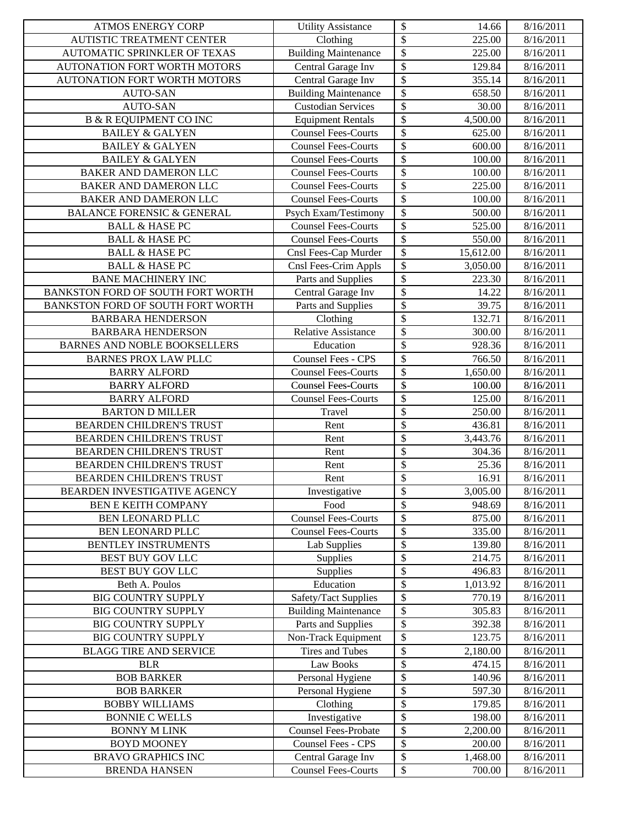| <b>ATMOS ENERGY CORP</b>              | <b>Utility Assistance</b>   | \$<br>14.66                          | 8/16/2011 |
|---------------------------------------|-----------------------------|--------------------------------------|-----------|
| AUTISTIC TREATMENT CENTER             | Clothing                    | \$<br>225.00                         | 8/16/2011 |
| AUTOMATIC SPRINKLER OF TEXAS          | <b>Building Maintenance</b> | $\overline{\$}$<br>225.00            | 8/16/2011 |
| AUTONATION FORT WORTH MOTORS          | Central Garage Inv          | \$<br>129.84                         | 8/16/2011 |
| AUTONATION FORT WORTH MOTORS          | Central Garage Inv          | \$<br>355.14                         | 8/16/2011 |
| AUTO-SAN                              | <b>Building Maintenance</b> | \$<br>658.50                         | 8/16/2011 |
| <b>AUTO-SAN</b>                       | <b>Custodian Services</b>   | \$<br>30.00                          | 8/16/2011 |
| <b>B &amp; R EQUIPMENT CO INC</b>     | <b>Equipment Rentals</b>    | $\overline{\mathcal{S}}$<br>4,500.00 | 8/16/2011 |
| <b>BAILEY &amp; GALYEN</b>            | <b>Counsel Fees-Courts</b>  | $\overline{\mathcal{S}}$<br>625.00   | 8/16/2011 |
| <b>BAILEY &amp; GALYEN</b>            | <b>Counsel Fees-Courts</b>  | $\overline{\$}$<br>600.00            | 8/16/2011 |
| <b>BAILEY &amp; GALYEN</b>            | <b>Counsel Fees-Courts</b>  | \$<br>100.00                         | 8/16/2011 |
| BAKER AND DAMERON LLC                 | <b>Counsel Fees-Courts</b>  | \$<br>100.00                         | 8/16/2011 |
| BAKER AND DAMERON LLC                 | <b>Counsel Fees-Courts</b>  | \$<br>225.00                         | 8/16/2011 |
| <b>BAKER AND DAMERON LLC</b>          | <b>Counsel Fees-Courts</b>  | $\overline{\$}$<br>100.00            | 8/16/2011 |
| <b>BALANCE FORENSIC &amp; GENERAL</b> | Psych Exam/Testimony        | \$<br>500.00                         | 8/16/2011 |
| <b>BALL &amp; HASE PC</b>             | <b>Counsel Fees-Courts</b>  | \$<br>525.00                         | 8/16/2011 |
| <b>BALL &amp; HASE PC</b>             | <b>Counsel Fees-Courts</b>  | $\overline{\mathcal{S}}$<br>550.00   | 8/16/2011 |
| <b>BALL &amp; HASE PC</b>             | Cnsl Fees-Cap Murder        | $\overline{\$}$<br>15,612.00         | 8/16/2011 |
| <b>BALL &amp; HASE PC</b>             | Cnsl Fees-Crim Appls        | \$<br>3,050.00                       | 8/16/2011 |
| <b>BANE MACHINERY INC</b>             | Parts and Supplies          | \$<br>223.30                         | 8/16/2011 |
| BANKSTON FORD OF SOUTH FORT WORTH     | Central Garage Inv          | \$<br>14.22                          | 8/16/2011 |
| BANKSTON FORD OF SOUTH FORT WORTH     | Parts and Supplies          | $\overline{\$}$<br>39.75             | 8/16/2011 |
| <b>BARBARA HENDERSON</b>              | Clothing                    | \$<br>132.71                         | 8/16/2011 |
| <b>BARBARA HENDERSON</b>              | <b>Relative Assistance</b>  | $\overline{\$}$<br>300.00            | 8/16/2011 |
| <b>BARNES AND NOBLE BOOKSELLERS</b>   | Education                   | $\overline{\$}$<br>928.36            | 8/16/2011 |
| <b>BARNES PROX LAW PLLC</b>           | Counsel Fees - CPS          | $\overline{\mathcal{S}}$<br>766.50   | 8/16/2011 |
| <b>BARRY ALFORD</b>                   | <b>Counsel Fees-Courts</b>  | \$<br>1,650.00                       | 8/16/2011 |
| <b>BARRY ALFORD</b>                   | <b>Counsel Fees-Courts</b>  | \$<br>100.00                         | 8/16/2011 |
| <b>BARRY ALFORD</b>                   | <b>Counsel Fees-Courts</b>  | \$<br>125.00                         | 8/16/2011 |
| <b>BARTON D MILLER</b>                | Travel                      | \$<br>250.00                         | 8/16/2011 |
| BEARDEN CHILDREN'S TRUST              | Rent                        | \$<br>436.81                         | 8/16/2011 |
| BEARDEN CHILDREN'S TRUST              | Rent                        | \$<br>3,443.76                       | 8/16/2011 |
| BEARDEN CHILDREN'S TRUST              | Rent                        | \$<br>304.36                         | 8/16/2011 |
| <b>BEARDEN CHILDREN'S TRUST</b>       | Rent                        | \$<br>$\overline{25.36}$             | 8/16/2011 |
| BEARDEN CHILDREN'S TRUST              | Rent                        | $\overline{\$}$<br>16.91             | 8/16/2011 |
| <b>BEARDEN INVESTIGATIVE AGENCY</b>   | Investigative               | \$<br>3,005.00                       | 8/16/2011 |
| <b>BEN E KEITH COMPANY</b>            | Food                        | \$<br>948.69                         | 8/16/2011 |
| BEN LEONARD PLLC                      | <b>Counsel Fees-Courts</b>  | \$<br>875.00                         | 8/16/2011 |
| BEN LEONARD PLLC                      | <b>Counsel Fees-Courts</b>  | \$<br>335.00                         | 8/16/2011 |
| <b>BENTLEY INSTRUMENTS</b>            | Lab Supplies                | \$<br>139.80                         | 8/16/2011 |
| <b>BEST BUY GOV LLC</b>               | Supplies                    | \$<br>214.75                         | 8/16/2011 |
| <b>BEST BUY GOV LLC</b>               | Supplies                    | \$<br>496.83                         | 8/16/2011 |
| Beth A. Poulos                        | Education                   | \$<br>1,013.92                       | 8/16/2011 |
| <b>BIG COUNTRY SUPPLY</b>             | Safety/Tact Supplies        | \$<br>770.19                         | 8/16/2011 |
| <b>BIG COUNTRY SUPPLY</b>             | <b>Building Maintenance</b> | \$<br>305.83                         | 8/16/2011 |
| <b>BIG COUNTRY SUPPLY</b>             | Parts and Supplies          | \$<br>392.38                         | 8/16/2011 |
| <b>BIG COUNTRY SUPPLY</b>             | Non-Track Equipment         | \$<br>123.75                         | 8/16/2011 |
| <b>BLAGG TIRE AND SERVICE</b>         | <b>Tires and Tubes</b>      | \$<br>2,180.00                       | 8/16/2011 |
| <b>BLR</b>                            | Law Books                   | \$<br>474.15                         | 8/16/2011 |
| <b>BOB BARKER</b>                     | Personal Hygiene            | \$<br>140.96                         | 8/16/2011 |
| <b>BOB BARKER</b>                     | Personal Hygiene            | \$<br>597.30                         | 8/16/2011 |
| <b>BOBBY WILLIAMS</b>                 | Clothing                    | \$<br>179.85                         | 8/16/2011 |
| <b>BONNIE C WELLS</b>                 | Investigative               | \$<br>198.00                         | 8/16/2011 |
| <b>BONNY M LINK</b>                   | <b>Counsel Fees-Probate</b> | \$<br>2,200.00                       | 8/16/2011 |
| <b>BOYD MOONEY</b>                    | <b>Counsel Fees - CPS</b>   | \$<br>200.00                         | 8/16/2011 |
| <b>BRAVO GRAPHICS INC</b>             | Central Garage Inv          | \$<br>1,468.00                       | 8/16/2011 |
| <b>BRENDA HANSEN</b>                  | <b>Counsel Fees-Courts</b>  | ${\mathbb S}$<br>700.00              | 8/16/2011 |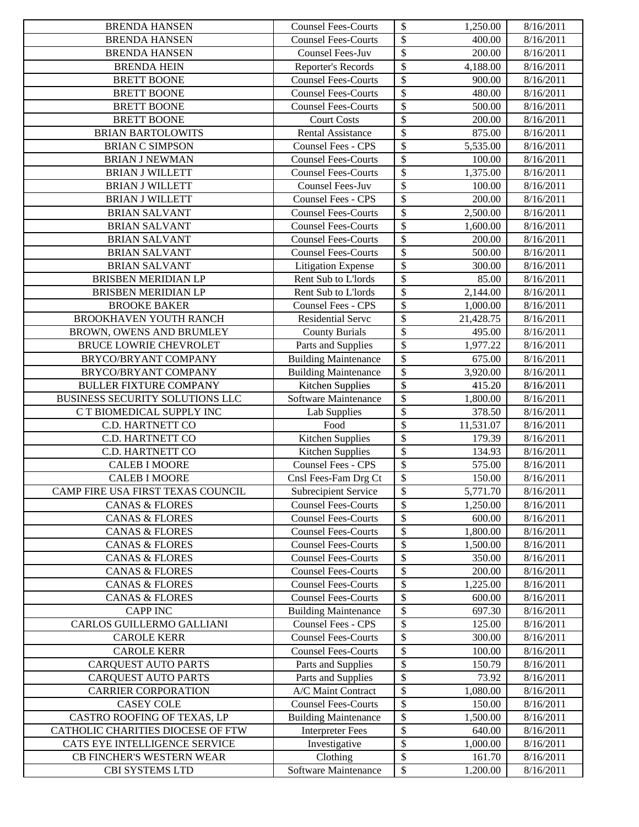| <b>BRENDA HANSEN</b>              | <b>Counsel Fees-Courts</b>  | \$<br>1,250.00                                    | 8/16/2011 |
|-----------------------------------|-----------------------------|---------------------------------------------------|-----------|
| <b>BRENDA HANSEN</b>              | <b>Counsel Fees-Courts</b>  | $\overline{\$}$<br>400.00                         | 8/16/2011 |
| <b>BRENDA HANSEN</b>              | <b>Counsel Fees-Juv</b>     | $\overline{\mathcal{S}}$<br>200.00                | 8/16/2011 |
| <b>BRENDA HEIN</b>                | Reporter's Records          | $\boldsymbol{\mathsf{S}}$<br>4,188.00             | 8/16/2011 |
| <b>BRETT BOONE</b>                | <b>Counsel Fees-Courts</b>  | $\mathcal{S}$<br>900.00                           | 8/16/2011 |
| <b>BRETT BOONE</b>                | <b>Counsel Fees-Courts</b>  | $\boldsymbol{\mathsf{S}}$<br>480.00               | 8/16/2011 |
| <b>BRETT BOONE</b>                | <b>Counsel Fees-Courts</b>  | $\boldsymbol{\mathsf{S}}$<br>500.00               | 8/16/2011 |
| <b>BRETT BOONE</b>                | <b>Court Costs</b>          | $\boldsymbol{\mathsf{S}}$<br>200.00               | 8/16/2011 |
| <b>BRIAN BARTOLOWITS</b>          | <b>Rental Assistance</b>    | $\overline{\$}$<br>875.00                         | 8/16/2011 |
| <b>BRIAN C SIMPSON</b>            | <b>Counsel Fees - CPS</b>   | $\boldsymbol{\mathsf{S}}$<br>5,535.00             | 8/16/2011 |
| <b>BRIAN J NEWMAN</b>             | <b>Counsel Fees-Courts</b>  | $\boldsymbol{\mathsf{S}}$<br>100.00               | 8/16/2011 |
| <b>BRIAN J WILLETT</b>            | <b>Counsel Fees-Courts</b>  | $\overline{\mathcal{S}}$<br>1,375.00              | 8/16/2011 |
| <b>BRIAN J WILLETT</b>            | Counsel Fees-Juv            | $\boldsymbol{\mathsf{S}}$<br>100.00               | 8/16/2011 |
| <b>BRIAN J WILLETT</b>            | Counsel Fees - CPS          | $\boldsymbol{\mathsf{S}}$<br>200.00               | 8/16/2011 |
| <b>BRIAN SALVANT</b>              | Counsel Fees-Courts         | $\overline{\mathcal{S}}$<br>$\overline{2,500.00}$ | 8/16/2011 |
| <b>BRIAN SALVANT</b>              | <b>Counsel Fees-Courts</b>  | $\boldsymbol{\mathsf{S}}$<br>1,600.00             | 8/16/2011 |
| <b>BRIAN SALVANT</b>              | <b>Counsel Fees-Courts</b>  | $\overline{\mathcal{S}}$<br>200.00                | 8/16/2011 |
| <b>BRIAN SALVANT</b>              | <b>Counsel Fees-Courts</b>  | \$<br>500.00                                      | 8/16/2011 |
| <b>BRIAN SALVANT</b>              | <b>Litigation Expense</b>   | $\overline{\mathcal{S}}$<br>300.00                | 8/16/2011 |
| <b>BRISBEN MERIDIAN LP</b>        | Rent Sub to L'Iords         | $\boldsymbol{\mathsf{S}}$<br>85.00                | 8/16/2011 |
| BRISBEN MERIDIAN LP               | Rent Sub to L'Iords         | \$<br>2,144.00                                    | 8/16/2011 |
| <b>BROOKE BAKER</b>               | Counsel Fees - CPS          | $\boldsymbol{\mathsf{S}}$<br>1,000.00             | 8/16/2011 |
| BROOKHAVEN YOUTH RANCH            | <b>Residential Serve</b>    | $\overline{\$}$<br>21,428.75                      | 8/16/2011 |
| BROWN, OWENS AND BRUMLEY          | <b>County Burials</b>       | $\boldsymbol{\mathsf{S}}$<br>495.00               | 8/16/2011 |
| BRUCE LOWRIE CHEVROLET            | Parts and Supplies          | $\overline{\$}$<br>1,977.22                       | 8/16/2011 |
| BRYCO/BRYANT COMPANY              | <b>Building Maintenance</b> | \$<br>675.00                                      | 8/16/2011 |
| BRYCO/BRYANT COMPANY              | <b>Building Maintenance</b> | $\overline{\$}$<br>$\overline{3,920.00}$          | 8/16/2011 |
| <b>BULLER FIXTURE COMPANY</b>     | <b>Kitchen Supplies</b>     | \$<br>415.20                                      | 8/16/2011 |
| BUSINESS SECURITY SOLUTIONS LLC   | Software Maintenance        | $\boldsymbol{\mathsf{S}}$<br>1,800.00             | 8/16/2011 |
| C T BIOMEDICAL SUPPLY INC         | Lab Supplies                | \$<br>378.50                                      | 8/16/2011 |
| C.D. HARTNETT CO                  | Food                        | \$<br>11,531.07                                   | 8/16/2011 |
| C.D. HARTNETT CO                  | Kitchen Supplies            | \$<br>179.39                                      | 8/16/2011 |
| C.D. HARTNETT CO                  | Kitchen Supplies            | $\boldsymbol{\mathsf{S}}$<br>134.93               | 8/16/2011 |
| <b>CALEB I MOORE</b>              | Counsel Fees - CPS          | $\overline{\$}$<br>575.00                         | 8/16/2011 |
| <b>CALEB I MOORE</b>              | Cnsl Fees-Fam Drg Ct        | $\overline{\mathcal{S}}$<br>150.00                | 8/16/2011 |
| CAMP FIRE USA FIRST TEXAS COUNCIL | <b>Subrecipient Service</b> | $\sqrt{3}$<br>5,771.70                            | 8/16/2011 |
| <b>CANAS &amp; FLORES</b>         | <b>Counsel Fees-Courts</b>  | $\boldsymbol{\mathsf{S}}$<br>1,250.00             | 8/16/2011 |
| <b>CANAS &amp; FLORES</b>         | <b>Counsel Fees-Courts</b>  | \$<br>600.00                                      | 8/16/2011 |
| <b>CANAS &amp; FLORES</b>         | <b>Counsel Fees-Courts</b>  | \$<br>1,800.00                                    | 8/16/2011 |
| <b>CANAS &amp; FLORES</b>         | <b>Counsel Fees-Courts</b>  | $\boldsymbol{\mathsf{S}}$<br>1,500.00             | 8/16/2011 |
| <b>CANAS &amp; FLORES</b>         | <b>Counsel Fees-Courts</b>  | \$<br>350.00                                      | 8/16/2011 |
| <b>CANAS &amp; FLORES</b>         | <b>Counsel Fees-Courts</b>  | \$<br>200.00                                      | 8/16/2011 |
| <b>CANAS &amp; FLORES</b>         | <b>Counsel Fees-Courts</b>  | \$<br>1,225.00                                    | 8/16/2011 |
| <b>CANAS &amp; FLORES</b>         | <b>Counsel Fees-Courts</b>  | \$<br>600.00                                      | 8/16/2011 |
| <b>CAPP INC</b>                   | <b>Building Maintenance</b> | \$<br>697.30                                      | 8/16/2011 |
| CARLOS GUILLERMO GALLIANI         | Counsel Fees - CPS          | \$<br>125.00                                      | 8/16/2011 |
| <b>CAROLE KERR</b>                | <b>Counsel Fees-Courts</b>  | \$<br>300.00                                      | 8/16/2011 |
| <b>CAROLE KERR</b>                | <b>Counsel Fees-Courts</b>  | \$<br>100.00                                      | 8/16/2011 |
| <b>CARQUEST AUTO PARTS</b>        | Parts and Supplies          | \$<br>150.79                                      | 8/16/2011 |
| <b>CARQUEST AUTO PARTS</b>        | Parts and Supplies          | \$<br>73.92                                       | 8/16/2011 |
| <b>CARRIER CORPORATION</b>        | A/C Maint Contract          | \$<br>1,080.00                                    | 8/16/2011 |
| <b>CASEY COLE</b>                 | <b>Counsel Fees-Courts</b>  | $\overline{\$}$<br>150.00                         | 8/16/2011 |
| CASTRO ROOFING OF TEXAS, LP       | <b>Building Maintenance</b> | \$<br>1,500.00                                    | 8/16/2011 |
| CATHOLIC CHARITIES DIOCESE OF FTW | <b>Interpreter Fees</b>     | \$<br>640.00                                      | 8/16/2011 |
| CATS EYE INTELLIGENCE SERVICE     | Investigative               | \$<br>1,000.00                                    | 8/16/2011 |
| CB FINCHER'S WESTERN WEAR         | Clothing                    | \$<br>161.70                                      | 8/16/2011 |
| CBI SYSTEMS LTD                   | Software Maintenance        | ${\mathbb S}$<br>1.200.00                         | 8/16/2011 |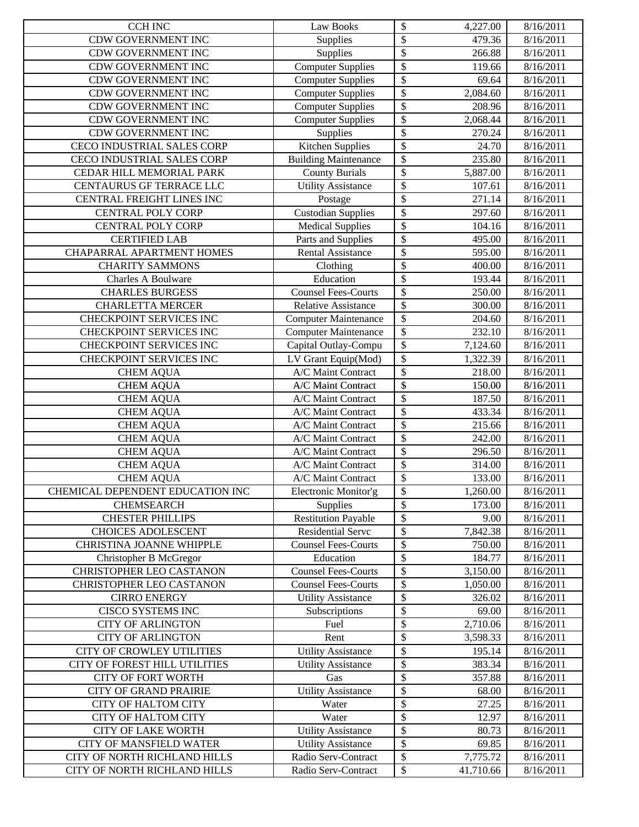| <b>CCH INC</b>                   | Law Books                   | \$<br>4,227.00                       | 8/16/2011 |
|----------------------------------|-----------------------------|--------------------------------------|-----------|
| <b>CDW GOVERNMENT INC</b>        | Supplies                    | \$<br>479.36                         | 8/16/2011 |
| CDW GOVERNMENT INC               | Supplies                    | \$<br>266.88                         | 8/16/2011 |
| CDW GOVERNMENT INC               | <b>Computer Supplies</b>    | \$<br>119.66                         | 8/16/2011 |
| CDW GOVERNMENT INC               | <b>Computer Supplies</b>    | \$<br>69.64                          | 8/16/2011 |
| CDW GOVERNMENT INC               | <b>Computer Supplies</b>    | \$<br>2,084.60                       | 8/16/2011 |
| CDW GOVERNMENT INC               | <b>Computer Supplies</b>    | \$<br>208.96                         | 8/16/2011 |
| CDW GOVERNMENT INC               | <b>Computer Supplies</b>    | $\overline{\$}$<br>2,068.44          | 8/16/2011 |
| CDW GOVERNMENT INC               | Supplies                    | \$<br>270.24                         | 8/16/2011 |
| CECO INDUSTRIAL SALES CORP       | Kitchen Supplies            | $\overline{\$}$<br>24.70             | 8/16/2011 |
| CECO INDUSTRIAL SALES CORP       | <b>Building Maintenance</b> | \$<br>235.80                         | 8/16/2011 |
| CEDAR HILL MEMORIAL PARK         | <b>County Burials</b>       | \$<br>5,887.00                       | 8/16/2011 |
| CENTAURUS GF TERRACE LLC         | <b>Utility Assistance</b>   | $\overline{\$}$<br>107.61            | 8/16/2011 |
| CENTRAL FREIGHT LINES INC        | Postage                     | $\overline{\$}$<br>271.14            | 8/16/2011 |
| <b>CENTRAL POLY CORP</b>         | <b>Custodian Supplies</b>   | \$<br>297.60                         | 8/16/2011 |
| <b>CENTRAL POLY CORP</b>         | <b>Medical Supplies</b>     | \$<br>104.16                         | 8/16/2011 |
| <b>CERTIFIED LAB</b>             | Parts and Supplies          | \$<br>495.00                         | 8/16/2011 |
| CHAPARRAL APARTMENT HOMES        | <b>Rental Assistance</b>    | \$<br>595.00                         | 8/16/2011 |
| <b>CHARITY SAMMONS</b>           | Clothing                    | \$<br>400.00                         | 8/16/2011 |
| Charles A Boulware               | Education                   | \$<br>193.44                         | 8/16/2011 |
| <b>CHARLES BURGESS</b>           | <b>Counsel Fees-Courts</b>  | \$<br>250.00                         | 8/16/2011 |
| <b>CHARLETTA MERCER</b>          | <b>Relative Assistance</b>  | \$<br>300.00                         | 8/16/2011 |
| CHECKPOINT SERVICES INC          | <b>Computer Maintenance</b> | \$<br>204.60                         | 8/16/2011 |
| CHECKPOINT SERVICES INC          | <b>Computer Maintenance</b> | $\overline{\$}$<br>232.10            | 8/16/2011 |
| CHECKPOINT SERVICES INC          | Capital Outlay-Compu        | $\overline{\$}$<br>7,124.60          | 8/16/2011 |
| CHECKPOINT SERVICES INC          | LV Grant Equip(Mod)         | \$<br>1,322.39                       | 8/16/2011 |
| <b>CHEM AQUA</b>                 | A/C Maint Contract          | \$<br>218.00                         | 8/16/2011 |
| <b>CHEM AQUA</b>                 | A/C Maint Contract          | \$<br>150.00                         | 8/16/2011 |
| <b>CHEM AQUA</b>                 | A/C Maint Contract          | \$<br>187.50                         | 8/16/2011 |
| <b>CHEM AQUA</b>                 | A/C Maint Contract          | \$<br>433.34                         | 8/16/2011 |
| <b>CHEM AQUA</b>                 | A/C Maint Contract          | \$<br>215.66                         | 8/16/2011 |
| <b>CHEM AQUA</b>                 | A/C Maint Contract          | \$<br>242.00                         | 8/16/2011 |
| <b>CHEM AQUA</b>                 | A/C Maint Contract          | \$<br>296.50                         | 8/16/2011 |
| <b>CHEM AQUA</b>                 | A/C Maint Contract          | $\overline{\$}$<br>314.00            | 8/16/2011 |
| <b>CHEM AQUA</b>                 | A/C Maint Contract          | \$<br>133.00                         | 8/16/2011 |
| CHEMICAL DEPENDENT EDUCATION INC | Electronic Monitor'g        | $\overline{\mathcal{L}}$<br>1,260.00 | 8/16/2011 |
| <b>CHEMSEARCH</b>                | Supplies                    | \$<br>173.00                         | 8/16/2011 |
| <b>CHESTER PHILLIPS</b>          | <b>Restitution Payable</b>  | \$<br>9.00                           | 8/16/2011 |
| <b>CHOICES ADOLESCENT</b>        | Residential Servc           | \$<br>7,842.38                       | 8/16/2011 |
| CHRISTINA JOANNE WHIPPLE         | <b>Counsel Fees-Courts</b>  | \$<br>750.00                         | 8/16/2011 |
| Christopher B McGregor           | Education                   | \$<br>184.77                         | 8/16/2011 |
| <b>CHRISTOPHER LEO CASTANON</b>  | <b>Counsel Fees-Courts</b>  | \$<br>3,150.00                       | 8/16/2011 |
| CHRISTOPHER LEO CASTANON         | <b>Counsel Fees-Courts</b>  | \$<br>1,050.00                       | 8/16/2011 |
| <b>CIRRO ENERGY</b>              | <b>Utility Assistance</b>   | \$<br>326.02                         | 8/16/2011 |
| CISCO SYSTEMS INC                | Subscriptions               | \$<br>69.00                          | 8/16/2011 |
| <b>CITY OF ARLINGTON</b>         | Fuel                        | \$<br>2,710.06                       | 8/16/2011 |
| <b>CITY OF ARLINGTON</b>         | Rent                        | \$<br>3,598.33                       | 8/16/2011 |
| CITY OF CROWLEY UTILITIES        | <b>Utility Assistance</b>   | \$<br>195.14                         | 8/16/2011 |
| CITY OF FOREST HILL UTILITIES    | <b>Utility Assistance</b>   | \$<br>383.34                         | 8/16/2011 |
| <b>CITY OF FORT WORTH</b>        | Gas                         | \$<br>357.88                         | 8/16/2011 |
| <b>CITY OF GRAND PRAIRIE</b>     | <b>Utility Assistance</b>   | \$<br>68.00                          | 8/16/2011 |
| <b>CITY OF HALTOM CITY</b>       | Water                       | \$<br>27.25                          | 8/16/2011 |
| <b>CITY OF HALTOM CITY</b>       | Water                       | \$<br>12.97                          | 8/16/2011 |
| <b>CITY OF LAKE WORTH</b>        | <b>Utility Assistance</b>   | \$<br>80.73                          | 8/16/2011 |
| CITY OF MANSFIELD WATER          | <b>Utility Assistance</b>   | \$<br>69.85                          | 8/16/2011 |
| CITY OF NORTH RICHLAND HILLS     | Radio Serv-Contract         | \$<br>7,775.72                       | 8/16/2011 |
| CITY OF NORTH RICHLAND HILLS     | Radio Serv-Contract         | ${\mathbb S}$<br>41.710.66           | 8/16/2011 |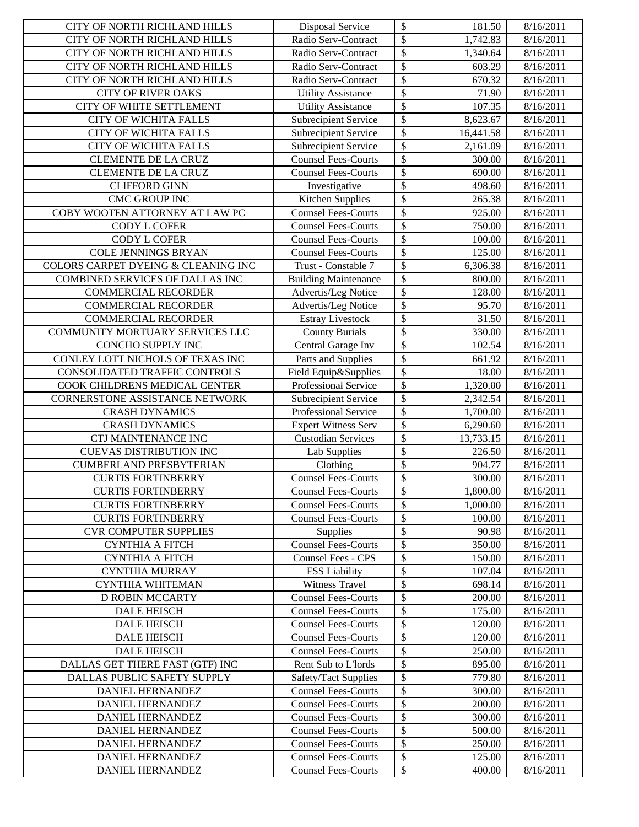| \$<br>Radio Serv-Contract<br>8/16/2011<br>CITY OF NORTH RICHLAND HILLS<br>1,742.83<br>\$<br>CITY OF NORTH RICHLAND HILLS<br>Radio Serv-Contract<br>1,340.64<br>8/16/2011<br>\$<br>CITY OF NORTH RICHLAND HILLS<br>Radio Serv-Contract<br>603.29<br>8/16/2011<br>\$<br>CITY OF NORTH RICHLAND HILLS<br>Radio Serv-Contract<br>670.32<br>8/16/2011<br>\$<br>71.90<br><b>CITY OF RIVER OAKS</b><br><b>Utility Assistance</b><br>8/16/2011<br>\$<br>CITY OF WHITE SETTLEMENT<br><b>Utility Assistance</b><br>107.35<br>8/16/2011<br>$\overline{\$}$<br><b>CITY OF WICHITA FALLS</b><br>Subrecipient Service<br>8,623.67<br>8/16/2011<br>$\overline{\$}$<br><b>CITY OF WICHITA FALLS</b><br>Subrecipient Service<br>16,441.58<br>8/16/2011<br>$\overline{\$}$<br><b>CITY OF WICHITA FALLS</b><br>Subrecipient Service<br>2,161.09<br>8/16/2011<br>\$<br><b>Counsel Fees-Courts</b><br><b>CLEMENTE DE LA CRUZ</b><br>300.00<br>8/16/2011<br>\$<br><b>Counsel Fees-Courts</b><br>8/16/2011<br><b>CLEMENTE DE LA CRUZ</b><br>690.00<br>\$<br><b>CLIFFORD GINN</b><br>498.60<br>Investigative<br>8/16/2011<br>$\overline{\$}$<br><b>CMC GROUP INC</b><br>Kitchen Supplies<br>265.38<br>8/16/2011<br>\$<br>COBY WOOTEN ATTORNEY AT LAW PC<br><b>Counsel Fees-Courts</b><br>925.00<br>8/16/2011<br>\$<br>CODY L COFER<br>750.00<br>8/16/2011<br><b>Counsel Fees-Courts</b><br>\$<br>CODY L COFER<br>100.00<br><b>Counsel Fees-Courts</b><br>8/16/2011<br>\$<br>125.00<br><b>COLE JENNINGS BRYAN</b><br><b>Counsel Fees-Courts</b><br>8/16/2011<br>\$<br>COLORS CARPET DYEING & CLEANING INC<br>Trust - Constable 7<br>6,306.38<br>8/16/2011<br>\$<br>COMBINED SERVICES OF DALLAS INC<br><b>Building Maintenance</b><br>800.00<br>8/16/2011<br>\$<br>Advertis/Leg Notice<br><b>COMMERCIAL RECORDER</b><br>128.00<br>8/16/2011<br>\$<br><b>COMMERCIAL RECORDER</b><br>Advertis/Leg Notice<br>95.70<br>8/16/2011<br>\$<br><b>COMMERCIAL RECORDER</b><br><b>Estray Livestock</b><br>31.50<br>8/16/2011<br>$\overline{\$}$<br>COMMUNITY MORTUARY SERVICES LLC<br><b>County Burials</b><br>330.00<br>8/16/2011<br>$\overline{\$}$<br>CONCHO SUPPLY INC<br>Central Garage Inv<br>102.54<br>8/16/2011<br>$\overline{\$}$<br>CONLEY LOTT NICHOLS OF TEXAS INC<br>Parts and Supplies<br>8/16/2011<br>661.92<br>\$<br>CONSOLIDATED TRAFFIC CONTROLS<br>Field Equip&Supplies<br>18.00<br>8/16/2011<br>\$<br>COOK CHILDRENS MEDICAL CENTER<br>Professional Service<br>1,320.00<br>8/16/2011<br>\$<br>CORNERSTONE ASSISTANCE NETWORK<br>Subrecipient Service<br>2,342.54<br>8/16/2011<br>\$<br><b>CRASH DYNAMICS</b><br>Professional Service<br>1,700.00<br>8/16/2011<br>\$<br><b>CRASH DYNAMICS</b><br>8/16/2011<br><b>Expert Witness Serv</b><br>6,290.60<br>\$<br><b>CTJ MAINTENANCE INC</b><br><b>Custodian Services</b><br>13,733.15<br>8/16/2011<br>$\overline{\$}$<br><b>CUEVAS DISTRIBUTION INC</b><br><b>Lab Supplies</b><br>226.50<br>8/16/2011<br>$\overline{\$}$<br><b>CUMBERLAND PRESBYTERIAN</b><br>Clothing<br>904.77<br>8/16/2011<br>\$<br><b>CURTIS FORTINBERRY</b><br><b>Counsel Fees-Courts</b><br>300.00<br>8/16/2011<br>$\overline{\mathcal{S}}$<br>1,800.00<br><b>Counsel Fees-Courts</b><br>8/16/2011<br><b>CURTIS FORTINBERRY</b><br>\$<br><b>CURTIS FORTINBERRY</b><br><b>Counsel Fees-Courts</b><br>1,000.00<br>8/16/2011<br>Counsel Fees-Courts<br>\$<br><b>CURTIS FORTINBERRY</b><br>100.00<br>8/16/2011<br>\$<br><b>CVR COMPUTER SUPPLIES</b><br>90.98<br>Supplies<br>8/16/2011<br>\$<br>350.00<br><b>CYNTHIA A FITCH</b><br><b>Counsel Fees-Courts</b><br>8/16/2011<br>\$<br>Counsel Fees - CPS<br>150.00<br><b>CYNTHIA A FITCH</b><br>8/16/2011<br>\$<br><b>CYNTHIA MURRAY</b><br><b>FSS Liability</b><br>107.04<br>8/16/2011<br>\$<br><b>Witness Travel</b><br>698.14<br><b>CYNTHIA WHITEMAN</b><br>8/16/2011<br>\$<br><b>Counsel Fees-Courts</b><br><b>D ROBIN MCCARTY</b><br>200.00<br>8/16/2011<br>\$<br><b>Counsel Fees-Courts</b><br>175.00<br>8/16/2011<br><b>DALE HEISCH</b><br>\$<br><b>DALE HEISCH</b><br><b>Counsel Fees-Courts</b><br>120.00<br>8/16/2011<br>\$<br><b>DALE HEISCH</b><br><b>Counsel Fees-Courts</b><br>120.00<br>8/16/2011<br>\$<br><b>DALE HEISCH</b><br><b>Counsel Fees-Courts</b><br>250.00<br>8/16/2011<br>\$<br>895.00<br>DALLAS GET THERE FAST (GTF) INC<br>Rent Sub to L'Iords<br>8/16/2011<br>\$<br>DALLAS PUBLIC SAFETY SUPPLY<br>779.80<br>Safety/Tact Supplies<br>8/16/2011<br>\$<br><b>Counsel Fees-Courts</b><br>DANIEL HERNANDEZ<br>300.00<br>8/16/2011<br>\$<br><b>Counsel Fees-Courts</b><br>DANIEL HERNANDEZ<br>200.00<br>8/16/2011<br>\$<br>DANIEL HERNANDEZ<br><b>Counsel Fees-Courts</b><br>300.00<br>8/16/2011<br>\$<br><b>Counsel Fees-Courts</b><br>DANIEL HERNANDEZ<br>500.00<br>8/16/2011<br>\$<br>DANIEL HERNANDEZ<br><b>Counsel Fees-Courts</b><br>250.00<br>8/16/2011<br>\$<br><b>Counsel Fees-Courts</b><br>DANIEL HERNANDEZ<br>125.00<br>8/16/2011<br>${\mathbb S}$<br>DANIEL HERNANDEZ<br><b>Counsel Fees-Courts</b><br>400.00<br>8/16/2011 | CITY OF NORTH RICHLAND HILLS | <b>Disposal Service</b> | \$<br>181.50 | 8/16/2011 |
|--------------------------------------------------------------------------------------------------------------------------------------------------------------------------------------------------------------------------------------------------------------------------------------------------------------------------------------------------------------------------------------------------------------------------------------------------------------------------------------------------------------------------------------------------------------------------------------------------------------------------------------------------------------------------------------------------------------------------------------------------------------------------------------------------------------------------------------------------------------------------------------------------------------------------------------------------------------------------------------------------------------------------------------------------------------------------------------------------------------------------------------------------------------------------------------------------------------------------------------------------------------------------------------------------------------------------------------------------------------------------------------------------------------------------------------------------------------------------------------------------------------------------------------------------------------------------------------------------------------------------------------------------------------------------------------------------------------------------------------------------------------------------------------------------------------------------------------------------------------------------------------------------------------------------------------------------------------------------------------------------------------------------------------------------------------------------------------------------------------------------------------------------------------------------------------------------------------------------------------------------------------------------------------------------------------------------------------------------------------------------------------------------------------------------------------------------------------------------------------------------------------------------------------------------------------------------------------------------------------------------------------------------------------------------------------------------------------------------------------------------------------------------------------------------------------------------------------------------------------------------------------------------------------------------------------------------------------------------------------------------------------------------------------------------------------------------------------------------------------------------------------------------------------------------------------------------------------------------------------------------------------------------------------------------------------------------------------------------------------------------------------------------------------------------------------------------------------------------------------------------------------------------------------------------------------------------------------------------------------------------------------------------------------------------------------------------------------------------------------------------------------------------------------------------------------------------------------------------------------------------------------------------------------------------------------------------------------------------------------------------------------------------------------------------------------------------------------------------------------------------------------------------------------------------------------------------------------------------------------------------------------------------------------------------------------------------------------------------------------------------------------------------------------------------------------------------------------------------------------------------------------------------------------------------------------------------------------------------------------------------------------------------------------------------------------------------------------------------------------------------------------------------------------------------------------------------------------------------------------------------------------------------------------------------------------------------------------------------------------------------------------|------------------------------|-------------------------|--------------|-----------|
|                                                                                                                                                                                                                                                                                                                                                                                                                                                                                                                                                                                                                                                                                                                                                                                                                                                                                                                                                                                                                                                                                                                                                                                                                                                                                                                                                                                                                                                                                                                                                                                                                                                                                                                                                                                                                                                                                                                                                                                                                                                                                                                                                                                                                                                                                                                                                                                                                                                                                                                                                                                                                                                                                                                                                                                                                                                                                                                                                                                                                                                                                                                                                                                                                                                                                                                                                                                                                                                                                                                                                                                                                                                                                                                                                                                                                                                                                                                                                                                                                                                                                                                                                                                                                                                                                                                                                                                                                                                                                                                                                                                                                                                                                                                                                                                                                                                                                                                                                                                                              |                              |                         |              |           |
|                                                                                                                                                                                                                                                                                                                                                                                                                                                                                                                                                                                                                                                                                                                                                                                                                                                                                                                                                                                                                                                                                                                                                                                                                                                                                                                                                                                                                                                                                                                                                                                                                                                                                                                                                                                                                                                                                                                                                                                                                                                                                                                                                                                                                                                                                                                                                                                                                                                                                                                                                                                                                                                                                                                                                                                                                                                                                                                                                                                                                                                                                                                                                                                                                                                                                                                                                                                                                                                                                                                                                                                                                                                                                                                                                                                                                                                                                                                                                                                                                                                                                                                                                                                                                                                                                                                                                                                                                                                                                                                                                                                                                                                                                                                                                                                                                                                                                                                                                                                                              |                              |                         |              |           |
|                                                                                                                                                                                                                                                                                                                                                                                                                                                                                                                                                                                                                                                                                                                                                                                                                                                                                                                                                                                                                                                                                                                                                                                                                                                                                                                                                                                                                                                                                                                                                                                                                                                                                                                                                                                                                                                                                                                                                                                                                                                                                                                                                                                                                                                                                                                                                                                                                                                                                                                                                                                                                                                                                                                                                                                                                                                                                                                                                                                                                                                                                                                                                                                                                                                                                                                                                                                                                                                                                                                                                                                                                                                                                                                                                                                                                                                                                                                                                                                                                                                                                                                                                                                                                                                                                                                                                                                                                                                                                                                                                                                                                                                                                                                                                                                                                                                                                                                                                                                                              |                              |                         |              |           |
|                                                                                                                                                                                                                                                                                                                                                                                                                                                                                                                                                                                                                                                                                                                                                                                                                                                                                                                                                                                                                                                                                                                                                                                                                                                                                                                                                                                                                                                                                                                                                                                                                                                                                                                                                                                                                                                                                                                                                                                                                                                                                                                                                                                                                                                                                                                                                                                                                                                                                                                                                                                                                                                                                                                                                                                                                                                                                                                                                                                                                                                                                                                                                                                                                                                                                                                                                                                                                                                                                                                                                                                                                                                                                                                                                                                                                                                                                                                                                                                                                                                                                                                                                                                                                                                                                                                                                                                                                                                                                                                                                                                                                                                                                                                                                                                                                                                                                                                                                                                                              |                              |                         |              |           |
|                                                                                                                                                                                                                                                                                                                                                                                                                                                                                                                                                                                                                                                                                                                                                                                                                                                                                                                                                                                                                                                                                                                                                                                                                                                                                                                                                                                                                                                                                                                                                                                                                                                                                                                                                                                                                                                                                                                                                                                                                                                                                                                                                                                                                                                                                                                                                                                                                                                                                                                                                                                                                                                                                                                                                                                                                                                                                                                                                                                                                                                                                                                                                                                                                                                                                                                                                                                                                                                                                                                                                                                                                                                                                                                                                                                                                                                                                                                                                                                                                                                                                                                                                                                                                                                                                                                                                                                                                                                                                                                                                                                                                                                                                                                                                                                                                                                                                                                                                                                                              |                              |                         |              |           |
|                                                                                                                                                                                                                                                                                                                                                                                                                                                                                                                                                                                                                                                                                                                                                                                                                                                                                                                                                                                                                                                                                                                                                                                                                                                                                                                                                                                                                                                                                                                                                                                                                                                                                                                                                                                                                                                                                                                                                                                                                                                                                                                                                                                                                                                                                                                                                                                                                                                                                                                                                                                                                                                                                                                                                                                                                                                                                                                                                                                                                                                                                                                                                                                                                                                                                                                                                                                                                                                                                                                                                                                                                                                                                                                                                                                                                                                                                                                                                                                                                                                                                                                                                                                                                                                                                                                                                                                                                                                                                                                                                                                                                                                                                                                                                                                                                                                                                                                                                                                                              |                              |                         |              |           |
|                                                                                                                                                                                                                                                                                                                                                                                                                                                                                                                                                                                                                                                                                                                                                                                                                                                                                                                                                                                                                                                                                                                                                                                                                                                                                                                                                                                                                                                                                                                                                                                                                                                                                                                                                                                                                                                                                                                                                                                                                                                                                                                                                                                                                                                                                                                                                                                                                                                                                                                                                                                                                                                                                                                                                                                                                                                                                                                                                                                                                                                                                                                                                                                                                                                                                                                                                                                                                                                                                                                                                                                                                                                                                                                                                                                                                                                                                                                                                                                                                                                                                                                                                                                                                                                                                                                                                                                                                                                                                                                                                                                                                                                                                                                                                                                                                                                                                                                                                                                                              |                              |                         |              |           |
|                                                                                                                                                                                                                                                                                                                                                                                                                                                                                                                                                                                                                                                                                                                                                                                                                                                                                                                                                                                                                                                                                                                                                                                                                                                                                                                                                                                                                                                                                                                                                                                                                                                                                                                                                                                                                                                                                                                                                                                                                                                                                                                                                                                                                                                                                                                                                                                                                                                                                                                                                                                                                                                                                                                                                                                                                                                                                                                                                                                                                                                                                                                                                                                                                                                                                                                                                                                                                                                                                                                                                                                                                                                                                                                                                                                                                                                                                                                                                                                                                                                                                                                                                                                                                                                                                                                                                                                                                                                                                                                                                                                                                                                                                                                                                                                                                                                                                                                                                                                                              |                              |                         |              |           |
|                                                                                                                                                                                                                                                                                                                                                                                                                                                                                                                                                                                                                                                                                                                                                                                                                                                                                                                                                                                                                                                                                                                                                                                                                                                                                                                                                                                                                                                                                                                                                                                                                                                                                                                                                                                                                                                                                                                                                                                                                                                                                                                                                                                                                                                                                                                                                                                                                                                                                                                                                                                                                                                                                                                                                                                                                                                                                                                                                                                                                                                                                                                                                                                                                                                                                                                                                                                                                                                                                                                                                                                                                                                                                                                                                                                                                                                                                                                                                                                                                                                                                                                                                                                                                                                                                                                                                                                                                                                                                                                                                                                                                                                                                                                                                                                                                                                                                                                                                                                                              |                              |                         |              |           |
|                                                                                                                                                                                                                                                                                                                                                                                                                                                                                                                                                                                                                                                                                                                                                                                                                                                                                                                                                                                                                                                                                                                                                                                                                                                                                                                                                                                                                                                                                                                                                                                                                                                                                                                                                                                                                                                                                                                                                                                                                                                                                                                                                                                                                                                                                                                                                                                                                                                                                                                                                                                                                                                                                                                                                                                                                                                                                                                                                                                                                                                                                                                                                                                                                                                                                                                                                                                                                                                                                                                                                                                                                                                                                                                                                                                                                                                                                                                                                                                                                                                                                                                                                                                                                                                                                                                                                                                                                                                                                                                                                                                                                                                                                                                                                                                                                                                                                                                                                                                                              |                              |                         |              |           |
|                                                                                                                                                                                                                                                                                                                                                                                                                                                                                                                                                                                                                                                                                                                                                                                                                                                                                                                                                                                                                                                                                                                                                                                                                                                                                                                                                                                                                                                                                                                                                                                                                                                                                                                                                                                                                                                                                                                                                                                                                                                                                                                                                                                                                                                                                                                                                                                                                                                                                                                                                                                                                                                                                                                                                                                                                                                                                                                                                                                                                                                                                                                                                                                                                                                                                                                                                                                                                                                                                                                                                                                                                                                                                                                                                                                                                                                                                                                                                                                                                                                                                                                                                                                                                                                                                                                                                                                                                                                                                                                                                                                                                                                                                                                                                                                                                                                                                                                                                                                                              |                              |                         |              |           |
|                                                                                                                                                                                                                                                                                                                                                                                                                                                                                                                                                                                                                                                                                                                                                                                                                                                                                                                                                                                                                                                                                                                                                                                                                                                                                                                                                                                                                                                                                                                                                                                                                                                                                                                                                                                                                                                                                                                                                                                                                                                                                                                                                                                                                                                                                                                                                                                                                                                                                                                                                                                                                                                                                                                                                                                                                                                                                                                                                                                                                                                                                                                                                                                                                                                                                                                                                                                                                                                                                                                                                                                                                                                                                                                                                                                                                                                                                                                                                                                                                                                                                                                                                                                                                                                                                                                                                                                                                                                                                                                                                                                                                                                                                                                                                                                                                                                                                                                                                                                                              |                              |                         |              |           |
|                                                                                                                                                                                                                                                                                                                                                                                                                                                                                                                                                                                                                                                                                                                                                                                                                                                                                                                                                                                                                                                                                                                                                                                                                                                                                                                                                                                                                                                                                                                                                                                                                                                                                                                                                                                                                                                                                                                                                                                                                                                                                                                                                                                                                                                                                                                                                                                                                                                                                                                                                                                                                                                                                                                                                                                                                                                                                                                                                                                                                                                                                                                                                                                                                                                                                                                                                                                                                                                                                                                                                                                                                                                                                                                                                                                                                                                                                                                                                                                                                                                                                                                                                                                                                                                                                                                                                                                                                                                                                                                                                                                                                                                                                                                                                                                                                                                                                                                                                                                                              |                              |                         |              |           |
|                                                                                                                                                                                                                                                                                                                                                                                                                                                                                                                                                                                                                                                                                                                                                                                                                                                                                                                                                                                                                                                                                                                                                                                                                                                                                                                                                                                                                                                                                                                                                                                                                                                                                                                                                                                                                                                                                                                                                                                                                                                                                                                                                                                                                                                                                                                                                                                                                                                                                                                                                                                                                                                                                                                                                                                                                                                                                                                                                                                                                                                                                                                                                                                                                                                                                                                                                                                                                                                                                                                                                                                                                                                                                                                                                                                                                                                                                                                                                                                                                                                                                                                                                                                                                                                                                                                                                                                                                                                                                                                                                                                                                                                                                                                                                                                                                                                                                                                                                                                                              |                              |                         |              |           |
|                                                                                                                                                                                                                                                                                                                                                                                                                                                                                                                                                                                                                                                                                                                                                                                                                                                                                                                                                                                                                                                                                                                                                                                                                                                                                                                                                                                                                                                                                                                                                                                                                                                                                                                                                                                                                                                                                                                                                                                                                                                                                                                                                                                                                                                                                                                                                                                                                                                                                                                                                                                                                                                                                                                                                                                                                                                                                                                                                                                                                                                                                                                                                                                                                                                                                                                                                                                                                                                                                                                                                                                                                                                                                                                                                                                                                                                                                                                                                                                                                                                                                                                                                                                                                                                                                                                                                                                                                                                                                                                                                                                                                                                                                                                                                                                                                                                                                                                                                                                                              |                              |                         |              |           |
|                                                                                                                                                                                                                                                                                                                                                                                                                                                                                                                                                                                                                                                                                                                                                                                                                                                                                                                                                                                                                                                                                                                                                                                                                                                                                                                                                                                                                                                                                                                                                                                                                                                                                                                                                                                                                                                                                                                                                                                                                                                                                                                                                                                                                                                                                                                                                                                                                                                                                                                                                                                                                                                                                                                                                                                                                                                                                                                                                                                                                                                                                                                                                                                                                                                                                                                                                                                                                                                                                                                                                                                                                                                                                                                                                                                                                                                                                                                                                                                                                                                                                                                                                                                                                                                                                                                                                                                                                                                                                                                                                                                                                                                                                                                                                                                                                                                                                                                                                                                                              |                              |                         |              |           |
|                                                                                                                                                                                                                                                                                                                                                                                                                                                                                                                                                                                                                                                                                                                                                                                                                                                                                                                                                                                                                                                                                                                                                                                                                                                                                                                                                                                                                                                                                                                                                                                                                                                                                                                                                                                                                                                                                                                                                                                                                                                                                                                                                                                                                                                                                                                                                                                                                                                                                                                                                                                                                                                                                                                                                                                                                                                                                                                                                                                                                                                                                                                                                                                                                                                                                                                                                                                                                                                                                                                                                                                                                                                                                                                                                                                                                                                                                                                                                                                                                                                                                                                                                                                                                                                                                                                                                                                                                                                                                                                                                                                                                                                                                                                                                                                                                                                                                                                                                                                                              |                              |                         |              |           |
|                                                                                                                                                                                                                                                                                                                                                                                                                                                                                                                                                                                                                                                                                                                                                                                                                                                                                                                                                                                                                                                                                                                                                                                                                                                                                                                                                                                                                                                                                                                                                                                                                                                                                                                                                                                                                                                                                                                                                                                                                                                                                                                                                                                                                                                                                                                                                                                                                                                                                                                                                                                                                                                                                                                                                                                                                                                                                                                                                                                                                                                                                                                                                                                                                                                                                                                                                                                                                                                                                                                                                                                                                                                                                                                                                                                                                                                                                                                                                                                                                                                                                                                                                                                                                                                                                                                                                                                                                                                                                                                                                                                                                                                                                                                                                                                                                                                                                                                                                                                                              |                              |                         |              |           |
|                                                                                                                                                                                                                                                                                                                                                                                                                                                                                                                                                                                                                                                                                                                                                                                                                                                                                                                                                                                                                                                                                                                                                                                                                                                                                                                                                                                                                                                                                                                                                                                                                                                                                                                                                                                                                                                                                                                                                                                                                                                                                                                                                                                                                                                                                                                                                                                                                                                                                                                                                                                                                                                                                                                                                                                                                                                                                                                                                                                                                                                                                                                                                                                                                                                                                                                                                                                                                                                                                                                                                                                                                                                                                                                                                                                                                                                                                                                                                                                                                                                                                                                                                                                                                                                                                                                                                                                                                                                                                                                                                                                                                                                                                                                                                                                                                                                                                                                                                                                                              |                              |                         |              |           |
|                                                                                                                                                                                                                                                                                                                                                                                                                                                                                                                                                                                                                                                                                                                                                                                                                                                                                                                                                                                                                                                                                                                                                                                                                                                                                                                                                                                                                                                                                                                                                                                                                                                                                                                                                                                                                                                                                                                                                                                                                                                                                                                                                                                                                                                                                                                                                                                                                                                                                                                                                                                                                                                                                                                                                                                                                                                                                                                                                                                                                                                                                                                                                                                                                                                                                                                                                                                                                                                                                                                                                                                                                                                                                                                                                                                                                                                                                                                                                                                                                                                                                                                                                                                                                                                                                                                                                                                                                                                                                                                                                                                                                                                                                                                                                                                                                                                                                                                                                                                                              |                              |                         |              |           |
|                                                                                                                                                                                                                                                                                                                                                                                                                                                                                                                                                                                                                                                                                                                                                                                                                                                                                                                                                                                                                                                                                                                                                                                                                                                                                                                                                                                                                                                                                                                                                                                                                                                                                                                                                                                                                                                                                                                                                                                                                                                                                                                                                                                                                                                                                                                                                                                                                                                                                                                                                                                                                                                                                                                                                                                                                                                                                                                                                                                                                                                                                                                                                                                                                                                                                                                                                                                                                                                                                                                                                                                                                                                                                                                                                                                                                                                                                                                                                                                                                                                                                                                                                                                                                                                                                                                                                                                                                                                                                                                                                                                                                                                                                                                                                                                                                                                                                                                                                                                                              |                              |                         |              |           |
|                                                                                                                                                                                                                                                                                                                                                                                                                                                                                                                                                                                                                                                                                                                                                                                                                                                                                                                                                                                                                                                                                                                                                                                                                                                                                                                                                                                                                                                                                                                                                                                                                                                                                                                                                                                                                                                                                                                                                                                                                                                                                                                                                                                                                                                                                                                                                                                                                                                                                                                                                                                                                                                                                                                                                                                                                                                                                                                                                                                                                                                                                                                                                                                                                                                                                                                                                                                                                                                                                                                                                                                                                                                                                                                                                                                                                                                                                                                                                                                                                                                                                                                                                                                                                                                                                                                                                                                                                                                                                                                                                                                                                                                                                                                                                                                                                                                                                                                                                                                                              |                              |                         |              |           |
|                                                                                                                                                                                                                                                                                                                                                                                                                                                                                                                                                                                                                                                                                                                                                                                                                                                                                                                                                                                                                                                                                                                                                                                                                                                                                                                                                                                                                                                                                                                                                                                                                                                                                                                                                                                                                                                                                                                                                                                                                                                                                                                                                                                                                                                                                                                                                                                                                                                                                                                                                                                                                                                                                                                                                                                                                                                                                                                                                                                                                                                                                                                                                                                                                                                                                                                                                                                                                                                                                                                                                                                                                                                                                                                                                                                                                                                                                                                                                                                                                                                                                                                                                                                                                                                                                                                                                                                                                                                                                                                                                                                                                                                                                                                                                                                                                                                                                                                                                                                                              |                              |                         |              |           |
|                                                                                                                                                                                                                                                                                                                                                                                                                                                                                                                                                                                                                                                                                                                                                                                                                                                                                                                                                                                                                                                                                                                                                                                                                                                                                                                                                                                                                                                                                                                                                                                                                                                                                                                                                                                                                                                                                                                                                                                                                                                                                                                                                                                                                                                                                                                                                                                                                                                                                                                                                                                                                                                                                                                                                                                                                                                                                                                                                                                                                                                                                                                                                                                                                                                                                                                                                                                                                                                                                                                                                                                                                                                                                                                                                                                                                                                                                                                                                                                                                                                                                                                                                                                                                                                                                                                                                                                                                                                                                                                                                                                                                                                                                                                                                                                                                                                                                                                                                                                                              |                              |                         |              |           |
|                                                                                                                                                                                                                                                                                                                                                                                                                                                                                                                                                                                                                                                                                                                                                                                                                                                                                                                                                                                                                                                                                                                                                                                                                                                                                                                                                                                                                                                                                                                                                                                                                                                                                                                                                                                                                                                                                                                                                                                                                                                                                                                                                                                                                                                                                                                                                                                                                                                                                                                                                                                                                                                                                                                                                                                                                                                                                                                                                                                                                                                                                                                                                                                                                                                                                                                                                                                                                                                                                                                                                                                                                                                                                                                                                                                                                                                                                                                                                                                                                                                                                                                                                                                                                                                                                                                                                                                                                                                                                                                                                                                                                                                                                                                                                                                                                                                                                                                                                                                                              |                              |                         |              |           |
|                                                                                                                                                                                                                                                                                                                                                                                                                                                                                                                                                                                                                                                                                                                                                                                                                                                                                                                                                                                                                                                                                                                                                                                                                                                                                                                                                                                                                                                                                                                                                                                                                                                                                                                                                                                                                                                                                                                                                                                                                                                                                                                                                                                                                                                                                                                                                                                                                                                                                                                                                                                                                                                                                                                                                                                                                                                                                                                                                                                                                                                                                                                                                                                                                                                                                                                                                                                                                                                                                                                                                                                                                                                                                                                                                                                                                                                                                                                                                                                                                                                                                                                                                                                                                                                                                                                                                                                                                                                                                                                                                                                                                                                                                                                                                                                                                                                                                                                                                                                                              |                              |                         |              |           |
|                                                                                                                                                                                                                                                                                                                                                                                                                                                                                                                                                                                                                                                                                                                                                                                                                                                                                                                                                                                                                                                                                                                                                                                                                                                                                                                                                                                                                                                                                                                                                                                                                                                                                                                                                                                                                                                                                                                                                                                                                                                                                                                                                                                                                                                                                                                                                                                                                                                                                                                                                                                                                                                                                                                                                                                                                                                                                                                                                                                                                                                                                                                                                                                                                                                                                                                                                                                                                                                                                                                                                                                                                                                                                                                                                                                                                                                                                                                                                                                                                                                                                                                                                                                                                                                                                                                                                                                                                                                                                                                                                                                                                                                                                                                                                                                                                                                                                                                                                                                                              |                              |                         |              |           |
|                                                                                                                                                                                                                                                                                                                                                                                                                                                                                                                                                                                                                                                                                                                                                                                                                                                                                                                                                                                                                                                                                                                                                                                                                                                                                                                                                                                                                                                                                                                                                                                                                                                                                                                                                                                                                                                                                                                                                                                                                                                                                                                                                                                                                                                                                                                                                                                                                                                                                                                                                                                                                                                                                                                                                                                                                                                                                                                                                                                                                                                                                                                                                                                                                                                                                                                                                                                                                                                                                                                                                                                                                                                                                                                                                                                                                                                                                                                                                                                                                                                                                                                                                                                                                                                                                                                                                                                                                                                                                                                                                                                                                                                                                                                                                                                                                                                                                                                                                                                                              |                              |                         |              |           |
|                                                                                                                                                                                                                                                                                                                                                                                                                                                                                                                                                                                                                                                                                                                                                                                                                                                                                                                                                                                                                                                                                                                                                                                                                                                                                                                                                                                                                                                                                                                                                                                                                                                                                                                                                                                                                                                                                                                                                                                                                                                                                                                                                                                                                                                                                                                                                                                                                                                                                                                                                                                                                                                                                                                                                                                                                                                                                                                                                                                                                                                                                                                                                                                                                                                                                                                                                                                                                                                                                                                                                                                                                                                                                                                                                                                                                                                                                                                                                                                                                                                                                                                                                                                                                                                                                                                                                                                                                                                                                                                                                                                                                                                                                                                                                                                                                                                                                                                                                                                                              |                              |                         |              |           |
|                                                                                                                                                                                                                                                                                                                                                                                                                                                                                                                                                                                                                                                                                                                                                                                                                                                                                                                                                                                                                                                                                                                                                                                                                                                                                                                                                                                                                                                                                                                                                                                                                                                                                                                                                                                                                                                                                                                                                                                                                                                                                                                                                                                                                                                                                                                                                                                                                                                                                                                                                                                                                                                                                                                                                                                                                                                                                                                                                                                                                                                                                                                                                                                                                                                                                                                                                                                                                                                                                                                                                                                                                                                                                                                                                                                                                                                                                                                                                                                                                                                                                                                                                                                                                                                                                                                                                                                                                                                                                                                                                                                                                                                                                                                                                                                                                                                                                                                                                                                                              |                              |                         |              |           |
|                                                                                                                                                                                                                                                                                                                                                                                                                                                                                                                                                                                                                                                                                                                                                                                                                                                                                                                                                                                                                                                                                                                                                                                                                                                                                                                                                                                                                                                                                                                                                                                                                                                                                                                                                                                                                                                                                                                                                                                                                                                                                                                                                                                                                                                                                                                                                                                                                                                                                                                                                                                                                                                                                                                                                                                                                                                                                                                                                                                                                                                                                                                                                                                                                                                                                                                                                                                                                                                                                                                                                                                                                                                                                                                                                                                                                                                                                                                                                                                                                                                                                                                                                                                                                                                                                                                                                                                                                                                                                                                                                                                                                                                                                                                                                                                                                                                                                                                                                                                                              |                              |                         |              |           |
|                                                                                                                                                                                                                                                                                                                                                                                                                                                                                                                                                                                                                                                                                                                                                                                                                                                                                                                                                                                                                                                                                                                                                                                                                                                                                                                                                                                                                                                                                                                                                                                                                                                                                                                                                                                                                                                                                                                                                                                                                                                                                                                                                                                                                                                                                                                                                                                                                                                                                                                                                                                                                                                                                                                                                                                                                                                                                                                                                                                                                                                                                                                                                                                                                                                                                                                                                                                                                                                                                                                                                                                                                                                                                                                                                                                                                                                                                                                                                                                                                                                                                                                                                                                                                                                                                                                                                                                                                                                                                                                                                                                                                                                                                                                                                                                                                                                                                                                                                                                                              |                              |                         |              |           |
|                                                                                                                                                                                                                                                                                                                                                                                                                                                                                                                                                                                                                                                                                                                                                                                                                                                                                                                                                                                                                                                                                                                                                                                                                                                                                                                                                                                                                                                                                                                                                                                                                                                                                                                                                                                                                                                                                                                                                                                                                                                                                                                                                                                                                                                                                                                                                                                                                                                                                                                                                                                                                                                                                                                                                                                                                                                                                                                                                                                                                                                                                                                                                                                                                                                                                                                                                                                                                                                                                                                                                                                                                                                                                                                                                                                                                                                                                                                                                                                                                                                                                                                                                                                                                                                                                                                                                                                                                                                                                                                                                                                                                                                                                                                                                                                                                                                                                                                                                                                                              |                              |                         |              |           |
|                                                                                                                                                                                                                                                                                                                                                                                                                                                                                                                                                                                                                                                                                                                                                                                                                                                                                                                                                                                                                                                                                                                                                                                                                                                                                                                                                                                                                                                                                                                                                                                                                                                                                                                                                                                                                                                                                                                                                                                                                                                                                                                                                                                                                                                                                                                                                                                                                                                                                                                                                                                                                                                                                                                                                                                                                                                                                                                                                                                                                                                                                                                                                                                                                                                                                                                                                                                                                                                                                                                                                                                                                                                                                                                                                                                                                                                                                                                                                                                                                                                                                                                                                                                                                                                                                                                                                                                                                                                                                                                                                                                                                                                                                                                                                                                                                                                                                                                                                                                                              |                              |                         |              |           |
|                                                                                                                                                                                                                                                                                                                                                                                                                                                                                                                                                                                                                                                                                                                                                                                                                                                                                                                                                                                                                                                                                                                                                                                                                                                                                                                                                                                                                                                                                                                                                                                                                                                                                                                                                                                                                                                                                                                                                                                                                                                                                                                                                                                                                                                                                                                                                                                                                                                                                                                                                                                                                                                                                                                                                                                                                                                                                                                                                                                                                                                                                                                                                                                                                                                                                                                                                                                                                                                                                                                                                                                                                                                                                                                                                                                                                                                                                                                                                                                                                                                                                                                                                                                                                                                                                                                                                                                                                                                                                                                                                                                                                                                                                                                                                                                                                                                                                                                                                                                                              |                              |                         |              |           |
|                                                                                                                                                                                                                                                                                                                                                                                                                                                                                                                                                                                                                                                                                                                                                                                                                                                                                                                                                                                                                                                                                                                                                                                                                                                                                                                                                                                                                                                                                                                                                                                                                                                                                                                                                                                                                                                                                                                                                                                                                                                                                                                                                                                                                                                                                                                                                                                                                                                                                                                                                                                                                                                                                                                                                                                                                                                                                                                                                                                                                                                                                                                                                                                                                                                                                                                                                                                                                                                                                                                                                                                                                                                                                                                                                                                                                                                                                                                                                                                                                                                                                                                                                                                                                                                                                                                                                                                                                                                                                                                                                                                                                                                                                                                                                                                                                                                                                                                                                                                                              |                              |                         |              |           |
|                                                                                                                                                                                                                                                                                                                                                                                                                                                                                                                                                                                                                                                                                                                                                                                                                                                                                                                                                                                                                                                                                                                                                                                                                                                                                                                                                                                                                                                                                                                                                                                                                                                                                                                                                                                                                                                                                                                                                                                                                                                                                                                                                                                                                                                                                                                                                                                                                                                                                                                                                                                                                                                                                                                                                                                                                                                                                                                                                                                                                                                                                                                                                                                                                                                                                                                                                                                                                                                                                                                                                                                                                                                                                                                                                                                                                                                                                                                                                                                                                                                                                                                                                                                                                                                                                                                                                                                                                                                                                                                                                                                                                                                                                                                                                                                                                                                                                                                                                                                                              |                              |                         |              |           |
|                                                                                                                                                                                                                                                                                                                                                                                                                                                                                                                                                                                                                                                                                                                                                                                                                                                                                                                                                                                                                                                                                                                                                                                                                                                                                                                                                                                                                                                                                                                                                                                                                                                                                                                                                                                                                                                                                                                                                                                                                                                                                                                                                                                                                                                                                                                                                                                                                                                                                                                                                                                                                                                                                                                                                                                                                                                                                                                                                                                                                                                                                                                                                                                                                                                                                                                                                                                                                                                                                                                                                                                                                                                                                                                                                                                                                                                                                                                                                                                                                                                                                                                                                                                                                                                                                                                                                                                                                                                                                                                                                                                                                                                                                                                                                                                                                                                                                                                                                                                                              |                              |                         |              |           |
|                                                                                                                                                                                                                                                                                                                                                                                                                                                                                                                                                                                                                                                                                                                                                                                                                                                                                                                                                                                                                                                                                                                                                                                                                                                                                                                                                                                                                                                                                                                                                                                                                                                                                                                                                                                                                                                                                                                                                                                                                                                                                                                                                                                                                                                                                                                                                                                                                                                                                                                                                                                                                                                                                                                                                                                                                                                                                                                                                                                                                                                                                                                                                                                                                                                                                                                                                                                                                                                                                                                                                                                                                                                                                                                                                                                                                                                                                                                                                                                                                                                                                                                                                                                                                                                                                                                                                                                                                                                                                                                                                                                                                                                                                                                                                                                                                                                                                                                                                                                                              |                              |                         |              |           |
|                                                                                                                                                                                                                                                                                                                                                                                                                                                                                                                                                                                                                                                                                                                                                                                                                                                                                                                                                                                                                                                                                                                                                                                                                                                                                                                                                                                                                                                                                                                                                                                                                                                                                                                                                                                                                                                                                                                                                                                                                                                                                                                                                                                                                                                                                                                                                                                                                                                                                                                                                                                                                                                                                                                                                                                                                                                                                                                                                                                                                                                                                                                                                                                                                                                                                                                                                                                                                                                                                                                                                                                                                                                                                                                                                                                                                                                                                                                                                                                                                                                                                                                                                                                                                                                                                                                                                                                                                                                                                                                                                                                                                                                                                                                                                                                                                                                                                                                                                                                                              |                              |                         |              |           |
|                                                                                                                                                                                                                                                                                                                                                                                                                                                                                                                                                                                                                                                                                                                                                                                                                                                                                                                                                                                                                                                                                                                                                                                                                                                                                                                                                                                                                                                                                                                                                                                                                                                                                                                                                                                                                                                                                                                                                                                                                                                                                                                                                                                                                                                                                                                                                                                                                                                                                                                                                                                                                                                                                                                                                                                                                                                                                                                                                                                                                                                                                                                                                                                                                                                                                                                                                                                                                                                                                                                                                                                                                                                                                                                                                                                                                                                                                                                                                                                                                                                                                                                                                                                                                                                                                                                                                                                                                                                                                                                                                                                                                                                                                                                                                                                                                                                                                                                                                                                                              |                              |                         |              |           |
|                                                                                                                                                                                                                                                                                                                                                                                                                                                                                                                                                                                                                                                                                                                                                                                                                                                                                                                                                                                                                                                                                                                                                                                                                                                                                                                                                                                                                                                                                                                                                                                                                                                                                                                                                                                                                                                                                                                                                                                                                                                                                                                                                                                                                                                                                                                                                                                                                                                                                                                                                                                                                                                                                                                                                                                                                                                                                                                                                                                                                                                                                                                                                                                                                                                                                                                                                                                                                                                                                                                                                                                                                                                                                                                                                                                                                                                                                                                                                                                                                                                                                                                                                                                                                                                                                                                                                                                                                                                                                                                                                                                                                                                                                                                                                                                                                                                                                                                                                                                                              |                              |                         |              |           |
|                                                                                                                                                                                                                                                                                                                                                                                                                                                                                                                                                                                                                                                                                                                                                                                                                                                                                                                                                                                                                                                                                                                                                                                                                                                                                                                                                                                                                                                                                                                                                                                                                                                                                                                                                                                                                                                                                                                                                                                                                                                                                                                                                                                                                                                                                                                                                                                                                                                                                                                                                                                                                                                                                                                                                                                                                                                                                                                                                                                                                                                                                                                                                                                                                                                                                                                                                                                                                                                                                                                                                                                                                                                                                                                                                                                                                                                                                                                                                                                                                                                                                                                                                                                                                                                                                                                                                                                                                                                                                                                                                                                                                                                                                                                                                                                                                                                                                                                                                                                                              |                              |                         |              |           |
|                                                                                                                                                                                                                                                                                                                                                                                                                                                                                                                                                                                                                                                                                                                                                                                                                                                                                                                                                                                                                                                                                                                                                                                                                                                                                                                                                                                                                                                                                                                                                                                                                                                                                                                                                                                                                                                                                                                                                                                                                                                                                                                                                                                                                                                                                                                                                                                                                                                                                                                                                                                                                                                                                                                                                                                                                                                                                                                                                                                                                                                                                                                                                                                                                                                                                                                                                                                                                                                                                                                                                                                                                                                                                                                                                                                                                                                                                                                                                                                                                                                                                                                                                                                                                                                                                                                                                                                                                                                                                                                                                                                                                                                                                                                                                                                                                                                                                                                                                                                                              |                              |                         |              |           |
|                                                                                                                                                                                                                                                                                                                                                                                                                                                                                                                                                                                                                                                                                                                                                                                                                                                                                                                                                                                                                                                                                                                                                                                                                                                                                                                                                                                                                                                                                                                                                                                                                                                                                                                                                                                                                                                                                                                                                                                                                                                                                                                                                                                                                                                                                                                                                                                                                                                                                                                                                                                                                                                                                                                                                                                                                                                                                                                                                                                                                                                                                                                                                                                                                                                                                                                                                                                                                                                                                                                                                                                                                                                                                                                                                                                                                                                                                                                                                                                                                                                                                                                                                                                                                                                                                                                                                                                                                                                                                                                                                                                                                                                                                                                                                                                                                                                                                                                                                                                                              |                              |                         |              |           |
|                                                                                                                                                                                                                                                                                                                                                                                                                                                                                                                                                                                                                                                                                                                                                                                                                                                                                                                                                                                                                                                                                                                                                                                                                                                                                                                                                                                                                                                                                                                                                                                                                                                                                                                                                                                                                                                                                                                                                                                                                                                                                                                                                                                                                                                                                                                                                                                                                                                                                                                                                                                                                                                                                                                                                                                                                                                                                                                                                                                                                                                                                                                                                                                                                                                                                                                                                                                                                                                                                                                                                                                                                                                                                                                                                                                                                                                                                                                                                                                                                                                                                                                                                                                                                                                                                                                                                                                                                                                                                                                                                                                                                                                                                                                                                                                                                                                                                                                                                                                                              |                              |                         |              |           |
|                                                                                                                                                                                                                                                                                                                                                                                                                                                                                                                                                                                                                                                                                                                                                                                                                                                                                                                                                                                                                                                                                                                                                                                                                                                                                                                                                                                                                                                                                                                                                                                                                                                                                                                                                                                                                                                                                                                                                                                                                                                                                                                                                                                                                                                                                                                                                                                                                                                                                                                                                                                                                                                                                                                                                                                                                                                                                                                                                                                                                                                                                                                                                                                                                                                                                                                                                                                                                                                                                                                                                                                                                                                                                                                                                                                                                                                                                                                                                                                                                                                                                                                                                                                                                                                                                                                                                                                                                                                                                                                                                                                                                                                                                                                                                                                                                                                                                                                                                                                                              |                              |                         |              |           |
|                                                                                                                                                                                                                                                                                                                                                                                                                                                                                                                                                                                                                                                                                                                                                                                                                                                                                                                                                                                                                                                                                                                                                                                                                                                                                                                                                                                                                                                                                                                                                                                                                                                                                                                                                                                                                                                                                                                                                                                                                                                                                                                                                                                                                                                                                                                                                                                                                                                                                                                                                                                                                                                                                                                                                                                                                                                                                                                                                                                                                                                                                                                                                                                                                                                                                                                                                                                                                                                                                                                                                                                                                                                                                                                                                                                                                                                                                                                                                                                                                                                                                                                                                                                                                                                                                                                                                                                                                                                                                                                                                                                                                                                                                                                                                                                                                                                                                                                                                                                                              |                              |                         |              |           |
|                                                                                                                                                                                                                                                                                                                                                                                                                                                                                                                                                                                                                                                                                                                                                                                                                                                                                                                                                                                                                                                                                                                                                                                                                                                                                                                                                                                                                                                                                                                                                                                                                                                                                                                                                                                                                                                                                                                                                                                                                                                                                                                                                                                                                                                                                                                                                                                                                                                                                                                                                                                                                                                                                                                                                                                                                                                                                                                                                                                                                                                                                                                                                                                                                                                                                                                                                                                                                                                                                                                                                                                                                                                                                                                                                                                                                                                                                                                                                                                                                                                                                                                                                                                                                                                                                                                                                                                                                                                                                                                                                                                                                                                                                                                                                                                                                                                                                                                                                                                                              |                              |                         |              |           |
|                                                                                                                                                                                                                                                                                                                                                                                                                                                                                                                                                                                                                                                                                                                                                                                                                                                                                                                                                                                                                                                                                                                                                                                                                                                                                                                                                                                                                                                                                                                                                                                                                                                                                                                                                                                                                                                                                                                                                                                                                                                                                                                                                                                                                                                                                                                                                                                                                                                                                                                                                                                                                                                                                                                                                                                                                                                                                                                                                                                                                                                                                                                                                                                                                                                                                                                                                                                                                                                                                                                                                                                                                                                                                                                                                                                                                                                                                                                                                                                                                                                                                                                                                                                                                                                                                                                                                                                                                                                                                                                                                                                                                                                                                                                                                                                                                                                                                                                                                                                                              |                              |                         |              |           |
|                                                                                                                                                                                                                                                                                                                                                                                                                                                                                                                                                                                                                                                                                                                                                                                                                                                                                                                                                                                                                                                                                                                                                                                                                                                                                                                                                                                                                                                                                                                                                                                                                                                                                                                                                                                                                                                                                                                                                                                                                                                                                                                                                                                                                                                                                                                                                                                                                                                                                                                                                                                                                                                                                                                                                                                                                                                                                                                                                                                                                                                                                                                                                                                                                                                                                                                                                                                                                                                                                                                                                                                                                                                                                                                                                                                                                                                                                                                                                                                                                                                                                                                                                                                                                                                                                                                                                                                                                                                                                                                                                                                                                                                                                                                                                                                                                                                                                                                                                                                                              |                              |                         |              |           |
|                                                                                                                                                                                                                                                                                                                                                                                                                                                                                                                                                                                                                                                                                                                                                                                                                                                                                                                                                                                                                                                                                                                                                                                                                                                                                                                                                                                                                                                                                                                                                                                                                                                                                                                                                                                                                                                                                                                                                                                                                                                                                                                                                                                                                                                                                                                                                                                                                                                                                                                                                                                                                                                                                                                                                                                                                                                                                                                                                                                                                                                                                                                                                                                                                                                                                                                                                                                                                                                                                                                                                                                                                                                                                                                                                                                                                                                                                                                                                                                                                                                                                                                                                                                                                                                                                                                                                                                                                                                                                                                                                                                                                                                                                                                                                                                                                                                                                                                                                                                                              |                              |                         |              |           |
|                                                                                                                                                                                                                                                                                                                                                                                                                                                                                                                                                                                                                                                                                                                                                                                                                                                                                                                                                                                                                                                                                                                                                                                                                                                                                                                                                                                                                                                                                                                                                                                                                                                                                                                                                                                                                                                                                                                                                                                                                                                                                                                                                                                                                                                                                                                                                                                                                                                                                                                                                                                                                                                                                                                                                                                                                                                                                                                                                                                                                                                                                                                                                                                                                                                                                                                                                                                                                                                                                                                                                                                                                                                                                                                                                                                                                                                                                                                                                                                                                                                                                                                                                                                                                                                                                                                                                                                                                                                                                                                                                                                                                                                                                                                                                                                                                                                                                                                                                                                                              |                              |                         |              |           |
|                                                                                                                                                                                                                                                                                                                                                                                                                                                                                                                                                                                                                                                                                                                                                                                                                                                                                                                                                                                                                                                                                                                                                                                                                                                                                                                                                                                                                                                                                                                                                                                                                                                                                                                                                                                                                                                                                                                                                                                                                                                                                                                                                                                                                                                                                                                                                                                                                                                                                                                                                                                                                                                                                                                                                                                                                                                                                                                                                                                                                                                                                                                                                                                                                                                                                                                                                                                                                                                                                                                                                                                                                                                                                                                                                                                                                                                                                                                                                                                                                                                                                                                                                                                                                                                                                                                                                                                                                                                                                                                                                                                                                                                                                                                                                                                                                                                                                                                                                                                                              |                              |                         |              |           |
|                                                                                                                                                                                                                                                                                                                                                                                                                                                                                                                                                                                                                                                                                                                                                                                                                                                                                                                                                                                                                                                                                                                                                                                                                                                                                                                                                                                                                                                                                                                                                                                                                                                                                                                                                                                                                                                                                                                                                                                                                                                                                                                                                                                                                                                                                                                                                                                                                                                                                                                                                                                                                                                                                                                                                                                                                                                                                                                                                                                                                                                                                                                                                                                                                                                                                                                                                                                                                                                                                                                                                                                                                                                                                                                                                                                                                                                                                                                                                                                                                                                                                                                                                                                                                                                                                                                                                                                                                                                                                                                                                                                                                                                                                                                                                                                                                                                                                                                                                                                                              |                              |                         |              |           |
|                                                                                                                                                                                                                                                                                                                                                                                                                                                                                                                                                                                                                                                                                                                                                                                                                                                                                                                                                                                                                                                                                                                                                                                                                                                                                                                                                                                                                                                                                                                                                                                                                                                                                                                                                                                                                                                                                                                                                                                                                                                                                                                                                                                                                                                                                                                                                                                                                                                                                                                                                                                                                                                                                                                                                                                                                                                                                                                                                                                                                                                                                                                                                                                                                                                                                                                                                                                                                                                                                                                                                                                                                                                                                                                                                                                                                                                                                                                                                                                                                                                                                                                                                                                                                                                                                                                                                                                                                                                                                                                                                                                                                                                                                                                                                                                                                                                                                                                                                                                                              |                              |                         |              |           |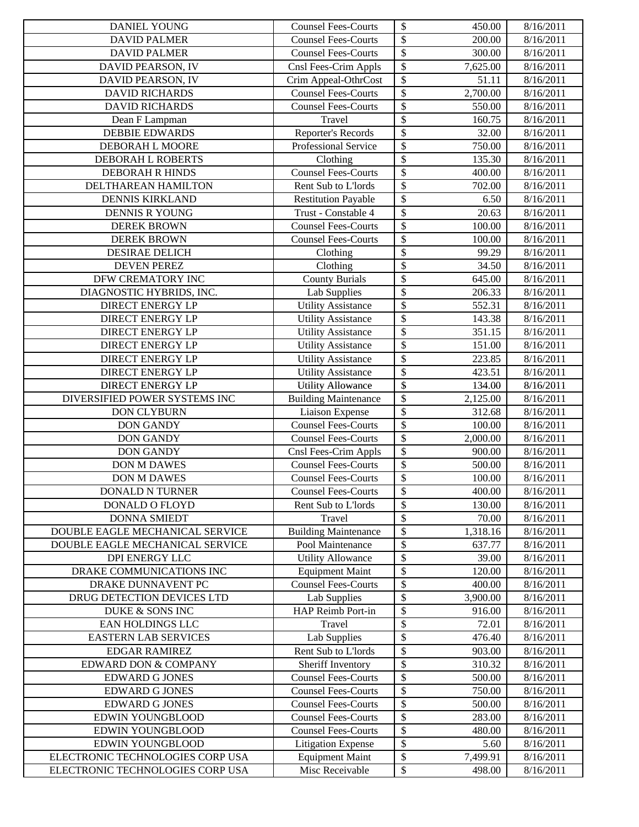| <b>DANIEL YOUNG</b>              | <b>Counsel Fees-Courts</b>  | \$<br>450.00                        | 8/16/2011 |
|----------------------------------|-----------------------------|-------------------------------------|-----------|
| <b>DAVID PALMER</b>              | <b>Counsel Fees-Courts</b>  | \$<br>200.00                        | 8/16/2011 |
| <b>DAVID PALMER</b>              | <b>Counsel Fees-Courts</b>  | \$<br>300.00                        | 8/16/2011 |
| DAVID PEARSON, IV                | Cnsl Fees-Crim Appls        | \$<br>7,625.00                      | 8/16/2011 |
| DAVID PEARSON, IV                | Crim Appeal-OthrCost        | \$<br>51.11                         | 8/16/2011 |
| <b>DAVID RICHARDS</b>            | <b>Counsel Fees-Courts</b>  | \$<br>2,700.00                      | 8/16/2011 |
| <b>DAVID RICHARDS</b>            | Counsel Fees-Courts         | \$<br>550.00                        | 8/16/2011 |
| Dean F Lampman                   | Travel                      | \$<br>160.75                        | 8/16/2011 |
| <b>DEBBIE EDWARDS</b>            | Reporter's Records          | \$<br>32.00                         | 8/16/2011 |
| DEBORAH L MOORE                  | Professional Service        | \$<br>750.00                        | 8/16/2011 |
| DEBORAH L ROBERTS                | Clothing                    | $\overline{\$}$<br>135.30           | 8/16/2011 |
| DEBORAH R HINDS                  | <b>Counsel Fees-Courts</b>  | \$<br>400.00                        | 8/16/2011 |
| DELTHAREAN HAMILTON              | Rent Sub to L'Iords         | \$<br>702.00                        | 8/16/2011 |
| <b>DENNIS KIRKLAND</b>           | <b>Restitution Payable</b>  | \$<br>6.50                          | 8/16/2011 |
| DENNIS R YOUNG                   | Trust - Constable 4         | \$<br>20.63                         | 8/16/2011 |
| <b>DEREK BROWN</b>               | <b>Counsel Fees-Courts</b>  | \$<br>100.00                        | 8/16/2011 |
| <b>DEREK BROWN</b>               | <b>Counsel Fees-Courts</b>  | \$<br>100.00                        | 8/16/2011 |
| <b>DESIRAE DELICH</b>            | Clothing                    | \$<br>99.29                         | 8/16/2011 |
| <b>DEVEN PEREZ</b>               | Clothing                    | \$<br>34.50                         | 8/16/2011 |
| DFW CREMATORY INC                | <b>County Burials</b>       | \$<br>645.00                        | 8/16/2011 |
| DIAGNOSTIC HYBRIDS, INC.         | <b>Lab Supplies</b>         | \$<br>206.33                        | 8/16/2011 |
| <b>DIRECT ENERGY LP</b>          | <b>Utility Assistance</b>   | \$<br>552.31                        | 8/16/2011 |
| <b>DIRECT ENERGY LP</b>          | <b>Utility Assistance</b>   | \$<br>143.38                        | 8/16/2011 |
| <b>DIRECT ENERGY LP</b>          | <b>Utility Assistance</b>   | \$<br>351.15                        | 8/16/2011 |
| <b>DIRECT ENERGY LP</b>          | <b>Utility Assistance</b>   | \$<br>151.00                        | 8/16/2011 |
| DIRECT ENERGY LP                 | Utility Assistance          | $\overline{\$}$<br>223.85           | 8/16/2011 |
| <b>DIRECT ENERGY LP</b>          | <b>Utility Assistance</b>   | $\overline{\$}$<br>423.51           | 8/16/2011 |
| <b>DIRECT ENERGY LP</b>          | <b>Utility Allowance</b>    | \$<br>134.00                        | 8/16/2011 |
| DIVERSIFIED POWER SYSTEMS INC    | <b>Building Maintenance</b> | \$<br>2,125.00                      | 8/16/2011 |
| <b>DON CLYBURN</b>               | Liaison Expense             | \$<br>312.68                        | 8/16/2011 |
| <b>DON GANDY</b>                 | <b>Counsel Fees-Courts</b>  | \$<br>100.00                        | 8/16/2011 |
| <b>DON GANDY</b>                 | <b>Counsel Fees-Courts</b>  | \$<br>2,000.00                      | 8/16/2011 |
| <b>DON GANDY</b>                 | Cnsl Fees-Crim Appls        | \$<br>900.00                        | 8/16/2011 |
| <b>DON M DAWES</b>               | <b>Counsel Fees-Courts</b>  | $\overline{\$}$<br>500.00           | 8/16/2011 |
| <b>DON M DAWES</b>               | <b>Counsel Fees-Courts</b>  | \$<br>100.00                        | 8/16/2011 |
| <b>DONALD N TURNER</b>           | <b>Counsel Fees-Courts</b>  | \$<br>400.00                        | 8/16/2011 |
| DONALD O FLOYD                   | Rent Sub to L'Iords         | $\boldsymbol{\mathsf{S}}$<br>130.00 | 8/16/2011 |
| <b>DONNA SMIEDT</b>              | Travel                      | \$<br>70.00                         | 8/16/2011 |
| DOUBLE EAGLE MECHANICAL SERVICE  | <b>Building Maintenance</b> | \$<br>1,318.16                      | 8/16/2011 |
| DOUBLE EAGLE MECHANICAL SERVICE  | Pool Maintenance            | \$<br>637.77                        | 8/16/2011 |
| DPI ENERGY LLC                   | <b>Utility Allowance</b>    | \$<br>39.00                         | 8/16/2011 |
| DRAKE COMMUNICATIONS INC         | <b>Equipment Maint</b>      | \$<br>120.00                        | 8/16/2011 |
| DRAKE DUNNAVENT PC               | <b>Counsel Fees-Courts</b>  | \$<br>400.00                        | 8/16/2011 |
| DRUG DETECTION DEVICES LTD       | Lab Supplies                | \$<br>3,900.00                      | 8/16/2011 |
| DUKE & SONS INC                  | HAP Reimb Port-in           | \$<br>916.00                        | 8/16/2011 |
| EAN HOLDINGS LLC                 | Travel                      | \$<br>72.01                         | 8/16/2011 |
| <b>EASTERN LAB SERVICES</b>      | <b>Lab Supplies</b>         | \$<br>476.40                        | 8/16/2011 |
| <b>EDGAR RAMIREZ</b>             | Rent Sub to L'Iords         | \$<br>903.00                        | 8/16/2011 |
| EDWARD DON & COMPANY             | Sheriff Inventory           | \$<br>310.32                        | 8/16/2011 |
| <b>EDWARD G JONES</b>            | <b>Counsel Fees-Courts</b>  | \$<br>500.00                        | 8/16/2011 |
| <b>EDWARD G JONES</b>            | <b>Counsel Fees-Courts</b>  | \$<br>750.00                        | 8/16/2011 |
| <b>EDWARD G JONES</b>            | <b>Counsel Fees-Courts</b>  | \$<br>500.00                        | 8/16/2011 |
| EDWIN YOUNGBLOOD                 | <b>Counsel Fees-Courts</b>  | \$<br>283.00                        | 8/16/2011 |
| EDWIN YOUNGBLOOD                 | <b>Counsel Fees-Courts</b>  | \$<br>480.00                        | 8/16/2011 |
| EDWIN YOUNGBLOOD                 | <b>Litigation Expense</b>   | \$<br>5.60                          | 8/16/2011 |
| ELECTRONIC TECHNOLOGIES CORP USA | <b>Equipment Maint</b>      | \$<br>7,499.91                      | 8/16/2011 |
| ELECTRONIC TECHNOLOGIES CORP USA | Misc Receivable             | $\mathbb{S}$<br>498.00              | 8/16/2011 |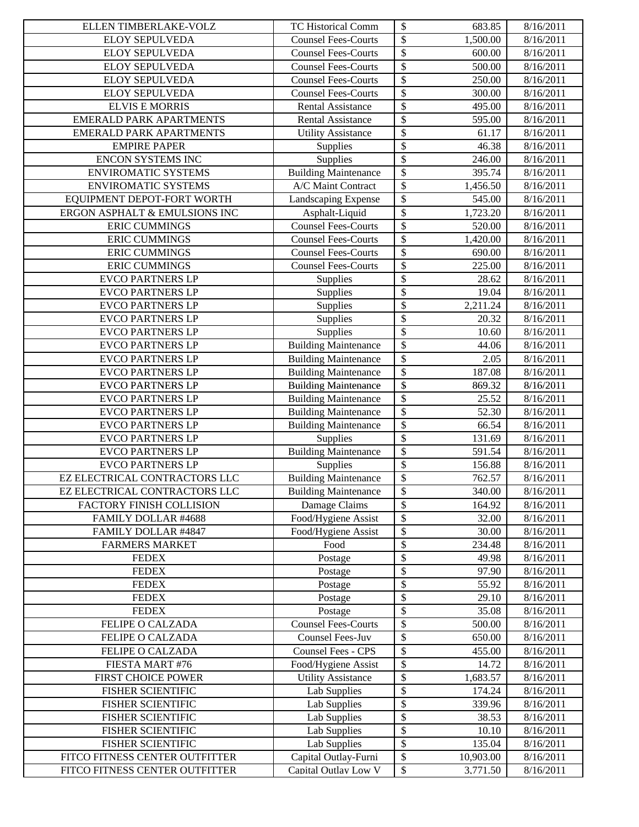| ELLEN TIMBERLAKE-VOLZ          | TC Historical Comm          | \$<br>683.85                        | 8/16/2011 |
|--------------------------------|-----------------------------|-------------------------------------|-----------|
| <b>ELOY SEPULVEDA</b>          | <b>Counsel Fees-Courts</b>  | \$<br>1,500.00                      | 8/16/2011 |
| ELOY SEPULVEDA                 | <b>Counsel Fees-Courts</b>  | \$<br>600.00                        | 8/16/2011 |
| <b>ELOY SEPULVEDA</b>          | <b>Counsel Fees-Courts</b>  | \$<br>500.00                        | 8/16/2011 |
| <b>ELOY SEPULVEDA</b>          | <b>Counsel Fees-Courts</b>  | \$<br>250.00                        | 8/16/2011 |
| <b>ELOY SEPULVEDA</b>          | <b>Counsel Fees-Courts</b>  | \$<br>300.00                        | 8/16/2011 |
| <b>ELVIS E MORRIS</b>          | <b>Rental Assistance</b>    | \$<br>495.00                        | 8/16/2011 |
| <b>EMERALD PARK APARTMENTS</b> | <b>Rental Assistance</b>    | \$<br>595.00                        | 8/16/2011 |
| <b>EMERALD PARK APARTMENTS</b> | <b>Utility Assistance</b>   | $\overline{\$}$<br>61.17            | 8/16/2011 |
| <b>EMPIRE PAPER</b>            | Supplies                    | $\boldsymbol{\mathsf{S}}$<br>46.38  | 8/16/2011 |
| ENCON SYSTEMS INC              | Supplies                    | $\overline{\$}$<br>246.00           | 8/16/2011 |
| <b>ENVIROMATIC SYSTEMS</b>     | <b>Building Maintenance</b> | \$<br>395.74                        | 8/16/2011 |
| <b>ENVIROMATIC SYSTEMS</b>     | A/C Maint Contract          | \$<br>1,456.50                      | 8/16/2011 |
| EQUIPMENT DEPOT-FORT WORTH     | Landscaping Expense         | $\boldsymbol{\mathsf{S}}$<br>545.00 | 8/16/2011 |
| ERGON ASPHALT & EMULSIONS INC  | Asphalt-Liquid              | $\overline{\$}$<br>1,723.20         | 8/16/2011 |
| <b>ERIC CUMMINGS</b>           | <b>Counsel Fees-Courts</b>  | \$<br>520.00                        | 8/16/2011 |
| <b>ERIC CUMMINGS</b>           | <b>Counsel Fees-Courts</b>  | \$<br>1,420.00                      | 8/16/2011 |
| <b>ERIC CUMMINGS</b>           | <b>Counsel Fees-Courts</b>  | \$<br>690.00                        | 8/16/2011 |
| <b>ERIC CUMMINGS</b>           | <b>Counsel Fees-Courts</b>  | \$<br>225.00                        | 8/16/2011 |
| <b>EVCO PARTNERS LP</b>        | Supplies                    | \$<br>28.62                         | 8/16/2011 |
| <b>EVCO PARTNERS LP</b>        | Supplies                    | \$<br>19.04                         | 8/16/2011 |
| <b>EVCO PARTNERS LP</b>        | Supplies                    | \$<br>2,211.24                      | 8/16/2011 |
| <b>EVCO PARTNERS LP</b>        | Supplies                    | \$<br>20.32                         | 8/16/2011 |
| <b>EVCO PARTNERS LP</b>        | Supplies                    | \$<br>10.60                         | 8/16/2011 |
| <b>EVCO PARTNERS LP</b>        | <b>Building Maintenance</b> | \$<br>44.06                         | 8/16/2011 |
| <b>EVCO PARTNERS LP</b>        | <b>Building Maintenance</b> | \$<br>2.05                          | 8/16/2011 |
| <b>EVCO PARTNERS LP</b>        | <b>Building Maintenance</b> | \$<br>187.08                        | 8/16/2011 |
| <b>EVCO PARTNERS LP</b>        | <b>Building Maintenance</b> | \$<br>869.32                        | 8/16/2011 |
| <b>EVCO PARTNERS LP</b>        | <b>Building Maintenance</b> | \$<br>25.52                         | 8/16/2011 |
| <b>EVCO PARTNERS LP</b>        | <b>Building Maintenance</b> | \$<br>52.30                         | 8/16/2011 |
| <b>EVCO PARTNERS LP</b>        | <b>Building Maintenance</b> | \$<br>66.54                         | 8/16/2011 |
| <b>EVCO PARTNERS LP</b>        | Supplies                    | \$<br>131.69                        | 8/16/2011 |
| <b>EVCO PARTNERS LP</b>        | <b>Building Maintenance</b> | \$<br>591.54                        | 8/16/2011 |
| <b>EVCO PARTNERS LP</b>        | Supplies                    | $\overline{\$}$<br>156.88           | 8/16/2011 |
| EZ ELECTRICAL CONTRACTORS LLC  | <b>Building Maintenance</b> | $\boldsymbol{\$}$<br>762.57         | 8/16/2011 |
| EZ ELECTRICAL CONTRACTORS LLC  | <b>Building Maintenance</b> | \$<br>340.00                        | 8/16/2011 |
| FACTORY FINISH COLLISION       | Damage Claims               | $\boldsymbol{\mathsf{S}}$<br>164.92 | 8/16/2011 |
| FAMILY DOLLAR #4688            | Food/Hygiene Assist         | \$<br>32.00                         | 8/16/2011 |
| FAMILY DOLLAR #4847            | Food/Hygiene Assist         | \$<br>30.00                         | 8/16/2011 |
| <b>FARMERS MARKET</b>          | Food                        | \$<br>234.48                        | 8/16/2011 |
| <b>FEDEX</b>                   | Postage                     | \$<br>49.98                         | 8/16/2011 |
| <b>FEDEX</b>                   | Postage                     | \$<br>97.90                         | 8/16/2011 |
| <b>FEDEX</b>                   | Postage                     | \$<br>55.92                         | 8/16/2011 |
| <b>FEDEX</b>                   | Postage                     | \$<br>29.10                         | 8/16/2011 |
| <b>FEDEX</b>                   | Postage                     | \$<br>35.08                         | 8/16/2011 |
| FELIPE O CALZADA               | <b>Counsel Fees-Courts</b>  | \$<br>500.00                        | 8/16/2011 |
| FELIPE O CALZADA               | Counsel Fees-Juv            | \$<br>650.00                        | 8/16/2011 |
| FELIPE O CALZADA               | Counsel Fees - CPS          | \$<br>455.00                        | 8/16/2011 |
| FIESTA MART #76                | Food/Hygiene Assist         | \$<br>14.72                         | 8/16/2011 |
| FIRST CHOICE POWER             | <b>Utility Assistance</b>   | \$<br>1,683.57                      | 8/16/2011 |
| FISHER SCIENTIFIC              | Lab Supplies                | \$<br>174.24                        | 8/16/2011 |
| <b>FISHER SCIENTIFIC</b>       | Lab Supplies                | \$<br>339.96                        | 8/16/2011 |
| <b>FISHER SCIENTIFIC</b>       | <b>Lab Supplies</b>         | \$<br>38.53                         | 8/16/2011 |
| FISHER SCIENTIFIC              | <b>Lab Supplies</b>         | \$<br>10.10                         | 8/16/2011 |
| FISHER SCIENTIFIC              | Lab Supplies                | \$<br>135.04                        | 8/16/2011 |
| FITCO FITNESS CENTER OUTFITTER | Capital Outlay-Furni        | \$<br>10,903.00<br>$\mathbb{S}$     | 8/16/2011 |
| FITCO FITNESS CENTER OUTFITTER | Capital Outlav Low V        | 3.771.50                            | 8/16/2011 |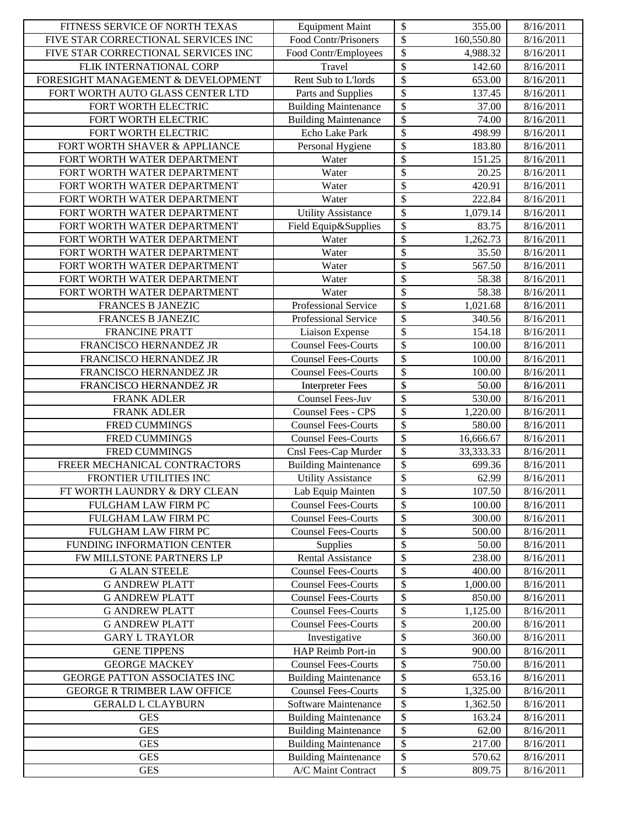| FITNESS SERVICE OF NORTH TEXAS      | <b>Equipment Maint</b>      | \$                       | 355.00     | 8/16/2011 |
|-------------------------------------|-----------------------------|--------------------------|------------|-----------|
| FIVE STAR CORRECTIONAL SERVICES INC | Food Contr/Prisoners        | \$                       | 160,550.80 | 8/16/2011 |
| FIVE STAR CORRECTIONAL SERVICES INC | Food Contr/Employees        | \$                       | 4,988.32   | 8/16/2011 |
| FLIK INTERNATIONAL CORP             | Travel                      | \$                       | 142.60     | 8/16/2011 |
| FORESIGHT MANAGEMENT & DEVELOPMENT  | Rent Sub to L'Iords         | \$                       | 653.00     | 8/16/2011 |
| FORT WORTH AUTO GLASS CENTER LTD    | Parts and Supplies          | \$                       | 137.45     | 8/16/2011 |
| FORT WORTH ELECTRIC                 | <b>Building Maintenance</b> | \$                       | 37.00      | 8/16/2011 |
| FORT WORTH ELECTRIC                 | <b>Building Maintenance</b> | $\overline{\mathcal{S}}$ | 74.00      | 8/16/2011 |
| FORT WORTH ELECTRIC                 | Echo Lake Park              | \$                       | 498.99     | 8/16/2011 |
| FORT WORTH SHAVER & APPLIANCE       | Personal Hygiene            | \$                       | 183.80     | 8/16/2011 |
| FORT WORTH WATER DEPARTMENT         | Water                       | \$                       | 151.25     | 8/16/2011 |
| FORT WORTH WATER DEPARTMENT         | Water                       | \$                       | 20.25      | 8/16/2011 |
| FORT WORTH WATER DEPARTMENT         | Water                       | \$                       | 420.91     | 8/16/2011 |
| FORT WORTH WATER DEPARTMENT         | Water                       | \$                       | 222.84     | 8/16/2011 |
| FORT WORTH WATER DEPARTMENT         | <b>Utility Assistance</b>   | \$                       | 1,079.14   | 8/16/2011 |
| FORT WORTH WATER DEPARTMENT         | Field Equip&Supplies        | \$                       | 83.75      | 8/16/2011 |
| FORT WORTH WATER DEPARTMENT         | Water                       | \$                       | 1,262.73   | 8/16/2011 |
| FORT WORTH WATER DEPARTMENT         | Water                       | \$                       | 35.50      | 8/16/2011 |
| FORT WORTH WATER DEPARTMENT         | Water                       | \$                       | 567.50     | 8/16/2011 |
| FORT WORTH WATER DEPARTMENT         | Water                       | \$                       | 58.38      | 8/16/2011 |
| FORT WORTH WATER DEPARTMENT         | Water                       | \$                       | 58.38      | 8/16/2011 |
| FRANCES B JANEZIC                   | Professional Service        | \$                       | 1,021.68   | 8/16/2011 |
| FRANCES B JANEZIC                   | Professional Service        | \$                       | 340.56     | 8/16/2011 |
| <b>FRANCINE PRATT</b>               | Liaison Expense             | \$                       | 154.18     | 8/16/2011 |
| FRANCISCO HERNANDEZ JR              | <b>Counsel Fees-Courts</b>  | \$                       | 100.00     | 8/16/2011 |
| FRANCISCO HERNANDEZ JR              | <b>Counsel Fees-Courts</b>  | \$                       | 100.00     | 8/16/2011 |
| FRANCISCO HERNANDEZ JR              | <b>Counsel Fees-Courts</b>  | \$                       | 100.00     | 8/16/2011 |
| FRANCISCO HERNANDEZ JR              | <b>Interpreter Fees</b>     | \$                       | 50.00      | 8/16/2011 |
| <b>FRANK ADLER</b>                  | Counsel Fees-Juv            | \$                       | 530.00     | 8/16/2011 |
| <b>FRANK ADLER</b>                  | Counsel Fees - CPS          | \$                       | 1,220.00   | 8/16/2011 |
| FRED CUMMINGS                       | <b>Counsel Fees-Courts</b>  | \$                       | 580.00     | 8/16/2011 |
| <b>FRED CUMMINGS</b>                | <b>Counsel Fees-Courts</b>  | \$                       | 16,666.67  | 8/16/2011 |
| FRED CUMMINGS                       | Cnsl Fees-Cap Murder        | $\overline{\mathcal{S}}$ | 33,333.33  | 8/16/2011 |
| FREER MECHANICAL CONTRACTORS        | <b>Building Maintenance</b> | \$                       | 699.36     | 8/16/2011 |
| FRONTIER UTILITIES INC              | <b>Utility Assistance</b>   | $\overline{\$}$          | 62.99      | 8/16/2011 |
| FT WORTH LAUNDRY & DRY CLEAN        | Lab Equip Mainten           | $\boldsymbol{\$}$        | 107.50     | 8/16/2011 |
| FULGHAM LAW FIRM PC                 | <b>Counsel Fees-Courts</b>  | \$                       | 100.00     | 8/16/2011 |
| FULGHAM LAW FIRM PC                 | <b>Counsel Fees-Courts</b>  | \$                       | 300.00     | 8/16/2011 |
| FULGHAM LAW FIRM PC                 | <b>Counsel Fees-Courts</b>  | \$                       | 500.00     | 8/16/2011 |
| FUNDING INFORMATION CENTER          | Supplies                    | \$                       | 50.00      | 8/16/2011 |
| FW MILLSTONE PARTNERS LP            | Rental Assistance           | \$                       | 238.00     | 8/16/2011 |
| <b>G ALAN STEELE</b>                | <b>Counsel Fees-Courts</b>  | \$                       | 400.00     | 8/16/2011 |
| <b>G ANDREW PLATT</b>               | <b>Counsel Fees-Courts</b>  | \$                       | 1,000.00   | 8/16/2011 |
| <b>G ANDREW PLATT</b>               | <b>Counsel Fees-Courts</b>  | \$                       | 850.00     | 8/16/2011 |
| <b>G ANDREW PLATT</b>               | <b>Counsel Fees-Courts</b>  | \$                       | 1,125.00   | 8/16/2011 |
| <b>G ANDREW PLATT</b>               | <b>Counsel Fees-Courts</b>  | \$                       | 200.00     | 8/16/2011 |
| <b>GARY L TRAYLOR</b>               | Investigative               | \$                       | 360.00     | 8/16/2011 |
| <b>GENE TIPPENS</b>                 | HAP Reimb Port-in           | \$                       | 900.00     | 8/16/2011 |
| <b>GEORGE MACKEY</b>                | <b>Counsel Fees-Courts</b>  | \$                       | 750.00     | 8/16/2011 |
| GEORGE PATTON ASSOCIATES INC        | <b>Building Maintenance</b> | \$                       | 653.16     | 8/16/2011 |
| <b>GEORGE R TRIMBER LAW OFFICE</b>  | <b>Counsel Fees-Courts</b>  | \$                       | 1,325.00   | 8/16/2011 |
| <b>GERALD L CLAYBURN</b>            | Software Maintenance        | \$                       | 1,362.50   | 8/16/2011 |
| <b>GES</b>                          | <b>Building Maintenance</b> | \$                       | 163.24     | 8/16/2011 |
| <b>GES</b>                          | <b>Building Maintenance</b> | \$                       | 62.00      | 8/16/2011 |
| <b>GES</b>                          | <b>Building Maintenance</b> | \$                       | 217.00     | 8/16/2011 |
| <b>GES</b>                          | <b>Building Maintenance</b> | \$                       | 570.62     | 8/16/2011 |
| <b>GES</b>                          | A/C Maint Contract          | ${\mathbb S}$            | 809.75     | 8/16/2011 |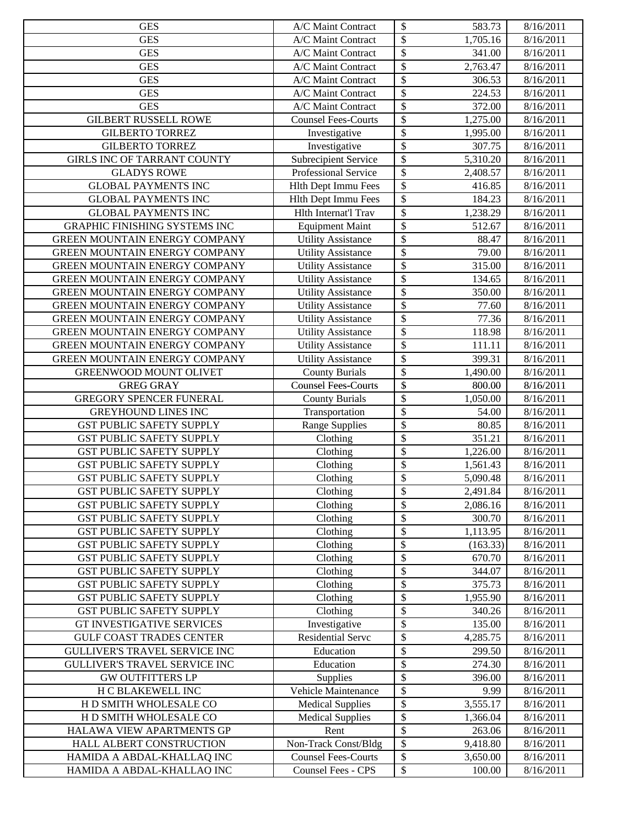| $\boldsymbol{\mathsf{S}}$<br><b>GES</b><br>A/C Maint Contract<br>1,705.16<br>8/16/2011<br>$\boldsymbol{\mathsf{S}}$<br><b>GES</b><br>A/C Maint Contract<br>341.00<br>8/16/2011<br>\$<br><b>GES</b><br>2,763.47<br>A/C Maint Contract<br>8/16/2011<br>$\boldsymbol{\mathsf{S}}$<br>A/C Maint Contract<br>8/16/2011<br><b>GES</b><br>306.53<br>\$<br><b>GES</b><br>A/C Maint Contract<br>224.53<br>8/16/2011<br>\$<br><b>GES</b><br>A/C Maint Contract<br>372.00<br>8/16/2011<br>\$<br><b>GILBERT RUSSELL ROWE</b><br>1,275.00<br><b>Counsel Fees-Courts</b><br>8/16/2011<br>\$<br><b>GILBERTO TORREZ</b><br>Investigative<br>1,995.00<br>8/16/2011<br>$\overline{\$}$<br><b>GILBERTO TORREZ</b><br>307.75<br>8/16/2011<br>Investigative<br>$\boldsymbol{\mathsf{S}}$<br>GIRLS INC OF TARRANT COUNTY<br><b>Subrecipient Service</b><br>8/16/2011<br>5,310.20<br>\$<br><b>GLADYS ROWE</b><br>Professional Service<br>8/16/2011<br>2,408.57<br>\$<br><b>GLOBAL PAYMENTS INC</b><br><b>Hlth Dept Immu Fees</b><br>416.85<br>8/16/2011<br>$\overline{\$}$<br><b>GLOBAL PAYMENTS INC</b><br>Hlth Dept Immu Fees<br>184.23<br>8/16/2011<br>\$<br><b>GLOBAL PAYMENTS INC</b><br>Hlth Internat'l Trav<br>1,238.29<br>8/16/2011<br>\$<br><b>GRAPHIC FINISHING SYSTEMS INC</b><br>512.67<br>8/16/2011<br><b>Equipment Maint</b><br>\$<br>GREEN MOUNTAIN ENERGY COMPANY<br><b>Utility Assistance</b><br>88.47<br>8/16/2011<br>\$<br>GREEN MOUNTAIN ENERGY COMPANY<br><b>Utility Assistance</b><br>79.00<br>8/16/2011<br>\$<br><b>Utility Assistance</b><br>315.00<br>8/16/2011<br>GREEN MOUNTAIN ENERGY COMPANY<br>\$<br>Utility Assistance<br>GREEN MOUNTAIN ENERGY COMPANY<br>134.65<br>8/16/2011<br>\$<br>GREEN MOUNTAIN ENERGY COMPANY<br><b>Utility Assistance</b><br>350.00<br>8/16/2011<br>\$<br>GREEN MOUNTAIN ENERGY COMPANY<br>77.60<br>8/16/2011<br><b>Utility Assistance</b><br>$\overline{\$}$<br>GREEN MOUNTAIN ENERGY COMPANY<br>77.36<br>8/16/2011<br><b>Utility Assistance</b><br>$\boldsymbol{\mathsf{S}}$<br>GREEN MOUNTAIN ENERGY COMPANY<br>118.98<br>8/16/2011<br><b>Utility Assistance</b><br>\$<br>GREEN MOUNTAIN ENERGY COMPANY<br><b>Utility Assistance</b><br>111.11<br>8/16/2011<br>\$<br>GREEN MOUNTAIN ENERGY COMPANY<br><b>Utility Assistance</b><br>399.31<br>8/16/2011<br>$\boldsymbol{\mathsf{S}}$<br><b>County Burials</b><br>1,490.00<br>8/16/2011<br>GREENWOOD MOUNT OLIVET<br><b>Counsel Fees-Courts</b><br>$\boldsymbol{\mathsf{S}}$<br><b>GREG GRAY</b><br>800.00<br>8/16/2011<br>$\boldsymbol{\mathsf{S}}$<br>GREGORY SPENCER FUNERAL<br>8/16/2011<br><b>County Burials</b><br>1,050.00<br>\$<br><b>GREYHOUND LINES INC</b><br>8/16/2011<br>Transportation<br>54.00<br>\$<br><b>GST PUBLIC SAFETY SUPPLY</b><br><b>Range Supplies</b><br>80.85<br>8/16/2011<br>\$<br><b>GST PUBLIC SAFETY SUPPLY</b><br>Clothing<br>351.21<br>8/16/2011<br>\$<br><b>GST PUBLIC SAFETY SUPPLY</b><br>Clothing<br>1,226.00<br>8/16/2011<br>\$<br><b>GST PUBLIC SAFETY SUPPLY</b><br>Clothing<br>1,561.43<br>8/16/2011<br>\$<br><b>GST PUBLIC SAFETY SUPPLY</b><br>$\overline{\text{C}}$ lothing<br>5,090.48<br>8/16/2011<br>2,491.84<br>Clothing<br>$\boldsymbol{\$}$<br>8/16/2011<br><b>GST PUBLIC SAFETY SUPPLY</b><br>\$<br>8/16/2011<br><b>GST PUBLIC SAFETY SUPPLY</b><br>Clothing<br>2,086.16<br>$\boldsymbol{\mathsf{S}}$<br><b>GST PUBLIC SAFETY SUPPLY</b><br>Clothing<br>300.70<br>8/16/2011<br>$\boldsymbol{\$}$<br><b>GST PUBLIC SAFETY SUPPLY</b><br>Clothing<br>1,113.95<br>8/16/2011<br>\$<br><b>GST PUBLIC SAFETY SUPPLY</b><br>Clothing<br>(163.33)<br>8/16/2011<br>\$<br><b>GST PUBLIC SAFETY SUPPLY</b><br>Clothing<br>670.70<br>8/16/2011<br>\$<br><b>GST PUBLIC SAFETY SUPPLY</b><br>Clothing<br>344.07<br>8/16/2011<br>\$<br>Clothing<br><b>GST PUBLIC SAFETY SUPPLY</b><br>375.73<br>8/16/2011<br>\$<br>Clothing<br>1,955.90<br>8/16/2011<br><b>GST PUBLIC SAFETY SUPPLY</b><br>\$<br>Clothing<br>8/16/2011<br><b>GST PUBLIC SAFETY SUPPLY</b><br>340.26<br>\$<br><b>GT INVESTIGATIVE SERVICES</b><br>Investigative<br>135.00<br>8/16/2011<br>Residential Servc<br>\$<br><b>GULF COAST TRADES CENTER</b><br>4,285.75<br>8/16/2011<br>$\boldsymbol{\mathsf{S}}$<br>Education<br>GULLIVER'S TRAVEL SERVICE INC<br>299.50<br>8/16/2011<br>$\boldsymbol{\mathsf{S}}$<br>GULLIVER'S TRAVEL SERVICE INC<br>Education<br>274.30<br>8/16/2011<br>\$<br><b>GW OUTFITTERS LP</b><br>Supplies<br>396.00<br>8/16/2011<br>\$<br>H C BLAKEWELL INC<br>Vehicle Maintenance<br>9.99<br>8/16/2011<br>\$<br><b>Medical Supplies</b><br>H D SMITH WHOLESALE CO<br>3,555.17<br>8/16/2011<br>$\boldsymbol{\mathsf{S}}$<br>H D SMITH WHOLESALE CO<br><b>Medical Supplies</b><br>8/16/2011<br>1,366.04<br>$\boldsymbol{\mathsf{S}}$<br>HALAWA VIEW APARTMENTS GP<br>Rent<br>263.06<br>8/16/2011<br>$\boldsymbol{\mathsf{S}}$<br>HALL ALBERT CONSTRUCTION<br>Non-Track Const/Bldg<br>9,418.80<br>8/16/2011<br>$\boldsymbol{\mathsf{S}}$<br><b>Counsel Fees-Courts</b><br>HAMIDA A ABDAL-KHALLAQ INC<br>3,650.00<br>8/16/2011<br>$\mathbb{S}$<br>Counsel Fees - CPS<br>100.00<br>8/16/2011 | <b>GES</b>                 | A/C Maint Contract | \$<br>583.73 | 8/16/2011 |
|----------------------------------------------------------------------------------------------------------------------------------------------------------------------------------------------------------------------------------------------------------------------------------------------------------------------------------------------------------------------------------------------------------------------------------------------------------------------------------------------------------------------------------------------------------------------------------------------------------------------------------------------------------------------------------------------------------------------------------------------------------------------------------------------------------------------------------------------------------------------------------------------------------------------------------------------------------------------------------------------------------------------------------------------------------------------------------------------------------------------------------------------------------------------------------------------------------------------------------------------------------------------------------------------------------------------------------------------------------------------------------------------------------------------------------------------------------------------------------------------------------------------------------------------------------------------------------------------------------------------------------------------------------------------------------------------------------------------------------------------------------------------------------------------------------------------------------------------------------------------------------------------------------------------------------------------------------------------------------------------------------------------------------------------------------------------------------------------------------------------------------------------------------------------------------------------------------------------------------------------------------------------------------------------------------------------------------------------------------------------------------------------------------------------------------------------------------------------------------------------------------------------------------------------------------------------------------------------------------------------------------------------------------------------------------------------------------------------------------------------------------------------------------------------------------------------------------------------------------------------------------------------------------------------------------------------------------------------------------------------------------------------------------------------------------------------------------------------------------------------------------------------------------------------------------------------------------------------------------------------------------------------------------------------------------------------------------------------------------------------------------------------------------------------------------------------------------------------------------------------------------------------------------------------------------------------------------------------------------------------------------------------------------------------------------------------------------------------------------------------------------------------------------------------------------------------------------------------------------------------------------------------------------------------------------------------------------------------------------------------------------------------------------------------------------------------------------------------------------------------------------------------------------------------------------------------------------------------------------------------------------------------------------------------------------------------------------------------------------------------------------------------------------------------------------------------------------------------------------------------------------------------------------------------------------------------------------------------------------------------------------------------------------------------------------------------------------------------------------------------------------------------------------------------------------------------------------------------------------------------------------------------------------------------------------------------------------------------------------------------------------------------------------------------------------------------------------------------------|----------------------------|--------------------|--------------|-----------|
|                                                                                                                                                                                                                                                                                                                                                                                                                                                                                                                                                                                                                                                                                                                                                                                                                                                                                                                                                                                                                                                                                                                                                                                                                                                                                                                                                                                                                                                                                                                                                                                                                                                                                                                                                                                                                                                                                                                                                                                                                                                                                                                                                                                                                                                                                                                                                                                                                                                                                                                                                                                                                                                                                                                                                                                                                                                                                                                                                                                                                                                                                                                                                                                                                                                                                                                                                                                                                                                                                                                                                                                                                                                                                                                                                                                                                                                                                                                                                                                                                                                                                                                                                                                                                                                                                                                                                                                                                                                                                                                                                                                                                                                                                                                                                                                                                                                                                                                                                                                                                                                                                                    |                            |                    |              |           |
|                                                                                                                                                                                                                                                                                                                                                                                                                                                                                                                                                                                                                                                                                                                                                                                                                                                                                                                                                                                                                                                                                                                                                                                                                                                                                                                                                                                                                                                                                                                                                                                                                                                                                                                                                                                                                                                                                                                                                                                                                                                                                                                                                                                                                                                                                                                                                                                                                                                                                                                                                                                                                                                                                                                                                                                                                                                                                                                                                                                                                                                                                                                                                                                                                                                                                                                                                                                                                                                                                                                                                                                                                                                                                                                                                                                                                                                                                                                                                                                                                                                                                                                                                                                                                                                                                                                                                                                                                                                                                                                                                                                                                                                                                                                                                                                                                                                                                                                                                                                                                                                                                                    |                            |                    |              |           |
|                                                                                                                                                                                                                                                                                                                                                                                                                                                                                                                                                                                                                                                                                                                                                                                                                                                                                                                                                                                                                                                                                                                                                                                                                                                                                                                                                                                                                                                                                                                                                                                                                                                                                                                                                                                                                                                                                                                                                                                                                                                                                                                                                                                                                                                                                                                                                                                                                                                                                                                                                                                                                                                                                                                                                                                                                                                                                                                                                                                                                                                                                                                                                                                                                                                                                                                                                                                                                                                                                                                                                                                                                                                                                                                                                                                                                                                                                                                                                                                                                                                                                                                                                                                                                                                                                                                                                                                                                                                                                                                                                                                                                                                                                                                                                                                                                                                                                                                                                                                                                                                                                                    |                            |                    |              |           |
|                                                                                                                                                                                                                                                                                                                                                                                                                                                                                                                                                                                                                                                                                                                                                                                                                                                                                                                                                                                                                                                                                                                                                                                                                                                                                                                                                                                                                                                                                                                                                                                                                                                                                                                                                                                                                                                                                                                                                                                                                                                                                                                                                                                                                                                                                                                                                                                                                                                                                                                                                                                                                                                                                                                                                                                                                                                                                                                                                                                                                                                                                                                                                                                                                                                                                                                                                                                                                                                                                                                                                                                                                                                                                                                                                                                                                                                                                                                                                                                                                                                                                                                                                                                                                                                                                                                                                                                                                                                                                                                                                                                                                                                                                                                                                                                                                                                                                                                                                                                                                                                                                                    |                            |                    |              |           |
|                                                                                                                                                                                                                                                                                                                                                                                                                                                                                                                                                                                                                                                                                                                                                                                                                                                                                                                                                                                                                                                                                                                                                                                                                                                                                                                                                                                                                                                                                                                                                                                                                                                                                                                                                                                                                                                                                                                                                                                                                                                                                                                                                                                                                                                                                                                                                                                                                                                                                                                                                                                                                                                                                                                                                                                                                                                                                                                                                                                                                                                                                                                                                                                                                                                                                                                                                                                                                                                                                                                                                                                                                                                                                                                                                                                                                                                                                                                                                                                                                                                                                                                                                                                                                                                                                                                                                                                                                                                                                                                                                                                                                                                                                                                                                                                                                                                                                                                                                                                                                                                                                                    |                            |                    |              |           |
|                                                                                                                                                                                                                                                                                                                                                                                                                                                                                                                                                                                                                                                                                                                                                                                                                                                                                                                                                                                                                                                                                                                                                                                                                                                                                                                                                                                                                                                                                                                                                                                                                                                                                                                                                                                                                                                                                                                                                                                                                                                                                                                                                                                                                                                                                                                                                                                                                                                                                                                                                                                                                                                                                                                                                                                                                                                                                                                                                                                                                                                                                                                                                                                                                                                                                                                                                                                                                                                                                                                                                                                                                                                                                                                                                                                                                                                                                                                                                                                                                                                                                                                                                                                                                                                                                                                                                                                                                                                                                                                                                                                                                                                                                                                                                                                                                                                                                                                                                                                                                                                                                                    |                            |                    |              |           |
|                                                                                                                                                                                                                                                                                                                                                                                                                                                                                                                                                                                                                                                                                                                                                                                                                                                                                                                                                                                                                                                                                                                                                                                                                                                                                                                                                                                                                                                                                                                                                                                                                                                                                                                                                                                                                                                                                                                                                                                                                                                                                                                                                                                                                                                                                                                                                                                                                                                                                                                                                                                                                                                                                                                                                                                                                                                                                                                                                                                                                                                                                                                                                                                                                                                                                                                                                                                                                                                                                                                                                                                                                                                                                                                                                                                                                                                                                                                                                                                                                                                                                                                                                                                                                                                                                                                                                                                                                                                                                                                                                                                                                                                                                                                                                                                                                                                                                                                                                                                                                                                                                                    |                            |                    |              |           |
|                                                                                                                                                                                                                                                                                                                                                                                                                                                                                                                                                                                                                                                                                                                                                                                                                                                                                                                                                                                                                                                                                                                                                                                                                                                                                                                                                                                                                                                                                                                                                                                                                                                                                                                                                                                                                                                                                                                                                                                                                                                                                                                                                                                                                                                                                                                                                                                                                                                                                                                                                                                                                                                                                                                                                                                                                                                                                                                                                                                                                                                                                                                                                                                                                                                                                                                                                                                                                                                                                                                                                                                                                                                                                                                                                                                                                                                                                                                                                                                                                                                                                                                                                                                                                                                                                                                                                                                                                                                                                                                                                                                                                                                                                                                                                                                                                                                                                                                                                                                                                                                                                                    |                            |                    |              |           |
|                                                                                                                                                                                                                                                                                                                                                                                                                                                                                                                                                                                                                                                                                                                                                                                                                                                                                                                                                                                                                                                                                                                                                                                                                                                                                                                                                                                                                                                                                                                                                                                                                                                                                                                                                                                                                                                                                                                                                                                                                                                                                                                                                                                                                                                                                                                                                                                                                                                                                                                                                                                                                                                                                                                                                                                                                                                                                                                                                                                                                                                                                                                                                                                                                                                                                                                                                                                                                                                                                                                                                                                                                                                                                                                                                                                                                                                                                                                                                                                                                                                                                                                                                                                                                                                                                                                                                                                                                                                                                                                                                                                                                                                                                                                                                                                                                                                                                                                                                                                                                                                                                                    |                            |                    |              |           |
|                                                                                                                                                                                                                                                                                                                                                                                                                                                                                                                                                                                                                                                                                                                                                                                                                                                                                                                                                                                                                                                                                                                                                                                                                                                                                                                                                                                                                                                                                                                                                                                                                                                                                                                                                                                                                                                                                                                                                                                                                                                                                                                                                                                                                                                                                                                                                                                                                                                                                                                                                                                                                                                                                                                                                                                                                                                                                                                                                                                                                                                                                                                                                                                                                                                                                                                                                                                                                                                                                                                                                                                                                                                                                                                                                                                                                                                                                                                                                                                                                                                                                                                                                                                                                                                                                                                                                                                                                                                                                                                                                                                                                                                                                                                                                                                                                                                                                                                                                                                                                                                                                                    |                            |                    |              |           |
|                                                                                                                                                                                                                                                                                                                                                                                                                                                                                                                                                                                                                                                                                                                                                                                                                                                                                                                                                                                                                                                                                                                                                                                                                                                                                                                                                                                                                                                                                                                                                                                                                                                                                                                                                                                                                                                                                                                                                                                                                                                                                                                                                                                                                                                                                                                                                                                                                                                                                                                                                                                                                                                                                                                                                                                                                                                                                                                                                                                                                                                                                                                                                                                                                                                                                                                                                                                                                                                                                                                                                                                                                                                                                                                                                                                                                                                                                                                                                                                                                                                                                                                                                                                                                                                                                                                                                                                                                                                                                                                                                                                                                                                                                                                                                                                                                                                                                                                                                                                                                                                                                                    |                            |                    |              |           |
|                                                                                                                                                                                                                                                                                                                                                                                                                                                                                                                                                                                                                                                                                                                                                                                                                                                                                                                                                                                                                                                                                                                                                                                                                                                                                                                                                                                                                                                                                                                                                                                                                                                                                                                                                                                                                                                                                                                                                                                                                                                                                                                                                                                                                                                                                                                                                                                                                                                                                                                                                                                                                                                                                                                                                                                                                                                                                                                                                                                                                                                                                                                                                                                                                                                                                                                                                                                                                                                                                                                                                                                                                                                                                                                                                                                                                                                                                                                                                                                                                                                                                                                                                                                                                                                                                                                                                                                                                                                                                                                                                                                                                                                                                                                                                                                                                                                                                                                                                                                                                                                                                                    |                            |                    |              |           |
|                                                                                                                                                                                                                                                                                                                                                                                                                                                                                                                                                                                                                                                                                                                                                                                                                                                                                                                                                                                                                                                                                                                                                                                                                                                                                                                                                                                                                                                                                                                                                                                                                                                                                                                                                                                                                                                                                                                                                                                                                                                                                                                                                                                                                                                                                                                                                                                                                                                                                                                                                                                                                                                                                                                                                                                                                                                                                                                                                                                                                                                                                                                                                                                                                                                                                                                                                                                                                                                                                                                                                                                                                                                                                                                                                                                                                                                                                                                                                                                                                                                                                                                                                                                                                                                                                                                                                                                                                                                                                                                                                                                                                                                                                                                                                                                                                                                                                                                                                                                                                                                                                                    |                            |                    |              |           |
|                                                                                                                                                                                                                                                                                                                                                                                                                                                                                                                                                                                                                                                                                                                                                                                                                                                                                                                                                                                                                                                                                                                                                                                                                                                                                                                                                                                                                                                                                                                                                                                                                                                                                                                                                                                                                                                                                                                                                                                                                                                                                                                                                                                                                                                                                                                                                                                                                                                                                                                                                                                                                                                                                                                                                                                                                                                                                                                                                                                                                                                                                                                                                                                                                                                                                                                                                                                                                                                                                                                                                                                                                                                                                                                                                                                                                                                                                                                                                                                                                                                                                                                                                                                                                                                                                                                                                                                                                                                                                                                                                                                                                                                                                                                                                                                                                                                                                                                                                                                                                                                                                                    |                            |                    |              |           |
|                                                                                                                                                                                                                                                                                                                                                                                                                                                                                                                                                                                                                                                                                                                                                                                                                                                                                                                                                                                                                                                                                                                                                                                                                                                                                                                                                                                                                                                                                                                                                                                                                                                                                                                                                                                                                                                                                                                                                                                                                                                                                                                                                                                                                                                                                                                                                                                                                                                                                                                                                                                                                                                                                                                                                                                                                                                                                                                                                                                                                                                                                                                                                                                                                                                                                                                                                                                                                                                                                                                                                                                                                                                                                                                                                                                                                                                                                                                                                                                                                                                                                                                                                                                                                                                                                                                                                                                                                                                                                                                                                                                                                                                                                                                                                                                                                                                                                                                                                                                                                                                                                                    |                            |                    |              |           |
|                                                                                                                                                                                                                                                                                                                                                                                                                                                                                                                                                                                                                                                                                                                                                                                                                                                                                                                                                                                                                                                                                                                                                                                                                                                                                                                                                                                                                                                                                                                                                                                                                                                                                                                                                                                                                                                                                                                                                                                                                                                                                                                                                                                                                                                                                                                                                                                                                                                                                                                                                                                                                                                                                                                                                                                                                                                                                                                                                                                                                                                                                                                                                                                                                                                                                                                                                                                                                                                                                                                                                                                                                                                                                                                                                                                                                                                                                                                                                                                                                                                                                                                                                                                                                                                                                                                                                                                                                                                                                                                                                                                                                                                                                                                                                                                                                                                                                                                                                                                                                                                                                                    |                            |                    |              |           |
|                                                                                                                                                                                                                                                                                                                                                                                                                                                                                                                                                                                                                                                                                                                                                                                                                                                                                                                                                                                                                                                                                                                                                                                                                                                                                                                                                                                                                                                                                                                                                                                                                                                                                                                                                                                                                                                                                                                                                                                                                                                                                                                                                                                                                                                                                                                                                                                                                                                                                                                                                                                                                                                                                                                                                                                                                                                                                                                                                                                                                                                                                                                                                                                                                                                                                                                                                                                                                                                                                                                                                                                                                                                                                                                                                                                                                                                                                                                                                                                                                                                                                                                                                                                                                                                                                                                                                                                                                                                                                                                                                                                                                                                                                                                                                                                                                                                                                                                                                                                                                                                                                                    |                            |                    |              |           |
|                                                                                                                                                                                                                                                                                                                                                                                                                                                                                                                                                                                                                                                                                                                                                                                                                                                                                                                                                                                                                                                                                                                                                                                                                                                                                                                                                                                                                                                                                                                                                                                                                                                                                                                                                                                                                                                                                                                                                                                                                                                                                                                                                                                                                                                                                                                                                                                                                                                                                                                                                                                                                                                                                                                                                                                                                                                                                                                                                                                                                                                                                                                                                                                                                                                                                                                                                                                                                                                                                                                                                                                                                                                                                                                                                                                                                                                                                                                                                                                                                                                                                                                                                                                                                                                                                                                                                                                                                                                                                                                                                                                                                                                                                                                                                                                                                                                                                                                                                                                                                                                                                                    |                            |                    |              |           |
|                                                                                                                                                                                                                                                                                                                                                                                                                                                                                                                                                                                                                                                                                                                                                                                                                                                                                                                                                                                                                                                                                                                                                                                                                                                                                                                                                                                                                                                                                                                                                                                                                                                                                                                                                                                                                                                                                                                                                                                                                                                                                                                                                                                                                                                                                                                                                                                                                                                                                                                                                                                                                                                                                                                                                                                                                                                                                                                                                                                                                                                                                                                                                                                                                                                                                                                                                                                                                                                                                                                                                                                                                                                                                                                                                                                                                                                                                                                                                                                                                                                                                                                                                                                                                                                                                                                                                                                                                                                                                                                                                                                                                                                                                                                                                                                                                                                                                                                                                                                                                                                                                                    |                            |                    |              |           |
|                                                                                                                                                                                                                                                                                                                                                                                                                                                                                                                                                                                                                                                                                                                                                                                                                                                                                                                                                                                                                                                                                                                                                                                                                                                                                                                                                                                                                                                                                                                                                                                                                                                                                                                                                                                                                                                                                                                                                                                                                                                                                                                                                                                                                                                                                                                                                                                                                                                                                                                                                                                                                                                                                                                                                                                                                                                                                                                                                                                                                                                                                                                                                                                                                                                                                                                                                                                                                                                                                                                                                                                                                                                                                                                                                                                                                                                                                                                                                                                                                                                                                                                                                                                                                                                                                                                                                                                                                                                                                                                                                                                                                                                                                                                                                                                                                                                                                                                                                                                                                                                                                                    |                            |                    |              |           |
|                                                                                                                                                                                                                                                                                                                                                                                                                                                                                                                                                                                                                                                                                                                                                                                                                                                                                                                                                                                                                                                                                                                                                                                                                                                                                                                                                                                                                                                                                                                                                                                                                                                                                                                                                                                                                                                                                                                                                                                                                                                                                                                                                                                                                                                                                                                                                                                                                                                                                                                                                                                                                                                                                                                                                                                                                                                                                                                                                                                                                                                                                                                                                                                                                                                                                                                                                                                                                                                                                                                                                                                                                                                                                                                                                                                                                                                                                                                                                                                                                                                                                                                                                                                                                                                                                                                                                                                                                                                                                                                                                                                                                                                                                                                                                                                                                                                                                                                                                                                                                                                                                                    |                            |                    |              |           |
|                                                                                                                                                                                                                                                                                                                                                                                                                                                                                                                                                                                                                                                                                                                                                                                                                                                                                                                                                                                                                                                                                                                                                                                                                                                                                                                                                                                                                                                                                                                                                                                                                                                                                                                                                                                                                                                                                                                                                                                                                                                                                                                                                                                                                                                                                                                                                                                                                                                                                                                                                                                                                                                                                                                                                                                                                                                                                                                                                                                                                                                                                                                                                                                                                                                                                                                                                                                                                                                                                                                                                                                                                                                                                                                                                                                                                                                                                                                                                                                                                                                                                                                                                                                                                                                                                                                                                                                                                                                                                                                                                                                                                                                                                                                                                                                                                                                                                                                                                                                                                                                                                                    |                            |                    |              |           |
|                                                                                                                                                                                                                                                                                                                                                                                                                                                                                                                                                                                                                                                                                                                                                                                                                                                                                                                                                                                                                                                                                                                                                                                                                                                                                                                                                                                                                                                                                                                                                                                                                                                                                                                                                                                                                                                                                                                                                                                                                                                                                                                                                                                                                                                                                                                                                                                                                                                                                                                                                                                                                                                                                                                                                                                                                                                                                                                                                                                                                                                                                                                                                                                                                                                                                                                                                                                                                                                                                                                                                                                                                                                                                                                                                                                                                                                                                                                                                                                                                                                                                                                                                                                                                                                                                                                                                                                                                                                                                                                                                                                                                                                                                                                                                                                                                                                                                                                                                                                                                                                                                                    |                            |                    |              |           |
|                                                                                                                                                                                                                                                                                                                                                                                                                                                                                                                                                                                                                                                                                                                                                                                                                                                                                                                                                                                                                                                                                                                                                                                                                                                                                                                                                                                                                                                                                                                                                                                                                                                                                                                                                                                                                                                                                                                                                                                                                                                                                                                                                                                                                                                                                                                                                                                                                                                                                                                                                                                                                                                                                                                                                                                                                                                                                                                                                                                                                                                                                                                                                                                                                                                                                                                                                                                                                                                                                                                                                                                                                                                                                                                                                                                                                                                                                                                                                                                                                                                                                                                                                                                                                                                                                                                                                                                                                                                                                                                                                                                                                                                                                                                                                                                                                                                                                                                                                                                                                                                                                                    |                            |                    |              |           |
|                                                                                                                                                                                                                                                                                                                                                                                                                                                                                                                                                                                                                                                                                                                                                                                                                                                                                                                                                                                                                                                                                                                                                                                                                                                                                                                                                                                                                                                                                                                                                                                                                                                                                                                                                                                                                                                                                                                                                                                                                                                                                                                                                                                                                                                                                                                                                                                                                                                                                                                                                                                                                                                                                                                                                                                                                                                                                                                                                                                                                                                                                                                                                                                                                                                                                                                                                                                                                                                                                                                                                                                                                                                                                                                                                                                                                                                                                                                                                                                                                                                                                                                                                                                                                                                                                                                                                                                                                                                                                                                                                                                                                                                                                                                                                                                                                                                                                                                                                                                                                                                                                                    |                            |                    |              |           |
|                                                                                                                                                                                                                                                                                                                                                                                                                                                                                                                                                                                                                                                                                                                                                                                                                                                                                                                                                                                                                                                                                                                                                                                                                                                                                                                                                                                                                                                                                                                                                                                                                                                                                                                                                                                                                                                                                                                                                                                                                                                                                                                                                                                                                                                                                                                                                                                                                                                                                                                                                                                                                                                                                                                                                                                                                                                                                                                                                                                                                                                                                                                                                                                                                                                                                                                                                                                                                                                                                                                                                                                                                                                                                                                                                                                                                                                                                                                                                                                                                                                                                                                                                                                                                                                                                                                                                                                                                                                                                                                                                                                                                                                                                                                                                                                                                                                                                                                                                                                                                                                                                                    |                            |                    |              |           |
|                                                                                                                                                                                                                                                                                                                                                                                                                                                                                                                                                                                                                                                                                                                                                                                                                                                                                                                                                                                                                                                                                                                                                                                                                                                                                                                                                                                                                                                                                                                                                                                                                                                                                                                                                                                                                                                                                                                                                                                                                                                                                                                                                                                                                                                                                                                                                                                                                                                                                                                                                                                                                                                                                                                                                                                                                                                                                                                                                                                                                                                                                                                                                                                                                                                                                                                                                                                                                                                                                                                                                                                                                                                                                                                                                                                                                                                                                                                                                                                                                                                                                                                                                                                                                                                                                                                                                                                                                                                                                                                                                                                                                                                                                                                                                                                                                                                                                                                                                                                                                                                                                                    |                            |                    |              |           |
|                                                                                                                                                                                                                                                                                                                                                                                                                                                                                                                                                                                                                                                                                                                                                                                                                                                                                                                                                                                                                                                                                                                                                                                                                                                                                                                                                                                                                                                                                                                                                                                                                                                                                                                                                                                                                                                                                                                                                                                                                                                                                                                                                                                                                                                                                                                                                                                                                                                                                                                                                                                                                                                                                                                                                                                                                                                                                                                                                                                                                                                                                                                                                                                                                                                                                                                                                                                                                                                                                                                                                                                                                                                                                                                                                                                                                                                                                                                                                                                                                                                                                                                                                                                                                                                                                                                                                                                                                                                                                                                                                                                                                                                                                                                                                                                                                                                                                                                                                                                                                                                                                                    |                            |                    |              |           |
|                                                                                                                                                                                                                                                                                                                                                                                                                                                                                                                                                                                                                                                                                                                                                                                                                                                                                                                                                                                                                                                                                                                                                                                                                                                                                                                                                                                                                                                                                                                                                                                                                                                                                                                                                                                                                                                                                                                                                                                                                                                                                                                                                                                                                                                                                                                                                                                                                                                                                                                                                                                                                                                                                                                                                                                                                                                                                                                                                                                                                                                                                                                                                                                                                                                                                                                                                                                                                                                                                                                                                                                                                                                                                                                                                                                                                                                                                                                                                                                                                                                                                                                                                                                                                                                                                                                                                                                                                                                                                                                                                                                                                                                                                                                                                                                                                                                                                                                                                                                                                                                                                                    |                            |                    |              |           |
|                                                                                                                                                                                                                                                                                                                                                                                                                                                                                                                                                                                                                                                                                                                                                                                                                                                                                                                                                                                                                                                                                                                                                                                                                                                                                                                                                                                                                                                                                                                                                                                                                                                                                                                                                                                                                                                                                                                                                                                                                                                                                                                                                                                                                                                                                                                                                                                                                                                                                                                                                                                                                                                                                                                                                                                                                                                                                                                                                                                                                                                                                                                                                                                                                                                                                                                                                                                                                                                                                                                                                                                                                                                                                                                                                                                                                                                                                                                                                                                                                                                                                                                                                                                                                                                                                                                                                                                                                                                                                                                                                                                                                                                                                                                                                                                                                                                                                                                                                                                                                                                                                                    |                            |                    |              |           |
|                                                                                                                                                                                                                                                                                                                                                                                                                                                                                                                                                                                                                                                                                                                                                                                                                                                                                                                                                                                                                                                                                                                                                                                                                                                                                                                                                                                                                                                                                                                                                                                                                                                                                                                                                                                                                                                                                                                                                                                                                                                                                                                                                                                                                                                                                                                                                                                                                                                                                                                                                                                                                                                                                                                                                                                                                                                                                                                                                                                                                                                                                                                                                                                                                                                                                                                                                                                                                                                                                                                                                                                                                                                                                                                                                                                                                                                                                                                                                                                                                                                                                                                                                                                                                                                                                                                                                                                                                                                                                                                                                                                                                                                                                                                                                                                                                                                                                                                                                                                                                                                                                                    |                            |                    |              |           |
|                                                                                                                                                                                                                                                                                                                                                                                                                                                                                                                                                                                                                                                                                                                                                                                                                                                                                                                                                                                                                                                                                                                                                                                                                                                                                                                                                                                                                                                                                                                                                                                                                                                                                                                                                                                                                                                                                                                                                                                                                                                                                                                                                                                                                                                                                                                                                                                                                                                                                                                                                                                                                                                                                                                                                                                                                                                                                                                                                                                                                                                                                                                                                                                                                                                                                                                                                                                                                                                                                                                                                                                                                                                                                                                                                                                                                                                                                                                                                                                                                                                                                                                                                                                                                                                                                                                                                                                                                                                                                                                                                                                                                                                                                                                                                                                                                                                                                                                                                                                                                                                                                                    |                            |                    |              |           |
|                                                                                                                                                                                                                                                                                                                                                                                                                                                                                                                                                                                                                                                                                                                                                                                                                                                                                                                                                                                                                                                                                                                                                                                                                                                                                                                                                                                                                                                                                                                                                                                                                                                                                                                                                                                                                                                                                                                                                                                                                                                                                                                                                                                                                                                                                                                                                                                                                                                                                                                                                                                                                                                                                                                                                                                                                                                                                                                                                                                                                                                                                                                                                                                                                                                                                                                                                                                                                                                                                                                                                                                                                                                                                                                                                                                                                                                                                                                                                                                                                                                                                                                                                                                                                                                                                                                                                                                                                                                                                                                                                                                                                                                                                                                                                                                                                                                                                                                                                                                                                                                                                                    |                            |                    |              |           |
|                                                                                                                                                                                                                                                                                                                                                                                                                                                                                                                                                                                                                                                                                                                                                                                                                                                                                                                                                                                                                                                                                                                                                                                                                                                                                                                                                                                                                                                                                                                                                                                                                                                                                                                                                                                                                                                                                                                                                                                                                                                                                                                                                                                                                                                                                                                                                                                                                                                                                                                                                                                                                                                                                                                                                                                                                                                                                                                                                                                                                                                                                                                                                                                                                                                                                                                                                                                                                                                                                                                                                                                                                                                                                                                                                                                                                                                                                                                                                                                                                                                                                                                                                                                                                                                                                                                                                                                                                                                                                                                                                                                                                                                                                                                                                                                                                                                                                                                                                                                                                                                                                                    |                            |                    |              |           |
|                                                                                                                                                                                                                                                                                                                                                                                                                                                                                                                                                                                                                                                                                                                                                                                                                                                                                                                                                                                                                                                                                                                                                                                                                                                                                                                                                                                                                                                                                                                                                                                                                                                                                                                                                                                                                                                                                                                                                                                                                                                                                                                                                                                                                                                                                                                                                                                                                                                                                                                                                                                                                                                                                                                                                                                                                                                                                                                                                                                                                                                                                                                                                                                                                                                                                                                                                                                                                                                                                                                                                                                                                                                                                                                                                                                                                                                                                                                                                                                                                                                                                                                                                                                                                                                                                                                                                                                                                                                                                                                                                                                                                                                                                                                                                                                                                                                                                                                                                                                                                                                                                                    |                            |                    |              |           |
|                                                                                                                                                                                                                                                                                                                                                                                                                                                                                                                                                                                                                                                                                                                                                                                                                                                                                                                                                                                                                                                                                                                                                                                                                                                                                                                                                                                                                                                                                                                                                                                                                                                                                                                                                                                                                                                                                                                                                                                                                                                                                                                                                                                                                                                                                                                                                                                                                                                                                                                                                                                                                                                                                                                                                                                                                                                                                                                                                                                                                                                                                                                                                                                                                                                                                                                                                                                                                                                                                                                                                                                                                                                                                                                                                                                                                                                                                                                                                                                                                                                                                                                                                                                                                                                                                                                                                                                                                                                                                                                                                                                                                                                                                                                                                                                                                                                                                                                                                                                                                                                                                                    |                            |                    |              |           |
|                                                                                                                                                                                                                                                                                                                                                                                                                                                                                                                                                                                                                                                                                                                                                                                                                                                                                                                                                                                                                                                                                                                                                                                                                                                                                                                                                                                                                                                                                                                                                                                                                                                                                                                                                                                                                                                                                                                                                                                                                                                                                                                                                                                                                                                                                                                                                                                                                                                                                                                                                                                                                                                                                                                                                                                                                                                                                                                                                                                                                                                                                                                                                                                                                                                                                                                                                                                                                                                                                                                                                                                                                                                                                                                                                                                                                                                                                                                                                                                                                                                                                                                                                                                                                                                                                                                                                                                                                                                                                                                                                                                                                                                                                                                                                                                                                                                                                                                                                                                                                                                                                                    |                            |                    |              |           |
|                                                                                                                                                                                                                                                                                                                                                                                                                                                                                                                                                                                                                                                                                                                                                                                                                                                                                                                                                                                                                                                                                                                                                                                                                                                                                                                                                                                                                                                                                                                                                                                                                                                                                                                                                                                                                                                                                                                                                                                                                                                                                                                                                                                                                                                                                                                                                                                                                                                                                                                                                                                                                                                                                                                                                                                                                                                                                                                                                                                                                                                                                                                                                                                                                                                                                                                                                                                                                                                                                                                                                                                                                                                                                                                                                                                                                                                                                                                                                                                                                                                                                                                                                                                                                                                                                                                                                                                                                                                                                                                                                                                                                                                                                                                                                                                                                                                                                                                                                                                                                                                                                                    |                            |                    |              |           |
|                                                                                                                                                                                                                                                                                                                                                                                                                                                                                                                                                                                                                                                                                                                                                                                                                                                                                                                                                                                                                                                                                                                                                                                                                                                                                                                                                                                                                                                                                                                                                                                                                                                                                                                                                                                                                                                                                                                                                                                                                                                                                                                                                                                                                                                                                                                                                                                                                                                                                                                                                                                                                                                                                                                                                                                                                                                                                                                                                                                                                                                                                                                                                                                                                                                                                                                                                                                                                                                                                                                                                                                                                                                                                                                                                                                                                                                                                                                                                                                                                                                                                                                                                                                                                                                                                                                                                                                                                                                                                                                                                                                                                                                                                                                                                                                                                                                                                                                                                                                                                                                                                                    |                            |                    |              |           |
|                                                                                                                                                                                                                                                                                                                                                                                                                                                                                                                                                                                                                                                                                                                                                                                                                                                                                                                                                                                                                                                                                                                                                                                                                                                                                                                                                                                                                                                                                                                                                                                                                                                                                                                                                                                                                                                                                                                                                                                                                                                                                                                                                                                                                                                                                                                                                                                                                                                                                                                                                                                                                                                                                                                                                                                                                                                                                                                                                                                                                                                                                                                                                                                                                                                                                                                                                                                                                                                                                                                                                                                                                                                                                                                                                                                                                                                                                                                                                                                                                                                                                                                                                                                                                                                                                                                                                                                                                                                                                                                                                                                                                                                                                                                                                                                                                                                                                                                                                                                                                                                                                                    |                            |                    |              |           |
|                                                                                                                                                                                                                                                                                                                                                                                                                                                                                                                                                                                                                                                                                                                                                                                                                                                                                                                                                                                                                                                                                                                                                                                                                                                                                                                                                                                                                                                                                                                                                                                                                                                                                                                                                                                                                                                                                                                                                                                                                                                                                                                                                                                                                                                                                                                                                                                                                                                                                                                                                                                                                                                                                                                                                                                                                                                                                                                                                                                                                                                                                                                                                                                                                                                                                                                                                                                                                                                                                                                                                                                                                                                                                                                                                                                                                                                                                                                                                                                                                                                                                                                                                                                                                                                                                                                                                                                                                                                                                                                                                                                                                                                                                                                                                                                                                                                                                                                                                                                                                                                                                                    |                            |                    |              |           |
|                                                                                                                                                                                                                                                                                                                                                                                                                                                                                                                                                                                                                                                                                                                                                                                                                                                                                                                                                                                                                                                                                                                                                                                                                                                                                                                                                                                                                                                                                                                                                                                                                                                                                                                                                                                                                                                                                                                                                                                                                                                                                                                                                                                                                                                                                                                                                                                                                                                                                                                                                                                                                                                                                                                                                                                                                                                                                                                                                                                                                                                                                                                                                                                                                                                                                                                                                                                                                                                                                                                                                                                                                                                                                                                                                                                                                                                                                                                                                                                                                                                                                                                                                                                                                                                                                                                                                                                                                                                                                                                                                                                                                                                                                                                                                                                                                                                                                                                                                                                                                                                                                                    |                            |                    |              |           |
|                                                                                                                                                                                                                                                                                                                                                                                                                                                                                                                                                                                                                                                                                                                                                                                                                                                                                                                                                                                                                                                                                                                                                                                                                                                                                                                                                                                                                                                                                                                                                                                                                                                                                                                                                                                                                                                                                                                                                                                                                                                                                                                                                                                                                                                                                                                                                                                                                                                                                                                                                                                                                                                                                                                                                                                                                                                                                                                                                                                                                                                                                                                                                                                                                                                                                                                                                                                                                                                                                                                                                                                                                                                                                                                                                                                                                                                                                                                                                                                                                                                                                                                                                                                                                                                                                                                                                                                                                                                                                                                                                                                                                                                                                                                                                                                                                                                                                                                                                                                                                                                                                                    |                            |                    |              |           |
|                                                                                                                                                                                                                                                                                                                                                                                                                                                                                                                                                                                                                                                                                                                                                                                                                                                                                                                                                                                                                                                                                                                                                                                                                                                                                                                                                                                                                                                                                                                                                                                                                                                                                                                                                                                                                                                                                                                                                                                                                                                                                                                                                                                                                                                                                                                                                                                                                                                                                                                                                                                                                                                                                                                                                                                                                                                                                                                                                                                                                                                                                                                                                                                                                                                                                                                                                                                                                                                                                                                                                                                                                                                                                                                                                                                                                                                                                                                                                                                                                                                                                                                                                                                                                                                                                                                                                                                                                                                                                                                                                                                                                                                                                                                                                                                                                                                                                                                                                                                                                                                                                                    |                            |                    |              |           |
|                                                                                                                                                                                                                                                                                                                                                                                                                                                                                                                                                                                                                                                                                                                                                                                                                                                                                                                                                                                                                                                                                                                                                                                                                                                                                                                                                                                                                                                                                                                                                                                                                                                                                                                                                                                                                                                                                                                                                                                                                                                                                                                                                                                                                                                                                                                                                                                                                                                                                                                                                                                                                                                                                                                                                                                                                                                                                                                                                                                                                                                                                                                                                                                                                                                                                                                                                                                                                                                                                                                                                                                                                                                                                                                                                                                                                                                                                                                                                                                                                                                                                                                                                                                                                                                                                                                                                                                                                                                                                                                                                                                                                                                                                                                                                                                                                                                                                                                                                                                                                                                                                                    |                            |                    |              |           |
|                                                                                                                                                                                                                                                                                                                                                                                                                                                                                                                                                                                                                                                                                                                                                                                                                                                                                                                                                                                                                                                                                                                                                                                                                                                                                                                                                                                                                                                                                                                                                                                                                                                                                                                                                                                                                                                                                                                                                                                                                                                                                                                                                                                                                                                                                                                                                                                                                                                                                                                                                                                                                                                                                                                                                                                                                                                                                                                                                                                                                                                                                                                                                                                                                                                                                                                                                                                                                                                                                                                                                                                                                                                                                                                                                                                                                                                                                                                                                                                                                                                                                                                                                                                                                                                                                                                                                                                                                                                                                                                                                                                                                                                                                                                                                                                                                                                                                                                                                                                                                                                                                                    |                            |                    |              |           |
|                                                                                                                                                                                                                                                                                                                                                                                                                                                                                                                                                                                                                                                                                                                                                                                                                                                                                                                                                                                                                                                                                                                                                                                                                                                                                                                                                                                                                                                                                                                                                                                                                                                                                                                                                                                                                                                                                                                                                                                                                                                                                                                                                                                                                                                                                                                                                                                                                                                                                                                                                                                                                                                                                                                                                                                                                                                                                                                                                                                                                                                                                                                                                                                                                                                                                                                                                                                                                                                                                                                                                                                                                                                                                                                                                                                                                                                                                                                                                                                                                                                                                                                                                                                                                                                                                                                                                                                                                                                                                                                                                                                                                                                                                                                                                                                                                                                                                                                                                                                                                                                                                                    |                            |                    |              |           |
|                                                                                                                                                                                                                                                                                                                                                                                                                                                                                                                                                                                                                                                                                                                                                                                                                                                                                                                                                                                                                                                                                                                                                                                                                                                                                                                                                                                                                                                                                                                                                                                                                                                                                                                                                                                                                                                                                                                                                                                                                                                                                                                                                                                                                                                                                                                                                                                                                                                                                                                                                                                                                                                                                                                                                                                                                                                                                                                                                                                                                                                                                                                                                                                                                                                                                                                                                                                                                                                                                                                                                                                                                                                                                                                                                                                                                                                                                                                                                                                                                                                                                                                                                                                                                                                                                                                                                                                                                                                                                                                                                                                                                                                                                                                                                                                                                                                                                                                                                                                                                                                                                                    |                            |                    |              |           |
|                                                                                                                                                                                                                                                                                                                                                                                                                                                                                                                                                                                                                                                                                                                                                                                                                                                                                                                                                                                                                                                                                                                                                                                                                                                                                                                                                                                                                                                                                                                                                                                                                                                                                                                                                                                                                                                                                                                                                                                                                                                                                                                                                                                                                                                                                                                                                                                                                                                                                                                                                                                                                                                                                                                                                                                                                                                                                                                                                                                                                                                                                                                                                                                                                                                                                                                                                                                                                                                                                                                                                                                                                                                                                                                                                                                                                                                                                                                                                                                                                                                                                                                                                                                                                                                                                                                                                                                                                                                                                                                                                                                                                                                                                                                                                                                                                                                                                                                                                                                                                                                                                                    |                            |                    |              |           |
|                                                                                                                                                                                                                                                                                                                                                                                                                                                                                                                                                                                                                                                                                                                                                                                                                                                                                                                                                                                                                                                                                                                                                                                                                                                                                                                                                                                                                                                                                                                                                                                                                                                                                                                                                                                                                                                                                                                                                                                                                                                                                                                                                                                                                                                                                                                                                                                                                                                                                                                                                                                                                                                                                                                                                                                                                                                                                                                                                                                                                                                                                                                                                                                                                                                                                                                                                                                                                                                                                                                                                                                                                                                                                                                                                                                                                                                                                                                                                                                                                                                                                                                                                                                                                                                                                                                                                                                                                                                                                                                                                                                                                                                                                                                                                                                                                                                                                                                                                                                                                                                                                                    |                            |                    |              |           |
|                                                                                                                                                                                                                                                                                                                                                                                                                                                                                                                                                                                                                                                                                                                                                                                                                                                                                                                                                                                                                                                                                                                                                                                                                                                                                                                                                                                                                                                                                                                                                                                                                                                                                                                                                                                                                                                                                                                                                                                                                                                                                                                                                                                                                                                                                                                                                                                                                                                                                                                                                                                                                                                                                                                                                                                                                                                                                                                                                                                                                                                                                                                                                                                                                                                                                                                                                                                                                                                                                                                                                                                                                                                                                                                                                                                                                                                                                                                                                                                                                                                                                                                                                                                                                                                                                                                                                                                                                                                                                                                                                                                                                                                                                                                                                                                                                                                                                                                                                                                                                                                                                                    |                            |                    |              |           |
|                                                                                                                                                                                                                                                                                                                                                                                                                                                                                                                                                                                                                                                                                                                                                                                                                                                                                                                                                                                                                                                                                                                                                                                                                                                                                                                                                                                                                                                                                                                                                                                                                                                                                                                                                                                                                                                                                                                                                                                                                                                                                                                                                                                                                                                                                                                                                                                                                                                                                                                                                                                                                                                                                                                                                                                                                                                                                                                                                                                                                                                                                                                                                                                                                                                                                                                                                                                                                                                                                                                                                                                                                                                                                                                                                                                                                                                                                                                                                                                                                                                                                                                                                                                                                                                                                                                                                                                                                                                                                                                                                                                                                                                                                                                                                                                                                                                                                                                                                                                                                                                                                                    |                            |                    |              |           |
|                                                                                                                                                                                                                                                                                                                                                                                                                                                                                                                                                                                                                                                                                                                                                                                                                                                                                                                                                                                                                                                                                                                                                                                                                                                                                                                                                                                                                                                                                                                                                                                                                                                                                                                                                                                                                                                                                                                                                                                                                                                                                                                                                                                                                                                                                                                                                                                                                                                                                                                                                                                                                                                                                                                                                                                                                                                                                                                                                                                                                                                                                                                                                                                                                                                                                                                                                                                                                                                                                                                                                                                                                                                                                                                                                                                                                                                                                                                                                                                                                                                                                                                                                                                                                                                                                                                                                                                                                                                                                                                                                                                                                                                                                                                                                                                                                                                                                                                                                                                                                                                                                                    |                            |                    |              |           |
|                                                                                                                                                                                                                                                                                                                                                                                                                                                                                                                                                                                                                                                                                                                                                                                                                                                                                                                                                                                                                                                                                                                                                                                                                                                                                                                                                                                                                                                                                                                                                                                                                                                                                                                                                                                                                                                                                                                                                                                                                                                                                                                                                                                                                                                                                                                                                                                                                                                                                                                                                                                                                                                                                                                                                                                                                                                                                                                                                                                                                                                                                                                                                                                                                                                                                                                                                                                                                                                                                                                                                                                                                                                                                                                                                                                                                                                                                                                                                                                                                                                                                                                                                                                                                                                                                                                                                                                                                                                                                                                                                                                                                                                                                                                                                                                                                                                                                                                                                                                                                                                                                                    |                            |                    |              |           |
|                                                                                                                                                                                                                                                                                                                                                                                                                                                                                                                                                                                                                                                                                                                                                                                                                                                                                                                                                                                                                                                                                                                                                                                                                                                                                                                                                                                                                                                                                                                                                                                                                                                                                                                                                                                                                                                                                                                                                                                                                                                                                                                                                                                                                                                                                                                                                                                                                                                                                                                                                                                                                                                                                                                                                                                                                                                                                                                                                                                                                                                                                                                                                                                                                                                                                                                                                                                                                                                                                                                                                                                                                                                                                                                                                                                                                                                                                                                                                                                                                                                                                                                                                                                                                                                                                                                                                                                                                                                                                                                                                                                                                                                                                                                                                                                                                                                                                                                                                                                                                                                                                                    |                            |                    |              |           |
|                                                                                                                                                                                                                                                                                                                                                                                                                                                                                                                                                                                                                                                                                                                                                                                                                                                                                                                                                                                                                                                                                                                                                                                                                                                                                                                                                                                                                                                                                                                                                                                                                                                                                                                                                                                                                                                                                                                                                                                                                                                                                                                                                                                                                                                                                                                                                                                                                                                                                                                                                                                                                                                                                                                                                                                                                                                                                                                                                                                                                                                                                                                                                                                                                                                                                                                                                                                                                                                                                                                                                                                                                                                                                                                                                                                                                                                                                                                                                                                                                                                                                                                                                                                                                                                                                                                                                                                                                                                                                                                                                                                                                                                                                                                                                                                                                                                                                                                                                                                                                                                                                                    | HAMIDA A ABDAL-KHALLAO INC |                    |              |           |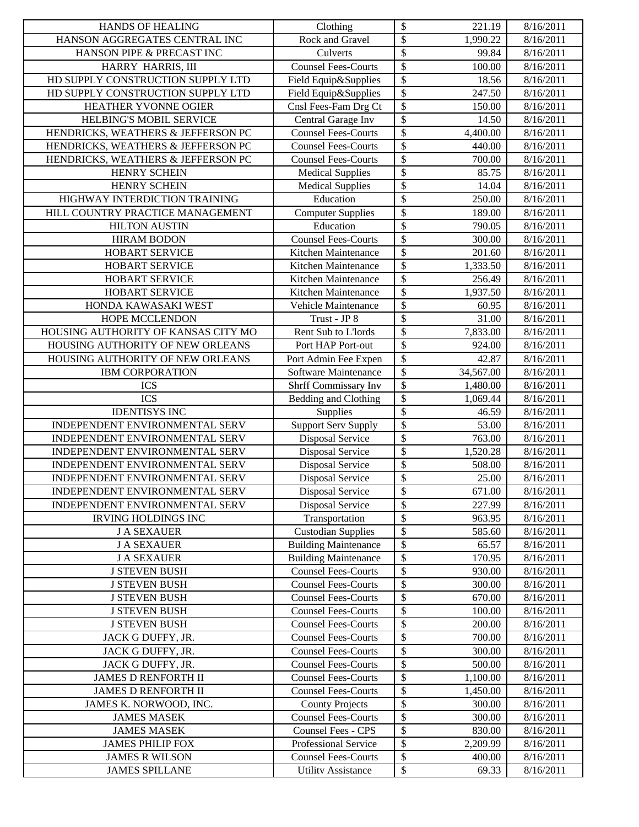| <b>HANDS OF HEALING</b>             | Clothing                    | \$<br>221.19                         | 8/16/2011 |
|-------------------------------------|-----------------------------|--------------------------------------|-----------|
| HANSON AGGREGATES CENTRAL INC       | Rock and Gravel             | \$<br>1,990.22                       | 8/16/2011 |
| HANSON PIPE & PRECAST INC           | Culverts                    | \$<br>99.84                          | 8/16/2011 |
| HARRY HARRIS, III                   | <b>Counsel Fees-Courts</b>  | \$<br>100.00                         | 8/16/2011 |
| HD SUPPLY CONSTRUCTION SUPPLY LTD   | Field Equip&Supplies        | \$<br>18.56                          | 8/16/2011 |
| HD SUPPLY CONSTRUCTION SUPPLY LTD   | Field Equip&Supplies        | \$<br>247.50                         | 8/16/2011 |
| HEATHER YVONNE OGIER                | Cnsl Fees-Fam Drg Ct        | \$<br>150.00                         | 8/16/2011 |
| HELBING'S MOBIL SERVICE             | Central Garage Inv          | \$<br>14.50                          | 8/16/2011 |
| HENDRICKS, WEATHERS & JEFFERSON PC  | <b>Counsel Fees-Courts</b>  | $\overline{\mathcal{S}}$<br>4,400.00 | 8/16/2011 |
| HENDRICKS, WEATHERS & JEFFERSON PC  | <b>Counsel Fees-Courts</b>  | $\overline{\$}$<br>440.00            | 8/16/2011 |
| HENDRICKS, WEATHERS & JEFFERSON PC  | <b>Counsel Fees-Courts</b>  | \$<br>700.00                         | 8/16/2011 |
| HENRY SCHEIN                        | <b>Medical Supplies</b>     | \$<br>85.75                          | 8/16/2011 |
| <b>HENRY SCHEIN</b>                 | <b>Medical Supplies</b>     | \$<br>14.04                          | 8/16/2011 |
| HIGHWAY INTERDICTION TRAINING       | Education                   | $\overline{\$}$<br>250.00            | 8/16/2011 |
| HILL COUNTRY PRACTICE MANAGEMENT    | Computer Supplies           | \$<br>189.00                         | 8/16/2011 |
| <b>HILTON AUSTIN</b>                | Education                   | \$<br>790.05                         | 8/16/2011 |
| <b>HIRAM BODON</b>                  | <b>Counsel Fees-Courts</b>  | $\overline{\mathcal{S}}$<br>300.00   | 8/16/2011 |
| <b>HOBART SERVICE</b>               | Kitchen Maintenance         | \$<br>201.60                         | 8/16/2011 |
| HOBART SERVICE                      | Kitchen Maintenance         | \$<br>1,333.50                       | 8/16/2011 |
| <b>HOBART SERVICE</b>               | Kitchen Maintenance         | \$<br>256.49                         | 8/16/2011 |
| HOBART SERVICE                      | Kitchen Maintenance         | \$<br>1,937.50                       | 8/16/2011 |
| HONDA KAWASAKI WEST                 | Vehicle Maintenance         | \$<br>60.95                          | 8/16/2011 |
| <b>HOPE MCCLENDON</b>               | Trust - JP 8                | \$<br>31.00                          | 8/16/2011 |
| HOUSING AUTHORITY OF KANSAS CITY MO | Rent Sub to L'Iords         | $\overline{\mathcal{S}}$<br>7,833.00 | 8/16/2011 |
| HOUSING AUTHORITY OF NEW ORLEANS    | Port HAP Port-out           | $\overline{\$}$<br>924.00            | 8/16/2011 |
| HOUSING AUTHORITY OF NEW ORLEANS    | Port Admin Fee Expen        | $\overline{\$}$<br>42.87             | 8/16/2011 |
| <b>IBM CORPORATION</b>              | Software Maintenance        | \$<br>34,567.00                      | 8/16/2011 |
| <b>ICS</b>                          | Shrff Commissary Inv        | \$<br>1,480.00                       | 8/16/2011 |
| <b>ICS</b>                          | Bedding and Clothing        | \$<br>1,069.44                       | 8/16/2011 |
| <b>IDENTISYS INC</b>                | Supplies                    | \$<br>46.59                          | 8/16/2011 |
| INDEPENDENT ENVIRONMENTAL SERV      | <b>Support Serv Supply</b>  | \$<br>53.00                          | 8/16/2011 |
| INDEPENDENT ENVIRONMENTAL SERV      | Disposal Service            | \$<br>763.00                         | 8/16/2011 |
| INDEPENDENT ENVIRONMENTAL SERV      | Disposal Service            | $\overline{\$}$<br>1,520.28          | 8/16/2011 |
| INDEPENDENT ENVIRONMENTAL SERV      | Disposal Service            | $\overline{\$}$<br>508.00            | 8/16/2011 |
| INDEPENDENT ENVIRONMENTAL SERV      | Disposal Service            | $\overline{\$}$<br>25.00             | 8/16/2011 |
| INDEPENDENT ENVIRONMENTAL SERV      | <b>Disposal Service</b>     | \$<br>671.00                         | 8/16/2011 |
| INDEPENDENT ENVIRONMENTAL SERV      | Disposal Service            | \$<br>227.99                         | 8/16/2011 |
| <b>IRVING HOLDINGS INC</b>          | Transportation              | \$<br>963.95                         | 8/16/2011 |
| <b>J A SEXAUER</b>                  | <b>Custodian Supplies</b>   | \$<br>585.60                         | 8/16/2011 |
| <b>J A SEXAUER</b>                  | <b>Building Maintenance</b> | \$<br>65.57                          | 8/16/2011 |
| <b>J A SEXAUER</b>                  | <b>Building Maintenance</b> | \$<br>170.95                         | 8/16/2011 |
| <b>J STEVEN BUSH</b>                | <b>Counsel Fees-Courts</b>  | \$<br>930.00                         | 8/16/2011 |
| <b>J STEVEN BUSH</b>                | <b>Counsel Fees-Courts</b>  | \$<br>300.00                         | 8/16/2011 |
| <b>J STEVEN BUSH</b>                | <b>Counsel Fees-Courts</b>  | \$<br>670.00                         | 8/16/2011 |
| <b>J STEVEN BUSH</b>                | <b>Counsel Fees-Courts</b>  | \$<br>100.00                         | 8/16/2011 |
| <b>J STEVEN BUSH</b>                | <b>Counsel Fees-Courts</b>  | \$<br>200.00                         | 8/16/2011 |
| JACK G DUFFY, JR.                   | <b>Counsel Fees-Courts</b>  | \$<br>700.00                         | 8/16/2011 |
| JACK G DUFFY, JR.                   | <b>Counsel Fees-Courts</b>  | \$<br>300.00                         | 8/16/2011 |
| JACK G DUFFY, JR.                   | <b>Counsel Fees-Courts</b>  | \$<br>500.00                         | 8/16/2011 |
| <b>JAMES D RENFORTH II</b>          | <b>Counsel Fees-Courts</b>  | \$<br>1,100.00                       | 8/16/2011 |
| JAMES D RENFORTH II                 | <b>Counsel Fees-Courts</b>  | \$<br>1,450.00                       | 8/16/2011 |
| JAMES K. NORWOOD, INC.              | <b>County Projects</b>      | \$<br>300.00                         | 8/16/2011 |
| <b>JAMES MASEK</b>                  | <b>Counsel Fees-Courts</b>  | \$<br>300.00                         | 8/16/2011 |
| <b>JAMES MASEK</b>                  | <b>Counsel Fees - CPS</b>   | \$<br>830.00                         | 8/16/2011 |
| <b>JAMES PHILIP FOX</b>             | Professional Service        | \$<br>2,209.99                       | 8/16/2011 |
| <b>JAMES R WILSON</b>               | <b>Counsel Fees-Courts</b>  | \$<br>400.00                         | 8/16/2011 |
| <b>JAMES SPILLANE</b>               | <b>Utility Assistance</b>   | ${\mathbb S}$<br>69.33               | 8/16/2011 |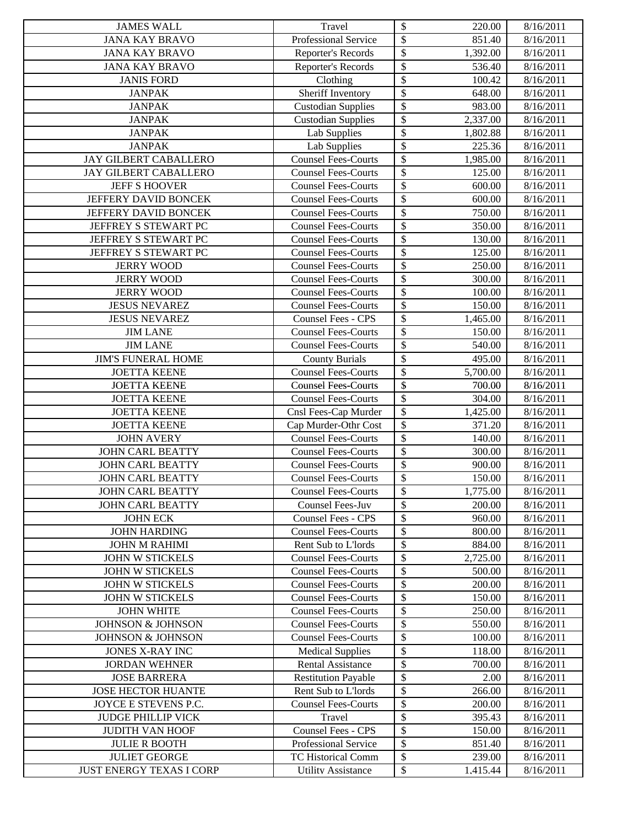| <b>JAMES WALL</b>                                       | Travel                                                 | \$<br>220.00                                                    | 8/16/2011              |
|---------------------------------------------------------|--------------------------------------------------------|-----------------------------------------------------------------|------------------------|
| <b>JANA KAY BRAVO</b>                                   | Professional Service                                   | \$<br>851.40                                                    | 8/16/2011              |
| <b>JANA KAY BRAVO</b>                                   | Reporter's Records                                     | \$<br>1,392.00                                                  | 8/16/2011              |
| <b>JANA KAY BRAVO</b>                                   | Reporter's Records                                     | $\boldsymbol{\mathsf{S}}$<br>536.40                             | 8/16/2011              |
| <b>JANIS FORD</b>                                       | Clothing                                               | $\boldsymbol{\mathsf{S}}$<br>100.42                             | 8/16/2011              |
| <b>JANPAK</b>                                           | Sheriff Inventory                                      | $\boldsymbol{\mathsf{S}}$<br>648.00                             | 8/16/2011              |
| <b>JANPAK</b>                                           | <b>Custodian Supplies</b>                              | $\boldsymbol{\mathsf{S}}$<br>983.00                             | 8/16/2011              |
| <b>JANPAK</b>                                           | <b>Custodian Supplies</b>                              | $\boldsymbol{\mathsf{S}}$<br>2,337.00                           | 8/16/2011              |
| <b>JANPAK</b>                                           | Lab Supplies                                           | $\overline{\$}$<br>1,802.88                                     | 8/16/2011              |
| <b>JANPAK</b>                                           | Lab Supplies                                           | $\boldsymbol{\mathsf{S}}$<br>225.36                             | 8/16/2011              |
| <b>JAY GILBERT CABALLERO</b>                            | <b>Counsel Fees-Courts</b>                             | $\overline{\$}$<br>1,985.00                                     | 8/16/2011              |
| JAY GILBERT CABALLERO                                   | <b>Counsel Fees-Courts</b>                             | \$<br>125.00                                                    | 8/16/2011              |
| <b>JEFF S HOOVER</b>                                    | <b>Counsel Fees-Courts</b>                             | $\boldsymbol{\mathsf{S}}$<br>600.00                             | 8/16/2011              |
| JEFFERY DAVID BONCEK                                    | <b>Counsel Fees-Courts</b>                             | $\boldsymbol{\mathsf{S}}$<br>600.00                             | 8/16/2011              |
| <b>JEFFERY DAVID BONCEK</b>                             | <b>Counsel Fees-Courts</b>                             | $\boldsymbol{\mathsf{S}}$<br>750.00                             | 8/16/2011              |
| JEFFREY S STEWART PC                                    | <b>Counsel Fees-Courts</b>                             | \$<br>350.00                                                    | 8/16/2011              |
| JEFFREY S STEWART PC                                    | <b>Counsel Fees-Courts</b>                             | \$<br>130.00                                                    | 8/16/2011              |
| JEFFREY S STEWART PC                                    | <b>Counsel Fees-Courts</b>                             | \$<br>125.00                                                    | 8/16/2011              |
| <b>JERRY WOOD</b>                                       | <b>Counsel Fees-Courts</b>                             | \$<br>250.00                                                    | 8/16/2011              |
| <b>JERRY WOOD</b>                                       | <b>Counsel Fees-Courts</b>                             | \$<br>300.00                                                    | 8/16/2011              |
| <b>JERRY WOOD</b>                                       | <b>Counsel Fees-Courts</b>                             | $\boldsymbol{\mathsf{S}}$<br>100.00                             | 8/16/2011              |
| <b>JESUS NEVAREZ</b>                                    | <b>Counsel Fees-Courts</b>                             | $\boldsymbol{\mathsf{S}}$<br>150.00                             | 8/16/2011              |
| <b>JESUS NEVAREZ</b>                                    | Counsel Fees - CPS                                     | $\boldsymbol{\mathsf{S}}$<br>1,465.00                           | 8/16/2011              |
| <b>JIM LANE</b>                                         | <b>Counsel Fees-Courts</b>                             | \$<br>150.00                                                    | 8/16/2011              |
| <b>JIM LANE</b>                                         | <b>Counsel Fees-Courts</b>                             | \$<br>540.00                                                    | 8/16/2011              |
| <b>JIM'S FUNERAL HOME</b>                               | <b>County Burials</b>                                  | \$<br>495.00                                                    | 8/16/2011              |
| <b>JOETTA KEENE</b>                                     | <b>Counsel Fees-Courts</b>                             | $\boldsymbol{\mathsf{S}}$<br>$\overline{5,700.00}$              | 8/16/2011              |
| <b>JOETTA KEENE</b>                                     | <b>Counsel Fees-Courts</b>                             | $\boldsymbol{\mathsf{S}}$<br>700.00                             | 8/16/2011              |
| <b>JOETTA KEENE</b>                                     | <b>Counsel Fees-Courts</b>                             | \$<br>304.00                                                    | 8/16/2011              |
| <b>JOETTA KEENE</b>                                     | Cnsl Fees-Cap Murder                                   | $\boldsymbol{\mathsf{S}}$<br>1,425.00                           | 8/16/2011              |
| <b>JOETTA KEENE</b>                                     | Cap Murder-Othr Cost                                   | $\boldsymbol{\mathsf{S}}$<br>371.20                             | 8/16/2011              |
| <b>JOHN AVERY</b>                                       | <b>Counsel Fees-Courts</b>                             | \$<br>140.00                                                    | 8/16/2011              |
| <b>JOHN CARL BEATTY</b>                                 | <b>Counsel Fees-Courts</b>                             | $\boldsymbol{\mathsf{S}}$<br>300.00                             | 8/16/2011              |
| <b>JOHN CARL BEATTY</b>                                 | <b>Counsel Fees-Courts</b>                             | $\overline{\$}$<br>900.00                                       | 8/16/2011              |
| <b>JOHN CARL BEATTY</b>                                 | <b>Counsel Fees-Courts</b>                             | \$<br>150.00                                                    | 8/16/2011              |
| <b>JOHN CARL BEATTY</b>                                 | <b>Counsel Fees-Courts</b>                             | $\boldsymbol{\mathsf{S}}$<br>1,775.00                           | 8/16/2011              |
| <b>JOHN CARL BEATTY</b>                                 | Counsel Fees-Juv                                       | $\boldsymbol{\mathsf{S}}$<br>200.00                             | 8/16/2011              |
| <b>JOHN ECK</b>                                         | Counsel Fees - CPS                                     | \$<br>960.00                                                    | 8/16/2011              |
| <b>JOHN HARDING</b>                                     | <b>Counsel Fees-Courts</b>                             | \$<br>800.00                                                    | 8/16/2011              |
| <b>JOHN M RAHIMI</b>                                    | Rent Sub to L'Iords                                    | $\boldsymbol{\mathsf{S}}$<br>884.00                             | 8/16/2011              |
| JOHN W STICKELS                                         | <b>Counsel Fees-Courts</b>                             | \$<br>2,725.00                                                  | 8/16/2011              |
| <b>JOHN W STICKELS</b>                                  | <b>Counsel Fees-Courts</b>                             | \$<br>500.00                                                    | 8/16/2011              |
| <b>JOHN W STICKELS</b>                                  | <b>Counsel Fees-Courts</b>                             | \$<br>200.00                                                    | 8/16/2011              |
| <b>JOHN W STICKELS</b>                                  | <b>Counsel Fees-Courts</b>                             | \$<br>150.00                                                    | 8/16/2011              |
| <b>JOHN WHITE</b>                                       | <b>Counsel Fees-Courts</b>                             | \$<br>250.00                                                    | 8/16/2011              |
| JOHNSON & JOHNSON                                       | <b>Counsel Fees-Courts</b>                             | \$<br>550.00                                                    | 8/16/2011              |
| <b>JOHNSON &amp; JOHNSON</b>                            | <b>Counsel Fees-Courts</b>                             | \$<br>100.00                                                    | 8/16/2011              |
| JONES X-RAY INC                                         | <b>Medical Supplies</b>                                | \$<br>118.00                                                    | 8/16/2011              |
| <b>JORDAN WEHNER</b>                                    | <b>Rental Assistance</b>                               | \$<br>700.00                                                    | 8/16/2011              |
| <b>JOSE BARRERA</b>                                     | <b>Restitution Payable</b>                             | $\boldsymbol{\mathsf{S}}$<br>2.00                               | 8/16/2011              |
| <b>JOSE HECTOR HUANTE</b>                               | Rent Sub to L'Iords                                    | \$<br>266.00                                                    | 8/16/2011              |
| JOYCE E STEVENS P.C.                                    | <b>Counsel Fees-Courts</b>                             | $\boldsymbol{\mathsf{S}}$<br>200.00                             | 8/16/2011              |
| <b>JUDGE PHILLIP VICK</b>                               | Travel                                                 | $\boldsymbol{\mathsf{S}}$<br>395.43                             | 8/16/2011              |
| <b>JUDITH VAN HOOF</b>                                  | <b>Counsel Fees - CPS</b>                              | \$<br>150.00                                                    | 8/16/2011              |
| <b>JULIE R BOOTH</b>                                    | Professional Service                                   | \$<br>851.40                                                    | 8/16/2011              |
| <b>JULIET GEORGE</b><br><b>JUST ENERGY TEXAS I CORP</b> | <b>TC Historical Comm</b><br><b>Utility Assistance</b> | $\boldsymbol{\mathsf{S}}$<br>239.00<br>$\mathbb{S}$<br>1.415.44 | 8/16/2011<br>8/16/2011 |
|                                                         |                                                        |                                                                 |                        |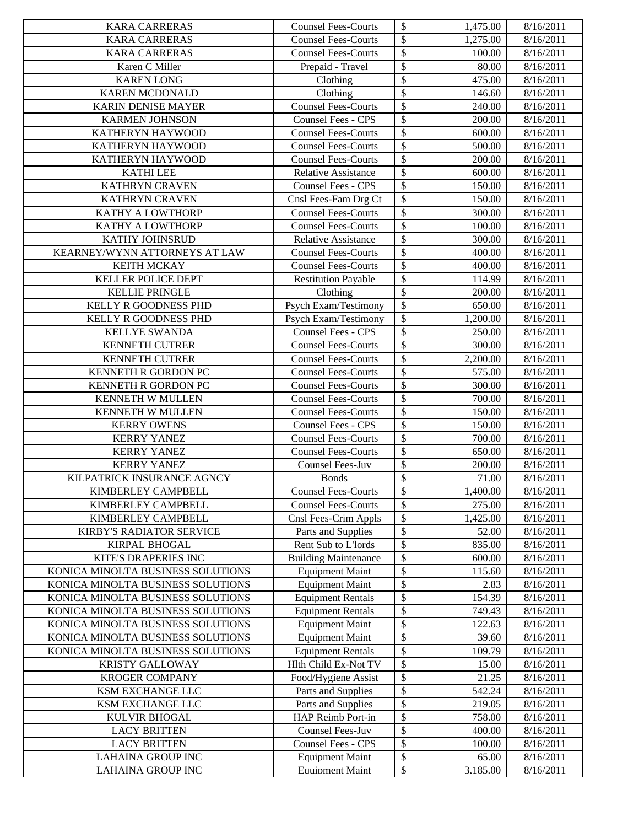| <b>KARA CARRERAS</b>                          | <b>Counsel Fees-Courts</b>                       | \$<br>1,475.00                           | 8/16/2011              |
|-----------------------------------------------|--------------------------------------------------|------------------------------------------|------------------------|
| <b>KARA CARRERAS</b>                          | <b>Counsel Fees-Courts</b>                       | $\overline{\$}$<br>1,275.00              | 8/16/2011              |
| <b>KARA CARRERAS</b>                          | <b>Counsel Fees-Courts</b>                       | $\boldsymbol{\mathsf{S}}$<br>100.00      | 8/16/2011              |
| Karen C Miller                                | Prepaid - Travel                                 | $\boldsymbol{\mathsf{S}}$<br>80.00       | 8/16/2011              |
| <b>KAREN LONG</b>                             | Clothing                                         | \$<br>475.00                             | 8/16/2011              |
| <b>KAREN MCDONALD</b>                         | Clothing                                         | $\boldsymbol{\mathsf{S}}$<br>146.60      | 8/16/2011              |
| KARIN DENISE MAYER                            | <b>Counsel Fees-Courts</b>                       | \$<br>240.00                             | 8/16/2011              |
| <b>KARMEN JOHNSON</b>                         | <b>Counsel Fees - CPS</b>                        | \$<br>200.00                             | 8/16/2011              |
| KATHERYN HAYWOOD                              | <b>Counsel Fees-Courts</b>                       | $\overline{\$}$<br>600.00                | 8/16/2011              |
| KATHERYN HAYWOOD                              | <b>Counsel Fees-Courts</b>                       | $\boldsymbol{\mathsf{S}}$<br>500.00      | 8/16/2011              |
| KATHERYN HAYWOOD                              | <b>Counsel Fees-Courts</b>                       | $\boldsymbol{\mathsf{S}}$<br>200.00      | 8/16/2011              |
| <b>KATHILEE</b>                               | <b>Relative Assistance</b>                       | $\overline{\mathcal{S}}$<br>600.00       | 8/16/2011              |
| KATHRYN CRAVEN                                | <b>Counsel Fees - CPS</b>                        | $\mathcal{S}$<br>150.00                  | 8/16/2011              |
| <b>KATHRYN CRAVEN</b>                         | Cnsl Fees-Fam Drg Ct                             | $\boldsymbol{\mathsf{S}}$<br>150.00      | 8/16/2011              |
| KATHY A LOWTHORP                              | <b>Counsel Fees-Courts</b>                       | $\boldsymbol{\mathsf{S}}$<br>300.00      | 8/16/2011              |
| KATHY A LOWTHORP                              | <b>Counsel Fees-Courts</b>                       | $\boldsymbol{\$}$<br>100.00              | 8/16/2011              |
| KATHY JOHNSRUD                                | <b>Relative Assistance</b>                       | \$<br>300.00                             | 8/16/2011              |
| KEARNEY/WYNN ATTORNEYS AT LAW                 | <b>Counsel Fees-Courts</b>                       | \$<br>400.00                             | 8/16/2011              |
| <b>KEITH MCKAY</b>                            | <b>Counsel Fees-Courts</b>                       | $\overline{\mathcal{S}}$<br>400.00       | 8/16/2011              |
| KELLER POLICE DEPT                            | <b>Restitution Payable</b>                       | $\boldsymbol{\$}$<br>114.99              | 8/16/2011              |
| <b>KELLIE PRINGLE</b>                         | Clothing                                         | $\boldsymbol{\mathsf{S}}$<br>200.00      | 8/16/2011              |
| KELLY R GOODNESS PHD                          | Psych Exam/Testimony                             | $\overline{\$}$<br>650.00                | 8/16/2011              |
| KELLY R GOODNESS PHD                          | Psych Exam/Testimony                             | $\overline{\mathcal{S}}$<br>1,200.00     | 8/16/2011              |
| <b>KELLYE SWANDA</b>                          | Counsel Fees - CPS                               | $\boldsymbol{\mathsf{S}}$<br>250.00      | 8/16/2011              |
| <b>KENNETH CUTRER</b>                         | <b>Counsel Fees-Courts</b>                       | $\overline{\$}$<br>300.00                | 8/16/2011              |
| <b>KENNETH CUTRER</b>                         | <b>Counsel Fees-Courts</b>                       | $\boldsymbol{\mathsf{S}}$<br>2,200.00    | 8/16/2011              |
| KENNETH R GORDON PC                           | <b>Counsel Fees-Courts</b>                       | $\overline{\mathcal{S}}$<br>575.00       | 8/16/2011              |
| KENNETH R GORDON PC                           | <b>Counsel Fees-Courts</b>                       | $\boldsymbol{\mathsf{S}}$<br>300.00      | 8/16/2011              |
| KENNETH W MULLEN                              | <b>Counsel Fees-Courts</b>                       | $\boldsymbol{\mathsf{S}}$<br>700.00      | 8/16/2011              |
| KENNETH W MULLEN                              | <b>Counsel Fees-Courts</b>                       | \$<br>150.00                             | 8/16/2011              |
| <b>KERRY OWENS</b>                            | <b>Counsel Fees - CPS</b>                        | $\boldsymbol{\mathsf{S}}$<br>150.00      | 8/16/2011              |
| <b>KERRY YANEZ</b>                            | <b>Counsel Fees-Courts</b>                       | \$<br>700.00                             | 8/16/2011              |
| <b>KERRY YANEZ</b>                            | <b>Counsel Fees-Courts</b>                       | \$<br>650.00                             | 8/16/2011              |
| <b>KERRY YANEZ</b>                            | Counsel Fees-Juv                                 | $\overline{\$}$<br>200.00                | 8/16/2011              |
| <b>KILPATRICK INSURANCE AGNCY</b>             | <b>Bonds</b>                                     | $\boldsymbol{\$}$<br>71.00               | 8/16/2011              |
| KIMBERLEY CAMPBELL                            | <b>Counsel Fees-Courts</b>                       | $\sqrt{2}$<br>1,400.00                   | 8/16/2011              |
| KIMBERLEY CAMPBELL                            | <b>Counsel Fees-Courts</b>                       | \$<br>275.00                             | 8/16/2011              |
| KIMBERLEY CAMPBELL                            | Cnsl Fees-Crim Appls                             | \$<br>1,425.00                           | 8/16/2011              |
| <b>KIRBY'S RADIATOR SERVICE</b>               | Parts and Supplies                               | \$<br>52.00                              | 8/16/2011              |
| KIRPAL BHOGAL                                 | Rent Sub to L'Iords                              | $\boldsymbol{\mathsf{S}}$<br>835.00      | 8/16/2011              |
| KITE'S DRAPERIES INC                          | <b>Building Maintenance</b>                      | \$<br>600.00                             | 8/16/2011              |
| KONICA MINOLTA BUSINESS SOLUTIONS             | <b>Equipment Maint</b>                           | \$<br>115.60                             | 8/16/2011              |
| KONICA MINOLTA BUSINESS SOLUTIONS             | <b>Equipment Maint</b>                           | \$<br>2.83                               | 8/16/2011              |
| KONICA MINOLTA BUSINESS SOLUTIONS             | <b>Equipment Rentals</b>                         | \$<br>154.39                             | 8/16/2011              |
| KONICA MINOLTA BUSINESS SOLUTIONS             | <b>Equipment Rentals</b>                         | \$<br>749.43                             | 8/16/2011              |
| KONICA MINOLTA BUSINESS SOLUTIONS             | <b>Equipment Maint</b>                           | \$<br>122.63                             | 8/16/2011              |
| KONICA MINOLTA BUSINESS SOLUTIONS             | <b>Equipment Maint</b>                           | \$<br>39.60                              | 8/16/2011              |
| KONICA MINOLTA BUSINESS SOLUTIONS             | <b>Equipment Rentals</b>                         | \$<br>109.79                             | 8/16/2011              |
| <b>KRISTY GALLOWAY</b>                        | Hlth Child Ex-Not TV                             | \$<br>15.00                              | 8/16/2011              |
| <b>KROGER COMPANY</b>                         | Food/Hygiene Assist                              | \$<br>21.25                              | 8/16/2011              |
| KSM EXCHANGE LLC                              | Parts and Supplies                               | \$<br>542.24                             | 8/16/2011              |
| KSM EXCHANGE LLC                              | Parts and Supplies                               | \$<br>219.05                             | 8/16/2011              |
| <b>KULVIR BHOGAL</b>                          | HAP Reimb Port-in                                | \$<br>758.00                             | 8/16/2011              |
| <b>LACY BRITTEN</b>                           | Counsel Fees-Juv                                 | \$<br>400.00                             | 8/16/2011              |
| <b>LACY BRITTEN</b>                           | <b>Counsel Fees - CPS</b>                        | \$<br>100.00                             | 8/16/2011              |
| LAHAINA GROUP INC<br><b>LAHAINA GROUP INC</b> | <b>Equipment Maint</b><br><b>Equipment Maint</b> | \$<br>65.00<br>${\mathbb S}$<br>3.185.00 | 8/16/2011<br>8/16/2011 |
|                                               |                                                  |                                          |                        |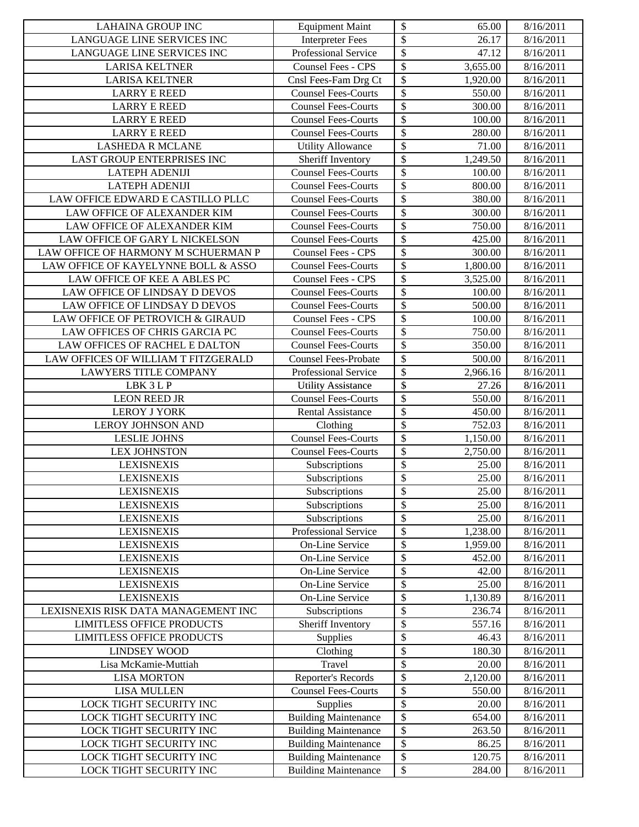| \$<br>LANGUAGE LINE SERVICES INC<br>26.17<br>8/16/2011<br><b>Interpreter Fees</b><br>\$<br>Professional Service<br>LANGUAGE LINE SERVICES INC<br>47.12<br>8/16/2011<br>\$<br>Counsel Fees - CPS<br>3,655.00<br><b>LARISA KELTNER</b><br>8/16/2011<br>\$<br><b>LARISA KELTNER</b><br>Cnsl Fees-Fam Drg Ct<br>1,920.00<br>8/16/2011<br>\$<br><b>Counsel Fees-Courts</b><br>550.00<br>8/16/2011<br><b>LARRY E REED</b><br>\$<br><b>Counsel Fees-Courts</b><br><b>LARRY E REED</b><br>300.00<br>8/16/2011<br>\$<br><b>LARRY E REED</b><br>100.00<br>8/16/2011<br><b>Counsel Fees-Courts</b><br>$\overline{\$}$<br><b>LARRY E REED</b><br>280.00<br>8/16/2011<br><b>Counsel Fees-Courts</b><br>\$<br><b>LASHEDA R MCLANE</b><br><b>Utility Allowance</b><br>71.00<br>8/16/2011<br>$\overline{\$}$<br><b>LAST GROUP ENTERPRISES INC</b><br>$\overline{1,249.50}$<br>Sheriff Inventory<br>8/16/2011<br>\$<br><b>Counsel Fees-Courts</b><br>100.00<br><b>LATEPH ADENIJI</b><br>8/16/2011<br>\$<br>Counsel Fees-Courts<br><b>LATEPH ADENIJI</b><br>800.00<br>8/16/2011<br>\$<br><b>Counsel Fees-Courts</b><br>LAW OFFICE EDWARD E CASTILLO PLLC<br>380.00<br>8/16/2011<br>$\overline{\$}$<br>LAW OFFICE OF ALEXANDER KIM<br><b>Counsel Fees-Courts</b><br>300.00<br>8/16/2011<br>\$<br>LAW OFFICE OF ALEXANDER KIM<br>750.00<br><b>Counsel Fees-Courts</b><br>8/16/2011<br>\$<br>LAW OFFICE OF GARY L NICKELSON<br>425.00<br><b>Counsel Fees-Courts</b><br>8/16/2011<br>\$<br>LAW OFFICE OF HARMONY M SCHUERMAN P<br>300.00<br><b>Counsel Fees - CPS</b><br>8/16/2011<br>\$<br>1,800.00<br>8/16/2011<br>LAW OFFICE OF KAYELYNNE BOLL & ASSO<br><b>Counsel Fees-Courts</b><br>\$<br>Counsel Fees - CPS<br>3,525.00<br>LAW OFFICE OF KEE A ABLES PC<br>8/16/2011<br>\$<br><b>Counsel Fees-Courts</b><br>100.00<br>LAW OFFICE OF LINDSAY D DEVOS<br>8/16/2011<br>\$<br>Counsel Fees-Courts<br>LAW OFFICE OF LINDSAY D DEVOS<br>500.00<br>8/16/2011<br>\$<br>LAW OFFICE OF PETROVICH & GIRAUD<br>Counsel Fees - CPS<br>100.00<br>8/16/2011<br>\$<br>LAW OFFICES OF CHRIS GARCIA PC<br><b>Counsel Fees-Courts</b><br>750.00<br>8/16/2011<br>\$<br>LAW OFFICES OF RACHEL E DALTON<br>350.00<br>8/16/2011<br><b>Counsel Fees-Courts</b><br>\$<br>LAW OFFICES OF WILLIAM T FITZGERALD<br><b>Counsel Fees-Probate</b><br>500.00<br>8/16/2011<br>\$<br><b>LAWYERS TITLE COMPANY</b><br>Professional Service<br>2,966.16<br>8/16/2011<br>\$<br>LBK 3 L P<br><b>Utility Assistance</b><br>27.26<br>8/16/2011<br>\$<br><b>Counsel Fees-Courts</b><br><b>LEON REED JR</b><br>550.00<br>8/16/2011<br>\$<br><b>LEROY J YORK</b><br><b>Rental Assistance</b><br>8/16/2011<br>450.00<br>\$<br><b>LEROY JOHNSON AND</b><br>752.03<br>8/16/2011<br>Clothing<br>\$<br><b>LESLIE JOHNS</b><br><b>Counsel Fees-Courts</b><br>8/16/2011<br>1,150.00<br>\$<br>2,750.00<br>8/16/2011<br><b>LEX JOHNSTON</b><br><b>Counsel Fees-Courts</b><br>$\overline{\$}$<br><b>LEXISNEXIS</b><br>25.00<br>8/16/2011<br>Subscriptions<br>\$<br><b>LEXISNEXIS</b><br>Subscriptions<br>25.00<br>8/16/2011<br>$\sqrt[6]{\frac{1}{2}}$<br>Subscriptions<br>25.00<br>8/16/2011<br><b>LEXISNEXIS</b><br>\$<br>Subscriptions<br>25.00<br>8/16/2011<br><b>LEXISNEXIS</b><br>\$<br>Subscriptions<br><b>LEXISNEXIS</b><br>25.00<br>8/16/2011<br>\$<br><b>LEXISNEXIS</b><br>Professional Service<br>1,238.00<br>8/16/2011<br>\$<br><b>LEXISNEXIS</b><br>On-Line Service<br>1,959.00<br>8/16/2011<br>\$<br><b>LEXISNEXIS</b><br>On-Line Service<br>452.00<br>8/16/2011<br>\$<br><b>LEXISNEXIS</b><br>On-Line Service<br>42.00<br>8/16/2011<br>\$<br><b>LEXISNEXIS</b><br>On-Line Service<br>25.00<br>8/16/2011<br>\$<br>On-Line Service<br>1,130.89<br>8/16/2011<br><b>LEXISNEXIS</b><br>\$<br>LEXISNEXIS RISK DATA MANAGEMENT INC<br>Subscriptions<br>236.74<br>8/16/2011<br>\$<br><b>Sheriff Inventory</b><br><b>LIMITLESS OFFICE PRODUCTS</b><br>8/16/2011<br>557.16<br>\$<br><b>LIMITLESS OFFICE PRODUCTS</b><br>Supplies<br>46.43<br>8/16/2011<br>\$<br><b>LINDSEY WOOD</b><br>Clothing<br>180.30<br>8/16/2011<br>\$<br>Lisa McKamie-Muttiah<br>Travel<br>20.00<br>8/16/2011<br>\$<br>Reporter's Records<br>2,120.00<br><b>LISA MORTON</b><br>8/16/2011<br>\$<br><b>LISA MULLEN</b><br><b>Counsel Fees-Courts</b><br>8/16/2011<br>550.00<br>\$<br>8/16/2011<br>LOCK TIGHT SECURITY INC<br>Supplies<br>20.00<br>\$<br><b>Building Maintenance</b><br>LOCK TIGHT SECURITY INC<br>654.00<br>8/16/2011<br>\$<br><b>Building Maintenance</b><br>LOCK TIGHT SECURITY INC<br>8/16/2011<br>263.50<br>\$<br><b>Building Maintenance</b><br>LOCK TIGHT SECURITY INC<br>86.25<br>8/16/2011<br>\$<br>LOCK TIGHT SECURITY INC<br><b>Building Maintenance</b><br>120.75<br>8/16/2011<br>${\mathbb S}$<br><b>Building Maintenance</b><br>LOCK TIGHT SECURITY INC<br>284.00<br>8/16/2011 | <b>LAHAINA GROUP INC</b> | <b>Equipment Maint</b> | \$<br>65.00 | 8/16/2011 |
|-------------------------------------------------------------------------------------------------------------------------------------------------------------------------------------------------------------------------------------------------------------------------------------------------------------------------------------------------------------------------------------------------------------------------------------------------------------------------------------------------------------------------------------------------------------------------------------------------------------------------------------------------------------------------------------------------------------------------------------------------------------------------------------------------------------------------------------------------------------------------------------------------------------------------------------------------------------------------------------------------------------------------------------------------------------------------------------------------------------------------------------------------------------------------------------------------------------------------------------------------------------------------------------------------------------------------------------------------------------------------------------------------------------------------------------------------------------------------------------------------------------------------------------------------------------------------------------------------------------------------------------------------------------------------------------------------------------------------------------------------------------------------------------------------------------------------------------------------------------------------------------------------------------------------------------------------------------------------------------------------------------------------------------------------------------------------------------------------------------------------------------------------------------------------------------------------------------------------------------------------------------------------------------------------------------------------------------------------------------------------------------------------------------------------------------------------------------------------------------------------------------------------------------------------------------------------------------------------------------------------------------------------------------------------------------------------------------------------------------------------------------------------------------------------------------------------------------------------------------------------------------------------------------------------------------------------------------------------------------------------------------------------------------------------------------------------------------------------------------------------------------------------------------------------------------------------------------------------------------------------------------------------------------------------------------------------------------------------------------------------------------------------------------------------------------------------------------------------------------------------------------------------------------------------------------------------------------------------------------------------------------------------------------------------------------------------------------------------------------------------------------------------------------------------------------------------------------------------------------------------------------------------------------------------------------------------------------------------------------------------------------------------------------------------------------------------------------------------------------------------------------------------------------------------------------------------------------------------------------------------------------------------------------------------------------------------------------------------------------------------------------------------------------------------------------------------------------------------------------------------------------------------------------------------------------------------------------------------------------------------------------------------------------------------------------------------------------------------------------------------------------------------------------------------------------------|--------------------------|------------------------|-------------|-----------|
|                                                                                                                                                                                                                                                                                                                                                                                                                                                                                                                                                                                                                                                                                                                                                                                                                                                                                                                                                                                                                                                                                                                                                                                                                                                                                                                                                                                                                                                                                                                                                                                                                                                                                                                                                                                                                                                                                                                                                                                                                                                                                                                                                                                                                                                                                                                                                                                                                                                                                                                                                                                                                                                                                                                                                                                                                                                                                                                                                                                                                                                                                                                                                                                                                                                                                                                                                                                                                                                                                                                                                                                                                                                                                                                                                                                                                                                                                                                                                                                                                                                                                                                                                                                                                                                                                                                                                                                                                                                                                                                                                                                                                                                                                                                                                                                                                   |                          |                        |             |           |
|                                                                                                                                                                                                                                                                                                                                                                                                                                                                                                                                                                                                                                                                                                                                                                                                                                                                                                                                                                                                                                                                                                                                                                                                                                                                                                                                                                                                                                                                                                                                                                                                                                                                                                                                                                                                                                                                                                                                                                                                                                                                                                                                                                                                                                                                                                                                                                                                                                                                                                                                                                                                                                                                                                                                                                                                                                                                                                                                                                                                                                                                                                                                                                                                                                                                                                                                                                                                                                                                                                                                                                                                                                                                                                                                                                                                                                                                                                                                                                                                                                                                                                                                                                                                                                                                                                                                                                                                                                                                                                                                                                                                                                                                                                                                                                                                                   |                          |                        |             |           |
|                                                                                                                                                                                                                                                                                                                                                                                                                                                                                                                                                                                                                                                                                                                                                                                                                                                                                                                                                                                                                                                                                                                                                                                                                                                                                                                                                                                                                                                                                                                                                                                                                                                                                                                                                                                                                                                                                                                                                                                                                                                                                                                                                                                                                                                                                                                                                                                                                                                                                                                                                                                                                                                                                                                                                                                                                                                                                                                                                                                                                                                                                                                                                                                                                                                                                                                                                                                                                                                                                                                                                                                                                                                                                                                                                                                                                                                                                                                                                                                                                                                                                                                                                                                                                                                                                                                                                                                                                                                                                                                                                                                                                                                                                                                                                                                                                   |                          |                        |             |           |
|                                                                                                                                                                                                                                                                                                                                                                                                                                                                                                                                                                                                                                                                                                                                                                                                                                                                                                                                                                                                                                                                                                                                                                                                                                                                                                                                                                                                                                                                                                                                                                                                                                                                                                                                                                                                                                                                                                                                                                                                                                                                                                                                                                                                                                                                                                                                                                                                                                                                                                                                                                                                                                                                                                                                                                                                                                                                                                                                                                                                                                                                                                                                                                                                                                                                                                                                                                                                                                                                                                                                                                                                                                                                                                                                                                                                                                                                                                                                                                                                                                                                                                                                                                                                                                                                                                                                                                                                                                                                                                                                                                                                                                                                                                                                                                                                                   |                          |                        |             |           |
|                                                                                                                                                                                                                                                                                                                                                                                                                                                                                                                                                                                                                                                                                                                                                                                                                                                                                                                                                                                                                                                                                                                                                                                                                                                                                                                                                                                                                                                                                                                                                                                                                                                                                                                                                                                                                                                                                                                                                                                                                                                                                                                                                                                                                                                                                                                                                                                                                                                                                                                                                                                                                                                                                                                                                                                                                                                                                                                                                                                                                                                                                                                                                                                                                                                                                                                                                                                                                                                                                                                                                                                                                                                                                                                                                                                                                                                                                                                                                                                                                                                                                                                                                                                                                                                                                                                                                                                                                                                                                                                                                                                                                                                                                                                                                                                                                   |                          |                        |             |           |
|                                                                                                                                                                                                                                                                                                                                                                                                                                                                                                                                                                                                                                                                                                                                                                                                                                                                                                                                                                                                                                                                                                                                                                                                                                                                                                                                                                                                                                                                                                                                                                                                                                                                                                                                                                                                                                                                                                                                                                                                                                                                                                                                                                                                                                                                                                                                                                                                                                                                                                                                                                                                                                                                                                                                                                                                                                                                                                                                                                                                                                                                                                                                                                                                                                                                                                                                                                                                                                                                                                                                                                                                                                                                                                                                                                                                                                                                                                                                                                                                                                                                                                                                                                                                                                                                                                                                                                                                                                                                                                                                                                                                                                                                                                                                                                                                                   |                          |                        |             |           |
|                                                                                                                                                                                                                                                                                                                                                                                                                                                                                                                                                                                                                                                                                                                                                                                                                                                                                                                                                                                                                                                                                                                                                                                                                                                                                                                                                                                                                                                                                                                                                                                                                                                                                                                                                                                                                                                                                                                                                                                                                                                                                                                                                                                                                                                                                                                                                                                                                                                                                                                                                                                                                                                                                                                                                                                                                                                                                                                                                                                                                                                                                                                                                                                                                                                                                                                                                                                                                                                                                                                                                                                                                                                                                                                                                                                                                                                                                                                                                                                                                                                                                                                                                                                                                                                                                                                                                                                                                                                                                                                                                                                                                                                                                                                                                                                                                   |                          |                        |             |           |
|                                                                                                                                                                                                                                                                                                                                                                                                                                                                                                                                                                                                                                                                                                                                                                                                                                                                                                                                                                                                                                                                                                                                                                                                                                                                                                                                                                                                                                                                                                                                                                                                                                                                                                                                                                                                                                                                                                                                                                                                                                                                                                                                                                                                                                                                                                                                                                                                                                                                                                                                                                                                                                                                                                                                                                                                                                                                                                                                                                                                                                                                                                                                                                                                                                                                                                                                                                                                                                                                                                                                                                                                                                                                                                                                                                                                                                                                                                                                                                                                                                                                                                                                                                                                                                                                                                                                                                                                                                                                                                                                                                                                                                                                                                                                                                                                                   |                          |                        |             |           |
|                                                                                                                                                                                                                                                                                                                                                                                                                                                                                                                                                                                                                                                                                                                                                                                                                                                                                                                                                                                                                                                                                                                                                                                                                                                                                                                                                                                                                                                                                                                                                                                                                                                                                                                                                                                                                                                                                                                                                                                                                                                                                                                                                                                                                                                                                                                                                                                                                                                                                                                                                                                                                                                                                                                                                                                                                                                                                                                                                                                                                                                                                                                                                                                                                                                                                                                                                                                                                                                                                                                                                                                                                                                                                                                                                                                                                                                                                                                                                                                                                                                                                                                                                                                                                                                                                                                                                                                                                                                                                                                                                                                                                                                                                                                                                                                                                   |                          |                        |             |           |
|                                                                                                                                                                                                                                                                                                                                                                                                                                                                                                                                                                                                                                                                                                                                                                                                                                                                                                                                                                                                                                                                                                                                                                                                                                                                                                                                                                                                                                                                                                                                                                                                                                                                                                                                                                                                                                                                                                                                                                                                                                                                                                                                                                                                                                                                                                                                                                                                                                                                                                                                                                                                                                                                                                                                                                                                                                                                                                                                                                                                                                                                                                                                                                                                                                                                                                                                                                                                                                                                                                                                                                                                                                                                                                                                                                                                                                                                                                                                                                                                                                                                                                                                                                                                                                                                                                                                                                                                                                                                                                                                                                                                                                                                                                                                                                                                                   |                          |                        |             |           |
|                                                                                                                                                                                                                                                                                                                                                                                                                                                                                                                                                                                                                                                                                                                                                                                                                                                                                                                                                                                                                                                                                                                                                                                                                                                                                                                                                                                                                                                                                                                                                                                                                                                                                                                                                                                                                                                                                                                                                                                                                                                                                                                                                                                                                                                                                                                                                                                                                                                                                                                                                                                                                                                                                                                                                                                                                                                                                                                                                                                                                                                                                                                                                                                                                                                                                                                                                                                                                                                                                                                                                                                                                                                                                                                                                                                                                                                                                                                                                                                                                                                                                                                                                                                                                                                                                                                                                                                                                                                                                                                                                                                                                                                                                                                                                                                                                   |                          |                        |             |           |
|                                                                                                                                                                                                                                                                                                                                                                                                                                                                                                                                                                                                                                                                                                                                                                                                                                                                                                                                                                                                                                                                                                                                                                                                                                                                                                                                                                                                                                                                                                                                                                                                                                                                                                                                                                                                                                                                                                                                                                                                                                                                                                                                                                                                                                                                                                                                                                                                                                                                                                                                                                                                                                                                                                                                                                                                                                                                                                                                                                                                                                                                                                                                                                                                                                                                                                                                                                                                                                                                                                                                                                                                                                                                                                                                                                                                                                                                                                                                                                                                                                                                                                                                                                                                                                                                                                                                                                                                                                                                                                                                                                                                                                                                                                                                                                                                                   |                          |                        |             |           |
|                                                                                                                                                                                                                                                                                                                                                                                                                                                                                                                                                                                                                                                                                                                                                                                                                                                                                                                                                                                                                                                                                                                                                                                                                                                                                                                                                                                                                                                                                                                                                                                                                                                                                                                                                                                                                                                                                                                                                                                                                                                                                                                                                                                                                                                                                                                                                                                                                                                                                                                                                                                                                                                                                                                                                                                                                                                                                                                                                                                                                                                                                                                                                                                                                                                                                                                                                                                                                                                                                                                                                                                                                                                                                                                                                                                                                                                                                                                                                                                                                                                                                                                                                                                                                                                                                                                                                                                                                                                                                                                                                                                                                                                                                                                                                                                                                   |                          |                        |             |           |
|                                                                                                                                                                                                                                                                                                                                                                                                                                                                                                                                                                                                                                                                                                                                                                                                                                                                                                                                                                                                                                                                                                                                                                                                                                                                                                                                                                                                                                                                                                                                                                                                                                                                                                                                                                                                                                                                                                                                                                                                                                                                                                                                                                                                                                                                                                                                                                                                                                                                                                                                                                                                                                                                                                                                                                                                                                                                                                                                                                                                                                                                                                                                                                                                                                                                                                                                                                                                                                                                                                                                                                                                                                                                                                                                                                                                                                                                                                                                                                                                                                                                                                                                                                                                                                                                                                                                                                                                                                                                                                                                                                                                                                                                                                                                                                                                                   |                          |                        |             |           |
|                                                                                                                                                                                                                                                                                                                                                                                                                                                                                                                                                                                                                                                                                                                                                                                                                                                                                                                                                                                                                                                                                                                                                                                                                                                                                                                                                                                                                                                                                                                                                                                                                                                                                                                                                                                                                                                                                                                                                                                                                                                                                                                                                                                                                                                                                                                                                                                                                                                                                                                                                                                                                                                                                                                                                                                                                                                                                                                                                                                                                                                                                                                                                                                                                                                                                                                                                                                                                                                                                                                                                                                                                                                                                                                                                                                                                                                                                                                                                                                                                                                                                                                                                                                                                                                                                                                                                                                                                                                                                                                                                                                                                                                                                                                                                                                                                   |                          |                        |             |           |
|                                                                                                                                                                                                                                                                                                                                                                                                                                                                                                                                                                                                                                                                                                                                                                                                                                                                                                                                                                                                                                                                                                                                                                                                                                                                                                                                                                                                                                                                                                                                                                                                                                                                                                                                                                                                                                                                                                                                                                                                                                                                                                                                                                                                                                                                                                                                                                                                                                                                                                                                                                                                                                                                                                                                                                                                                                                                                                                                                                                                                                                                                                                                                                                                                                                                                                                                                                                                                                                                                                                                                                                                                                                                                                                                                                                                                                                                                                                                                                                                                                                                                                                                                                                                                                                                                                                                                                                                                                                                                                                                                                                                                                                                                                                                                                                                                   |                          |                        |             |           |
|                                                                                                                                                                                                                                                                                                                                                                                                                                                                                                                                                                                                                                                                                                                                                                                                                                                                                                                                                                                                                                                                                                                                                                                                                                                                                                                                                                                                                                                                                                                                                                                                                                                                                                                                                                                                                                                                                                                                                                                                                                                                                                                                                                                                                                                                                                                                                                                                                                                                                                                                                                                                                                                                                                                                                                                                                                                                                                                                                                                                                                                                                                                                                                                                                                                                                                                                                                                                                                                                                                                                                                                                                                                                                                                                                                                                                                                                                                                                                                                                                                                                                                                                                                                                                                                                                                                                                                                                                                                                                                                                                                                                                                                                                                                                                                                                                   |                          |                        |             |           |
|                                                                                                                                                                                                                                                                                                                                                                                                                                                                                                                                                                                                                                                                                                                                                                                                                                                                                                                                                                                                                                                                                                                                                                                                                                                                                                                                                                                                                                                                                                                                                                                                                                                                                                                                                                                                                                                                                                                                                                                                                                                                                                                                                                                                                                                                                                                                                                                                                                                                                                                                                                                                                                                                                                                                                                                                                                                                                                                                                                                                                                                                                                                                                                                                                                                                                                                                                                                                                                                                                                                                                                                                                                                                                                                                                                                                                                                                                                                                                                                                                                                                                                                                                                                                                                                                                                                                                                                                                                                                                                                                                                                                                                                                                                                                                                                                                   |                          |                        |             |           |
|                                                                                                                                                                                                                                                                                                                                                                                                                                                                                                                                                                                                                                                                                                                                                                                                                                                                                                                                                                                                                                                                                                                                                                                                                                                                                                                                                                                                                                                                                                                                                                                                                                                                                                                                                                                                                                                                                                                                                                                                                                                                                                                                                                                                                                                                                                                                                                                                                                                                                                                                                                                                                                                                                                                                                                                                                                                                                                                                                                                                                                                                                                                                                                                                                                                                                                                                                                                                                                                                                                                                                                                                                                                                                                                                                                                                                                                                                                                                                                                                                                                                                                                                                                                                                                                                                                                                                                                                                                                                                                                                                                                                                                                                                                                                                                                                                   |                          |                        |             |           |
|                                                                                                                                                                                                                                                                                                                                                                                                                                                                                                                                                                                                                                                                                                                                                                                                                                                                                                                                                                                                                                                                                                                                                                                                                                                                                                                                                                                                                                                                                                                                                                                                                                                                                                                                                                                                                                                                                                                                                                                                                                                                                                                                                                                                                                                                                                                                                                                                                                                                                                                                                                                                                                                                                                                                                                                                                                                                                                                                                                                                                                                                                                                                                                                                                                                                                                                                                                                                                                                                                                                                                                                                                                                                                                                                                                                                                                                                                                                                                                                                                                                                                                                                                                                                                                                                                                                                                                                                                                                                                                                                                                                                                                                                                                                                                                                                                   |                          |                        |             |           |
|                                                                                                                                                                                                                                                                                                                                                                                                                                                                                                                                                                                                                                                                                                                                                                                                                                                                                                                                                                                                                                                                                                                                                                                                                                                                                                                                                                                                                                                                                                                                                                                                                                                                                                                                                                                                                                                                                                                                                                                                                                                                                                                                                                                                                                                                                                                                                                                                                                                                                                                                                                                                                                                                                                                                                                                                                                                                                                                                                                                                                                                                                                                                                                                                                                                                                                                                                                                                                                                                                                                                                                                                                                                                                                                                                                                                                                                                                                                                                                                                                                                                                                                                                                                                                                                                                                                                                                                                                                                                                                                                                                                                                                                                                                                                                                                                                   |                          |                        |             |           |
|                                                                                                                                                                                                                                                                                                                                                                                                                                                                                                                                                                                                                                                                                                                                                                                                                                                                                                                                                                                                                                                                                                                                                                                                                                                                                                                                                                                                                                                                                                                                                                                                                                                                                                                                                                                                                                                                                                                                                                                                                                                                                                                                                                                                                                                                                                                                                                                                                                                                                                                                                                                                                                                                                                                                                                                                                                                                                                                                                                                                                                                                                                                                                                                                                                                                                                                                                                                                                                                                                                                                                                                                                                                                                                                                                                                                                                                                                                                                                                                                                                                                                                                                                                                                                                                                                                                                                                                                                                                                                                                                                                                                                                                                                                                                                                                                                   |                          |                        |             |           |
|                                                                                                                                                                                                                                                                                                                                                                                                                                                                                                                                                                                                                                                                                                                                                                                                                                                                                                                                                                                                                                                                                                                                                                                                                                                                                                                                                                                                                                                                                                                                                                                                                                                                                                                                                                                                                                                                                                                                                                                                                                                                                                                                                                                                                                                                                                                                                                                                                                                                                                                                                                                                                                                                                                                                                                                                                                                                                                                                                                                                                                                                                                                                                                                                                                                                                                                                                                                                                                                                                                                                                                                                                                                                                                                                                                                                                                                                                                                                                                                                                                                                                                                                                                                                                                                                                                                                                                                                                                                                                                                                                                                                                                                                                                                                                                                                                   |                          |                        |             |           |
|                                                                                                                                                                                                                                                                                                                                                                                                                                                                                                                                                                                                                                                                                                                                                                                                                                                                                                                                                                                                                                                                                                                                                                                                                                                                                                                                                                                                                                                                                                                                                                                                                                                                                                                                                                                                                                                                                                                                                                                                                                                                                                                                                                                                                                                                                                                                                                                                                                                                                                                                                                                                                                                                                                                                                                                                                                                                                                                                                                                                                                                                                                                                                                                                                                                                                                                                                                                                                                                                                                                                                                                                                                                                                                                                                                                                                                                                                                                                                                                                                                                                                                                                                                                                                                                                                                                                                                                                                                                                                                                                                                                                                                                                                                                                                                                                                   |                          |                        |             |           |
|                                                                                                                                                                                                                                                                                                                                                                                                                                                                                                                                                                                                                                                                                                                                                                                                                                                                                                                                                                                                                                                                                                                                                                                                                                                                                                                                                                                                                                                                                                                                                                                                                                                                                                                                                                                                                                                                                                                                                                                                                                                                                                                                                                                                                                                                                                                                                                                                                                                                                                                                                                                                                                                                                                                                                                                                                                                                                                                                                                                                                                                                                                                                                                                                                                                                                                                                                                                                                                                                                                                                                                                                                                                                                                                                                                                                                                                                                                                                                                                                                                                                                                                                                                                                                                                                                                                                                                                                                                                                                                                                                                                                                                                                                                                                                                                                                   |                          |                        |             |           |
|                                                                                                                                                                                                                                                                                                                                                                                                                                                                                                                                                                                                                                                                                                                                                                                                                                                                                                                                                                                                                                                                                                                                                                                                                                                                                                                                                                                                                                                                                                                                                                                                                                                                                                                                                                                                                                                                                                                                                                                                                                                                                                                                                                                                                                                                                                                                                                                                                                                                                                                                                                                                                                                                                                                                                                                                                                                                                                                                                                                                                                                                                                                                                                                                                                                                                                                                                                                                                                                                                                                                                                                                                                                                                                                                                                                                                                                                                                                                                                                                                                                                                                                                                                                                                                                                                                                                                                                                                                                                                                                                                                                                                                                                                                                                                                                                                   |                          |                        |             |           |
|                                                                                                                                                                                                                                                                                                                                                                                                                                                                                                                                                                                                                                                                                                                                                                                                                                                                                                                                                                                                                                                                                                                                                                                                                                                                                                                                                                                                                                                                                                                                                                                                                                                                                                                                                                                                                                                                                                                                                                                                                                                                                                                                                                                                                                                                                                                                                                                                                                                                                                                                                                                                                                                                                                                                                                                                                                                                                                                                                                                                                                                                                                                                                                                                                                                                                                                                                                                                                                                                                                                                                                                                                                                                                                                                                                                                                                                                                                                                                                                                                                                                                                                                                                                                                                                                                                                                                                                                                                                                                                                                                                                                                                                                                                                                                                                                                   |                          |                        |             |           |
|                                                                                                                                                                                                                                                                                                                                                                                                                                                                                                                                                                                                                                                                                                                                                                                                                                                                                                                                                                                                                                                                                                                                                                                                                                                                                                                                                                                                                                                                                                                                                                                                                                                                                                                                                                                                                                                                                                                                                                                                                                                                                                                                                                                                                                                                                                                                                                                                                                                                                                                                                                                                                                                                                                                                                                                                                                                                                                                                                                                                                                                                                                                                                                                                                                                                                                                                                                                                                                                                                                                                                                                                                                                                                                                                                                                                                                                                                                                                                                                                                                                                                                                                                                                                                                                                                                                                                                                                                                                                                                                                                                                                                                                                                                                                                                                                                   |                          |                        |             |           |
|                                                                                                                                                                                                                                                                                                                                                                                                                                                                                                                                                                                                                                                                                                                                                                                                                                                                                                                                                                                                                                                                                                                                                                                                                                                                                                                                                                                                                                                                                                                                                                                                                                                                                                                                                                                                                                                                                                                                                                                                                                                                                                                                                                                                                                                                                                                                                                                                                                                                                                                                                                                                                                                                                                                                                                                                                                                                                                                                                                                                                                                                                                                                                                                                                                                                                                                                                                                                                                                                                                                                                                                                                                                                                                                                                                                                                                                                                                                                                                                                                                                                                                                                                                                                                                                                                                                                                                                                                                                                                                                                                                                                                                                                                                                                                                                                                   |                          |                        |             |           |
|                                                                                                                                                                                                                                                                                                                                                                                                                                                                                                                                                                                                                                                                                                                                                                                                                                                                                                                                                                                                                                                                                                                                                                                                                                                                                                                                                                                                                                                                                                                                                                                                                                                                                                                                                                                                                                                                                                                                                                                                                                                                                                                                                                                                                                                                                                                                                                                                                                                                                                                                                                                                                                                                                                                                                                                                                                                                                                                                                                                                                                                                                                                                                                                                                                                                                                                                                                                                                                                                                                                                                                                                                                                                                                                                                                                                                                                                                                                                                                                                                                                                                                                                                                                                                                                                                                                                                                                                                                                                                                                                                                                                                                                                                                                                                                                                                   |                          |                        |             |           |
|                                                                                                                                                                                                                                                                                                                                                                                                                                                                                                                                                                                                                                                                                                                                                                                                                                                                                                                                                                                                                                                                                                                                                                                                                                                                                                                                                                                                                                                                                                                                                                                                                                                                                                                                                                                                                                                                                                                                                                                                                                                                                                                                                                                                                                                                                                                                                                                                                                                                                                                                                                                                                                                                                                                                                                                                                                                                                                                                                                                                                                                                                                                                                                                                                                                                                                                                                                                                                                                                                                                                                                                                                                                                                                                                                                                                                                                                                                                                                                                                                                                                                                                                                                                                                                                                                                                                                                                                                                                                                                                                                                                                                                                                                                                                                                                                                   |                          |                        |             |           |
|                                                                                                                                                                                                                                                                                                                                                                                                                                                                                                                                                                                                                                                                                                                                                                                                                                                                                                                                                                                                                                                                                                                                                                                                                                                                                                                                                                                                                                                                                                                                                                                                                                                                                                                                                                                                                                                                                                                                                                                                                                                                                                                                                                                                                                                                                                                                                                                                                                                                                                                                                                                                                                                                                                                                                                                                                                                                                                                                                                                                                                                                                                                                                                                                                                                                                                                                                                                                                                                                                                                                                                                                                                                                                                                                                                                                                                                                                                                                                                                                                                                                                                                                                                                                                                                                                                                                                                                                                                                                                                                                                                                                                                                                                                                                                                                                                   |                          |                        |             |           |
|                                                                                                                                                                                                                                                                                                                                                                                                                                                                                                                                                                                                                                                                                                                                                                                                                                                                                                                                                                                                                                                                                                                                                                                                                                                                                                                                                                                                                                                                                                                                                                                                                                                                                                                                                                                                                                                                                                                                                                                                                                                                                                                                                                                                                                                                                                                                                                                                                                                                                                                                                                                                                                                                                                                                                                                                                                                                                                                                                                                                                                                                                                                                                                                                                                                                                                                                                                                                                                                                                                                                                                                                                                                                                                                                                                                                                                                                                                                                                                                                                                                                                                                                                                                                                                                                                                                                                                                                                                                                                                                                                                                                                                                                                                                                                                                                                   |                          |                        |             |           |
|                                                                                                                                                                                                                                                                                                                                                                                                                                                                                                                                                                                                                                                                                                                                                                                                                                                                                                                                                                                                                                                                                                                                                                                                                                                                                                                                                                                                                                                                                                                                                                                                                                                                                                                                                                                                                                                                                                                                                                                                                                                                                                                                                                                                                                                                                                                                                                                                                                                                                                                                                                                                                                                                                                                                                                                                                                                                                                                                                                                                                                                                                                                                                                                                                                                                                                                                                                                                                                                                                                                                                                                                                                                                                                                                                                                                                                                                                                                                                                                                                                                                                                                                                                                                                                                                                                                                                                                                                                                                                                                                                                                                                                                                                                                                                                                                                   |                          |                        |             |           |
|                                                                                                                                                                                                                                                                                                                                                                                                                                                                                                                                                                                                                                                                                                                                                                                                                                                                                                                                                                                                                                                                                                                                                                                                                                                                                                                                                                                                                                                                                                                                                                                                                                                                                                                                                                                                                                                                                                                                                                                                                                                                                                                                                                                                                                                                                                                                                                                                                                                                                                                                                                                                                                                                                                                                                                                                                                                                                                                                                                                                                                                                                                                                                                                                                                                                                                                                                                                                                                                                                                                                                                                                                                                                                                                                                                                                                                                                                                                                                                                                                                                                                                                                                                                                                                                                                                                                                                                                                                                                                                                                                                                                                                                                                                                                                                                                                   |                          |                        |             |           |
|                                                                                                                                                                                                                                                                                                                                                                                                                                                                                                                                                                                                                                                                                                                                                                                                                                                                                                                                                                                                                                                                                                                                                                                                                                                                                                                                                                                                                                                                                                                                                                                                                                                                                                                                                                                                                                                                                                                                                                                                                                                                                                                                                                                                                                                                                                                                                                                                                                                                                                                                                                                                                                                                                                                                                                                                                                                                                                                                                                                                                                                                                                                                                                                                                                                                                                                                                                                                                                                                                                                                                                                                                                                                                                                                                                                                                                                                                                                                                                                                                                                                                                                                                                                                                                                                                                                                                                                                                                                                                                                                                                                                                                                                                                                                                                                                                   |                          |                        |             |           |
|                                                                                                                                                                                                                                                                                                                                                                                                                                                                                                                                                                                                                                                                                                                                                                                                                                                                                                                                                                                                                                                                                                                                                                                                                                                                                                                                                                                                                                                                                                                                                                                                                                                                                                                                                                                                                                                                                                                                                                                                                                                                                                                                                                                                                                                                                                                                                                                                                                                                                                                                                                                                                                                                                                                                                                                                                                                                                                                                                                                                                                                                                                                                                                                                                                                                                                                                                                                                                                                                                                                                                                                                                                                                                                                                                                                                                                                                                                                                                                                                                                                                                                                                                                                                                                                                                                                                                                                                                                                                                                                                                                                                                                                                                                                                                                                                                   |                          |                        |             |           |
|                                                                                                                                                                                                                                                                                                                                                                                                                                                                                                                                                                                                                                                                                                                                                                                                                                                                                                                                                                                                                                                                                                                                                                                                                                                                                                                                                                                                                                                                                                                                                                                                                                                                                                                                                                                                                                                                                                                                                                                                                                                                                                                                                                                                                                                                                                                                                                                                                                                                                                                                                                                                                                                                                                                                                                                                                                                                                                                                                                                                                                                                                                                                                                                                                                                                                                                                                                                                                                                                                                                                                                                                                                                                                                                                                                                                                                                                                                                                                                                                                                                                                                                                                                                                                                                                                                                                                                                                                                                                                                                                                                                                                                                                                                                                                                                                                   |                          |                        |             |           |
|                                                                                                                                                                                                                                                                                                                                                                                                                                                                                                                                                                                                                                                                                                                                                                                                                                                                                                                                                                                                                                                                                                                                                                                                                                                                                                                                                                                                                                                                                                                                                                                                                                                                                                                                                                                                                                                                                                                                                                                                                                                                                                                                                                                                                                                                                                                                                                                                                                                                                                                                                                                                                                                                                                                                                                                                                                                                                                                                                                                                                                                                                                                                                                                                                                                                                                                                                                                                                                                                                                                                                                                                                                                                                                                                                                                                                                                                                                                                                                                                                                                                                                                                                                                                                                                                                                                                                                                                                                                                                                                                                                                                                                                                                                                                                                                                                   |                          |                        |             |           |
|                                                                                                                                                                                                                                                                                                                                                                                                                                                                                                                                                                                                                                                                                                                                                                                                                                                                                                                                                                                                                                                                                                                                                                                                                                                                                                                                                                                                                                                                                                                                                                                                                                                                                                                                                                                                                                                                                                                                                                                                                                                                                                                                                                                                                                                                                                                                                                                                                                                                                                                                                                                                                                                                                                                                                                                                                                                                                                                                                                                                                                                                                                                                                                                                                                                                                                                                                                                                                                                                                                                                                                                                                                                                                                                                                                                                                                                                                                                                                                                                                                                                                                                                                                                                                                                                                                                                                                                                                                                                                                                                                                                                                                                                                                                                                                                                                   |                          |                        |             |           |
|                                                                                                                                                                                                                                                                                                                                                                                                                                                                                                                                                                                                                                                                                                                                                                                                                                                                                                                                                                                                                                                                                                                                                                                                                                                                                                                                                                                                                                                                                                                                                                                                                                                                                                                                                                                                                                                                                                                                                                                                                                                                                                                                                                                                                                                                                                                                                                                                                                                                                                                                                                                                                                                                                                                                                                                                                                                                                                                                                                                                                                                                                                                                                                                                                                                                                                                                                                                                                                                                                                                                                                                                                                                                                                                                                                                                                                                                                                                                                                                                                                                                                                                                                                                                                                                                                                                                                                                                                                                                                                                                                                                                                                                                                                                                                                                                                   |                          |                        |             |           |
|                                                                                                                                                                                                                                                                                                                                                                                                                                                                                                                                                                                                                                                                                                                                                                                                                                                                                                                                                                                                                                                                                                                                                                                                                                                                                                                                                                                                                                                                                                                                                                                                                                                                                                                                                                                                                                                                                                                                                                                                                                                                                                                                                                                                                                                                                                                                                                                                                                                                                                                                                                                                                                                                                                                                                                                                                                                                                                                                                                                                                                                                                                                                                                                                                                                                                                                                                                                                                                                                                                                                                                                                                                                                                                                                                                                                                                                                                                                                                                                                                                                                                                                                                                                                                                                                                                                                                                                                                                                                                                                                                                                                                                                                                                                                                                                                                   |                          |                        |             |           |
|                                                                                                                                                                                                                                                                                                                                                                                                                                                                                                                                                                                                                                                                                                                                                                                                                                                                                                                                                                                                                                                                                                                                                                                                                                                                                                                                                                                                                                                                                                                                                                                                                                                                                                                                                                                                                                                                                                                                                                                                                                                                                                                                                                                                                                                                                                                                                                                                                                                                                                                                                                                                                                                                                                                                                                                                                                                                                                                                                                                                                                                                                                                                                                                                                                                                                                                                                                                                                                                                                                                                                                                                                                                                                                                                                                                                                                                                                                                                                                                                                                                                                                                                                                                                                                                                                                                                                                                                                                                                                                                                                                                                                                                                                                                                                                                                                   |                          |                        |             |           |
|                                                                                                                                                                                                                                                                                                                                                                                                                                                                                                                                                                                                                                                                                                                                                                                                                                                                                                                                                                                                                                                                                                                                                                                                                                                                                                                                                                                                                                                                                                                                                                                                                                                                                                                                                                                                                                                                                                                                                                                                                                                                                                                                                                                                                                                                                                                                                                                                                                                                                                                                                                                                                                                                                                                                                                                                                                                                                                                                                                                                                                                                                                                                                                                                                                                                                                                                                                                                                                                                                                                                                                                                                                                                                                                                                                                                                                                                                                                                                                                                                                                                                                                                                                                                                                                                                                                                                                                                                                                                                                                                                                                                                                                                                                                                                                                                                   |                          |                        |             |           |
|                                                                                                                                                                                                                                                                                                                                                                                                                                                                                                                                                                                                                                                                                                                                                                                                                                                                                                                                                                                                                                                                                                                                                                                                                                                                                                                                                                                                                                                                                                                                                                                                                                                                                                                                                                                                                                                                                                                                                                                                                                                                                                                                                                                                                                                                                                                                                                                                                                                                                                                                                                                                                                                                                                                                                                                                                                                                                                                                                                                                                                                                                                                                                                                                                                                                                                                                                                                                                                                                                                                                                                                                                                                                                                                                                                                                                                                                                                                                                                                                                                                                                                                                                                                                                                                                                                                                                                                                                                                                                                                                                                                                                                                                                                                                                                                                                   |                          |                        |             |           |
|                                                                                                                                                                                                                                                                                                                                                                                                                                                                                                                                                                                                                                                                                                                                                                                                                                                                                                                                                                                                                                                                                                                                                                                                                                                                                                                                                                                                                                                                                                                                                                                                                                                                                                                                                                                                                                                                                                                                                                                                                                                                                                                                                                                                                                                                                                                                                                                                                                                                                                                                                                                                                                                                                                                                                                                                                                                                                                                                                                                                                                                                                                                                                                                                                                                                                                                                                                                                                                                                                                                                                                                                                                                                                                                                                                                                                                                                                                                                                                                                                                                                                                                                                                                                                                                                                                                                                                                                                                                                                                                                                                                                                                                                                                                                                                                                                   |                          |                        |             |           |
|                                                                                                                                                                                                                                                                                                                                                                                                                                                                                                                                                                                                                                                                                                                                                                                                                                                                                                                                                                                                                                                                                                                                                                                                                                                                                                                                                                                                                                                                                                                                                                                                                                                                                                                                                                                                                                                                                                                                                                                                                                                                                                                                                                                                                                                                                                                                                                                                                                                                                                                                                                                                                                                                                                                                                                                                                                                                                                                                                                                                                                                                                                                                                                                                                                                                                                                                                                                                                                                                                                                                                                                                                                                                                                                                                                                                                                                                                                                                                                                                                                                                                                                                                                                                                                                                                                                                                                                                                                                                                                                                                                                                                                                                                                                                                                                                                   |                          |                        |             |           |
|                                                                                                                                                                                                                                                                                                                                                                                                                                                                                                                                                                                                                                                                                                                                                                                                                                                                                                                                                                                                                                                                                                                                                                                                                                                                                                                                                                                                                                                                                                                                                                                                                                                                                                                                                                                                                                                                                                                                                                                                                                                                                                                                                                                                                                                                                                                                                                                                                                                                                                                                                                                                                                                                                                                                                                                                                                                                                                                                                                                                                                                                                                                                                                                                                                                                                                                                                                                                                                                                                                                                                                                                                                                                                                                                                                                                                                                                                                                                                                                                                                                                                                                                                                                                                                                                                                                                                                                                                                                                                                                                                                                                                                                                                                                                                                                                                   |                          |                        |             |           |
|                                                                                                                                                                                                                                                                                                                                                                                                                                                                                                                                                                                                                                                                                                                                                                                                                                                                                                                                                                                                                                                                                                                                                                                                                                                                                                                                                                                                                                                                                                                                                                                                                                                                                                                                                                                                                                                                                                                                                                                                                                                                                                                                                                                                                                                                                                                                                                                                                                                                                                                                                                                                                                                                                                                                                                                                                                                                                                                                                                                                                                                                                                                                                                                                                                                                                                                                                                                                                                                                                                                                                                                                                                                                                                                                                                                                                                                                                                                                                                                                                                                                                                                                                                                                                                                                                                                                                                                                                                                                                                                                                                                                                                                                                                                                                                                                                   |                          |                        |             |           |
|                                                                                                                                                                                                                                                                                                                                                                                                                                                                                                                                                                                                                                                                                                                                                                                                                                                                                                                                                                                                                                                                                                                                                                                                                                                                                                                                                                                                                                                                                                                                                                                                                                                                                                                                                                                                                                                                                                                                                                                                                                                                                                                                                                                                                                                                                                                                                                                                                                                                                                                                                                                                                                                                                                                                                                                                                                                                                                                                                                                                                                                                                                                                                                                                                                                                                                                                                                                                                                                                                                                                                                                                                                                                                                                                                                                                                                                                                                                                                                                                                                                                                                                                                                                                                                                                                                                                                                                                                                                                                                                                                                                                                                                                                                                                                                                                                   |                          |                        |             |           |
|                                                                                                                                                                                                                                                                                                                                                                                                                                                                                                                                                                                                                                                                                                                                                                                                                                                                                                                                                                                                                                                                                                                                                                                                                                                                                                                                                                                                                                                                                                                                                                                                                                                                                                                                                                                                                                                                                                                                                                                                                                                                                                                                                                                                                                                                                                                                                                                                                                                                                                                                                                                                                                                                                                                                                                                                                                                                                                                                                                                                                                                                                                                                                                                                                                                                                                                                                                                                                                                                                                                                                                                                                                                                                                                                                                                                                                                                                                                                                                                                                                                                                                                                                                                                                                                                                                                                                                                                                                                                                                                                                                                                                                                                                                                                                                                                                   |                          |                        |             |           |
|                                                                                                                                                                                                                                                                                                                                                                                                                                                                                                                                                                                                                                                                                                                                                                                                                                                                                                                                                                                                                                                                                                                                                                                                                                                                                                                                                                                                                                                                                                                                                                                                                                                                                                                                                                                                                                                                                                                                                                                                                                                                                                                                                                                                                                                                                                                                                                                                                                                                                                                                                                                                                                                                                                                                                                                                                                                                                                                                                                                                                                                                                                                                                                                                                                                                                                                                                                                                                                                                                                                                                                                                                                                                                                                                                                                                                                                                                                                                                                                                                                                                                                                                                                                                                                                                                                                                                                                                                                                                                                                                                                                                                                                                                                                                                                                                                   |                          |                        |             |           |
|                                                                                                                                                                                                                                                                                                                                                                                                                                                                                                                                                                                                                                                                                                                                                                                                                                                                                                                                                                                                                                                                                                                                                                                                                                                                                                                                                                                                                                                                                                                                                                                                                                                                                                                                                                                                                                                                                                                                                                                                                                                                                                                                                                                                                                                                                                                                                                                                                                                                                                                                                                                                                                                                                                                                                                                                                                                                                                                                                                                                                                                                                                                                                                                                                                                                                                                                                                                                                                                                                                                                                                                                                                                                                                                                                                                                                                                                                                                                                                                                                                                                                                                                                                                                                                                                                                                                                                                                                                                                                                                                                                                                                                                                                                                                                                                                                   |                          |                        |             |           |
|                                                                                                                                                                                                                                                                                                                                                                                                                                                                                                                                                                                                                                                                                                                                                                                                                                                                                                                                                                                                                                                                                                                                                                                                                                                                                                                                                                                                                                                                                                                                                                                                                                                                                                                                                                                                                                                                                                                                                                                                                                                                                                                                                                                                                                                                                                                                                                                                                                                                                                                                                                                                                                                                                                                                                                                                                                                                                                                                                                                                                                                                                                                                                                                                                                                                                                                                                                                                                                                                                                                                                                                                                                                                                                                                                                                                                                                                                                                                                                                                                                                                                                                                                                                                                                                                                                                                                                                                                                                                                                                                                                                                                                                                                                                                                                                                                   |                          |                        |             |           |
|                                                                                                                                                                                                                                                                                                                                                                                                                                                                                                                                                                                                                                                                                                                                                                                                                                                                                                                                                                                                                                                                                                                                                                                                                                                                                                                                                                                                                                                                                                                                                                                                                                                                                                                                                                                                                                                                                                                                                                                                                                                                                                                                                                                                                                                                                                                                                                                                                                                                                                                                                                                                                                                                                                                                                                                                                                                                                                                                                                                                                                                                                                                                                                                                                                                                                                                                                                                                                                                                                                                                                                                                                                                                                                                                                                                                                                                                                                                                                                                                                                                                                                                                                                                                                                                                                                                                                                                                                                                                                                                                                                                                                                                                                                                                                                                                                   |                          |                        |             |           |
|                                                                                                                                                                                                                                                                                                                                                                                                                                                                                                                                                                                                                                                                                                                                                                                                                                                                                                                                                                                                                                                                                                                                                                                                                                                                                                                                                                                                                                                                                                                                                                                                                                                                                                                                                                                                                                                                                                                                                                                                                                                                                                                                                                                                                                                                                                                                                                                                                                                                                                                                                                                                                                                                                                                                                                                                                                                                                                                                                                                                                                                                                                                                                                                                                                                                                                                                                                                                                                                                                                                                                                                                                                                                                                                                                                                                                                                                                                                                                                                                                                                                                                                                                                                                                                                                                                                                                                                                                                                                                                                                                                                                                                                                                                                                                                                                                   |                          |                        |             |           |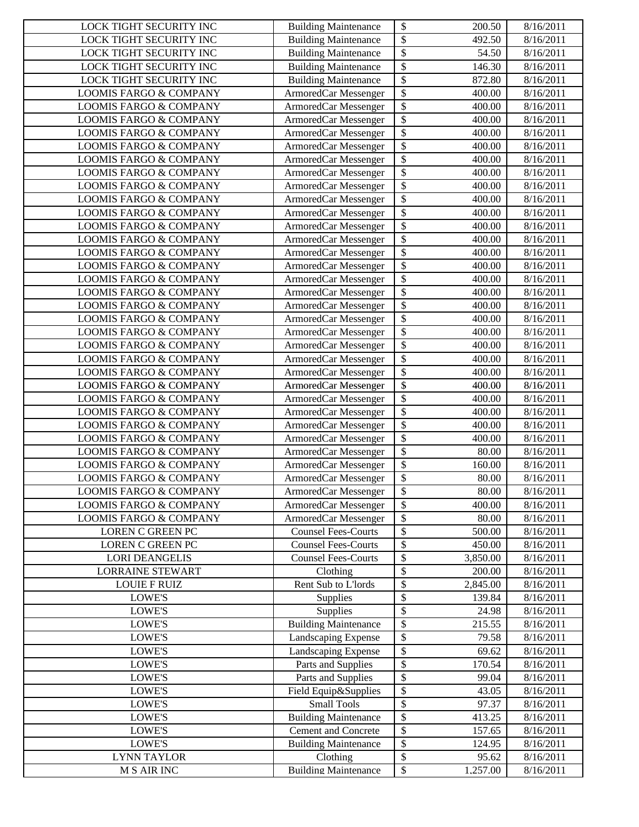| LOCK TIGHT SECURITY INC           | <b>Building Maintenance</b> | $\boldsymbol{\mathsf{S}}$<br>200.50 | 8/16/2011 |
|-----------------------------------|-----------------------------|-------------------------------------|-----------|
| LOCK TIGHT SECURITY INC           | <b>Building Maintenance</b> | \$<br>492.50                        | 8/16/2011 |
| LOCK TIGHT SECURITY INC           | <b>Building Maintenance</b> | \$<br>54.50                         | 8/16/2011 |
| LOCK TIGHT SECURITY INC           | <b>Building Maintenance</b> | \$<br>146.30                        | 8/16/2011 |
| LOCK TIGHT SECURITY INC           | <b>Building Maintenance</b> | \$<br>872.80                        | 8/16/2011 |
| <b>LOOMIS FARGO &amp; COMPANY</b> | ArmoredCar Messenger        | \$<br>400.00                        | 8/16/2011 |
| <b>LOOMIS FARGO &amp; COMPANY</b> | ArmoredCar Messenger        | \$<br>400.00                        | 8/16/2011 |
| <b>LOOMIS FARGO &amp; COMPANY</b> | ArmoredCar Messenger        | \$<br>400.00                        | 8/16/2011 |
| <b>LOOMIS FARGO &amp; COMPANY</b> | ArmoredCar Messenger        | \$<br>400.00                        | 8/16/2011 |
| <b>LOOMIS FARGO &amp; COMPANY</b> | ArmoredCar Messenger        | \$<br>400.00                        | 8/16/2011 |
| <b>LOOMIS FARGO &amp; COMPANY</b> | ArmoredCar Messenger        | \$<br>400.00                        | 8/16/2011 |
| <b>LOOMIS FARGO &amp; COMPANY</b> | ArmoredCar Messenger        | \$<br>400.00                        | 8/16/2011 |
| <b>LOOMIS FARGO &amp; COMPANY</b> | ArmoredCar Messenger        | \$<br>400.00                        | 8/16/2011 |
| <b>LOOMIS FARGO &amp; COMPANY</b> | ArmoredCar Messenger        | $\overline{\$}$<br>400.00           | 8/16/2011 |
| <b>LOOMIS FARGO &amp; COMPANY</b> | ArmoredCar Messenger        | \$<br>400.00                        | 8/16/2011 |
| <b>LOOMIS FARGO &amp; COMPANY</b> | ArmoredCar Messenger        | \$<br>400.00                        | 8/16/2011 |
| <b>LOOMIS FARGO &amp; COMPANY</b> | ArmoredCar Messenger        | \$<br>400.00                        | 8/16/2011 |
| <b>LOOMIS FARGO &amp; COMPANY</b> | ArmoredCar Messenger        | \$<br>400.00                        | 8/16/2011 |
| <b>LOOMIS FARGO &amp; COMPANY</b> | ArmoredCar Messenger        | \$<br>400.00                        | 8/16/2011 |
| <b>LOOMIS FARGO &amp; COMPANY</b> | ArmoredCar Messenger        | \$<br>400.00                        | 8/16/2011 |
| <b>LOOMIS FARGO &amp; COMPANY</b> | ArmoredCar Messenger        | \$<br>400.00                        | 8/16/2011 |
| <b>LOOMIS FARGO &amp; COMPANY</b> | ArmoredCar Messenger        | \$<br>400.00                        | 8/16/2011 |
| <b>LOOMIS FARGO &amp; COMPANY</b> | ArmoredCar Messenger        | \$<br>400.00                        | 8/16/2011 |
| <b>LOOMIS FARGO &amp; COMPANY</b> | ArmoredCar Messenger        | \$<br>400.00                        | 8/16/2011 |
| <b>LOOMIS FARGO &amp; COMPANY</b> | ArmoredCar Messenger        | \$<br>400.00                        | 8/16/2011 |
| <b>LOOMIS FARGO &amp; COMPANY</b> | ArmoredCar Messenger        | \$<br>400.00                        | 8/16/2011 |
| <b>LOOMIS FARGO &amp; COMPANY</b> | ArmoredCar Messenger        | \$<br>400.00                        | 8/16/2011 |
| <b>LOOMIS FARGO &amp; COMPANY</b> | ArmoredCar Messenger        | \$<br>400.00                        | 8/16/2011 |
| <b>LOOMIS FARGO &amp; COMPANY</b> | ArmoredCar Messenger        | \$<br>400.00                        | 8/16/2011 |
| <b>LOOMIS FARGO &amp; COMPANY</b> | ArmoredCar Messenger        | \$<br>400.00                        | 8/16/2011 |
| <b>LOOMIS FARGO &amp; COMPANY</b> | ArmoredCar Messenger        | \$<br>400.00                        | 8/16/2011 |
| <b>LOOMIS FARGO &amp; COMPANY</b> | ArmoredCar Messenger        | \$<br>400.00                        | 8/16/2011 |
| <b>LOOMIS FARGO &amp; COMPANY</b> | ArmoredCar Messenger        | \$<br>80.00                         | 8/16/2011 |
| <b>LOOMIS FARGO &amp; COMPANY</b> | ArmoredCar Messenger        | \$<br>$\overline{1}60.00$           | 8/16/2011 |
| <b>LOOMIS FARGO &amp; COMPANY</b> | ArmoredCar Messenger        | \$<br>80.00                         | 8/16/2011 |
| <b>LOOMIS FARGO &amp; COMPANY</b> | ArmoredCar Messenger        | $\overline{\mathcal{L}}$<br>80.00   | 8/16/2011 |
| <b>LOOMIS FARGO &amp; COMPANY</b> | ArmoredCar Messenger        | \$<br>400.00                        | 8/16/2011 |
| LOOMIS FARGO & COMPANY            | ArmoredCar Messenger        | $\boldsymbol{\mathsf{S}}$<br>80.00  | 8/16/2011 |
| LOREN C GREEN PC                  | <b>Counsel Fees-Courts</b>  | \$<br>500.00                        | 8/16/2011 |
| LOREN C GREEN PC                  | <b>Counsel Fees-Courts</b>  | \$<br>450.00                        | 8/16/2011 |
| <b>LORI DEANGELIS</b>             | <b>Counsel Fees-Courts</b>  | \$<br>3,850.00                      | 8/16/2011 |
| <b>LORRAINE STEWART</b>           | Clothing                    | \$<br>200.00                        | 8/16/2011 |
| <b>LOUIE F RUIZ</b>               | Rent Sub to L'Iords         | \$<br>2,845.00                      | 8/16/2011 |
| LOWE'S                            | Supplies                    | \$<br>139.84                        | 8/16/2011 |
| LOWE'S                            | Supplies                    | \$<br>24.98                         | 8/16/2011 |
| LOWE'S                            | <b>Building Maintenance</b> | \$<br>215.55                        | 8/16/2011 |
| <b>LOWE'S</b>                     | Landscaping Expense         | \$<br>79.58                         | 8/16/2011 |
| <b>LOWE'S</b>                     | Landscaping Expense         | \$<br>69.62                         | 8/16/2011 |
| <b>LOWE'S</b>                     | Parts and Supplies          | \$<br>170.54                        | 8/16/2011 |
| LOWE'S                            | Parts and Supplies          | \$<br>99.04                         | 8/16/2011 |
| LOWE'S                            | Field Equip&Supplies        | \$<br>43.05                         | 8/16/2011 |
| LOWE'S                            | <b>Small Tools</b>          | \$<br>97.37                         | 8/16/2011 |
| LOWE'S                            | <b>Building Maintenance</b> | $\boldsymbol{\mathsf{S}}$<br>413.25 | 8/16/2011 |
| LOWE'S                            | Cement and Concrete         | \$<br>157.65                        | 8/16/2011 |
| LOWE'S                            | <b>Building Maintenance</b> | \$<br>124.95                        | 8/16/2011 |
| <b>LYNN TAYLOR</b>                | Clothing                    | \$<br>95.62                         | 8/16/2011 |
| <b>M S AIR INC</b>                | <b>Building Maintenance</b> | ${\mathbb S}$<br>1.257.00           | 8/16/2011 |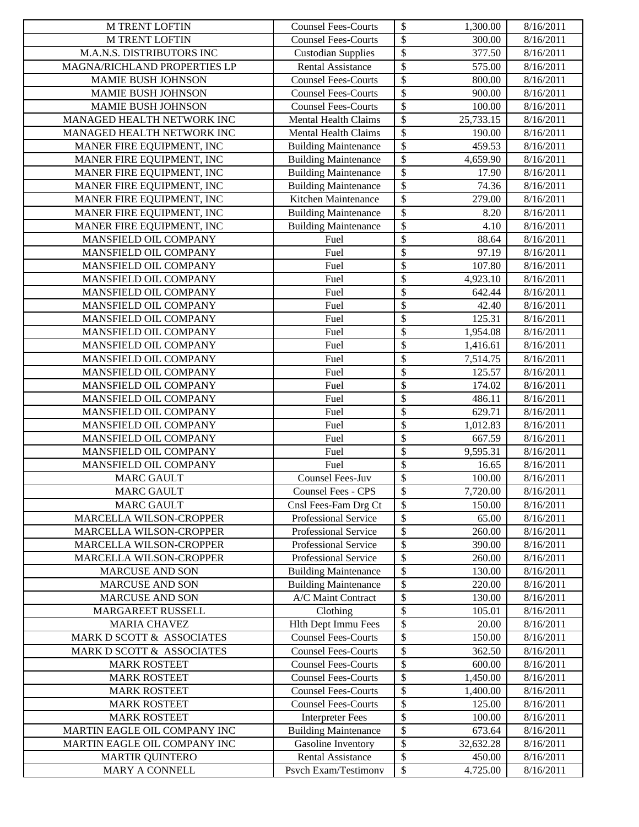| <b>M TRENT LOFTIN</b>                           | <b>Counsel Fees-Courts</b>                               | \$<br>1,300.00                      | 8/16/2011              |
|-------------------------------------------------|----------------------------------------------------------|-------------------------------------|------------------------|
| <b>M TRENT LOFTIN</b>                           | <b>Counsel Fees-Courts</b>                               | \$<br>300.00                        | 8/16/2011              |
| M.A.N.S. DISTRIBUTORS INC                       | <b>Custodian Supplies</b>                                | $\boldsymbol{\$}$<br>377.50         | 8/16/2011              |
| MAGNA/RICHLAND PROPERTIES LP                    | <b>Rental Assistance</b>                                 | \$<br>575.00                        | 8/16/2011              |
| MAMIE BUSH JOHNSON                              | <b>Counsel Fees-Courts</b>                               | $\boldsymbol{\mathsf{S}}$<br>800.00 | 8/16/2011              |
| MAMIE BUSH JOHNSON                              | <b>Counsel Fees-Courts</b>                               | \$<br>900.00                        | 8/16/2011              |
| MAMIE BUSH JOHNSON                              | <b>Counsel Fees-Courts</b>                               | \$<br>100.00                        | 8/16/2011              |
| MANAGED HEALTH NETWORK INC                      | <b>Mental Health Claims</b>                              | $\overline{\$}$<br>25,733.15        | 8/16/2011              |
| MANAGED HEALTH NETWORK INC                      | <b>Mental Health Claims</b>                              | $\overline{\$}$<br>190.00           | 8/16/2011              |
| MANER FIRE EQUIPMENT, INC                       | <b>Building Maintenance</b>                              | $\overline{\$}$<br>459.53           | 8/16/2011              |
| MANER FIRE EQUIPMENT, INC                       | <b>Building Maintenance</b>                              | \$<br>4,659.90                      | 8/16/2011              |
| MANER FIRE EQUIPMENT, INC                       | <b>Building Maintenance</b>                              | $\overline{\$}$<br>17.90            | 8/16/2011              |
| MANER FIRE EQUIPMENT, INC                       | <b>Building Maintenance</b>                              | \$<br>74.36                         | 8/16/2011              |
| MANER FIRE EQUIPMENT, INC                       | Kitchen Maintenance                                      | $\overline{\$}$<br>279.00           | 8/16/2011              |
| MANER FIRE EQUIPMENT, INC                       | <b>Building Maintenance</b>                              | \$<br>8.20                          | 8/16/2011              |
| MANER FIRE EQUIPMENT, INC                       | <b>Building Maintenance</b>                              | \$<br>4.10                          | 8/16/2011              |
| MANSFIELD OIL COMPANY                           | Fuel                                                     | \$<br>88.64                         | 8/16/2011              |
| MANSFIELD OIL COMPANY                           | Fuel                                                     | \$<br>97.19                         | 8/16/2011              |
| MANSFIELD OIL COMPANY                           | Fuel                                                     | \$<br>107.80                        | 8/16/2011              |
| MANSFIELD OIL COMPANY                           | Fuel                                                     | \$<br>4,923.10                      | 8/16/2011              |
| MANSFIELD OIL COMPANY                           | Fuel                                                     | \$<br>642.44                        | 8/16/2011              |
| MANSFIELD OIL COMPANY                           | Fuel                                                     | \$<br>42.40                         | 8/16/2011              |
| MANSFIELD OIL COMPANY                           | Fuel                                                     | \$<br>125.31                        | 8/16/2011              |
| MANSFIELD OIL COMPANY                           | Fuel                                                     | \$<br>1,954.08                      | 8/16/2011              |
| MANSFIELD OIL COMPANY                           | Fuel                                                     | \$<br>1,416.61                      | 8/16/2011              |
| MANSFIELD OIL COMPANY                           | Fuel                                                     | \$<br>7,514.75                      | 8/16/2011              |
| MANSFIELD OIL COMPANY                           | Fuel                                                     | \$<br>125.57                        | 8/16/2011              |
| MANSFIELD OIL COMPANY                           | Fuel                                                     | $\boldsymbol{\$}$<br>174.02         | 8/16/2011              |
| MANSFIELD OIL COMPANY                           | Fuel                                                     | \$<br>486.11                        | 8/16/2011              |
| MANSFIELD OIL COMPANY                           | Fuel                                                     | \$<br>629.71                        | 8/16/2011              |
| MANSFIELD OIL COMPANY                           | Fuel                                                     | \$<br>1,012.83                      | 8/16/2011              |
| MANSFIELD OIL COMPANY                           | Fuel                                                     | \$<br>667.59                        | 8/16/2011              |
| MANSFIELD OIL COMPANY                           | Fuel                                                     | $\overline{\$}$<br>9,595.31         | 8/16/2011              |
| MANSFIELD OIL COMPANY                           | Fuel                                                     | \$<br>16.65                         | 8/16/2011              |
| <b>MARC GAULT</b>                               | Counsel Fees-Juv                                         | $\overline{\$}$<br>100.00           | 8/16/2011              |
| <b>MARC GAULT</b>                               | <b>Counsel Fees - CPS</b>                                | $\$$<br>7,720.00                    | 8/16/2011              |
| <b>MARC GAULT</b>                               | Cnsl Fees-Fam Drg Ct                                     | \$<br>150.00                        | 8/16/2011              |
| MARCELLA WILSON-CROPPER                         | Professional Service                                     | \$<br>65.00                         | 8/16/2011              |
| MARCELLA WILSON-CROPPER                         | Professional Service                                     | \$<br>260.00                        | 8/16/2011              |
| MARCELLA WILSON-CROPPER                         | Professional Service                                     | \$<br>390.00                        | 8/16/2011              |
| MARCELLA WILSON-CROPPER                         | Professional Service                                     | \$<br>260.00                        | 8/16/2011              |
| MARCUSE AND SON                                 | <b>Building Maintenance</b>                              | \$<br>130.00                        | 8/16/2011              |
| MARCUSE AND SON                                 | <b>Building Maintenance</b><br>A/C Maint Contract        | \$<br>220.00<br>\$                  | 8/16/2011              |
| <b>MARCUSE AND SON</b>                          |                                                          | 130.00                              | 8/16/2011              |
| <b>MARGAREET RUSSELL</b><br><b>MARIA CHAVEZ</b> | Clothing                                                 | \$<br>105.01                        | 8/16/2011              |
| MARK D SCOTT & ASSOCIATES                       | <b>Hlth Dept Immu Fees</b><br><b>Counsel Fees-Courts</b> | \$<br>20.00<br>\$<br>150.00         | 8/16/2011<br>8/16/2011 |
| MARK D SCOTT & ASSOCIATES                       | <b>Counsel Fees-Courts</b>                               | \$<br>362.50                        | 8/16/2011              |
| <b>MARK ROSTEET</b>                             | <b>Counsel Fees-Courts</b>                               | \$<br>600.00                        | 8/16/2011              |
| <b>MARK ROSTEET</b>                             | <b>Counsel Fees-Courts</b>                               | \$<br>1,450.00                      | 8/16/2011              |
| <b>MARK ROSTEET</b>                             | <b>Counsel Fees-Courts</b>                               | \$<br>1,400.00                      | 8/16/2011              |
| <b>MARK ROSTEET</b>                             | <b>Counsel Fees-Courts</b>                               | \$<br>125.00                        | 8/16/2011              |
| <b>MARK ROSTEET</b>                             | <b>Interpreter Fees</b>                                  | \$<br>100.00                        | 8/16/2011              |
| MARTIN EAGLE OIL COMPANY INC                    | <b>Building Maintenance</b>                              | \$<br>673.64                        | 8/16/2011              |
| MARTIN EAGLE OIL COMPANY INC                    | Gasoline Inventory                                       | \$<br>32,632.28                     | 8/16/2011              |
| <b>MARTIR QUINTERO</b>                          | <b>Rental Assistance</b>                                 | \$<br>450.00                        | 8/16/2011              |
| MARY A CONNELL                                  | Psvch Exam/Testimonv                                     | ${\mathbb S}$<br>4.725.00           | 8/16/2011              |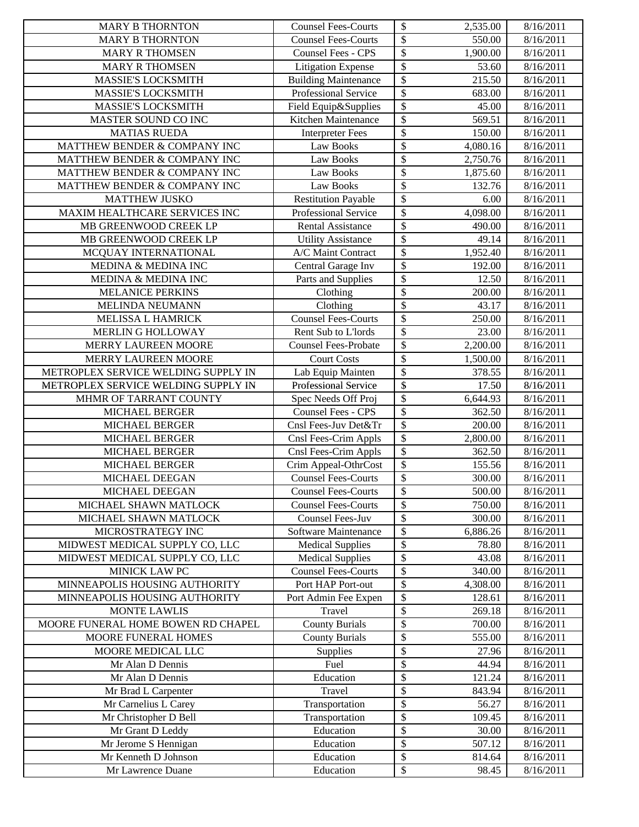| <b>MARY B THORNTON</b>                       | <b>Counsel Fees-Courts</b>  | \$<br>2,535.00                       | 8/16/2011              |
|----------------------------------------------|-----------------------------|--------------------------------------|------------------------|
| <b>MARY B THORNTON</b>                       | <b>Counsel Fees-Courts</b>  | \$<br>550.00                         | 8/16/2011              |
| <b>MARY R THOMSEN</b>                        | Counsel Fees - CPS          | \$<br>1,900.00                       | 8/16/2011              |
| <b>MARY R THOMSEN</b>                        | <b>Litigation Expense</b>   | \$<br>53.60                          | 8/16/2011              |
| MASSIE'S LOCKSMITH                           | <b>Building Maintenance</b> | \$<br>215.50                         | 8/16/2011              |
| <b>MASSIE'S LOCKSMITH</b>                    | Professional Service        | \$<br>683.00                         | 8/16/2011              |
| MASSIE'S LOCKSMITH                           | Field Equip&Supplies        | \$<br>45.00                          | 8/16/2011              |
| MASTER SOUND CO INC                          | Kitchen Maintenance         | \$<br>569.51                         | 8/16/2011              |
| <b>MATIAS RUEDA</b>                          | <b>Interpreter Fees</b>     | $\overline{\$}$<br>150.00            | 8/16/2011              |
| MATTHEW BENDER & COMPANY INC                 | Law Books                   | \$<br>4,080.16                       | 8/16/2011              |
| MATTHEW BENDER & COMPANY INC                 | Law Books                   | $\overline{\$}$<br>2,750.76          | 8/16/2011              |
| MATTHEW BENDER & COMPANY INC                 | <b>Law Books</b>            | \$<br>1,875.60                       | 8/16/2011              |
| MATTHEW BENDER & COMPANY INC                 | <b>Law Books</b>            | \$<br>132.76                         | 8/16/2011              |
| <b>MATTHEW JUSKO</b>                         | <b>Restitution Payable</b>  | \$<br>6.00                           | 8/16/2011              |
| MAXIM HEALTHCARE SERVICES INC                | Professional Service        | \$<br>4,098.00                       | 8/16/2011              |
| MB GREENWOOD CREEK LP                        | <b>Rental Assistance</b>    | \$<br>490.00                         | 8/16/2011              |
| MB GREENWOOD CREEK LP                        | <b>Utility Assistance</b>   | \$<br>49.14                          | 8/16/2011              |
| MCQUAY INTERNATIONAL                         | A/C Maint Contract          | $\overline{\mathcal{S}}$<br>1,952.40 | 8/16/2011              |
| MEDINA & MEDINA INC                          | Central Garage Inv          | \$<br>192.00                         | 8/16/2011              |
| MEDINA & MEDINA INC                          | Parts and Supplies          | \$<br>12.50                          | 8/16/2011              |
| <b>MELANICE PERKINS</b>                      | Clothing                    | \$<br>200.00                         | 8/16/2011              |
| MELINDA NEUMANN                              | Clothing                    | \$<br>43.17                          | 8/16/2011              |
| <b>MELISSA L HAMRICK</b>                     | <b>Counsel Fees-Courts</b>  | \$<br>250.00                         | 8/16/2011              |
| MERLIN G HOLLOWAY                            | Rent Sub to L'Iords         | \$<br>23.00                          | 8/16/2011              |
| MERRY LAUREEN MOORE                          | <b>Counsel Fees-Probate</b> | \$<br>2,200.00                       | 8/16/2011              |
| MERRY LAUREEN MOORE                          | Court Costs                 | \$<br>1,500.00                       | 8/16/2011              |
| METROPLEX SERVICE WELDING SUPPLY IN          | Lab Equip Mainten           | $\overline{\$}$<br>378.55            | 8/16/2011              |
| METROPLEX SERVICE WELDING SUPPLY IN          | Professional Service        | \$<br>17.50                          | 8/16/2011              |
| MHMR OF TARRANT COUNTY                       | Spec Needs Off Proj         | \$<br>6,644.93                       | 8/16/2011              |
| MICHAEL BERGER                               | Counsel Fees - CPS          | \$<br>362.50                         | 8/16/2011              |
| MICHAEL BERGER                               | Cnsl Fees-Juv Det&Tr        | \$<br>200.00                         | 8/16/2011              |
| MICHAEL BERGER                               | Cnsl Fees-Crim Appls        | \$<br>2,800.00                       | 8/16/2011              |
| <b>MICHAEL BERGER</b>                        | Cnsl Fees-Crim Appls        | \$<br>362.50                         | 8/16/2011              |
| MICHAEL BERGER                               | Crim Appeal-OthrCost        | $\overline{\$}$<br>155.56            | 8/16/2011              |
| MICHAEL DEEGAN                               | <b>Counsel Fees-Courts</b>  | \$<br>300.00                         | 8/16/2011              |
| MICHAEL DEEGAN                               | <b>Counsel Fees-Courts</b>  | $\sqrt[6]{\frac{1}{2}}$<br>500.00    | 8/16/2011              |
| MICHAEL SHAWN MATLOCK                        | <b>Counsel Fees-Courts</b>  | \$<br>750.00                         | 8/16/2011              |
| MICHAEL SHAWN MATLOCK                        | <b>Counsel Fees-Juv</b>     | \$<br>300.00                         | 8/16/2011              |
| MICROSTRATEGY INC                            | Software Maintenance        | \$<br>6,886.26                       | 8/16/2011              |
| MIDWEST MEDICAL SUPPLY CO, LLC               | <b>Medical Supplies</b>     | \$<br>78.80                          | 8/16/2011              |
| MIDWEST MEDICAL SUPPLY CO, LLC               | <b>Medical Supplies</b>     | \$<br>43.08                          | 8/16/2011              |
| MINICK LAW PC                                | <b>Counsel Fees-Courts</b>  | \$<br>340.00                         | 8/16/2011              |
| MINNEAPOLIS HOUSING AUTHORITY                | Port HAP Port-out           | \$<br>4,308.00                       | 8/16/2011              |
| MINNEAPOLIS HOUSING AUTHORITY                | Port Admin Fee Expen        | \$<br>128.61                         | 8/16/2011              |
| <b>MONTE LAWLIS</b>                          | Travel                      | \$<br>269.18                         | 8/16/2011              |
| MOORE FUNERAL HOME BOWEN RD CHAPEL           | <b>County Burials</b>       | \$<br>700.00                         | 8/16/2011              |
| MOORE FUNERAL HOMES                          | <b>County Burials</b>       | \$<br>555.00                         | 8/16/2011              |
| MOORE MEDICAL LLC                            | Supplies                    | \$<br>27.96                          | 8/16/2011              |
| Mr Alan D Dennis                             | Fuel                        | \$<br>44.94                          | 8/16/2011              |
| Mr Alan D Dennis                             | Education                   | \$<br>121.24                         | 8/16/2011              |
| Mr Brad L Carpenter                          | Travel                      | \$<br>843.94                         | 8/16/2011              |
| Mr Carnelius L Carey                         | Transportation              | \$<br>56.27                          | 8/16/2011              |
| Mr Christopher D Bell                        | Transportation              | \$<br>109.45                         | 8/16/2011              |
| Mr Grant D Leddy                             | Education                   | \$<br>30.00<br>\$                    | 8/16/2011              |
| Mr Jerome S Hennigan<br>Mr Kenneth D Johnson | Education<br>Education      | 507.12<br>\$<br>814.64               | 8/16/2011<br>8/16/2011 |
| Mr Lawrence Duane                            | Education                   | ${\mathbb S}$<br>98.45               | 8/16/2011              |
|                                              |                             |                                      |                        |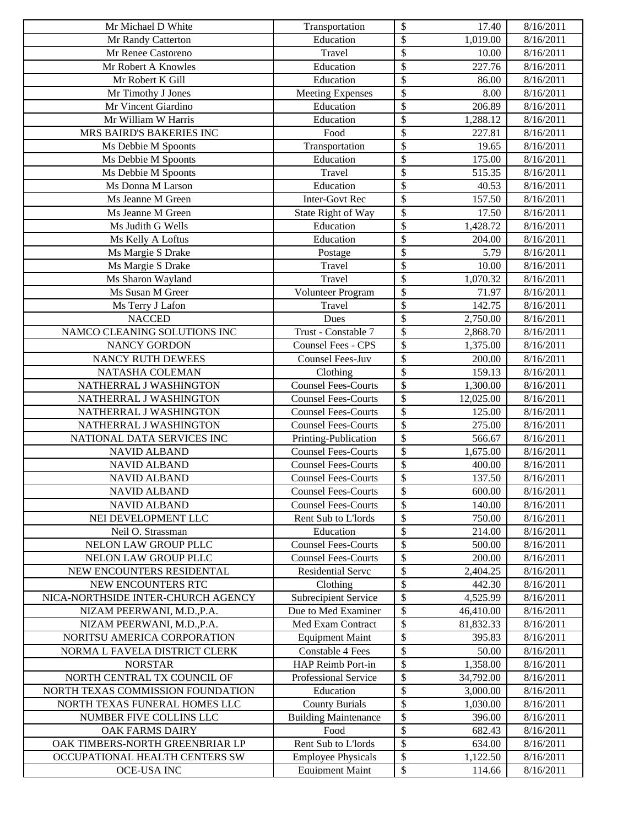| Mr Michael D White                 | Transportation              | \$<br>17.40                 | 8/16/2011 |
|------------------------------------|-----------------------------|-----------------------------|-----------|
| Mr Randy Catterton                 | Education                   | $\overline{\$}$<br>1,019.00 | 8/16/2011 |
| Mr Renee Castoreno                 | Travel                      | \$<br>10.00                 | 8/16/2011 |
| Mr Robert A Knowles                | Education                   | \$<br>227.76                | 8/16/2011 |
| Mr Robert K Gill                   | Education                   | \$<br>86.00                 | 8/16/2011 |
| Mr Timothy J Jones                 | <b>Meeting Expenses</b>     | \$<br>8.00                  | 8/16/2011 |
| Mr Vincent Giardino                | Education                   | \$<br>206.89                | 8/16/2011 |
| Mr William W Harris                | Education                   | \$<br>1,288.12              | 8/16/2011 |
| MRS BAIRD'S BAKERIES INC           | Food                        | \$<br>227.81                | 8/16/2011 |
| Ms Debbie M Spoonts                | Transportation              | \$<br>19.65                 | 8/16/2011 |
| Ms Debbie M Spoonts                | Education                   | \$<br>175.00                | 8/16/2011 |
| Ms Debbie M Spoonts                | Travel                      | \$<br>515.35                | 8/16/2011 |
| Ms Donna M Larson                  | Education                   | \$<br>40.53                 | 8/16/2011 |
| Ms Jeanne M Green                  | <b>Inter-Govt Rec</b>       | \$<br>157.50                | 8/16/2011 |
| Ms Jeanne M Green                  | State Right of Way          | \$<br>17.50                 | 8/16/2011 |
| Ms Judith G Wells                  | Education                   | \$<br>1,428.72              | 8/16/2011 |
| Ms Kelly A Loftus                  | Education                   | \$<br>204.00                | 8/16/2011 |
| Ms Margie S Drake                  | Postage                     | \$<br>5.79                  | 8/16/2011 |
| Ms Margie S Drake                  | Travel                      | \$<br>10.00                 | 8/16/2011 |
| Ms Sharon Wayland                  | Travel                      | \$<br>1,070.32              | 8/16/2011 |
| Ms Susan M Greer                   | Volunteer Program           | \$<br>71.97                 | 8/16/2011 |
| Ms Terry J Lafon                   | Travel                      | \$<br>142.75                | 8/16/2011 |
| <b>NACCED</b>                      | Dues                        | \$<br>2,750.00              | 8/16/2011 |
| NAMCO CLEANING SOLUTIONS INC       | Trust - Constable 7         | \$<br>2,868.70              | 8/16/2011 |
| NANCY GORDON                       | Counsel Fees - CPS          | \$<br>1,375.00              | 8/16/2011 |
| NANCY RUTH DEWEES                  | Counsel Fees-Juv            | \$<br>200.00                | 8/16/2011 |
| NATASHA COLEMAN                    | Clothing                    | $\overline{\$}$<br>159.13   | 8/16/2011 |
| NATHERRAL J WASHINGTON             | <b>Counsel Fees-Courts</b>  | \$<br>1,300.00              | 8/16/2011 |
| NATHERRAL J WASHINGTON             | <b>Counsel Fees-Courts</b>  | \$<br>12,025.00             | 8/16/2011 |
| NATHERRAL J WASHINGTON             | <b>Counsel Fees-Courts</b>  | \$<br>125.00                | 8/16/2011 |
| NATHERRAL J WASHINGTON             | <b>Counsel Fees-Courts</b>  | \$<br>275.00                | 8/16/2011 |
| NATIONAL DATA SERVICES INC         | Printing-Publication        | \$<br>566.67                | 8/16/2011 |
| <b>NAVID ALBAND</b>                | <b>Counsel Fees-Courts</b>  | \$<br>1,675.00              | 8/16/2011 |
| <b>NAVID ALBAND</b>                | <b>Counsel Fees-Courts</b>  | \$<br>400.00                | 8/16/2011 |
| <b>NAVID ALBAND</b>                | <b>Counsel Fees-Courts</b>  | \$<br>137.50                | 8/16/2011 |
| <b>NAVID ALBAND</b>                | <b>Counsel Fees-Courts</b>  | $\overline{\$}$<br>600.00   | 8/16/2011 |
| <b>NAVID ALBAND</b>                | <b>Counsel Fees-Courts</b>  | \$<br>140.00                | 8/16/2011 |
| NEI DEVELOPMENT LLC                | Rent Sub to L'Iords         | \$<br>750.00                | 8/16/2011 |
| Neil O. Strassman                  | Education                   | \$<br>214.00                | 8/16/2011 |
| NELON LAW GROUP PLLC               | <b>Counsel Fees-Courts</b>  | \$<br>500.00                | 8/16/2011 |
| NELON LAW GROUP PLLC               | <b>Counsel Fees-Courts</b>  | \$<br>200.00                | 8/16/2011 |
| NEW ENCOUNTERS RESIDENTAL          | <b>Residential Serve</b>    | \$<br>2,404.25              | 8/16/2011 |
| NEW ENCOUNTERS RTC                 | Clothing                    | \$<br>442.30                | 8/16/2011 |
| NICA-NORTHSIDE INTER-CHURCH AGENCY | Subrecipient Service        | \$<br>4,525.99              | 8/16/2011 |
| NIZAM PEERWANI, M.D., P.A.         | Due to Med Examiner         | \$<br>46,410.00             | 8/16/2011 |
| NIZAM PEERWANI, M.D., P.A.         | Med Exam Contract           | \$<br>81,832.33             | 8/16/2011 |
| NORITSU AMERICA CORPORATION        | <b>Equipment Maint</b>      | \$<br>395.83                | 8/16/2011 |
| NORMA L FAVELA DISTRICT CLERK      | <b>Constable 4 Fees</b>     | \$<br>50.00                 | 8/16/2011 |
| <b>NORSTAR</b>                     | HAP Reimb Port-in           | \$<br>1,358.00              | 8/16/2011 |
| NORTH CENTRAL TX COUNCIL OF        | Professional Service        | \$<br>34,792.00             | 8/16/2011 |
| NORTH TEXAS COMMISSION FOUNDATION  | Education                   | \$<br>3,000.00              | 8/16/2011 |
| NORTH TEXAS FUNERAL HOMES LLC      | <b>County Burials</b>       | \$<br>1,030.00              | 8/16/2011 |
| NUMBER FIVE COLLINS LLC            | <b>Building Maintenance</b> | \$<br>396.00                | 8/16/2011 |
| OAK FARMS DAIRY                    | Food                        | \$<br>682.43                | 8/16/2011 |
| OAK TIMBERS-NORTH GREENBRIAR LP    | Rent Sub to L'Iords         | \$<br>634.00                | 8/16/2011 |
| OCCUPATIONAL HEALTH CENTERS SW     | <b>Employee Physicals</b>   | \$<br>1,122.50              | 8/16/2011 |
| OCE-USA INC                        | <b>Equipment Maint</b>      | ${\mathbb S}$<br>114.66     | 8/16/2011 |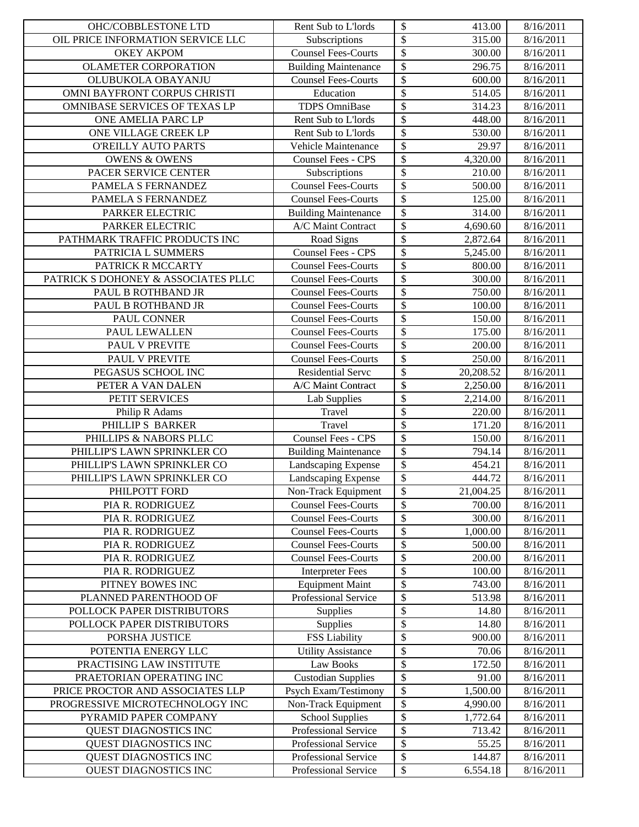| OIL PRICE INFORMATION SERVICE LLC<br>315.00<br>8/16/2011<br>Subscriptions<br>$\boldsymbol{\mathsf{S}}$<br><b>Counsel Fees-Courts</b><br>8/16/2011<br><b>OKEY AKPOM</b><br>300.00<br>\$<br>296.75<br>8/16/2011<br><b>OLAMETER CORPORATION</b><br><b>Building Maintenance</b><br>\$<br><b>Counsel Fees-Courts</b><br>OLUBUKOLA OBAYANJU<br>600.00<br>8/16/2011<br>\$<br>OMNI BAYFRONT CORPUS CHRISTI<br>Education<br>514.05<br>8/16/2011<br>$\boldsymbol{\mathsf{S}}$<br>TDPS OmniBase<br>OMNIBASE SERVICES OF TEXAS LP<br>314.23<br>8/16/2011<br>\$<br>ONE AMELIA PARC LP<br>Rent Sub to L'Iords<br>448.00<br>8/16/2011<br>$\overline{\$}$<br>ONE VILLAGE CREEK LP<br>Rent Sub to L'Iords<br>530.00<br>8/16/2011<br>$\boldsymbol{\mathsf{S}}$<br><b>O'REILLY AUTO PARTS</b><br>Vehicle Maintenance<br>29.97<br>8/16/2011<br>$\boldsymbol{\mathsf{S}}$<br><b>OWENS &amp; OWENS</b><br>Counsel Fees - CPS<br>4,320.00<br>8/16/2011<br>$\boldsymbol{\mathsf{S}}$<br>PACER SERVICE CENTER<br>Subscriptions<br>210.00<br>8/16/2011<br>$\mathcal{S}$<br><b>Counsel Fees-Courts</b><br>PAMELA S FERNANDEZ<br>500.00<br>8/16/2011<br>$\mathcal{S}$<br>Counsel Fees-Courts<br>PAMELA S FERNANDEZ<br>125.00<br>8/16/2011<br>\$<br>PARKER ELECTRIC<br>314.00<br><b>Building Maintenance</b><br>8/16/2011<br>\$<br>PARKER ELECTRIC<br>A/C Maint Contract<br>4,690.60<br>8/16/2011<br>$\overline{\mathcal{S}}$<br>PATHMARK TRAFFIC PRODUCTS INC<br>2,872.64<br>Road Signs<br>8/16/2011<br>$\overline{\mathcal{S}}$<br>PATRICIA L SUMMERS<br>Counsel Fees - CPS<br>5,245.00<br>8/16/2011<br>$\overline{\mathcal{S}}$<br>PATRICK R MCCARTY<br><b>Counsel Fees-Courts</b><br>800.00<br>8/16/2011<br>$\boldsymbol{\mathsf{S}}$<br><b>Counsel Fees-Courts</b><br>300.00<br>8/16/2011<br>PATRICK S DOHONEY & ASSOCIATES PLLC<br>$\boldsymbol{\mathsf{S}}$<br><b>Counsel Fees-Courts</b><br>PAUL B ROTHBAND JR<br>750.00<br>8/16/2011<br>$\mathcal{S}$<br><b>Counsel Fees-Courts</b><br>PAUL B ROTHBAND JR<br>100.00<br>8/16/2011<br>$\overline{\mathcal{S}}$<br><b>Counsel Fees-Courts</b><br>PAUL CONNER<br>150.00<br>8/16/2011<br>$\boldsymbol{\mathsf{S}}$<br>PAUL LEWALLEN<br><b>Counsel Fees-Courts</b><br>175.00<br>8/16/2011<br>$\overline{\$}$<br>PAUL V PREVITE<br>8/16/2011<br><b>Counsel Fees-Courts</b><br>200.00<br>$\overline{\mathcal{S}}$<br>PAUL V PREVITE<br><b>Counsel Fees-Courts</b><br>250.00<br>8/16/2011<br>$\overline{\$}$<br>PEGASUS SCHOOL INC<br>Residential Servc<br>20,208.52<br>8/16/2011<br>$\boldsymbol{\mathsf{S}}$<br>A/C Maint Contract<br>PETER A VAN DALEN<br>2,250.00<br>8/16/2011<br>$\boldsymbol{\mathsf{S}}$<br>PETIT SERVICES<br>8/16/2011<br>Lab Supplies<br>2,214.00<br>$\boldsymbol{\mathsf{S}}$<br>Philip R Adams<br>Travel<br>220.00<br>8/16/2011<br>$\boldsymbol{\mathsf{S}}$<br>PHILLIP S BARKER<br>Travel<br>171.20<br>8/16/2011<br>$\boldsymbol{\mathsf{S}}$<br>Counsel Fees - CPS<br>PHILLIPS & NABORS PLLC<br>150.00<br>8/16/2011<br>\$<br>PHILLIP'S LAWN SPRINKLER CO<br>794.14<br><b>Building Maintenance</b><br>8/16/2011<br>$\overline{\$}$<br>PHILLIP'S LAWN SPRINKLER CO<br>Landscaping Expense<br>454.21<br>8/16/2011<br>$\overline{\mathcal{L}}$<br>PHILLIP'S LAWN SPRINKLER CO<br>Landscaping Expense<br>444.72<br>8/16/2011<br>$\sqrt[6]{\frac{1}{2}}$<br>Non-Track Equipment<br>21,004.25<br>PHILPOTT FORD<br>8/16/2011<br>\$<br><b>Counsel Fees-Courts</b><br>700.00<br>8/16/2011<br>PIA R. RODRIGUEZ<br>\$<br><b>Counsel Fees-Courts</b><br>300.00<br>PIA R. RODRIGUEZ<br>8/16/2011<br>\$<br><b>Counsel Fees-Courts</b><br>PIA R. RODRIGUEZ<br>1,000.00<br>8/16/2011<br>\$<br><b>Counsel Fees-Courts</b><br>PIA R. RODRIGUEZ<br>500.00<br>8/16/2011<br>\$<br>200.00<br>PIA R. RODRIGUEZ<br><b>Counsel Fees-Courts</b><br>8/16/2011<br>\$<br>PIA R. RODRIGUEZ<br><b>Interpreter Fees</b><br>100.00<br>8/16/2011<br>\$<br>PITNEY BOWES INC<br><b>Equipment Maint</b><br>743.00<br>8/16/2011<br>\$<br>Professional Service<br>PLANNED PARENTHOOD OF<br>513.98<br>8/16/2011<br>\$<br>POLLOCK PAPER DISTRIBUTORS<br>14.80<br>8/16/2011<br>Supplies<br>\$<br>Supplies<br>8/16/2011<br>POLLOCK PAPER DISTRIBUTORS<br>14.80<br><b>FSS Liability</b><br>\$<br>PORSHA JUSTICE<br>900.00<br>8/16/2011<br>\$<br>POTENTIA ENERGY LLC<br><b>Utility Assistance</b><br>70.06<br>8/16/2011<br>\$<br>Law Books<br>PRACTISING LAW INSTITUTE<br>172.50<br>8/16/2011<br>\$<br><b>Custodian Supplies</b><br>PRAETORIAN OPERATING INC<br>8/16/2011<br>91.00<br>\$<br>PRICE PROCTOR AND ASSOCIATES LLP<br>Psych Exam/Testimony<br>1,500.00<br>8/16/2011<br>\$<br>Non-Track Equipment<br>PROGRESSIVE MICROTECHNOLOGY INC<br>4,990.00<br>8/16/2011<br>\$<br><b>School Supplies</b><br>PYRAMID PAPER COMPANY<br>1,772.64<br>8/16/2011<br>\$<br>Professional Service<br>QUEST DIAGNOSTICS INC<br>713.42<br>8/16/2011<br>\$<br>QUEST DIAGNOSTICS INC<br>Professional Service<br>55.25<br>8/16/2011<br>\$<br>QUEST DIAGNOSTICS INC<br>Professional Service<br>144.87<br>8/16/2011<br>${\mathbb S}$<br><b>OUEST DIAGNOSTICS INC</b><br>Professional Service<br>8/16/2011 | OHC/COBBLESTONE LTD | Rent Sub to L'Iords | $\boldsymbol{\mathsf{S}}$ | 413.00   | 8/16/2011 |
|-------------------------------------------------------------------------------------------------------------------------------------------------------------------------------------------------------------------------------------------------------------------------------------------------------------------------------------------------------------------------------------------------------------------------------------------------------------------------------------------------------------------------------------------------------------------------------------------------------------------------------------------------------------------------------------------------------------------------------------------------------------------------------------------------------------------------------------------------------------------------------------------------------------------------------------------------------------------------------------------------------------------------------------------------------------------------------------------------------------------------------------------------------------------------------------------------------------------------------------------------------------------------------------------------------------------------------------------------------------------------------------------------------------------------------------------------------------------------------------------------------------------------------------------------------------------------------------------------------------------------------------------------------------------------------------------------------------------------------------------------------------------------------------------------------------------------------------------------------------------------------------------------------------------------------------------------------------------------------------------------------------------------------------------------------------------------------------------------------------------------------------------------------------------------------------------------------------------------------------------------------------------------------------------------------------------------------------------------------------------------------------------------------------------------------------------------------------------------------------------------------------------------------------------------------------------------------------------------------------------------------------------------------------------------------------------------------------------------------------------------------------------------------------------------------------------------------------------------------------------------------------------------------------------------------------------------------------------------------------------------------------------------------------------------------------------------------------------------------------------------------------------------------------------------------------------------------------------------------------------------------------------------------------------------------------------------------------------------------------------------------------------------------------------------------------------------------------------------------------------------------------------------------------------------------------------------------------------------------------------------------------------------------------------------------------------------------------------------------------------------------------------------------------------------------------------------------------------------------------------------------------------------------------------------------------------------------------------------------------------------------------------------------------------------------------------------------------------------------------------------------------------------------------------------------------------------------------------------------------------------------------------------------------------------------------------------------------------------------------------------------------------------------------------------------------------------------------------------------------------------------------------------------------------------------------------------------------------------------------------------------------------------------------------------------------------------------------------------------------------------------------------------------------------------------------------------------------------------------------------------------------------------------------------------------------------------------------------------------------------------------------------------------------------------------------------------------------------|---------------------|---------------------|---------------------------|----------|-----------|
|                                                                                                                                                                                                                                                                                                                                                                                                                                                                                                                                                                                                                                                                                                                                                                                                                                                                                                                                                                                                                                                                                                                                                                                                                                                                                                                                                                                                                                                                                                                                                                                                                                                                                                                                                                                                                                                                                                                                                                                                                                                                                                                                                                                                                                                                                                                                                                                                                                                                                                                                                                                                                                                                                                                                                                                                                                                                                                                                                                                                                                                                                                                                                                                                                                                                                                                                                                                                                                                                                                                                                                                                                                                                                                                                                                                                                                                                                                                                                                                                                                                                                                                                                                                                                                                                                                                                                                                                                                                                                                                                                                                                                                                                                                                                                                                                                                                                                                                                                                                                                                                                                           |                     |                     | $\overline{\$}$           |          |           |
|                                                                                                                                                                                                                                                                                                                                                                                                                                                                                                                                                                                                                                                                                                                                                                                                                                                                                                                                                                                                                                                                                                                                                                                                                                                                                                                                                                                                                                                                                                                                                                                                                                                                                                                                                                                                                                                                                                                                                                                                                                                                                                                                                                                                                                                                                                                                                                                                                                                                                                                                                                                                                                                                                                                                                                                                                                                                                                                                                                                                                                                                                                                                                                                                                                                                                                                                                                                                                                                                                                                                                                                                                                                                                                                                                                                                                                                                                                                                                                                                                                                                                                                                                                                                                                                                                                                                                                                                                                                                                                                                                                                                                                                                                                                                                                                                                                                                                                                                                                                                                                                                                           |                     |                     |                           |          |           |
|                                                                                                                                                                                                                                                                                                                                                                                                                                                                                                                                                                                                                                                                                                                                                                                                                                                                                                                                                                                                                                                                                                                                                                                                                                                                                                                                                                                                                                                                                                                                                                                                                                                                                                                                                                                                                                                                                                                                                                                                                                                                                                                                                                                                                                                                                                                                                                                                                                                                                                                                                                                                                                                                                                                                                                                                                                                                                                                                                                                                                                                                                                                                                                                                                                                                                                                                                                                                                                                                                                                                                                                                                                                                                                                                                                                                                                                                                                                                                                                                                                                                                                                                                                                                                                                                                                                                                                                                                                                                                                                                                                                                                                                                                                                                                                                                                                                                                                                                                                                                                                                                                           |                     |                     |                           |          |           |
|                                                                                                                                                                                                                                                                                                                                                                                                                                                                                                                                                                                                                                                                                                                                                                                                                                                                                                                                                                                                                                                                                                                                                                                                                                                                                                                                                                                                                                                                                                                                                                                                                                                                                                                                                                                                                                                                                                                                                                                                                                                                                                                                                                                                                                                                                                                                                                                                                                                                                                                                                                                                                                                                                                                                                                                                                                                                                                                                                                                                                                                                                                                                                                                                                                                                                                                                                                                                                                                                                                                                                                                                                                                                                                                                                                                                                                                                                                                                                                                                                                                                                                                                                                                                                                                                                                                                                                                                                                                                                                                                                                                                                                                                                                                                                                                                                                                                                                                                                                                                                                                                                           |                     |                     |                           |          |           |
|                                                                                                                                                                                                                                                                                                                                                                                                                                                                                                                                                                                                                                                                                                                                                                                                                                                                                                                                                                                                                                                                                                                                                                                                                                                                                                                                                                                                                                                                                                                                                                                                                                                                                                                                                                                                                                                                                                                                                                                                                                                                                                                                                                                                                                                                                                                                                                                                                                                                                                                                                                                                                                                                                                                                                                                                                                                                                                                                                                                                                                                                                                                                                                                                                                                                                                                                                                                                                                                                                                                                                                                                                                                                                                                                                                                                                                                                                                                                                                                                                                                                                                                                                                                                                                                                                                                                                                                                                                                                                                                                                                                                                                                                                                                                                                                                                                                                                                                                                                                                                                                                                           |                     |                     |                           |          |           |
|                                                                                                                                                                                                                                                                                                                                                                                                                                                                                                                                                                                                                                                                                                                                                                                                                                                                                                                                                                                                                                                                                                                                                                                                                                                                                                                                                                                                                                                                                                                                                                                                                                                                                                                                                                                                                                                                                                                                                                                                                                                                                                                                                                                                                                                                                                                                                                                                                                                                                                                                                                                                                                                                                                                                                                                                                                                                                                                                                                                                                                                                                                                                                                                                                                                                                                                                                                                                                                                                                                                                                                                                                                                                                                                                                                                                                                                                                                                                                                                                                                                                                                                                                                                                                                                                                                                                                                                                                                                                                                                                                                                                                                                                                                                                                                                                                                                                                                                                                                                                                                                                                           |                     |                     |                           |          |           |
|                                                                                                                                                                                                                                                                                                                                                                                                                                                                                                                                                                                                                                                                                                                                                                                                                                                                                                                                                                                                                                                                                                                                                                                                                                                                                                                                                                                                                                                                                                                                                                                                                                                                                                                                                                                                                                                                                                                                                                                                                                                                                                                                                                                                                                                                                                                                                                                                                                                                                                                                                                                                                                                                                                                                                                                                                                                                                                                                                                                                                                                                                                                                                                                                                                                                                                                                                                                                                                                                                                                                                                                                                                                                                                                                                                                                                                                                                                                                                                                                                                                                                                                                                                                                                                                                                                                                                                                                                                                                                                                                                                                                                                                                                                                                                                                                                                                                                                                                                                                                                                                                                           |                     |                     |                           |          |           |
|                                                                                                                                                                                                                                                                                                                                                                                                                                                                                                                                                                                                                                                                                                                                                                                                                                                                                                                                                                                                                                                                                                                                                                                                                                                                                                                                                                                                                                                                                                                                                                                                                                                                                                                                                                                                                                                                                                                                                                                                                                                                                                                                                                                                                                                                                                                                                                                                                                                                                                                                                                                                                                                                                                                                                                                                                                                                                                                                                                                                                                                                                                                                                                                                                                                                                                                                                                                                                                                                                                                                                                                                                                                                                                                                                                                                                                                                                                                                                                                                                                                                                                                                                                                                                                                                                                                                                                                                                                                                                                                                                                                                                                                                                                                                                                                                                                                                                                                                                                                                                                                                                           |                     |                     |                           |          |           |
|                                                                                                                                                                                                                                                                                                                                                                                                                                                                                                                                                                                                                                                                                                                                                                                                                                                                                                                                                                                                                                                                                                                                                                                                                                                                                                                                                                                                                                                                                                                                                                                                                                                                                                                                                                                                                                                                                                                                                                                                                                                                                                                                                                                                                                                                                                                                                                                                                                                                                                                                                                                                                                                                                                                                                                                                                                                                                                                                                                                                                                                                                                                                                                                                                                                                                                                                                                                                                                                                                                                                                                                                                                                                                                                                                                                                                                                                                                                                                                                                                                                                                                                                                                                                                                                                                                                                                                                                                                                                                                                                                                                                                                                                                                                                                                                                                                                                                                                                                                                                                                                                                           |                     |                     |                           |          |           |
|                                                                                                                                                                                                                                                                                                                                                                                                                                                                                                                                                                                                                                                                                                                                                                                                                                                                                                                                                                                                                                                                                                                                                                                                                                                                                                                                                                                                                                                                                                                                                                                                                                                                                                                                                                                                                                                                                                                                                                                                                                                                                                                                                                                                                                                                                                                                                                                                                                                                                                                                                                                                                                                                                                                                                                                                                                                                                                                                                                                                                                                                                                                                                                                                                                                                                                                                                                                                                                                                                                                                                                                                                                                                                                                                                                                                                                                                                                                                                                                                                                                                                                                                                                                                                                                                                                                                                                                                                                                                                                                                                                                                                                                                                                                                                                                                                                                                                                                                                                                                                                                                                           |                     |                     |                           |          |           |
|                                                                                                                                                                                                                                                                                                                                                                                                                                                                                                                                                                                                                                                                                                                                                                                                                                                                                                                                                                                                                                                                                                                                                                                                                                                                                                                                                                                                                                                                                                                                                                                                                                                                                                                                                                                                                                                                                                                                                                                                                                                                                                                                                                                                                                                                                                                                                                                                                                                                                                                                                                                                                                                                                                                                                                                                                                                                                                                                                                                                                                                                                                                                                                                                                                                                                                                                                                                                                                                                                                                                                                                                                                                                                                                                                                                                                                                                                                                                                                                                                                                                                                                                                                                                                                                                                                                                                                                                                                                                                                                                                                                                                                                                                                                                                                                                                                                                                                                                                                                                                                                                                           |                     |                     |                           |          |           |
|                                                                                                                                                                                                                                                                                                                                                                                                                                                                                                                                                                                                                                                                                                                                                                                                                                                                                                                                                                                                                                                                                                                                                                                                                                                                                                                                                                                                                                                                                                                                                                                                                                                                                                                                                                                                                                                                                                                                                                                                                                                                                                                                                                                                                                                                                                                                                                                                                                                                                                                                                                                                                                                                                                                                                                                                                                                                                                                                                                                                                                                                                                                                                                                                                                                                                                                                                                                                                                                                                                                                                                                                                                                                                                                                                                                                                                                                                                                                                                                                                                                                                                                                                                                                                                                                                                                                                                                                                                                                                                                                                                                                                                                                                                                                                                                                                                                                                                                                                                                                                                                                                           |                     |                     |                           |          |           |
|                                                                                                                                                                                                                                                                                                                                                                                                                                                                                                                                                                                                                                                                                                                                                                                                                                                                                                                                                                                                                                                                                                                                                                                                                                                                                                                                                                                                                                                                                                                                                                                                                                                                                                                                                                                                                                                                                                                                                                                                                                                                                                                                                                                                                                                                                                                                                                                                                                                                                                                                                                                                                                                                                                                                                                                                                                                                                                                                                                                                                                                                                                                                                                                                                                                                                                                                                                                                                                                                                                                                                                                                                                                                                                                                                                                                                                                                                                                                                                                                                                                                                                                                                                                                                                                                                                                                                                                                                                                                                                                                                                                                                                                                                                                                                                                                                                                                                                                                                                                                                                                                                           |                     |                     |                           |          |           |
|                                                                                                                                                                                                                                                                                                                                                                                                                                                                                                                                                                                                                                                                                                                                                                                                                                                                                                                                                                                                                                                                                                                                                                                                                                                                                                                                                                                                                                                                                                                                                                                                                                                                                                                                                                                                                                                                                                                                                                                                                                                                                                                                                                                                                                                                                                                                                                                                                                                                                                                                                                                                                                                                                                                                                                                                                                                                                                                                                                                                                                                                                                                                                                                                                                                                                                                                                                                                                                                                                                                                                                                                                                                                                                                                                                                                                                                                                                                                                                                                                                                                                                                                                                                                                                                                                                                                                                                                                                                                                                                                                                                                                                                                                                                                                                                                                                                                                                                                                                                                                                                                                           |                     |                     |                           |          |           |
|                                                                                                                                                                                                                                                                                                                                                                                                                                                                                                                                                                                                                                                                                                                                                                                                                                                                                                                                                                                                                                                                                                                                                                                                                                                                                                                                                                                                                                                                                                                                                                                                                                                                                                                                                                                                                                                                                                                                                                                                                                                                                                                                                                                                                                                                                                                                                                                                                                                                                                                                                                                                                                                                                                                                                                                                                                                                                                                                                                                                                                                                                                                                                                                                                                                                                                                                                                                                                                                                                                                                                                                                                                                                                                                                                                                                                                                                                                                                                                                                                                                                                                                                                                                                                                                                                                                                                                                                                                                                                                                                                                                                                                                                                                                                                                                                                                                                                                                                                                                                                                                                                           |                     |                     |                           |          |           |
|                                                                                                                                                                                                                                                                                                                                                                                                                                                                                                                                                                                                                                                                                                                                                                                                                                                                                                                                                                                                                                                                                                                                                                                                                                                                                                                                                                                                                                                                                                                                                                                                                                                                                                                                                                                                                                                                                                                                                                                                                                                                                                                                                                                                                                                                                                                                                                                                                                                                                                                                                                                                                                                                                                                                                                                                                                                                                                                                                                                                                                                                                                                                                                                                                                                                                                                                                                                                                                                                                                                                                                                                                                                                                                                                                                                                                                                                                                                                                                                                                                                                                                                                                                                                                                                                                                                                                                                                                                                                                                                                                                                                                                                                                                                                                                                                                                                                                                                                                                                                                                                                                           |                     |                     |                           |          |           |
|                                                                                                                                                                                                                                                                                                                                                                                                                                                                                                                                                                                                                                                                                                                                                                                                                                                                                                                                                                                                                                                                                                                                                                                                                                                                                                                                                                                                                                                                                                                                                                                                                                                                                                                                                                                                                                                                                                                                                                                                                                                                                                                                                                                                                                                                                                                                                                                                                                                                                                                                                                                                                                                                                                                                                                                                                                                                                                                                                                                                                                                                                                                                                                                                                                                                                                                                                                                                                                                                                                                                                                                                                                                                                                                                                                                                                                                                                                                                                                                                                                                                                                                                                                                                                                                                                                                                                                                                                                                                                                                                                                                                                                                                                                                                                                                                                                                                                                                                                                                                                                                                                           |                     |                     |                           |          |           |
|                                                                                                                                                                                                                                                                                                                                                                                                                                                                                                                                                                                                                                                                                                                                                                                                                                                                                                                                                                                                                                                                                                                                                                                                                                                                                                                                                                                                                                                                                                                                                                                                                                                                                                                                                                                                                                                                                                                                                                                                                                                                                                                                                                                                                                                                                                                                                                                                                                                                                                                                                                                                                                                                                                                                                                                                                                                                                                                                                                                                                                                                                                                                                                                                                                                                                                                                                                                                                                                                                                                                                                                                                                                                                                                                                                                                                                                                                                                                                                                                                                                                                                                                                                                                                                                                                                                                                                                                                                                                                                                                                                                                                                                                                                                                                                                                                                                                                                                                                                                                                                                                                           |                     |                     |                           |          |           |
|                                                                                                                                                                                                                                                                                                                                                                                                                                                                                                                                                                                                                                                                                                                                                                                                                                                                                                                                                                                                                                                                                                                                                                                                                                                                                                                                                                                                                                                                                                                                                                                                                                                                                                                                                                                                                                                                                                                                                                                                                                                                                                                                                                                                                                                                                                                                                                                                                                                                                                                                                                                                                                                                                                                                                                                                                                                                                                                                                                                                                                                                                                                                                                                                                                                                                                                                                                                                                                                                                                                                                                                                                                                                                                                                                                                                                                                                                                                                                                                                                                                                                                                                                                                                                                                                                                                                                                                                                                                                                                                                                                                                                                                                                                                                                                                                                                                                                                                                                                                                                                                                                           |                     |                     |                           |          |           |
|                                                                                                                                                                                                                                                                                                                                                                                                                                                                                                                                                                                                                                                                                                                                                                                                                                                                                                                                                                                                                                                                                                                                                                                                                                                                                                                                                                                                                                                                                                                                                                                                                                                                                                                                                                                                                                                                                                                                                                                                                                                                                                                                                                                                                                                                                                                                                                                                                                                                                                                                                                                                                                                                                                                                                                                                                                                                                                                                                                                                                                                                                                                                                                                                                                                                                                                                                                                                                                                                                                                                                                                                                                                                                                                                                                                                                                                                                                                                                                                                                                                                                                                                                                                                                                                                                                                                                                                                                                                                                                                                                                                                                                                                                                                                                                                                                                                                                                                                                                                                                                                                                           |                     |                     |                           |          |           |
|                                                                                                                                                                                                                                                                                                                                                                                                                                                                                                                                                                                                                                                                                                                                                                                                                                                                                                                                                                                                                                                                                                                                                                                                                                                                                                                                                                                                                                                                                                                                                                                                                                                                                                                                                                                                                                                                                                                                                                                                                                                                                                                                                                                                                                                                                                                                                                                                                                                                                                                                                                                                                                                                                                                                                                                                                                                                                                                                                                                                                                                                                                                                                                                                                                                                                                                                                                                                                                                                                                                                                                                                                                                                                                                                                                                                                                                                                                                                                                                                                                                                                                                                                                                                                                                                                                                                                                                                                                                                                                                                                                                                                                                                                                                                                                                                                                                                                                                                                                                                                                                                                           |                     |                     |                           |          |           |
|                                                                                                                                                                                                                                                                                                                                                                                                                                                                                                                                                                                                                                                                                                                                                                                                                                                                                                                                                                                                                                                                                                                                                                                                                                                                                                                                                                                                                                                                                                                                                                                                                                                                                                                                                                                                                                                                                                                                                                                                                                                                                                                                                                                                                                                                                                                                                                                                                                                                                                                                                                                                                                                                                                                                                                                                                                                                                                                                                                                                                                                                                                                                                                                                                                                                                                                                                                                                                                                                                                                                                                                                                                                                                                                                                                                                                                                                                                                                                                                                                                                                                                                                                                                                                                                                                                                                                                                                                                                                                                                                                                                                                                                                                                                                                                                                                                                                                                                                                                                                                                                                                           |                     |                     |                           |          |           |
|                                                                                                                                                                                                                                                                                                                                                                                                                                                                                                                                                                                                                                                                                                                                                                                                                                                                                                                                                                                                                                                                                                                                                                                                                                                                                                                                                                                                                                                                                                                                                                                                                                                                                                                                                                                                                                                                                                                                                                                                                                                                                                                                                                                                                                                                                                                                                                                                                                                                                                                                                                                                                                                                                                                                                                                                                                                                                                                                                                                                                                                                                                                                                                                                                                                                                                                                                                                                                                                                                                                                                                                                                                                                                                                                                                                                                                                                                                                                                                                                                                                                                                                                                                                                                                                                                                                                                                                                                                                                                                                                                                                                                                                                                                                                                                                                                                                                                                                                                                                                                                                                                           |                     |                     |                           |          |           |
|                                                                                                                                                                                                                                                                                                                                                                                                                                                                                                                                                                                                                                                                                                                                                                                                                                                                                                                                                                                                                                                                                                                                                                                                                                                                                                                                                                                                                                                                                                                                                                                                                                                                                                                                                                                                                                                                                                                                                                                                                                                                                                                                                                                                                                                                                                                                                                                                                                                                                                                                                                                                                                                                                                                                                                                                                                                                                                                                                                                                                                                                                                                                                                                                                                                                                                                                                                                                                                                                                                                                                                                                                                                                                                                                                                                                                                                                                                                                                                                                                                                                                                                                                                                                                                                                                                                                                                                                                                                                                                                                                                                                                                                                                                                                                                                                                                                                                                                                                                                                                                                                                           |                     |                     |                           |          |           |
|                                                                                                                                                                                                                                                                                                                                                                                                                                                                                                                                                                                                                                                                                                                                                                                                                                                                                                                                                                                                                                                                                                                                                                                                                                                                                                                                                                                                                                                                                                                                                                                                                                                                                                                                                                                                                                                                                                                                                                                                                                                                                                                                                                                                                                                                                                                                                                                                                                                                                                                                                                                                                                                                                                                                                                                                                                                                                                                                                                                                                                                                                                                                                                                                                                                                                                                                                                                                                                                                                                                                                                                                                                                                                                                                                                                                                                                                                                                                                                                                                                                                                                                                                                                                                                                                                                                                                                                                                                                                                                                                                                                                                                                                                                                                                                                                                                                                                                                                                                                                                                                                                           |                     |                     |                           |          |           |
|                                                                                                                                                                                                                                                                                                                                                                                                                                                                                                                                                                                                                                                                                                                                                                                                                                                                                                                                                                                                                                                                                                                                                                                                                                                                                                                                                                                                                                                                                                                                                                                                                                                                                                                                                                                                                                                                                                                                                                                                                                                                                                                                                                                                                                                                                                                                                                                                                                                                                                                                                                                                                                                                                                                                                                                                                                                                                                                                                                                                                                                                                                                                                                                                                                                                                                                                                                                                                                                                                                                                                                                                                                                                                                                                                                                                                                                                                                                                                                                                                                                                                                                                                                                                                                                                                                                                                                                                                                                                                                                                                                                                                                                                                                                                                                                                                                                                                                                                                                                                                                                                                           |                     |                     |                           |          |           |
|                                                                                                                                                                                                                                                                                                                                                                                                                                                                                                                                                                                                                                                                                                                                                                                                                                                                                                                                                                                                                                                                                                                                                                                                                                                                                                                                                                                                                                                                                                                                                                                                                                                                                                                                                                                                                                                                                                                                                                                                                                                                                                                                                                                                                                                                                                                                                                                                                                                                                                                                                                                                                                                                                                                                                                                                                                                                                                                                                                                                                                                                                                                                                                                                                                                                                                                                                                                                                                                                                                                                                                                                                                                                                                                                                                                                                                                                                                                                                                                                                                                                                                                                                                                                                                                                                                                                                                                                                                                                                                                                                                                                                                                                                                                                                                                                                                                                                                                                                                                                                                                                                           |                     |                     |                           |          |           |
|                                                                                                                                                                                                                                                                                                                                                                                                                                                                                                                                                                                                                                                                                                                                                                                                                                                                                                                                                                                                                                                                                                                                                                                                                                                                                                                                                                                                                                                                                                                                                                                                                                                                                                                                                                                                                                                                                                                                                                                                                                                                                                                                                                                                                                                                                                                                                                                                                                                                                                                                                                                                                                                                                                                                                                                                                                                                                                                                                                                                                                                                                                                                                                                                                                                                                                                                                                                                                                                                                                                                                                                                                                                                                                                                                                                                                                                                                                                                                                                                                                                                                                                                                                                                                                                                                                                                                                                                                                                                                                                                                                                                                                                                                                                                                                                                                                                                                                                                                                                                                                                                                           |                     |                     |                           |          |           |
|                                                                                                                                                                                                                                                                                                                                                                                                                                                                                                                                                                                                                                                                                                                                                                                                                                                                                                                                                                                                                                                                                                                                                                                                                                                                                                                                                                                                                                                                                                                                                                                                                                                                                                                                                                                                                                                                                                                                                                                                                                                                                                                                                                                                                                                                                                                                                                                                                                                                                                                                                                                                                                                                                                                                                                                                                                                                                                                                                                                                                                                                                                                                                                                                                                                                                                                                                                                                                                                                                                                                                                                                                                                                                                                                                                                                                                                                                                                                                                                                                                                                                                                                                                                                                                                                                                                                                                                                                                                                                                                                                                                                                                                                                                                                                                                                                                                                                                                                                                                                                                                                                           |                     |                     |                           |          |           |
|                                                                                                                                                                                                                                                                                                                                                                                                                                                                                                                                                                                                                                                                                                                                                                                                                                                                                                                                                                                                                                                                                                                                                                                                                                                                                                                                                                                                                                                                                                                                                                                                                                                                                                                                                                                                                                                                                                                                                                                                                                                                                                                                                                                                                                                                                                                                                                                                                                                                                                                                                                                                                                                                                                                                                                                                                                                                                                                                                                                                                                                                                                                                                                                                                                                                                                                                                                                                                                                                                                                                                                                                                                                                                                                                                                                                                                                                                                                                                                                                                                                                                                                                                                                                                                                                                                                                                                                                                                                                                                                                                                                                                                                                                                                                                                                                                                                                                                                                                                                                                                                                                           |                     |                     |                           |          |           |
|                                                                                                                                                                                                                                                                                                                                                                                                                                                                                                                                                                                                                                                                                                                                                                                                                                                                                                                                                                                                                                                                                                                                                                                                                                                                                                                                                                                                                                                                                                                                                                                                                                                                                                                                                                                                                                                                                                                                                                                                                                                                                                                                                                                                                                                                                                                                                                                                                                                                                                                                                                                                                                                                                                                                                                                                                                                                                                                                                                                                                                                                                                                                                                                                                                                                                                                                                                                                                                                                                                                                                                                                                                                                                                                                                                                                                                                                                                                                                                                                                                                                                                                                                                                                                                                                                                                                                                                                                                                                                                                                                                                                                                                                                                                                                                                                                                                                                                                                                                                                                                                                                           |                     |                     |                           |          |           |
|                                                                                                                                                                                                                                                                                                                                                                                                                                                                                                                                                                                                                                                                                                                                                                                                                                                                                                                                                                                                                                                                                                                                                                                                                                                                                                                                                                                                                                                                                                                                                                                                                                                                                                                                                                                                                                                                                                                                                                                                                                                                                                                                                                                                                                                                                                                                                                                                                                                                                                                                                                                                                                                                                                                                                                                                                                                                                                                                                                                                                                                                                                                                                                                                                                                                                                                                                                                                                                                                                                                                                                                                                                                                                                                                                                                                                                                                                                                                                                                                                                                                                                                                                                                                                                                                                                                                                                                                                                                                                                                                                                                                                                                                                                                                                                                                                                                                                                                                                                                                                                                                                           |                     |                     |                           |          |           |
|                                                                                                                                                                                                                                                                                                                                                                                                                                                                                                                                                                                                                                                                                                                                                                                                                                                                                                                                                                                                                                                                                                                                                                                                                                                                                                                                                                                                                                                                                                                                                                                                                                                                                                                                                                                                                                                                                                                                                                                                                                                                                                                                                                                                                                                                                                                                                                                                                                                                                                                                                                                                                                                                                                                                                                                                                                                                                                                                                                                                                                                                                                                                                                                                                                                                                                                                                                                                                                                                                                                                                                                                                                                                                                                                                                                                                                                                                                                                                                                                                                                                                                                                                                                                                                                                                                                                                                                                                                                                                                                                                                                                                                                                                                                                                                                                                                                                                                                                                                                                                                                                                           |                     |                     |                           |          |           |
|                                                                                                                                                                                                                                                                                                                                                                                                                                                                                                                                                                                                                                                                                                                                                                                                                                                                                                                                                                                                                                                                                                                                                                                                                                                                                                                                                                                                                                                                                                                                                                                                                                                                                                                                                                                                                                                                                                                                                                                                                                                                                                                                                                                                                                                                                                                                                                                                                                                                                                                                                                                                                                                                                                                                                                                                                                                                                                                                                                                                                                                                                                                                                                                                                                                                                                                                                                                                                                                                                                                                                                                                                                                                                                                                                                                                                                                                                                                                                                                                                                                                                                                                                                                                                                                                                                                                                                                                                                                                                                                                                                                                                                                                                                                                                                                                                                                                                                                                                                                                                                                                                           |                     |                     |                           |          |           |
|                                                                                                                                                                                                                                                                                                                                                                                                                                                                                                                                                                                                                                                                                                                                                                                                                                                                                                                                                                                                                                                                                                                                                                                                                                                                                                                                                                                                                                                                                                                                                                                                                                                                                                                                                                                                                                                                                                                                                                                                                                                                                                                                                                                                                                                                                                                                                                                                                                                                                                                                                                                                                                                                                                                                                                                                                                                                                                                                                                                                                                                                                                                                                                                                                                                                                                                                                                                                                                                                                                                                                                                                                                                                                                                                                                                                                                                                                                                                                                                                                                                                                                                                                                                                                                                                                                                                                                                                                                                                                                                                                                                                                                                                                                                                                                                                                                                                                                                                                                                                                                                                                           |                     |                     |                           |          |           |
|                                                                                                                                                                                                                                                                                                                                                                                                                                                                                                                                                                                                                                                                                                                                                                                                                                                                                                                                                                                                                                                                                                                                                                                                                                                                                                                                                                                                                                                                                                                                                                                                                                                                                                                                                                                                                                                                                                                                                                                                                                                                                                                                                                                                                                                                                                                                                                                                                                                                                                                                                                                                                                                                                                                                                                                                                                                                                                                                                                                                                                                                                                                                                                                                                                                                                                                                                                                                                                                                                                                                                                                                                                                                                                                                                                                                                                                                                                                                                                                                                                                                                                                                                                                                                                                                                                                                                                                                                                                                                                                                                                                                                                                                                                                                                                                                                                                                                                                                                                                                                                                                                           |                     |                     |                           |          |           |
|                                                                                                                                                                                                                                                                                                                                                                                                                                                                                                                                                                                                                                                                                                                                                                                                                                                                                                                                                                                                                                                                                                                                                                                                                                                                                                                                                                                                                                                                                                                                                                                                                                                                                                                                                                                                                                                                                                                                                                                                                                                                                                                                                                                                                                                                                                                                                                                                                                                                                                                                                                                                                                                                                                                                                                                                                                                                                                                                                                                                                                                                                                                                                                                                                                                                                                                                                                                                                                                                                                                                                                                                                                                                                                                                                                                                                                                                                                                                                                                                                                                                                                                                                                                                                                                                                                                                                                                                                                                                                                                                                                                                                                                                                                                                                                                                                                                                                                                                                                                                                                                                                           |                     |                     |                           |          |           |
|                                                                                                                                                                                                                                                                                                                                                                                                                                                                                                                                                                                                                                                                                                                                                                                                                                                                                                                                                                                                                                                                                                                                                                                                                                                                                                                                                                                                                                                                                                                                                                                                                                                                                                                                                                                                                                                                                                                                                                                                                                                                                                                                                                                                                                                                                                                                                                                                                                                                                                                                                                                                                                                                                                                                                                                                                                                                                                                                                                                                                                                                                                                                                                                                                                                                                                                                                                                                                                                                                                                                                                                                                                                                                                                                                                                                                                                                                                                                                                                                                                                                                                                                                                                                                                                                                                                                                                                                                                                                                                                                                                                                                                                                                                                                                                                                                                                                                                                                                                                                                                                                                           |                     |                     |                           |          |           |
|                                                                                                                                                                                                                                                                                                                                                                                                                                                                                                                                                                                                                                                                                                                                                                                                                                                                                                                                                                                                                                                                                                                                                                                                                                                                                                                                                                                                                                                                                                                                                                                                                                                                                                                                                                                                                                                                                                                                                                                                                                                                                                                                                                                                                                                                                                                                                                                                                                                                                                                                                                                                                                                                                                                                                                                                                                                                                                                                                                                                                                                                                                                                                                                                                                                                                                                                                                                                                                                                                                                                                                                                                                                                                                                                                                                                                                                                                                                                                                                                                                                                                                                                                                                                                                                                                                                                                                                                                                                                                                                                                                                                                                                                                                                                                                                                                                                                                                                                                                                                                                                                                           |                     |                     |                           |          |           |
|                                                                                                                                                                                                                                                                                                                                                                                                                                                                                                                                                                                                                                                                                                                                                                                                                                                                                                                                                                                                                                                                                                                                                                                                                                                                                                                                                                                                                                                                                                                                                                                                                                                                                                                                                                                                                                                                                                                                                                                                                                                                                                                                                                                                                                                                                                                                                                                                                                                                                                                                                                                                                                                                                                                                                                                                                                                                                                                                                                                                                                                                                                                                                                                                                                                                                                                                                                                                                                                                                                                                                                                                                                                                                                                                                                                                                                                                                                                                                                                                                                                                                                                                                                                                                                                                                                                                                                                                                                                                                                                                                                                                                                                                                                                                                                                                                                                                                                                                                                                                                                                                                           |                     |                     |                           |          |           |
|                                                                                                                                                                                                                                                                                                                                                                                                                                                                                                                                                                                                                                                                                                                                                                                                                                                                                                                                                                                                                                                                                                                                                                                                                                                                                                                                                                                                                                                                                                                                                                                                                                                                                                                                                                                                                                                                                                                                                                                                                                                                                                                                                                                                                                                                                                                                                                                                                                                                                                                                                                                                                                                                                                                                                                                                                                                                                                                                                                                                                                                                                                                                                                                                                                                                                                                                                                                                                                                                                                                                                                                                                                                                                                                                                                                                                                                                                                                                                                                                                                                                                                                                                                                                                                                                                                                                                                                                                                                                                                                                                                                                                                                                                                                                                                                                                                                                                                                                                                                                                                                                                           |                     |                     |                           |          |           |
|                                                                                                                                                                                                                                                                                                                                                                                                                                                                                                                                                                                                                                                                                                                                                                                                                                                                                                                                                                                                                                                                                                                                                                                                                                                                                                                                                                                                                                                                                                                                                                                                                                                                                                                                                                                                                                                                                                                                                                                                                                                                                                                                                                                                                                                                                                                                                                                                                                                                                                                                                                                                                                                                                                                                                                                                                                                                                                                                                                                                                                                                                                                                                                                                                                                                                                                                                                                                                                                                                                                                                                                                                                                                                                                                                                                                                                                                                                                                                                                                                                                                                                                                                                                                                                                                                                                                                                                                                                                                                                                                                                                                                                                                                                                                                                                                                                                                                                                                                                                                                                                                                           |                     |                     |                           |          |           |
|                                                                                                                                                                                                                                                                                                                                                                                                                                                                                                                                                                                                                                                                                                                                                                                                                                                                                                                                                                                                                                                                                                                                                                                                                                                                                                                                                                                                                                                                                                                                                                                                                                                                                                                                                                                                                                                                                                                                                                                                                                                                                                                                                                                                                                                                                                                                                                                                                                                                                                                                                                                                                                                                                                                                                                                                                                                                                                                                                                                                                                                                                                                                                                                                                                                                                                                                                                                                                                                                                                                                                                                                                                                                                                                                                                                                                                                                                                                                                                                                                                                                                                                                                                                                                                                                                                                                                                                                                                                                                                                                                                                                                                                                                                                                                                                                                                                                                                                                                                                                                                                                                           |                     |                     |                           |          |           |
|                                                                                                                                                                                                                                                                                                                                                                                                                                                                                                                                                                                                                                                                                                                                                                                                                                                                                                                                                                                                                                                                                                                                                                                                                                                                                                                                                                                                                                                                                                                                                                                                                                                                                                                                                                                                                                                                                                                                                                                                                                                                                                                                                                                                                                                                                                                                                                                                                                                                                                                                                                                                                                                                                                                                                                                                                                                                                                                                                                                                                                                                                                                                                                                                                                                                                                                                                                                                                                                                                                                                                                                                                                                                                                                                                                                                                                                                                                                                                                                                                                                                                                                                                                                                                                                                                                                                                                                                                                                                                                                                                                                                                                                                                                                                                                                                                                                                                                                                                                                                                                                                                           |                     |                     |                           |          |           |
|                                                                                                                                                                                                                                                                                                                                                                                                                                                                                                                                                                                                                                                                                                                                                                                                                                                                                                                                                                                                                                                                                                                                                                                                                                                                                                                                                                                                                                                                                                                                                                                                                                                                                                                                                                                                                                                                                                                                                                                                                                                                                                                                                                                                                                                                                                                                                                                                                                                                                                                                                                                                                                                                                                                                                                                                                                                                                                                                                                                                                                                                                                                                                                                                                                                                                                                                                                                                                                                                                                                                                                                                                                                                                                                                                                                                                                                                                                                                                                                                                                                                                                                                                                                                                                                                                                                                                                                                                                                                                                                                                                                                                                                                                                                                                                                                                                                                                                                                                                                                                                                                                           |                     |                     |                           |          |           |
|                                                                                                                                                                                                                                                                                                                                                                                                                                                                                                                                                                                                                                                                                                                                                                                                                                                                                                                                                                                                                                                                                                                                                                                                                                                                                                                                                                                                                                                                                                                                                                                                                                                                                                                                                                                                                                                                                                                                                                                                                                                                                                                                                                                                                                                                                                                                                                                                                                                                                                                                                                                                                                                                                                                                                                                                                                                                                                                                                                                                                                                                                                                                                                                                                                                                                                                                                                                                                                                                                                                                                                                                                                                                                                                                                                                                                                                                                                                                                                                                                                                                                                                                                                                                                                                                                                                                                                                                                                                                                                                                                                                                                                                                                                                                                                                                                                                                                                                                                                                                                                                                                           |                     |                     |                           |          |           |
|                                                                                                                                                                                                                                                                                                                                                                                                                                                                                                                                                                                                                                                                                                                                                                                                                                                                                                                                                                                                                                                                                                                                                                                                                                                                                                                                                                                                                                                                                                                                                                                                                                                                                                                                                                                                                                                                                                                                                                                                                                                                                                                                                                                                                                                                                                                                                                                                                                                                                                                                                                                                                                                                                                                                                                                                                                                                                                                                                                                                                                                                                                                                                                                                                                                                                                                                                                                                                                                                                                                                                                                                                                                                                                                                                                                                                                                                                                                                                                                                                                                                                                                                                                                                                                                                                                                                                                                                                                                                                                                                                                                                                                                                                                                                                                                                                                                                                                                                                                                                                                                                                           |                     |                     |                           |          |           |
|                                                                                                                                                                                                                                                                                                                                                                                                                                                                                                                                                                                                                                                                                                                                                                                                                                                                                                                                                                                                                                                                                                                                                                                                                                                                                                                                                                                                                                                                                                                                                                                                                                                                                                                                                                                                                                                                                                                                                                                                                                                                                                                                                                                                                                                                                                                                                                                                                                                                                                                                                                                                                                                                                                                                                                                                                                                                                                                                                                                                                                                                                                                                                                                                                                                                                                                                                                                                                                                                                                                                                                                                                                                                                                                                                                                                                                                                                                                                                                                                                                                                                                                                                                                                                                                                                                                                                                                                                                                                                                                                                                                                                                                                                                                                                                                                                                                                                                                                                                                                                                                                                           |                     |                     |                           |          |           |
|                                                                                                                                                                                                                                                                                                                                                                                                                                                                                                                                                                                                                                                                                                                                                                                                                                                                                                                                                                                                                                                                                                                                                                                                                                                                                                                                                                                                                                                                                                                                                                                                                                                                                                                                                                                                                                                                                                                                                                                                                                                                                                                                                                                                                                                                                                                                                                                                                                                                                                                                                                                                                                                                                                                                                                                                                                                                                                                                                                                                                                                                                                                                                                                                                                                                                                                                                                                                                                                                                                                                                                                                                                                                                                                                                                                                                                                                                                                                                                                                                                                                                                                                                                                                                                                                                                                                                                                                                                                                                                                                                                                                                                                                                                                                                                                                                                                                                                                                                                                                                                                                                           |                     |                     |                           |          |           |
|                                                                                                                                                                                                                                                                                                                                                                                                                                                                                                                                                                                                                                                                                                                                                                                                                                                                                                                                                                                                                                                                                                                                                                                                                                                                                                                                                                                                                                                                                                                                                                                                                                                                                                                                                                                                                                                                                                                                                                                                                                                                                                                                                                                                                                                                                                                                                                                                                                                                                                                                                                                                                                                                                                                                                                                                                                                                                                                                                                                                                                                                                                                                                                                                                                                                                                                                                                                                                                                                                                                                                                                                                                                                                                                                                                                                                                                                                                                                                                                                                                                                                                                                                                                                                                                                                                                                                                                                                                                                                                                                                                                                                                                                                                                                                                                                                                                                                                                                                                                                                                                                                           |                     |                     |                           |          |           |
|                                                                                                                                                                                                                                                                                                                                                                                                                                                                                                                                                                                                                                                                                                                                                                                                                                                                                                                                                                                                                                                                                                                                                                                                                                                                                                                                                                                                                                                                                                                                                                                                                                                                                                                                                                                                                                                                                                                                                                                                                                                                                                                                                                                                                                                                                                                                                                                                                                                                                                                                                                                                                                                                                                                                                                                                                                                                                                                                                                                                                                                                                                                                                                                                                                                                                                                                                                                                                                                                                                                                                                                                                                                                                                                                                                                                                                                                                                                                                                                                                                                                                                                                                                                                                                                                                                                                                                                                                                                                                                                                                                                                                                                                                                                                                                                                                                                                                                                                                                                                                                                                                           |                     |                     |                           |          |           |
|                                                                                                                                                                                                                                                                                                                                                                                                                                                                                                                                                                                                                                                                                                                                                                                                                                                                                                                                                                                                                                                                                                                                                                                                                                                                                                                                                                                                                                                                                                                                                                                                                                                                                                                                                                                                                                                                                                                                                                                                                                                                                                                                                                                                                                                                                                                                                                                                                                                                                                                                                                                                                                                                                                                                                                                                                                                                                                                                                                                                                                                                                                                                                                                                                                                                                                                                                                                                                                                                                                                                                                                                                                                                                                                                                                                                                                                                                                                                                                                                                                                                                                                                                                                                                                                                                                                                                                                                                                                                                                                                                                                                                                                                                                                                                                                                                                                                                                                                                                                                                                                                                           |                     |                     |                           |          |           |
|                                                                                                                                                                                                                                                                                                                                                                                                                                                                                                                                                                                                                                                                                                                                                                                                                                                                                                                                                                                                                                                                                                                                                                                                                                                                                                                                                                                                                                                                                                                                                                                                                                                                                                                                                                                                                                                                                                                                                                                                                                                                                                                                                                                                                                                                                                                                                                                                                                                                                                                                                                                                                                                                                                                                                                                                                                                                                                                                                                                                                                                                                                                                                                                                                                                                                                                                                                                                                                                                                                                                                                                                                                                                                                                                                                                                                                                                                                                                                                                                                                                                                                                                                                                                                                                                                                                                                                                                                                                                                                                                                                                                                                                                                                                                                                                                                                                                                                                                                                                                                                                                                           |                     |                     |                           |          |           |
|                                                                                                                                                                                                                                                                                                                                                                                                                                                                                                                                                                                                                                                                                                                                                                                                                                                                                                                                                                                                                                                                                                                                                                                                                                                                                                                                                                                                                                                                                                                                                                                                                                                                                                                                                                                                                                                                                                                                                                                                                                                                                                                                                                                                                                                                                                                                                                                                                                                                                                                                                                                                                                                                                                                                                                                                                                                                                                                                                                                                                                                                                                                                                                                                                                                                                                                                                                                                                                                                                                                                                                                                                                                                                                                                                                                                                                                                                                                                                                                                                                                                                                                                                                                                                                                                                                                                                                                                                                                                                                                                                                                                                                                                                                                                                                                                                                                                                                                                                                                                                                                                                           |                     |                     |                           |          |           |
|                                                                                                                                                                                                                                                                                                                                                                                                                                                                                                                                                                                                                                                                                                                                                                                                                                                                                                                                                                                                                                                                                                                                                                                                                                                                                                                                                                                                                                                                                                                                                                                                                                                                                                                                                                                                                                                                                                                                                                                                                                                                                                                                                                                                                                                                                                                                                                                                                                                                                                                                                                                                                                                                                                                                                                                                                                                                                                                                                                                                                                                                                                                                                                                                                                                                                                                                                                                                                                                                                                                                                                                                                                                                                                                                                                                                                                                                                                                                                                                                                                                                                                                                                                                                                                                                                                                                                                                                                                                                                                                                                                                                                                                                                                                                                                                                                                                                                                                                                                                                                                                                                           |                     |                     |                           |          |           |
|                                                                                                                                                                                                                                                                                                                                                                                                                                                                                                                                                                                                                                                                                                                                                                                                                                                                                                                                                                                                                                                                                                                                                                                                                                                                                                                                                                                                                                                                                                                                                                                                                                                                                                                                                                                                                                                                                                                                                                                                                                                                                                                                                                                                                                                                                                                                                                                                                                                                                                                                                                                                                                                                                                                                                                                                                                                                                                                                                                                                                                                                                                                                                                                                                                                                                                                                                                                                                                                                                                                                                                                                                                                                                                                                                                                                                                                                                                                                                                                                                                                                                                                                                                                                                                                                                                                                                                                                                                                                                                                                                                                                                                                                                                                                                                                                                                                                                                                                                                                                                                                                                           |                     |                     |                           | 6.554.18 |           |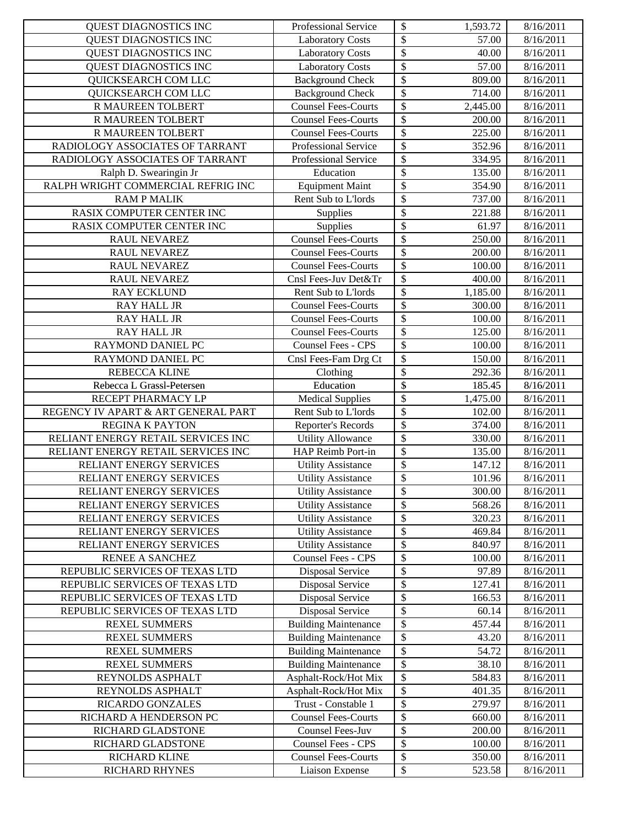| QUEST DIAGNOSTICS INC                                         | Professional Service                                   | \$<br>1,593.72                                                   | 8/16/2011              |
|---------------------------------------------------------------|--------------------------------------------------------|------------------------------------------------------------------|------------------------|
| QUEST DIAGNOSTICS INC                                         | <b>Laboratory Costs</b>                                | $\overline{\mathcal{S}}$<br>57.00                                | 8/16/2011              |
| QUEST DIAGNOSTICS INC                                         | <b>Laboratory Costs</b>                                | $\overline{\$}$<br>40.00                                         | 8/16/2011              |
| QUEST DIAGNOSTICS INC                                         | <b>Laboratory Costs</b>                                | $\boldsymbol{\mathsf{S}}$<br>57.00                               | 8/16/2011              |
| QUICKSEARCH COM LLC                                           | <b>Background Check</b>                                | $\boldsymbol{\mathsf{S}}$<br>809.00                              | 8/16/2011              |
| QUICKSEARCH COM LLC                                           | <b>Background Check</b>                                | $\boldsymbol{\mathsf{S}}$<br>714.00                              | 8/16/2011              |
| R MAUREEN TOLBERT                                             | Counsel Fees-Courts                                    | \$<br>2,445.00                                                   | 8/16/2011              |
| R MAUREEN TOLBERT                                             | <b>Counsel Fees-Courts</b>                             | $\boldsymbol{\mathsf{S}}$<br>200.00                              | 8/16/2011              |
| R MAUREEN TOLBERT                                             | <b>Counsel Fees-Courts</b>                             | $\overline{\$}$<br>225.00                                        | 8/16/2011              |
| RADIOLOGY ASSOCIATES OF TARRANT                               | Professional Service                                   | $\overline{\mathcal{S}}$<br>352.96                               | 8/16/2011              |
| RADIOLOGY ASSOCIATES OF TARRANT                               | Professional Service                                   | $\boldsymbol{\mathsf{S}}$<br>334.95                              | 8/16/2011              |
| Ralph D. Swearingin Jr                                        | Education                                              | $\boldsymbol{\mathsf{S}}$<br>135.00                              | 8/16/2011              |
| RALPH WRIGHT COMMERCIAL REFRIG INC                            | <b>Equipment Maint</b>                                 | $\boldsymbol{\mathsf{S}}$<br>354.90                              | 8/16/2011              |
| <b>RAMP MALIK</b>                                             | Rent Sub to L'Iords                                    | $\boldsymbol{\mathsf{S}}$<br>737.00                              | 8/16/2011              |
| RASIX COMPUTER CENTER INC                                     | Supplies                                               | $\boldsymbol{\mathsf{S}}$<br>221.88                              | 8/16/2011              |
| RASIX COMPUTER CENTER INC                                     | Supplies                                               | $\boldsymbol{\mathsf{S}}$<br>61.97                               | 8/16/2011              |
| RAUL NEVAREZ                                                  | <b>Counsel Fees-Courts</b>                             | $\boldsymbol{\mathsf{S}}$<br>250.00                              | 8/16/2011              |
| RAUL NEVAREZ                                                  | <b>Counsel Fees-Courts</b>                             | $\overline{\$}$<br>200.00                                        | 8/16/2011              |
| RAUL NEVAREZ                                                  | <b>Counsel Fees-Courts</b>                             | \$<br>100.00                                                     | 8/16/2011              |
| <b>RAUL NEVAREZ</b>                                           | Cnsl Fees-Juv Det&Tr                                   | $\overline{\$}$<br>400.00                                        | 8/16/2011              |
| <b>RAY ECKLUND</b>                                            | Rent Sub to L'Iords                                    | $\boldsymbol{\mathsf{S}}$<br>1,185.00                            | 8/16/2011              |
| <b>RAY HALL JR</b>                                            | <b>Counsel Fees-Courts</b>                             | $\$\,$<br>300.00                                                 | 8/16/2011              |
| <b>RAY HALL JR</b>                                            | <b>Counsel Fees-Courts</b>                             | $\mathcal{S}$<br>100.00                                          | 8/16/2011              |
| <b>RAY HALL JR</b>                                            | <b>Counsel Fees-Courts</b>                             | $\overline{\$}$<br>125.00                                        | 8/16/2011              |
| RAYMOND DANIEL PC                                             | Counsel Fees - CPS                                     | $\mathcal{S}$<br>100.00                                          | 8/16/2011              |
| RAYMOND DANIEL PC                                             | Cnsl Fees-Fam Drg Ct                                   | \$<br>150.00                                                     | 8/16/2011              |
| <b>REBECCA KLINE</b>                                          | Clothing                                               | $\boldsymbol{\mathsf{S}}$<br>292.36                              | 8/16/2011              |
| Rebecca L Grassl-Petersen                                     | Education                                              | $\overline{\$}$<br>185.45                                        | 8/16/2011              |
| RECEPT PHARMACY LP                                            | <b>Medical Supplies</b>                                | $\boldsymbol{\mathsf{S}}$<br>1,475.00                            | 8/16/2011              |
| REGENCY IV APART & ART GENERAL PART                           | Rent Sub to L'Iords                                    | $\boldsymbol{\mathsf{S}}$<br>102.00                              | 8/16/2011              |
| <b>REGINA K PAYTON</b>                                        | Reporter's Records                                     | $\boldsymbol{\mathsf{S}}$<br>374.00                              | 8/16/2011              |
| RELIANT ENERGY RETAIL SERVICES INC                            | <b>Utility Allowance</b>                               | \$<br>330.00                                                     | 8/16/2011              |
| RELIANT ENERGY RETAIL SERVICES INC<br>RELIANT ENERGY SERVICES | HAP Reimb Port-in                                      | $\boldsymbol{\mathsf{S}}$<br>135.00<br>$\overline{\$}$<br>147.12 | 8/16/2011<br>8/16/2011 |
| RELIANT ENERGY SERVICES                                       | <b>Utility Assistance</b>                              | $\overline{\$}$                                                  | 8/16/2011              |
| RELIANT ENERGY SERVICES                                       | <b>Utility Assistance</b><br><b>Utility Assistance</b> | 101.96<br>$\sqrt[6]{\frac{1}{2}}$<br>300.00                      | 8/16/2011              |
| RELIANT ENERGY SERVICES                                       | <b>Utility Assistance</b>                              | \$<br>568.26                                                     | 8/16/2011              |
| RELIANT ENERGY SERVICES                                       | <b>Utility Assistance</b>                              | \$<br>320.23                                                     | 8/16/2011              |
| RELIANT ENERGY SERVICES                                       | <b>Utility Assistance</b>                              | \$<br>469.84                                                     | 8/16/2011              |
| RELIANT ENERGY SERVICES                                       | <b>Utility Assistance</b>                              | \$<br>840.97                                                     | 8/16/2011              |
| RENEE A SANCHEZ                                               | <b>Counsel Fees - CPS</b>                              | \$<br>100.00                                                     | 8/16/2011              |
| REPUBLIC SERVICES OF TEXAS LTD                                | <b>Disposal Service</b>                                | \$<br>97.89                                                      | 8/16/2011              |
| REPUBLIC SERVICES OF TEXAS LTD                                | <b>Disposal Service</b>                                | $\boldsymbol{\mathsf{S}}$<br>127.41                              | 8/16/2011              |
| REPUBLIC SERVICES OF TEXAS LTD                                | <b>Disposal Service</b>                                | \$<br>166.53                                                     | 8/16/2011              |
| REPUBLIC SERVICES OF TEXAS LTD                                | <b>Disposal Service</b>                                | \$<br>60.14                                                      | 8/16/2011              |
| <b>REXEL SUMMERS</b>                                          | <b>Building Maintenance</b>                            | \$<br>457.44                                                     | 8/16/2011              |
| <b>REXEL SUMMERS</b>                                          | <b>Building Maintenance</b>                            | \$<br>43.20                                                      | 8/16/2011              |
| <b>REXEL SUMMERS</b>                                          | <b>Building Maintenance</b>                            | $\boldsymbol{\mathsf{S}}$<br>54.72                               | 8/16/2011              |
| <b>REXEL SUMMERS</b>                                          | <b>Building Maintenance</b>                            | \$<br>38.10                                                      | 8/16/2011              |
| REYNOLDS ASPHALT                                              | Asphalt-Rock/Hot Mix                                   | \$<br>584.83                                                     | 8/16/2011              |
| REYNOLDS ASPHALT                                              | Asphalt-Rock/Hot Mix                                   | \$<br>401.35                                                     | 8/16/2011              |
| RICARDO GONZALES                                              | Trust - Constable 1                                    | \$<br>279.97                                                     | 8/16/2011              |
| RICHARD A HENDERSON PC                                        | <b>Counsel Fees-Courts</b>                             | \$<br>660.00                                                     | 8/16/2011              |
| RICHARD GLADSTONE                                             | Counsel Fees-Juv                                       | \$<br>200.00                                                     | 8/16/2011              |
| RICHARD GLADSTONE                                             | <b>Counsel Fees - CPS</b>                              | \$<br>100.00                                                     | 8/16/2011              |
| RICHARD KLINE                                                 | <b>Counsel Fees-Courts</b>                             | \$<br>350.00                                                     | 8/16/2011              |
| RICHARD RHYNES                                                | Liaison Expense                                        | ${\mathbb S}$<br>523.58                                          | 8/16/2011              |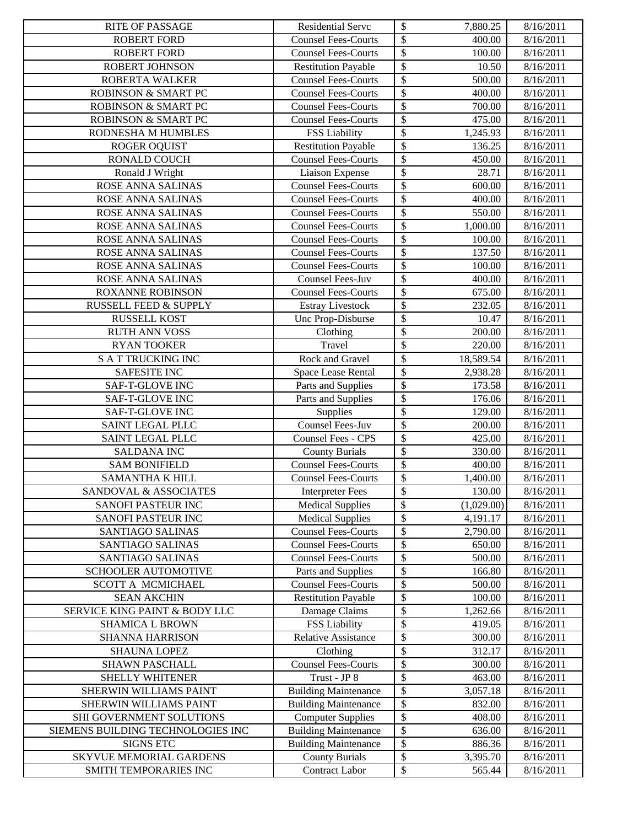| <b>RITE OF PASSAGE</b>                      | <b>Residential Serve</b>                             | \$<br>7,880.25                                                               | 8/16/2011              |
|---------------------------------------------|------------------------------------------------------|------------------------------------------------------------------------------|------------------------|
| <b>ROBERT FORD</b>                          | <b>Counsel Fees-Courts</b>                           | \$<br>400.00                                                                 | 8/16/2011              |
| <b>ROBERT FORD</b>                          | <b>Counsel Fees-Courts</b>                           | $\boldsymbol{\mathsf{S}}$<br>100.00                                          | 8/16/2011              |
| ROBERT JOHNSON                              | <b>Restitution Payable</b>                           | $\boldsymbol{\mathsf{S}}$<br>10.50                                           | 8/16/2011              |
| ROBERTA WALKER                              | <b>Counsel Fees-Courts</b>                           | $\boldsymbol{\mathsf{S}}$<br>500.00                                          | 8/16/2011              |
| ROBINSON & SMART PC                         | <b>Counsel Fees-Courts</b>                           | $\boldsymbol{\mathsf{S}}$<br>400.00                                          | 8/16/2011              |
| ROBINSON & SMART PC                         | <b>Counsel Fees-Courts</b>                           | $\boldsymbol{\mathsf{S}}$<br>700.00                                          | 8/16/2011              |
| ROBINSON & SMART PC                         | <b>Counsel Fees-Courts</b>                           | $\boldsymbol{\mathsf{S}}$<br>475.00                                          | 8/16/2011              |
| RODNESHA M HUMBLES                          | FSS Liability                                        | $\overline{\mathcal{S}}$<br>1,245.93                                         | 8/16/2011              |
| <b>ROGER OQUIST</b>                         | <b>Restitution Payable</b>                           | $\boldsymbol{\mathsf{S}}$<br>136.25                                          | 8/16/2011              |
| <b>RONALD COUCH</b>                         | Counsel Fees-Courts                                  | $\overline{\mathcal{S}}$<br>450.00                                           | 8/16/2011              |
| Ronald J Wright                             | Liaison Expense                                      | $\boldsymbol{\mathsf{S}}$<br>28.71                                           | 8/16/2011              |
| ROSE ANNA SALINAS                           | <b>Counsel Fees-Courts</b>                           | $\boldsymbol{\mathsf{S}}$<br>600.00                                          | 8/16/2011              |
| ROSE ANNA SALINAS                           | <b>Counsel Fees-Courts</b>                           | $\mathcal{S}$<br>400.00                                                      | 8/16/2011              |
| ROSE ANNA SALINAS                           | <b>Counsel Fees-Courts</b>                           | $\overline{\mathcal{S}}$<br>550.00                                           | 8/16/2011              |
| ROSE ANNA SALINAS                           | <b>Counsel Fees-Courts</b>                           | $\boldsymbol{\mathsf{S}}$<br>1,000.00                                        | 8/16/2011              |
| ROSE ANNA SALINAS                           | <b>Counsel Fees-Courts</b>                           | $\boldsymbol{\mathsf{S}}$<br>100.00                                          | 8/16/2011              |
| ROSE ANNA SALINAS                           | <b>Counsel Fees-Courts</b>                           | $\boldsymbol{\mathsf{S}}$<br>137.50                                          | 8/16/2011              |
| ROSE ANNA SALINAS                           | <b>Counsel Fees-Courts</b>                           | \$<br>100.00                                                                 | 8/16/2011              |
| ROSE ANNA SALINAS                           | <b>Counsel Fees-Juv</b>                              | $\mathcal{S}$<br>400.00                                                      | 8/16/2011              |
| <b>ROXANNE ROBINSON</b>                     | <b>Counsel Fees-Courts</b>                           | $\boldsymbol{\mathsf{S}}$<br>675.00                                          | 8/16/2011              |
| <b>RUSSELL FEED &amp; SUPPLY</b>            | <b>Estray Livestock</b>                              | $\boldsymbol{\mathsf{S}}$<br>232.05                                          | 8/16/2011              |
| <b>RUSSELL KOST</b>                         | Unc Prop-Disburse                                    | \$<br>10.47                                                                  | 8/16/2011              |
| <b>RUTH ANN VOSS</b>                        | Clothing                                             | $\boldsymbol{\mathsf{S}}$<br>200.00                                          | 8/16/2011              |
| <b>RYAN TOOKER</b>                          | Travel                                               | $\boldsymbol{\mathsf{S}}$<br>220.00                                          | 8/16/2011              |
| <b>S A T TRUCKING INC</b>                   | Rock and Gravel                                      | \$<br>18,589.54                                                              | 8/16/2011              |
| <b>SAFESITE INC</b>                         | Space Lease Rental                                   | $\boldsymbol{\mathsf{S}}$<br>2,938.28                                        | 8/16/2011              |
| SAF-T-GLOVE INC                             | Parts and Supplies                                   | $\boldsymbol{\mathsf{S}}$<br>173.58                                          | 8/16/2011              |
| SAF-T-GLOVE INC                             | Parts and Supplies                                   | $\boldsymbol{\mathsf{S}}$<br>176.06                                          | 8/16/2011              |
| SAF-T-GLOVE INC                             | Supplies                                             | $\boldsymbol{\mathsf{S}}$<br>129.00                                          | 8/16/2011              |
| SAINT LEGAL PLLC                            | Counsel Fees-Juv                                     | $\boldsymbol{\mathsf{S}}$<br>200.00                                          | 8/16/2011              |
| SAINT LEGAL PLLC                            | <b>Counsel Fees - CPS</b>                            | $\boldsymbol{\mathsf{S}}$<br>425.00                                          | 8/16/2011              |
| <b>SALDANA INC</b>                          | <b>County Burials</b>                                | $\boldsymbol{\mathsf{S}}$<br>330.00                                          | 8/16/2011              |
| <b>SAM BONIFIELD</b>                        | <b>Counsel Fees-Courts</b>                           | $\overline{\mathcal{S}}$<br>400.00                                           | 8/16/2011              |
| SAMANTHA K HILL                             | <b>Counsel Fees-Courts</b>                           | $\boldsymbol{\mathsf{S}}$<br>1,400.00                                        | 8/16/2011              |
| SANDOVAL & ASSOCIATES                       | <b>Interpreter Fees</b>                              | $\boldsymbol{\mathsf{S}}$<br>130.00                                          | 8/16/2011              |
| SANOFI PASTEUR INC                          | <b>Medical Supplies</b>                              | \$<br>(1,029.00)                                                             | 8/16/2011              |
| SANOFI PASTEUR INC                          | <b>Medical Supplies</b>                              | \$<br>4,191.17                                                               | 8/16/2011              |
| SANTIAGO SALINAS                            | <b>Counsel Fees-Courts</b>                           | $\boldsymbol{\mathsf{S}}$<br>2,790.00                                        | 8/16/2011              |
| SANTIAGO SALINAS                            | <b>Counsel Fees-Courts</b>                           | $\boldsymbol{\mathsf{S}}$<br>650.00                                          | 8/16/2011              |
| SANTIAGO SALINAS                            | <b>Counsel Fees-Courts</b>                           | $\boldsymbol{\mathsf{S}}$<br>500.00                                          | 8/16/2011              |
| SCHOOLER AUTOMOTIVE                         | Parts and Supplies                                   | $\boldsymbol{\mathsf{S}}$<br>166.80                                          | 8/16/2011              |
| SCOTT A MCMICHAEL                           | <b>Counsel Fees-Courts</b>                           | \$<br>500.00                                                                 | 8/16/2011              |
| <b>SEAN AKCHIN</b>                          | <b>Restitution Payable</b>                           | \$<br>100.00                                                                 | 8/16/2011              |
| SERVICE KING PAINT & BODY LLC               | Damage Claims                                        | $\boldsymbol{\mathsf{S}}$<br>1,262.66                                        | 8/16/2011              |
| <b>SHAMICA L BROWN</b>                      | <b>FSS Liability</b>                                 | $\boldsymbol{\mathsf{S}}$<br>419.05                                          | 8/16/2011              |
| <b>SHANNA HARRISON</b>                      | <b>Relative Assistance</b>                           | $\boldsymbol{\mathsf{S}}$<br>300.00                                          | 8/16/2011              |
| <b>SHAUNA LOPEZ</b>                         | Clothing                                             | \$<br>312.17                                                                 | 8/16/2011              |
| <b>SHAWN PASCHALL</b>                       | <b>Counsel Fees-Courts</b>                           | $\boldsymbol{\mathsf{S}}$<br>300.00                                          | 8/16/2011              |
| SHELLY WHITENER                             | Trust - JP 8                                         | $\boldsymbol{\mathsf{S}}$<br>463.00                                          | 8/16/2011              |
| SHERWIN WILLIAMS PAINT                      | <b>Building Maintenance</b>                          | \$<br>3,057.18                                                               | 8/16/2011              |
| SHERWIN WILLIAMS PAINT                      | <b>Building Maintenance</b>                          | $\boldsymbol{\mathsf{S}}$<br>832.00                                          | 8/16/2011              |
| SHI GOVERNMENT SOLUTIONS                    | <b>Computer Supplies</b>                             | $\boldsymbol{\mathsf{S}}$<br>408.00                                          | 8/16/2011              |
| SIEMENS BUILDING TECHNOLOGIES INC           | <b>Building Maintenance</b>                          | $\boldsymbol{\mathsf{S}}$<br>636.00                                          | 8/16/2011              |
| <b>SIGNS ETC</b><br>SKYVUE MEMORIAL GARDENS | <b>Building Maintenance</b><br><b>County Burials</b> | $\boldsymbol{\mathsf{S}}$<br>886.36<br>$\boldsymbol{\mathsf{S}}$<br>3,395.70 | 8/16/2011<br>8/16/2011 |
| SMITH TEMPORARIES INC                       | Contract Labor                                       | ${\mathbb S}$<br>565.44                                                      | 8/16/2011              |
|                                             |                                                      |                                                                              |                        |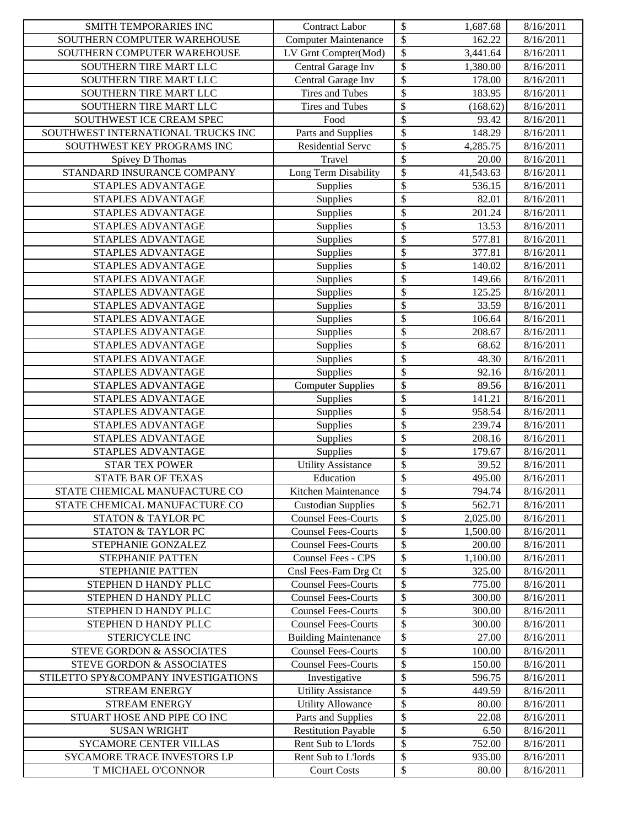| SMITH TEMPORARIES INC               | <b>Contract Labor</b>                                     | \$<br>1,687.68                     | 8/16/2011              |
|-------------------------------------|-----------------------------------------------------------|------------------------------------|------------------------|
| SOUTHERN COMPUTER WAREHOUSE         | <b>Computer Maintenance</b>                               | \$<br>162.22                       | 8/16/2011              |
| SOUTHERN COMPUTER WAREHOUSE         | LV Grnt Compter(Mod)                                      | $\$$<br>$\overline{3,}441.64$      | 8/16/2011              |
| SOUTHERN TIRE MART LLC              | Central Garage Inv                                        | $\$$<br>1,380.00                   | 8/16/2011              |
| SOUTHERN TIRE MART LLC              | Central Garage Inv                                        | \$<br>178.00                       | 8/16/2011              |
| SOUTHERN TIRE MART LLC              | <b>Tires and Tubes</b>                                    | \$<br>183.95                       | 8/16/2011              |
| SOUTHERN TIRE MART LLC              | Tires and Tubes                                           | \$<br>(168.62)                     | 8/16/2011              |
| SOUTHWEST ICE CREAM SPEC            | Food                                                      | $\boldsymbol{\mathsf{S}}$<br>93.42 | 8/16/2011              |
| SOUTHWEST INTERNATIONAL TRUCKS INC  | Parts and Supplies                                        | \$<br>148.29                       | 8/16/2011              |
| SOUTHWEST KEY PROGRAMS INC          | Residential Servc                                         | $\overline{\$}$<br>4,285.75        | 8/16/2011              |
| Spivey D Thomas                     | Travel                                                    | \$<br>20.00                        | 8/16/2011              |
| STANDARD INSURANCE COMPANY          | Long Term Disability                                      | $\$$<br>41,543.63                  | 8/16/2011              |
| STAPLES ADVANTAGE                   | Supplies                                                  | \$<br>536.15                       | 8/16/2011              |
| <b>STAPLES ADVANTAGE</b>            | Supplies                                                  | \$<br>82.01                        | 8/16/2011              |
| STAPLES ADVANTAGE                   | Supplies                                                  | \$<br>201.24                       | 8/16/2011              |
| STAPLES ADVANTAGE                   | Supplies                                                  | \$<br>13.53                        | 8/16/2011              |
| STAPLES ADVANTAGE                   | Supplies                                                  | \$<br>577.81                       | 8/16/2011              |
| STAPLES ADVANTAGE                   | Supplies                                                  | \$<br>377.81                       | 8/16/2011              |
| STAPLES ADVANTAGE                   | Supplies                                                  | \$<br>140.02                       | 8/16/2011              |
| STAPLES ADVANTAGE                   | Supplies                                                  | \$<br>149.66                       | 8/16/2011              |
| STAPLES ADVANTAGE                   | Supplies                                                  | \$<br>125.25                       | 8/16/2011              |
| STAPLES ADVANTAGE                   | Supplies                                                  | \$<br>33.59                        | 8/16/2011              |
| STAPLES ADVANTAGE                   | Supplies                                                  | \$<br>106.64                       | 8/16/2011              |
| STAPLES ADVANTAGE                   | Supplies                                                  | \$<br>208.67                       | 8/16/2011              |
| STAPLES ADVANTAGE                   | Supplies                                                  | \$<br>68.62                        | 8/16/2011              |
| STAPLES ADVANTAGE                   | Supplies                                                  | \$<br>48.30                        | 8/16/2011              |
| STAPLES ADVANTAGE                   | Supplies                                                  | \$<br>92.16                        | 8/16/2011              |
| STAPLES ADVANTAGE                   | <b>Computer Supplies</b>                                  | \$<br>89.56                        | 8/16/2011              |
| STAPLES ADVANTAGE                   | Supplies                                                  | $\$$<br>141.21                     | 8/16/2011              |
| STAPLES ADVANTAGE                   | Supplies                                                  | $\$$<br>958.54                     | 8/16/2011              |
| STAPLES ADVANTAGE                   | Supplies                                                  | \$<br>239.74                       | 8/16/2011              |
| STAPLES ADVANTAGE                   | Supplies                                                  | \$<br>208.16                       | 8/16/2011              |
| STAPLES ADVANTAGE                   | Supplies                                                  | $\$\,$<br>179.67                   | 8/16/2011              |
| <b>STAR TEX POWER</b>               | <b>Utility Assistance</b>                                 | \$<br>39.52                        | 8/16/2011              |
| <b>STATE BAR OF TEXAS</b>           | Education                                                 | \$<br>495.00                       | 8/16/2011              |
| STATE CHEMICAL MANUFACTURE CO       | Kitchen Maintenance                                       | 794.74<br>\$                       | 8/16/2011              |
| STATE CHEMICAL MANUFACTURE CO       | <b>Custodian Supplies</b>                                 | $\$$<br>562.71                     | 8/16/2011              |
| <b>STATON &amp; TAYLOR PC</b>       | <b>Counsel Fees-Courts</b>                                | \$<br>2,025.00                     | 8/16/2011              |
| STATON & TAYLOR PC                  | <b>Counsel Fees-Courts</b>                                | $\$$<br>1,500.00                   | 8/16/2011              |
| STEPHANIE GONZALEZ                  | <b>Counsel Fees-Courts</b>                                | \$<br>200.00                       | 8/16/2011              |
| STEPHANIE PATTEN                    | <b>Counsel Fees - CPS</b>                                 | \$<br>1,100.00                     | 8/16/2011              |
| <b>STEPHANIE PATTEN</b>             | Cnsl Fees-Fam Drg Ct                                      | \$                                 |                        |
| STEPHEN D HANDY PLLC                | <b>Counsel Fees-Courts</b>                                | 325.00<br>\$<br>775.00             | 8/16/2011<br>8/16/2011 |
|                                     | <b>Counsel Fees-Courts</b>                                | \$                                 |                        |
| STEPHEN D HANDY PLLC                |                                                           | 300.00                             | 8/16/2011              |
| STEPHEN D HANDY PLLC                | <b>Counsel Fees-Courts</b>                                | \$<br>300.00                       | 8/16/2011              |
| STEPHEN D HANDY PLLC                | <b>Counsel Fees-Courts</b>                                | \$<br>300.00                       | 8/16/2011              |
| STERICYCLE INC                      | <b>Building Maintenance</b><br><b>Counsel Fees-Courts</b> | \$<br>27.00                        | 8/16/2011              |
| STEVE GORDON & ASSOCIATES           | <b>Counsel Fees-Courts</b>                                | \$<br>100.00                       | 8/16/2011              |
| STEVE GORDON & ASSOCIATES           |                                                           | \$<br>150.00                       | 8/16/2011              |
| STILETTO SPY&COMPANY INVESTIGATIONS | Investigative                                             | \$<br>596.75                       | 8/16/2011              |
| <b>STREAM ENERGY</b>                | <b>Utility Assistance</b>                                 | \$<br>449.59                       | 8/16/2011              |
| <b>STREAM ENERGY</b>                | <b>Utility Allowance</b>                                  | \$<br>80.00                        | 8/16/2011              |
| STUART HOSE AND PIPE CO INC         | Parts and Supplies                                        | \$<br>22.08                        | 8/16/2011              |
| <b>SUSAN WRIGHT</b>                 | <b>Restitution Payable</b>                                | $\$$<br>6.50                       | 8/16/2011              |
| SYCAMORE CENTER VILLAS              | Rent Sub to L'Iords                                       | \$<br>752.00                       | 8/16/2011              |
| SYCAMORE TRACE INVESTORS LP         | Rent Sub to L'Iords                                       | $\$$<br>935.00                     | 8/16/2011              |
| T MICHAEL O'CONNOR                  | <b>Court Costs</b>                                        | ${\mathbb S}$<br>80.00             | 8/16/2011              |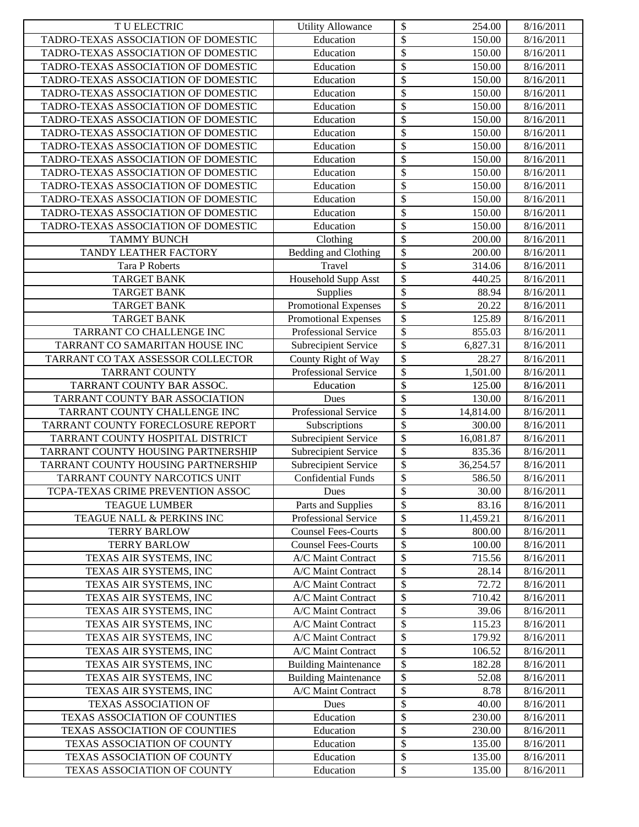| T U ELECTRIC                        | <b>Utility Allowance</b>    | \$                        | 254.00    | 8/16/2011 |
|-------------------------------------|-----------------------------|---------------------------|-----------|-----------|
| TADRO-TEXAS ASSOCIATION OF DOMESTIC | Education                   | \$                        | 150.00    | 8/16/2011 |
| TADRO-TEXAS ASSOCIATION OF DOMESTIC | Education                   | \$                        | 150.00    | 8/16/2011 |
| TADRO-TEXAS ASSOCIATION OF DOMESTIC | Education                   | \$                        | 150.00    | 8/16/2011 |
| TADRO-TEXAS ASSOCIATION OF DOMESTIC | Education                   | \$                        | 150.00    | 8/16/2011 |
| TADRO-TEXAS ASSOCIATION OF DOMESTIC | Education                   | \$                        | 150.00    | 8/16/2011 |
| TADRO-TEXAS ASSOCIATION OF DOMESTIC | Education                   | \$                        | 150.00    | 8/16/2011 |
| TADRO-TEXAS ASSOCIATION OF DOMESTIC | Education                   | \$                        | 150.00    | 8/16/2011 |
| TADRO-TEXAS ASSOCIATION OF DOMESTIC | Education                   | \$                        | 150.00    | 8/16/2011 |
| TADRO-TEXAS ASSOCIATION OF DOMESTIC | Education                   | \$                        | 150.00    | 8/16/2011 |
| TADRO-TEXAS ASSOCIATION OF DOMESTIC | Education                   | \$                        | 150.00    | 8/16/2011 |
| TADRO-TEXAS ASSOCIATION OF DOMESTIC | Education                   | \$                        | 150.00    | 8/16/2011 |
| TADRO-TEXAS ASSOCIATION OF DOMESTIC | Education                   | \$                        | 150.00    | 8/16/2011 |
| TADRO-TEXAS ASSOCIATION OF DOMESTIC | Education                   | \$                        | 150.00    | 8/16/2011 |
| TADRO-TEXAS ASSOCIATION OF DOMESTIC | Education                   | \$                        | 150.00    | 8/16/2011 |
| TADRO-TEXAS ASSOCIATION OF DOMESTIC | Education                   | \$                        | 150.00    | 8/16/2011 |
| <b>TAMMY BUNCH</b>                  | Clothing                    | $\boldsymbol{\mathsf{S}}$ | 200.00    | 8/16/2011 |
| TANDY LEATHER FACTORY               | Bedding and Clothing        | \$                        | 200.00    | 8/16/2011 |
| <b>Tara P Roberts</b>               | Travel                      | \$                        | 314.06    | 8/16/2011 |
| <b>TARGET BANK</b>                  | Household Supp Asst         | \$                        | 440.25    | 8/16/2011 |
| <b>TARGET BANK</b>                  | Supplies                    | \$                        | 88.94     | 8/16/2011 |
| <b>TARGET BANK</b>                  | Promotional Expenses        | \$                        | 20.22     | 8/16/2011 |
| <b>TARGET BANK</b>                  | Promotional Expenses        | \$                        | 125.89    | 8/16/2011 |
| TARRANT CO CHALLENGE INC            | Professional Service        | \$                        | 855.03    | 8/16/2011 |
| TARRANT CO SAMARITAN HOUSE INC      | Subrecipient Service        | \$                        | 6,827.31  | 8/16/2011 |
| TARRANT CO TAX ASSESSOR COLLECTOR   | County Right of Way         | \$                        | 28.27     | 8/16/2011 |
| <b>TARRANT COUNTY</b>               | Professional Service        | \$                        | 1,501.00  | 8/16/2011 |
| TARRANT COUNTY BAR ASSOC.           | Education                   | \$                        | 125.00    | 8/16/2011 |
| TARRANT COUNTY BAR ASSOCIATION      | Dues                        | \$                        | 130.00    | 8/16/2011 |
| TARRANT COUNTY CHALLENGE INC        | Professional Service        | \$                        | 14,814.00 | 8/16/2011 |
| TARRANT COUNTY FORECLOSURE REPORT   | Subscriptions               | \$                        | 300.00    | 8/16/2011 |
| TARRANT COUNTY HOSPITAL DISTRICT    | Subrecipient Service        | \$                        | 16,081.87 | 8/16/2011 |
| TARRANT COUNTY HOUSING PARTNERSHIP  | Subrecipient Service        | \$                        | 835.36    | 8/16/2011 |
| TARRANT COUNTY HOUSING PARTNERSHIP  | Subrecipient Service        | $\overline{\$}$           | 36,254.57 | 8/16/2011 |
| TARRANT COUNTY NARCOTICS UNIT       | Confidential Funds          | \$                        | 586.50    | 8/16/2011 |
| TCPA-TEXAS CRIME PREVENTION ASSOC   | Dues                        | $\overline{\$}$           | 30.00     | 8/16/2011 |
| <b>TEAGUE LUMBER</b>                | Parts and Supplies          | \$                        | 83.16     | 8/16/2011 |
| TEAGUE NALL & PERKINS INC           | Professional Service        | \$                        | 11,459.21 | 8/16/2011 |
| <b>TERRY BARLOW</b>                 | <b>Counsel Fees-Courts</b>  | \$                        | 800.00    | 8/16/2011 |
| <b>TERRY BARLOW</b>                 | Counsel Fees-Courts         | \$                        | 100.00    | 8/16/2011 |
| TEXAS AIR SYSTEMS, INC              | A/C Maint Contract          | \$                        | 715.56    | 8/16/2011 |
| TEXAS AIR SYSTEMS, INC              | A/C Maint Contract          | \$                        | 28.14     | 8/16/2011 |
| TEXAS AIR SYSTEMS, INC              | A/C Maint Contract          | \$                        | 72.72     | 8/16/2011 |
| TEXAS AIR SYSTEMS, INC              | A/C Maint Contract          | \$                        | 710.42    | 8/16/2011 |
| TEXAS AIR SYSTEMS, INC              | A/C Maint Contract          | \$                        | 39.06     | 8/16/2011 |
| TEXAS AIR SYSTEMS, INC              | A/C Maint Contract          | \$                        | 115.23    | 8/16/2011 |
| TEXAS AIR SYSTEMS, INC              | A/C Maint Contract          | \$                        | 179.92    | 8/16/2011 |
| TEXAS AIR SYSTEMS, INC              | A/C Maint Contract          | \$                        | 106.52    | 8/16/2011 |
| TEXAS AIR SYSTEMS, INC              | <b>Building Maintenance</b> | \$                        | 182.28    | 8/16/2011 |
| TEXAS AIR SYSTEMS, INC              | <b>Building Maintenance</b> | \$                        | 52.08     | 8/16/2011 |
| TEXAS AIR SYSTEMS, INC              | A/C Maint Contract          | \$                        | 8.78      | 8/16/2011 |
| TEXAS ASSOCIATION OF                | Dues                        | \$                        | 40.00     | 8/16/2011 |
| TEXAS ASSOCIATION OF COUNTIES       | Education                   | \$                        | 230.00    | 8/16/2011 |
| TEXAS ASSOCIATION OF COUNTIES       | Education                   | \$                        | 230.00    | 8/16/2011 |
| TEXAS ASSOCIATION OF COUNTY         | Education                   | \$                        | 135.00    | 8/16/2011 |
| TEXAS ASSOCIATION OF COUNTY         | Education                   | \$                        | 135.00    | 8/16/2011 |
| TEXAS ASSOCIATION OF COUNTY         | Education                   | ${\mathbb S}$             | 135.00    | 8/16/2011 |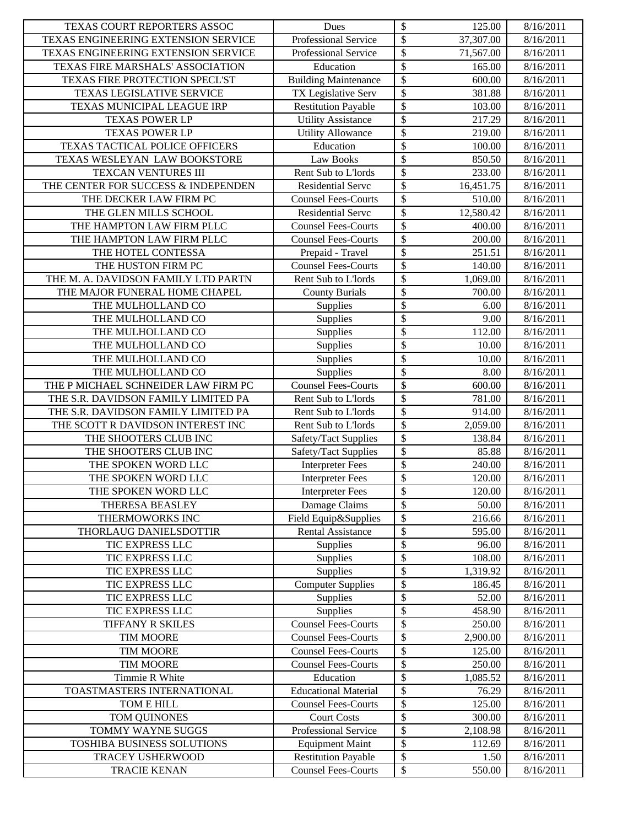| TEXAS ENGINEERING EXTENSION SERVICE<br>Professional Service<br>8/16/2011<br>\$<br>TEXAS ENGINEERING EXTENSION SERVICE<br>Professional Service<br>71,567.00<br>8/16/2011<br>\$<br>TEXAS FIRE MARSHALS' ASSOCIATION<br>Education<br>165.00<br>8/16/2011<br>\$<br>TEXAS FIRE PROTECTION SPECL'ST<br><b>Building Maintenance</b><br>600.00<br>8/16/2011<br>\$<br><b>TEXAS LEGISLATIVE SERVICE</b><br>TX Legislative Serv<br>381.88<br>8/16/2011<br>\$<br>TEXAS MUNICIPAL LEAGUE IRP<br><b>Restitution Payable</b><br>103.00<br>8/16/2011<br>\$<br><b>Utility Assistance</b><br>217.29<br>8/16/2011<br><b>TEXAS POWER LP</b><br>\$<br>Utility Allowance<br>219.00<br><b>TEXAS POWER LP</b><br>8/16/2011<br>\$<br>TEXAS TACTICAL POLICE OFFICERS<br>Education<br>8/16/2011<br>100.00<br>\$<br>TEXAS WESLEYAN LAW BOOKSTORE<br>Law Books<br>850.50<br>8/16/2011<br>\$<br>TEXCAN VENTURES III<br>Rent Sub to L'Iords<br>233.00<br>8/16/2011<br>\$<br>THE CENTER FOR SUCCESS & INDEPENDEN<br><b>Residential Serve</b><br>16,451.75<br>8/16/2011<br>\$<br>THE DECKER LAW FIRM PC<br><b>Counsel Fees-Courts</b><br>8/16/2011<br>510.00<br>\$<br>THE GLEN MILLS SCHOOL<br>Residential Servc<br>12,580.42<br>8/16/2011<br>\$<br>THE HAMPTON LAW FIRM PLLC<br><b>Counsel Fees-Courts</b><br>400.00<br>8/16/2011<br>\$<br>THE HAMPTON LAW FIRM PLLC<br><b>Counsel Fees-Courts</b><br>200.00<br>8/16/2011<br>\$<br>Prepaid - Travel<br>251.51<br>8/16/2011<br>THE HOTEL CONTESSA<br>\$<br><b>Counsel Fees-Courts</b><br>140.00<br>8/16/2011<br>THE HUSTON FIRM PC<br>\$<br>Rent Sub to L'Iords<br>THE M. A. DAVIDSON FAMILY LTD PARTN<br>1,069.00<br>8/16/2011<br>\$<br>THE MAJOR FUNERAL HOME CHAPEL<br><b>County Burials</b><br>700.00<br>8/16/2011<br>\$<br>THE MULHOLLAND CO<br>Supplies<br>6.00<br>8/16/2011<br>\$<br>THE MULHOLLAND CO<br>9.00<br>Supplies<br>8/16/2011<br>\$<br>THE MULHOLLAND CO<br>Supplies<br>112.00<br>8/16/2011<br>$\overline{\mathcal{S}}$<br>THE MULHOLLAND CO<br>8/16/2011<br>Supplies<br>10.00<br>\$<br>THE MULHOLLAND CO<br>Supplies<br>10.00<br>8/16/2011<br>\$<br>THE MULHOLLAND CO<br>Supplies<br>8.00<br>8/16/2011<br>\$<br><b>Counsel Fees-Courts</b><br>THE P MICHAEL SCHNEIDER LAW FIRM PC<br>600.00<br>8/16/2011<br>\$<br>THE S.R. DAVIDSON FAMILY LIMITED PA<br>Rent Sub to L'Iords<br>8/16/2011<br>781.00<br>\$<br>THE S.R. DAVIDSON FAMILY LIMITED PA<br>Rent Sub to L'Iords<br>914.00<br>8/16/2011<br>\$<br>THE SCOTT R DAVIDSON INTEREST INC<br>Rent Sub to L'Iords<br>2,059.00<br>8/16/2011<br>\$<br>THE SHOOTERS CLUB INC<br>Safety/Tact Supplies<br>138.84<br>8/16/2011<br>\$<br>THE SHOOTERS CLUB INC<br>85.88<br>Safety/Tact Supplies<br>8/16/2011<br>\$<br>THE SPOKEN WORD LLC<br><b>Interpreter Fees</b><br>240.00<br>8/16/2011<br>\$<br>THE SPOKEN WORD LLC<br><b>Interpreter Fees</b><br>120.00<br>8/16/2011<br>$\overline{\$}$<br><b>Interpreter Fees</b><br>120.00<br>THE SPOKEN WORD LLC<br>8/16/2011<br>\$<br>THERESA BEASLEY<br>Damage Claims<br>50.00<br>8/16/2011<br>\$<br>Field Equip&Supplies<br>216.66<br>THERMOWORKS INC<br>8/16/2011<br>\$<br>THORLAUG DANIELSDOTTIR<br>595.00<br><b>Rental Assistance</b><br>8/16/2011<br>\$<br>TIC EXPRESS LLC<br>Supplies<br>96.00<br>8/16/2011<br>\$<br>TIC EXPRESS LLC<br>108.00<br>Supplies<br>8/16/2011<br>\$<br>TIC EXPRESS LLC<br>Supplies<br>1,319.92<br>8/16/2011<br>\$<br>TIC EXPRESS LLC<br><b>Computer Supplies</b><br>186.45<br>8/16/2011<br>\$<br>Supplies<br>TIC EXPRESS LLC<br>52.00<br>8/16/2011<br>\$<br>Supplies<br>TIC EXPRESS LLC<br>458.90<br>8/16/2011<br>\$<br><b>Counsel Fees-Courts</b><br>250.00<br>8/16/2011<br>TIFFANY R SKILES<br>\$<br><b>Counsel Fees-Courts</b><br>TIM MOORE<br>2,900.00<br>8/16/2011<br>\$<br>125.00<br>TIM MOORE<br><b>Counsel Fees-Courts</b><br>8/16/2011<br>\$<br><b>Counsel Fees-Courts</b><br>250.00<br><b>TIM MOORE</b><br>8/16/2011<br>\$<br>Timmie R White<br>Education<br>1,085.52<br>8/16/2011<br>\$<br>TOASTMASTERS INTERNATIONAL<br><b>Educational Material</b><br>8/16/2011<br>76.29<br>\$<br>TOM E HILL<br><b>Counsel Fees-Courts</b><br>125.00<br>8/16/2011<br>\$<br><b>Court Costs</b><br>TOM QUINONES<br>300.00<br>8/16/2011<br>\$<br>TOMMY WAYNE SUGGS<br>Professional Service<br>2,108.98<br>8/16/2011<br>\$<br>TOSHIBA BUSINESS SOLUTIONS<br>8/16/2011<br><b>Equipment Maint</b><br>112.69<br>\$<br><b>TRACEY USHERWOOD</b><br><b>Restitution Payable</b><br>8/16/2011<br>1.50<br>$\mathbb S$<br><b>Counsel Fees-Courts</b><br><b>TRACIE KENAN</b><br>550.00<br>8/16/2011 | <b>TEXAS COURT REPORTERS ASSOC</b> | Dues | \$                       | 125.00    | 8/16/2011 |
|---------------------------------------------------------------------------------------------------------------------------------------------------------------------------------------------------------------------------------------------------------------------------------------------------------------------------------------------------------------------------------------------------------------------------------------------------------------------------------------------------------------------------------------------------------------------------------------------------------------------------------------------------------------------------------------------------------------------------------------------------------------------------------------------------------------------------------------------------------------------------------------------------------------------------------------------------------------------------------------------------------------------------------------------------------------------------------------------------------------------------------------------------------------------------------------------------------------------------------------------------------------------------------------------------------------------------------------------------------------------------------------------------------------------------------------------------------------------------------------------------------------------------------------------------------------------------------------------------------------------------------------------------------------------------------------------------------------------------------------------------------------------------------------------------------------------------------------------------------------------------------------------------------------------------------------------------------------------------------------------------------------------------------------------------------------------------------------------------------------------------------------------------------------------------------------------------------------------------------------------------------------------------------------------------------------------------------------------------------------------------------------------------------------------------------------------------------------------------------------------------------------------------------------------------------------------------------------------------------------------------------------------------------------------------------------------------------------------------------------------------------------------------------------------------------------------------------------------------------------------------------------------------------------------------------------------------------------------------------------------------------------------------------------------------------------------------------------------------------------------------------------------------------------------------------------------------------------------------------------------------------------------------------------------------------------------------------------------------------------------------------------------------------------------------------------------------------------------------------------------------------------------------------------------------------------------------------------------------------------------------------------------------------------------------------------------------------------------------------------------------------------------------------------------------------------------------------------------------------------------------------------------------------------------------------------------------------------------------------------------------------------------------------------------------------------------------------------------------------------------------------------------------------------------------------------------------------------------------------------------------------------------------------------------------------------------------------------------------------------------------------------------------------------------------------------------------------------------------------------------------------------------------------------|------------------------------------|------|--------------------------|-----------|-----------|
|                                                                                                                                                                                                                                                                                                                                                                                                                                                                                                                                                                                                                                                                                                                                                                                                                                                                                                                                                                                                                                                                                                                                                                                                                                                                                                                                                                                                                                                                                                                                                                                                                                                                                                                                                                                                                                                                                                                                                                                                                                                                                                                                                                                                                                                                                                                                                                                                                                                                                                                                                                                                                                                                                                                                                                                                                                                                                                                                                                                                                                                                                                                                                                                                                                                                                                                                                                                                                                                                                                                                                                                                                                                                                                                                                                                                                                                                                                                                                                                                                                                                                                                                                                                                                                                                                                                                                                                                                                                                                                                                       |                                    |      | $\overline{\mathcal{S}}$ | 37,307.00 |           |
|                                                                                                                                                                                                                                                                                                                                                                                                                                                                                                                                                                                                                                                                                                                                                                                                                                                                                                                                                                                                                                                                                                                                                                                                                                                                                                                                                                                                                                                                                                                                                                                                                                                                                                                                                                                                                                                                                                                                                                                                                                                                                                                                                                                                                                                                                                                                                                                                                                                                                                                                                                                                                                                                                                                                                                                                                                                                                                                                                                                                                                                                                                                                                                                                                                                                                                                                                                                                                                                                                                                                                                                                                                                                                                                                                                                                                                                                                                                                                                                                                                                                                                                                                                                                                                                                                                                                                                                                                                                                                                                                       |                                    |      |                          |           |           |
|                                                                                                                                                                                                                                                                                                                                                                                                                                                                                                                                                                                                                                                                                                                                                                                                                                                                                                                                                                                                                                                                                                                                                                                                                                                                                                                                                                                                                                                                                                                                                                                                                                                                                                                                                                                                                                                                                                                                                                                                                                                                                                                                                                                                                                                                                                                                                                                                                                                                                                                                                                                                                                                                                                                                                                                                                                                                                                                                                                                                                                                                                                                                                                                                                                                                                                                                                                                                                                                                                                                                                                                                                                                                                                                                                                                                                                                                                                                                                                                                                                                                                                                                                                                                                                                                                                                                                                                                                                                                                                                                       |                                    |      |                          |           |           |
|                                                                                                                                                                                                                                                                                                                                                                                                                                                                                                                                                                                                                                                                                                                                                                                                                                                                                                                                                                                                                                                                                                                                                                                                                                                                                                                                                                                                                                                                                                                                                                                                                                                                                                                                                                                                                                                                                                                                                                                                                                                                                                                                                                                                                                                                                                                                                                                                                                                                                                                                                                                                                                                                                                                                                                                                                                                                                                                                                                                                                                                                                                                                                                                                                                                                                                                                                                                                                                                                                                                                                                                                                                                                                                                                                                                                                                                                                                                                                                                                                                                                                                                                                                                                                                                                                                                                                                                                                                                                                                                                       |                                    |      |                          |           |           |
|                                                                                                                                                                                                                                                                                                                                                                                                                                                                                                                                                                                                                                                                                                                                                                                                                                                                                                                                                                                                                                                                                                                                                                                                                                                                                                                                                                                                                                                                                                                                                                                                                                                                                                                                                                                                                                                                                                                                                                                                                                                                                                                                                                                                                                                                                                                                                                                                                                                                                                                                                                                                                                                                                                                                                                                                                                                                                                                                                                                                                                                                                                                                                                                                                                                                                                                                                                                                                                                                                                                                                                                                                                                                                                                                                                                                                                                                                                                                                                                                                                                                                                                                                                                                                                                                                                                                                                                                                                                                                                                                       |                                    |      |                          |           |           |
|                                                                                                                                                                                                                                                                                                                                                                                                                                                                                                                                                                                                                                                                                                                                                                                                                                                                                                                                                                                                                                                                                                                                                                                                                                                                                                                                                                                                                                                                                                                                                                                                                                                                                                                                                                                                                                                                                                                                                                                                                                                                                                                                                                                                                                                                                                                                                                                                                                                                                                                                                                                                                                                                                                                                                                                                                                                                                                                                                                                                                                                                                                                                                                                                                                                                                                                                                                                                                                                                                                                                                                                                                                                                                                                                                                                                                                                                                                                                                                                                                                                                                                                                                                                                                                                                                                                                                                                                                                                                                                                                       |                                    |      |                          |           |           |
|                                                                                                                                                                                                                                                                                                                                                                                                                                                                                                                                                                                                                                                                                                                                                                                                                                                                                                                                                                                                                                                                                                                                                                                                                                                                                                                                                                                                                                                                                                                                                                                                                                                                                                                                                                                                                                                                                                                                                                                                                                                                                                                                                                                                                                                                                                                                                                                                                                                                                                                                                                                                                                                                                                                                                                                                                                                                                                                                                                                                                                                                                                                                                                                                                                                                                                                                                                                                                                                                                                                                                                                                                                                                                                                                                                                                                                                                                                                                                                                                                                                                                                                                                                                                                                                                                                                                                                                                                                                                                                                                       |                                    |      |                          |           |           |
|                                                                                                                                                                                                                                                                                                                                                                                                                                                                                                                                                                                                                                                                                                                                                                                                                                                                                                                                                                                                                                                                                                                                                                                                                                                                                                                                                                                                                                                                                                                                                                                                                                                                                                                                                                                                                                                                                                                                                                                                                                                                                                                                                                                                                                                                                                                                                                                                                                                                                                                                                                                                                                                                                                                                                                                                                                                                                                                                                                                                                                                                                                                                                                                                                                                                                                                                                                                                                                                                                                                                                                                                                                                                                                                                                                                                                                                                                                                                                                                                                                                                                                                                                                                                                                                                                                                                                                                                                                                                                                                                       |                                    |      |                          |           |           |
|                                                                                                                                                                                                                                                                                                                                                                                                                                                                                                                                                                                                                                                                                                                                                                                                                                                                                                                                                                                                                                                                                                                                                                                                                                                                                                                                                                                                                                                                                                                                                                                                                                                                                                                                                                                                                                                                                                                                                                                                                                                                                                                                                                                                                                                                                                                                                                                                                                                                                                                                                                                                                                                                                                                                                                                                                                                                                                                                                                                                                                                                                                                                                                                                                                                                                                                                                                                                                                                                                                                                                                                                                                                                                                                                                                                                                                                                                                                                                                                                                                                                                                                                                                                                                                                                                                                                                                                                                                                                                                                                       |                                    |      |                          |           |           |
|                                                                                                                                                                                                                                                                                                                                                                                                                                                                                                                                                                                                                                                                                                                                                                                                                                                                                                                                                                                                                                                                                                                                                                                                                                                                                                                                                                                                                                                                                                                                                                                                                                                                                                                                                                                                                                                                                                                                                                                                                                                                                                                                                                                                                                                                                                                                                                                                                                                                                                                                                                                                                                                                                                                                                                                                                                                                                                                                                                                                                                                                                                                                                                                                                                                                                                                                                                                                                                                                                                                                                                                                                                                                                                                                                                                                                                                                                                                                                                                                                                                                                                                                                                                                                                                                                                                                                                                                                                                                                                                                       |                                    |      |                          |           |           |
|                                                                                                                                                                                                                                                                                                                                                                                                                                                                                                                                                                                                                                                                                                                                                                                                                                                                                                                                                                                                                                                                                                                                                                                                                                                                                                                                                                                                                                                                                                                                                                                                                                                                                                                                                                                                                                                                                                                                                                                                                                                                                                                                                                                                                                                                                                                                                                                                                                                                                                                                                                                                                                                                                                                                                                                                                                                                                                                                                                                                                                                                                                                                                                                                                                                                                                                                                                                                                                                                                                                                                                                                                                                                                                                                                                                                                                                                                                                                                                                                                                                                                                                                                                                                                                                                                                                                                                                                                                                                                                                                       |                                    |      |                          |           |           |
|                                                                                                                                                                                                                                                                                                                                                                                                                                                                                                                                                                                                                                                                                                                                                                                                                                                                                                                                                                                                                                                                                                                                                                                                                                                                                                                                                                                                                                                                                                                                                                                                                                                                                                                                                                                                                                                                                                                                                                                                                                                                                                                                                                                                                                                                                                                                                                                                                                                                                                                                                                                                                                                                                                                                                                                                                                                                                                                                                                                                                                                                                                                                                                                                                                                                                                                                                                                                                                                                                                                                                                                                                                                                                                                                                                                                                                                                                                                                                                                                                                                                                                                                                                                                                                                                                                                                                                                                                                                                                                                                       |                                    |      |                          |           |           |
|                                                                                                                                                                                                                                                                                                                                                                                                                                                                                                                                                                                                                                                                                                                                                                                                                                                                                                                                                                                                                                                                                                                                                                                                                                                                                                                                                                                                                                                                                                                                                                                                                                                                                                                                                                                                                                                                                                                                                                                                                                                                                                                                                                                                                                                                                                                                                                                                                                                                                                                                                                                                                                                                                                                                                                                                                                                                                                                                                                                                                                                                                                                                                                                                                                                                                                                                                                                                                                                                                                                                                                                                                                                                                                                                                                                                                                                                                                                                                                                                                                                                                                                                                                                                                                                                                                                                                                                                                                                                                                                                       |                                    |      |                          |           |           |
|                                                                                                                                                                                                                                                                                                                                                                                                                                                                                                                                                                                                                                                                                                                                                                                                                                                                                                                                                                                                                                                                                                                                                                                                                                                                                                                                                                                                                                                                                                                                                                                                                                                                                                                                                                                                                                                                                                                                                                                                                                                                                                                                                                                                                                                                                                                                                                                                                                                                                                                                                                                                                                                                                                                                                                                                                                                                                                                                                                                                                                                                                                                                                                                                                                                                                                                                                                                                                                                                                                                                                                                                                                                                                                                                                                                                                                                                                                                                                                                                                                                                                                                                                                                                                                                                                                                                                                                                                                                                                                                                       |                                    |      |                          |           |           |
|                                                                                                                                                                                                                                                                                                                                                                                                                                                                                                                                                                                                                                                                                                                                                                                                                                                                                                                                                                                                                                                                                                                                                                                                                                                                                                                                                                                                                                                                                                                                                                                                                                                                                                                                                                                                                                                                                                                                                                                                                                                                                                                                                                                                                                                                                                                                                                                                                                                                                                                                                                                                                                                                                                                                                                                                                                                                                                                                                                                                                                                                                                                                                                                                                                                                                                                                                                                                                                                                                                                                                                                                                                                                                                                                                                                                                                                                                                                                                                                                                                                                                                                                                                                                                                                                                                                                                                                                                                                                                                                                       |                                    |      |                          |           |           |
|                                                                                                                                                                                                                                                                                                                                                                                                                                                                                                                                                                                                                                                                                                                                                                                                                                                                                                                                                                                                                                                                                                                                                                                                                                                                                                                                                                                                                                                                                                                                                                                                                                                                                                                                                                                                                                                                                                                                                                                                                                                                                                                                                                                                                                                                                                                                                                                                                                                                                                                                                                                                                                                                                                                                                                                                                                                                                                                                                                                                                                                                                                                                                                                                                                                                                                                                                                                                                                                                                                                                                                                                                                                                                                                                                                                                                                                                                                                                                                                                                                                                                                                                                                                                                                                                                                                                                                                                                                                                                                                                       |                                    |      |                          |           |           |
|                                                                                                                                                                                                                                                                                                                                                                                                                                                                                                                                                                                                                                                                                                                                                                                                                                                                                                                                                                                                                                                                                                                                                                                                                                                                                                                                                                                                                                                                                                                                                                                                                                                                                                                                                                                                                                                                                                                                                                                                                                                                                                                                                                                                                                                                                                                                                                                                                                                                                                                                                                                                                                                                                                                                                                                                                                                                                                                                                                                                                                                                                                                                                                                                                                                                                                                                                                                                                                                                                                                                                                                                                                                                                                                                                                                                                                                                                                                                                                                                                                                                                                                                                                                                                                                                                                                                                                                                                                                                                                                                       |                                    |      |                          |           |           |
|                                                                                                                                                                                                                                                                                                                                                                                                                                                                                                                                                                                                                                                                                                                                                                                                                                                                                                                                                                                                                                                                                                                                                                                                                                                                                                                                                                                                                                                                                                                                                                                                                                                                                                                                                                                                                                                                                                                                                                                                                                                                                                                                                                                                                                                                                                                                                                                                                                                                                                                                                                                                                                                                                                                                                                                                                                                                                                                                                                                                                                                                                                                                                                                                                                                                                                                                                                                                                                                                                                                                                                                                                                                                                                                                                                                                                                                                                                                                                                                                                                                                                                                                                                                                                                                                                                                                                                                                                                                                                                                                       |                                    |      |                          |           |           |
|                                                                                                                                                                                                                                                                                                                                                                                                                                                                                                                                                                                                                                                                                                                                                                                                                                                                                                                                                                                                                                                                                                                                                                                                                                                                                                                                                                                                                                                                                                                                                                                                                                                                                                                                                                                                                                                                                                                                                                                                                                                                                                                                                                                                                                                                                                                                                                                                                                                                                                                                                                                                                                                                                                                                                                                                                                                                                                                                                                                                                                                                                                                                                                                                                                                                                                                                                                                                                                                                                                                                                                                                                                                                                                                                                                                                                                                                                                                                                                                                                                                                                                                                                                                                                                                                                                                                                                                                                                                                                                                                       |                                    |      |                          |           |           |
|                                                                                                                                                                                                                                                                                                                                                                                                                                                                                                                                                                                                                                                                                                                                                                                                                                                                                                                                                                                                                                                                                                                                                                                                                                                                                                                                                                                                                                                                                                                                                                                                                                                                                                                                                                                                                                                                                                                                                                                                                                                                                                                                                                                                                                                                                                                                                                                                                                                                                                                                                                                                                                                                                                                                                                                                                                                                                                                                                                                                                                                                                                                                                                                                                                                                                                                                                                                                                                                                                                                                                                                                                                                                                                                                                                                                                                                                                                                                                                                                                                                                                                                                                                                                                                                                                                                                                                                                                                                                                                                                       |                                    |      |                          |           |           |
|                                                                                                                                                                                                                                                                                                                                                                                                                                                                                                                                                                                                                                                                                                                                                                                                                                                                                                                                                                                                                                                                                                                                                                                                                                                                                                                                                                                                                                                                                                                                                                                                                                                                                                                                                                                                                                                                                                                                                                                                                                                                                                                                                                                                                                                                                                                                                                                                                                                                                                                                                                                                                                                                                                                                                                                                                                                                                                                                                                                                                                                                                                                                                                                                                                                                                                                                                                                                                                                                                                                                                                                                                                                                                                                                                                                                                                                                                                                                                                                                                                                                                                                                                                                                                                                                                                                                                                                                                                                                                                                                       |                                    |      |                          |           |           |
|                                                                                                                                                                                                                                                                                                                                                                                                                                                                                                                                                                                                                                                                                                                                                                                                                                                                                                                                                                                                                                                                                                                                                                                                                                                                                                                                                                                                                                                                                                                                                                                                                                                                                                                                                                                                                                                                                                                                                                                                                                                                                                                                                                                                                                                                                                                                                                                                                                                                                                                                                                                                                                                                                                                                                                                                                                                                                                                                                                                                                                                                                                                                                                                                                                                                                                                                                                                                                                                                                                                                                                                                                                                                                                                                                                                                                                                                                                                                                                                                                                                                                                                                                                                                                                                                                                                                                                                                                                                                                                                                       |                                    |      |                          |           |           |
|                                                                                                                                                                                                                                                                                                                                                                                                                                                                                                                                                                                                                                                                                                                                                                                                                                                                                                                                                                                                                                                                                                                                                                                                                                                                                                                                                                                                                                                                                                                                                                                                                                                                                                                                                                                                                                                                                                                                                                                                                                                                                                                                                                                                                                                                                                                                                                                                                                                                                                                                                                                                                                                                                                                                                                                                                                                                                                                                                                                                                                                                                                                                                                                                                                                                                                                                                                                                                                                                                                                                                                                                                                                                                                                                                                                                                                                                                                                                                                                                                                                                                                                                                                                                                                                                                                                                                                                                                                                                                                                                       |                                    |      |                          |           |           |
|                                                                                                                                                                                                                                                                                                                                                                                                                                                                                                                                                                                                                                                                                                                                                                                                                                                                                                                                                                                                                                                                                                                                                                                                                                                                                                                                                                                                                                                                                                                                                                                                                                                                                                                                                                                                                                                                                                                                                                                                                                                                                                                                                                                                                                                                                                                                                                                                                                                                                                                                                                                                                                                                                                                                                                                                                                                                                                                                                                                                                                                                                                                                                                                                                                                                                                                                                                                                                                                                                                                                                                                                                                                                                                                                                                                                                                                                                                                                                                                                                                                                                                                                                                                                                                                                                                                                                                                                                                                                                                                                       |                                    |      |                          |           |           |
|                                                                                                                                                                                                                                                                                                                                                                                                                                                                                                                                                                                                                                                                                                                                                                                                                                                                                                                                                                                                                                                                                                                                                                                                                                                                                                                                                                                                                                                                                                                                                                                                                                                                                                                                                                                                                                                                                                                                                                                                                                                                                                                                                                                                                                                                                                                                                                                                                                                                                                                                                                                                                                                                                                                                                                                                                                                                                                                                                                                                                                                                                                                                                                                                                                                                                                                                                                                                                                                                                                                                                                                                                                                                                                                                                                                                                                                                                                                                                                                                                                                                                                                                                                                                                                                                                                                                                                                                                                                                                                                                       |                                    |      |                          |           |           |
|                                                                                                                                                                                                                                                                                                                                                                                                                                                                                                                                                                                                                                                                                                                                                                                                                                                                                                                                                                                                                                                                                                                                                                                                                                                                                                                                                                                                                                                                                                                                                                                                                                                                                                                                                                                                                                                                                                                                                                                                                                                                                                                                                                                                                                                                                                                                                                                                                                                                                                                                                                                                                                                                                                                                                                                                                                                                                                                                                                                                                                                                                                                                                                                                                                                                                                                                                                                                                                                                                                                                                                                                                                                                                                                                                                                                                                                                                                                                                                                                                                                                                                                                                                                                                                                                                                                                                                                                                                                                                                                                       |                                    |      |                          |           |           |
|                                                                                                                                                                                                                                                                                                                                                                                                                                                                                                                                                                                                                                                                                                                                                                                                                                                                                                                                                                                                                                                                                                                                                                                                                                                                                                                                                                                                                                                                                                                                                                                                                                                                                                                                                                                                                                                                                                                                                                                                                                                                                                                                                                                                                                                                                                                                                                                                                                                                                                                                                                                                                                                                                                                                                                                                                                                                                                                                                                                                                                                                                                                                                                                                                                                                                                                                                                                                                                                                                                                                                                                                                                                                                                                                                                                                                                                                                                                                                                                                                                                                                                                                                                                                                                                                                                                                                                                                                                                                                                                                       |                                    |      |                          |           |           |
|                                                                                                                                                                                                                                                                                                                                                                                                                                                                                                                                                                                                                                                                                                                                                                                                                                                                                                                                                                                                                                                                                                                                                                                                                                                                                                                                                                                                                                                                                                                                                                                                                                                                                                                                                                                                                                                                                                                                                                                                                                                                                                                                                                                                                                                                                                                                                                                                                                                                                                                                                                                                                                                                                                                                                                                                                                                                                                                                                                                                                                                                                                                                                                                                                                                                                                                                                                                                                                                                                                                                                                                                                                                                                                                                                                                                                                                                                                                                                                                                                                                                                                                                                                                                                                                                                                                                                                                                                                                                                                                                       |                                    |      |                          |           |           |
|                                                                                                                                                                                                                                                                                                                                                                                                                                                                                                                                                                                                                                                                                                                                                                                                                                                                                                                                                                                                                                                                                                                                                                                                                                                                                                                                                                                                                                                                                                                                                                                                                                                                                                                                                                                                                                                                                                                                                                                                                                                                                                                                                                                                                                                                                                                                                                                                                                                                                                                                                                                                                                                                                                                                                                                                                                                                                                                                                                                                                                                                                                                                                                                                                                                                                                                                                                                                                                                                                                                                                                                                                                                                                                                                                                                                                                                                                                                                                                                                                                                                                                                                                                                                                                                                                                                                                                                                                                                                                                                                       |                                    |      |                          |           |           |
|                                                                                                                                                                                                                                                                                                                                                                                                                                                                                                                                                                                                                                                                                                                                                                                                                                                                                                                                                                                                                                                                                                                                                                                                                                                                                                                                                                                                                                                                                                                                                                                                                                                                                                                                                                                                                                                                                                                                                                                                                                                                                                                                                                                                                                                                                                                                                                                                                                                                                                                                                                                                                                                                                                                                                                                                                                                                                                                                                                                                                                                                                                                                                                                                                                                                                                                                                                                                                                                                                                                                                                                                                                                                                                                                                                                                                                                                                                                                                                                                                                                                                                                                                                                                                                                                                                                                                                                                                                                                                                                                       |                                    |      |                          |           |           |
|                                                                                                                                                                                                                                                                                                                                                                                                                                                                                                                                                                                                                                                                                                                                                                                                                                                                                                                                                                                                                                                                                                                                                                                                                                                                                                                                                                                                                                                                                                                                                                                                                                                                                                                                                                                                                                                                                                                                                                                                                                                                                                                                                                                                                                                                                                                                                                                                                                                                                                                                                                                                                                                                                                                                                                                                                                                                                                                                                                                                                                                                                                                                                                                                                                                                                                                                                                                                                                                                                                                                                                                                                                                                                                                                                                                                                                                                                                                                                                                                                                                                                                                                                                                                                                                                                                                                                                                                                                                                                                                                       |                                    |      |                          |           |           |
|                                                                                                                                                                                                                                                                                                                                                                                                                                                                                                                                                                                                                                                                                                                                                                                                                                                                                                                                                                                                                                                                                                                                                                                                                                                                                                                                                                                                                                                                                                                                                                                                                                                                                                                                                                                                                                                                                                                                                                                                                                                                                                                                                                                                                                                                                                                                                                                                                                                                                                                                                                                                                                                                                                                                                                                                                                                                                                                                                                                                                                                                                                                                                                                                                                                                                                                                                                                                                                                                                                                                                                                                                                                                                                                                                                                                                                                                                                                                                                                                                                                                                                                                                                                                                                                                                                                                                                                                                                                                                                                                       |                                    |      |                          |           |           |
|                                                                                                                                                                                                                                                                                                                                                                                                                                                                                                                                                                                                                                                                                                                                                                                                                                                                                                                                                                                                                                                                                                                                                                                                                                                                                                                                                                                                                                                                                                                                                                                                                                                                                                                                                                                                                                                                                                                                                                                                                                                                                                                                                                                                                                                                                                                                                                                                                                                                                                                                                                                                                                                                                                                                                                                                                                                                                                                                                                                                                                                                                                                                                                                                                                                                                                                                                                                                                                                                                                                                                                                                                                                                                                                                                                                                                                                                                                                                                                                                                                                                                                                                                                                                                                                                                                                                                                                                                                                                                                                                       |                                    |      |                          |           |           |
|                                                                                                                                                                                                                                                                                                                                                                                                                                                                                                                                                                                                                                                                                                                                                                                                                                                                                                                                                                                                                                                                                                                                                                                                                                                                                                                                                                                                                                                                                                                                                                                                                                                                                                                                                                                                                                                                                                                                                                                                                                                                                                                                                                                                                                                                                                                                                                                                                                                                                                                                                                                                                                                                                                                                                                                                                                                                                                                                                                                                                                                                                                                                                                                                                                                                                                                                                                                                                                                                                                                                                                                                                                                                                                                                                                                                                                                                                                                                                                                                                                                                                                                                                                                                                                                                                                                                                                                                                                                                                                                                       |                                    |      |                          |           |           |
|                                                                                                                                                                                                                                                                                                                                                                                                                                                                                                                                                                                                                                                                                                                                                                                                                                                                                                                                                                                                                                                                                                                                                                                                                                                                                                                                                                                                                                                                                                                                                                                                                                                                                                                                                                                                                                                                                                                                                                                                                                                                                                                                                                                                                                                                                                                                                                                                                                                                                                                                                                                                                                                                                                                                                                                                                                                                                                                                                                                                                                                                                                                                                                                                                                                                                                                                                                                                                                                                                                                                                                                                                                                                                                                                                                                                                                                                                                                                                                                                                                                                                                                                                                                                                                                                                                                                                                                                                                                                                                                                       |                                    |      |                          |           |           |
|                                                                                                                                                                                                                                                                                                                                                                                                                                                                                                                                                                                                                                                                                                                                                                                                                                                                                                                                                                                                                                                                                                                                                                                                                                                                                                                                                                                                                                                                                                                                                                                                                                                                                                                                                                                                                                                                                                                                                                                                                                                                                                                                                                                                                                                                                                                                                                                                                                                                                                                                                                                                                                                                                                                                                                                                                                                                                                                                                                                                                                                                                                                                                                                                                                                                                                                                                                                                                                                                                                                                                                                                                                                                                                                                                                                                                                                                                                                                                                                                                                                                                                                                                                                                                                                                                                                                                                                                                                                                                                                                       |                                    |      |                          |           |           |
|                                                                                                                                                                                                                                                                                                                                                                                                                                                                                                                                                                                                                                                                                                                                                                                                                                                                                                                                                                                                                                                                                                                                                                                                                                                                                                                                                                                                                                                                                                                                                                                                                                                                                                                                                                                                                                                                                                                                                                                                                                                                                                                                                                                                                                                                                                                                                                                                                                                                                                                                                                                                                                                                                                                                                                                                                                                                                                                                                                                                                                                                                                                                                                                                                                                                                                                                                                                                                                                                                                                                                                                                                                                                                                                                                                                                                                                                                                                                                                                                                                                                                                                                                                                                                                                                                                                                                                                                                                                                                                                                       |                                    |      |                          |           |           |
|                                                                                                                                                                                                                                                                                                                                                                                                                                                                                                                                                                                                                                                                                                                                                                                                                                                                                                                                                                                                                                                                                                                                                                                                                                                                                                                                                                                                                                                                                                                                                                                                                                                                                                                                                                                                                                                                                                                                                                                                                                                                                                                                                                                                                                                                                                                                                                                                                                                                                                                                                                                                                                                                                                                                                                                                                                                                                                                                                                                                                                                                                                                                                                                                                                                                                                                                                                                                                                                                                                                                                                                                                                                                                                                                                                                                                                                                                                                                                                                                                                                                                                                                                                                                                                                                                                                                                                                                                                                                                                                                       |                                    |      |                          |           |           |
|                                                                                                                                                                                                                                                                                                                                                                                                                                                                                                                                                                                                                                                                                                                                                                                                                                                                                                                                                                                                                                                                                                                                                                                                                                                                                                                                                                                                                                                                                                                                                                                                                                                                                                                                                                                                                                                                                                                                                                                                                                                                                                                                                                                                                                                                                                                                                                                                                                                                                                                                                                                                                                                                                                                                                                                                                                                                                                                                                                                                                                                                                                                                                                                                                                                                                                                                                                                                                                                                                                                                                                                                                                                                                                                                                                                                                                                                                                                                                                                                                                                                                                                                                                                                                                                                                                                                                                                                                                                                                                                                       |                                    |      |                          |           |           |
|                                                                                                                                                                                                                                                                                                                                                                                                                                                                                                                                                                                                                                                                                                                                                                                                                                                                                                                                                                                                                                                                                                                                                                                                                                                                                                                                                                                                                                                                                                                                                                                                                                                                                                                                                                                                                                                                                                                                                                                                                                                                                                                                                                                                                                                                                                                                                                                                                                                                                                                                                                                                                                                                                                                                                                                                                                                                                                                                                                                                                                                                                                                                                                                                                                                                                                                                                                                                                                                                                                                                                                                                                                                                                                                                                                                                                                                                                                                                                                                                                                                                                                                                                                                                                                                                                                                                                                                                                                                                                                                                       |                                    |      |                          |           |           |
|                                                                                                                                                                                                                                                                                                                                                                                                                                                                                                                                                                                                                                                                                                                                                                                                                                                                                                                                                                                                                                                                                                                                                                                                                                                                                                                                                                                                                                                                                                                                                                                                                                                                                                                                                                                                                                                                                                                                                                                                                                                                                                                                                                                                                                                                                                                                                                                                                                                                                                                                                                                                                                                                                                                                                                                                                                                                                                                                                                                                                                                                                                                                                                                                                                                                                                                                                                                                                                                                                                                                                                                                                                                                                                                                                                                                                                                                                                                                                                                                                                                                                                                                                                                                                                                                                                                                                                                                                                                                                                                                       |                                    |      |                          |           |           |
|                                                                                                                                                                                                                                                                                                                                                                                                                                                                                                                                                                                                                                                                                                                                                                                                                                                                                                                                                                                                                                                                                                                                                                                                                                                                                                                                                                                                                                                                                                                                                                                                                                                                                                                                                                                                                                                                                                                                                                                                                                                                                                                                                                                                                                                                                                                                                                                                                                                                                                                                                                                                                                                                                                                                                                                                                                                                                                                                                                                                                                                                                                                                                                                                                                                                                                                                                                                                                                                                                                                                                                                                                                                                                                                                                                                                                                                                                                                                                                                                                                                                                                                                                                                                                                                                                                                                                                                                                                                                                                                                       |                                    |      |                          |           |           |
|                                                                                                                                                                                                                                                                                                                                                                                                                                                                                                                                                                                                                                                                                                                                                                                                                                                                                                                                                                                                                                                                                                                                                                                                                                                                                                                                                                                                                                                                                                                                                                                                                                                                                                                                                                                                                                                                                                                                                                                                                                                                                                                                                                                                                                                                                                                                                                                                                                                                                                                                                                                                                                                                                                                                                                                                                                                                                                                                                                                                                                                                                                                                                                                                                                                                                                                                                                                                                                                                                                                                                                                                                                                                                                                                                                                                                                                                                                                                                                                                                                                                                                                                                                                                                                                                                                                                                                                                                                                                                                                                       |                                    |      |                          |           |           |
|                                                                                                                                                                                                                                                                                                                                                                                                                                                                                                                                                                                                                                                                                                                                                                                                                                                                                                                                                                                                                                                                                                                                                                                                                                                                                                                                                                                                                                                                                                                                                                                                                                                                                                                                                                                                                                                                                                                                                                                                                                                                                                                                                                                                                                                                                                                                                                                                                                                                                                                                                                                                                                                                                                                                                                                                                                                                                                                                                                                                                                                                                                                                                                                                                                                                                                                                                                                                                                                                                                                                                                                                                                                                                                                                                                                                                                                                                                                                                                                                                                                                                                                                                                                                                                                                                                                                                                                                                                                                                                                                       |                                    |      |                          |           |           |
|                                                                                                                                                                                                                                                                                                                                                                                                                                                                                                                                                                                                                                                                                                                                                                                                                                                                                                                                                                                                                                                                                                                                                                                                                                                                                                                                                                                                                                                                                                                                                                                                                                                                                                                                                                                                                                                                                                                                                                                                                                                                                                                                                                                                                                                                                                                                                                                                                                                                                                                                                                                                                                                                                                                                                                                                                                                                                                                                                                                                                                                                                                                                                                                                                                                                                                                                                                                                                                                                                                                                                                                                                                                                                                                                                                                                                                                                                                                                                                                                                                                                                                                                                                                                                                                                                                                                                                                                                                                                                                                                       |                                    |      |                          |           |           |
|                                                                                                                                                                                                                                                                                                                                                                                                                                                                                                                                                                                                                                                                                                                                                                                                                                                                                                                                                                                                                                                                                                                                                                                                                                                                                                                                                                                                                                                                                                                                                                                                                                                                                                                                                                                                                                                                                                                                                                                                                                                                                                                                                                                                                                                                                                                                                                                                                                                                                                                                                                                                                                                                                                                                                                                                                                                                                                                                                                                                                                                                                                                                                                                                                                                                                                                                                                                                                                                                                                                                                                                                                                                                                                                                                                                                                                                                                                                                                                                                                                                                                                                                                                                                                                                                                                                                                                                                                                                                                                                                       |                                    |      |                          |           |           |
|                                                                                                                                                                                                                                                                                                                                                                                                                                                                                                                                                                                                                                                                                                                                                                                                                                                                                                                                                                                                                                                                                                                                                                                                                                                                                                                                                                                                                                                                                                                                                                                                                                                                                                                                                                                                                                                                                                                                                                                                                                                                                                                                                                                                                                                                                                                                                                                                                                                                                                                                                                                                                                                                                                                                                                                                                                                                                                                                                                                                                                                                                                                                                                                                                                                                                                                                                                                                                                                                                                                                                                                                                                                                                                                                                                                                                                                                                                                                                                                                                                                                                                                                                                                                                                                                                                                                                                                                                                                                                                                                       |                                    |      |                          |           |           |
|                                                                                                                                                                                                                                                                                                                                                                                                                                                                                                                                                                                                                                                                                                                                                                                                                                                                                                                                                                                                                                                                                                                                                                                                                                                                                                                                                                                                                                                                                                                                                                                                                                                                                                                                                                                                                                                                                                                                                                                                                                                                                                                                                                                                                                                                                                                                                                                                                                                                                                                                                                                                                                                                                                                                                                                                                                                                                                                                                                                                                                                                                                                                                                                                                                                                                                                                                                                                                                                                                                                                                                                                                                                                                                                                                                                                                                                                                                                                                                                                                                                                                                                                                                                                                                                                                                                                                                                                                                                                                                                                       |                                    |      |                          |           |           |
|                                                                                                                                                                                                                                                                                                                                                                                                                                                                                                                                                                                                                                                                                                                                                                                                                                                                                                                                                                                                                                                                                                                                                                                                                                                                                                                                                                                                                                                                                                                                                                                                                                                                                                                                                                                                                                                                                                                                                                                                                                                                                                                                                                                                                                                                                                                                                                                                                                                                                                                                                                                                                                                                                                                                                                                                                                                                                                                                                                                                                                                                                                                                                                                                                                                                                                                                                                                                                                                                                                                                                                                                                                                                                                                                                                                                                                                                                                                                                                                                                                                                                                                                                                                                                                                                                                                                                                                                                                                                                                                                       |                                    |      |                          |           |           |
|                                                                                                                                                                                                                                                                                                                                                                                                                                                                                                                                                                                                                                                                                                                                                                                                                                                                                                                                                                                                                                                                                                                                                                                                                                                                                                                                                                                                                                                                                                                                                                                                                                                                                                                                                                                                                                                                                                                                                                                                                                                                                                                                                                                                                                                                                                                                                                                                                                                                                                                                                                                                                                                                                                                                                                                                                                                                                                                                                                                                                                                                                                                                                                                                                                                                                                                                                                                                                                                                                                                                                                                                                                                                                                                                                                                                                                                                                                                                                                                                                                                                                                                                                                                                                                                                                                                                                                                                                                                                                                                                       |                                    |      |                          |           |           |
|                                                                                                                                                                                                                                                                                                                                                                                                                                                                                                                                                                                                                                                                                                                                                                                                                                                                                                                                                                                                                                                                                                                                                                                                                                                                                                                                                                                                                                                                                                                                                                                                                                                                                                                                                                                                                                                                                                                                                                                                                                                                                                                                                                                                                                                                                                                                                                                                                                                                                                                                                                                                                                                                                                                                                                                                                                                                                                                                                                                                                                                                                                                                                                                                                                                                                                                                                                                                                                                                                                                                                                                                                                                                                                                                                                                                                                                                                                                                                                                                                                                                                                                                                                                                                                                                                                                                                                                                                                                                                                                                       |                                    |      |                          |           |           |
|                                                                                                                                                                                                                                                                                                                                                                                                                                                                                                                                                                                                                                                                                                                                                                                                                                                                                                                                                                                                                                                                                                                                                                                                                                                                                                                                                                                                                                                                                                                                                                                                                                                                                                                                                                                                                                                                                                                                                                                                                                                                                                                                                                                                                                                                                                                                                                                                                                                                                                                                                                                                                                                                                                                                                                                                                                                                                                                                                                                                                                                                                                                                                                                                                                                                                                                                                                                                                                                                                                                                                                                                                                                                                                                                                                                                                                                                                                                                                                                                                                                                                                                                                                                                                                                                                                                                                                                                                                                                                                                                       |                                    |      |                          |           |           |
|                                                                                                                                                                                                                                                                                                                                                                                                                                                                                                                                                                                                                                                                                                                                                                                                                                                                                                                                                                                                                                                                                                                                                                                                                                                                                                                                                                                                                                                                                                                                                                                                                                                                                                                                                                                                                                                                                                                                                                                                                                                                                                                                                                                                                                                                                                                                                                                                                                                                                                                                                                                                                                                                                                                                                                                                                                                                                                                                                                                                                                                                                                                                                                                                                                                                                                                                                                                                                                                                                                                                                                                                                                                                                                                                                                                                                                                                                                                                                                                                                                                                                                                                                                                                                                                                                                                                                                                                                                                                                                                                       |                                    |      |                          |           |           |
|                                                                                                                                                                                                                                                                                                                                                                                                                                                                                                                                                                                                                                                                                                                                                                                                                                                                                                                                                                                                                                                                                                                                                                                                                                                                                                                                                                                                                                                                                                                                                                                                                                                                                                                                                                                                                                                                                                                                                                                                                                                                                                                                                                                                                                                                                                                                                                                                                                                                                                                                                                                                                                                                                                                                                                                                                                                                                                                                                                                                                                                                                                                                                                                                                                                                                                                                                                                                                                                                                                                                                                                                                                                                                                                                                                                                                                                                                                                                                                                                                                                                                                                                                                                                                                                                                                                                                                                                                                                                                                                                       |                                    |      |                          |           |           |
|                                                                                                                                                                                                                                                                                                                                                                                                                                                                                                                                                                                                                                                                                                                                                                                                                                                                                                                                                                                                                                                                                                                                                                                                                                                                                                                                                                                                                                                                                                                                                                                                                                                                                                                                                                                                                                                                                                                                                                                                                                                                                                                                                                                                                                                                                                                                                                                                                                                                                                                                                                                                                                                                                                                                                                                                                                                                                                                                                                                                                                                                                                                                                                                                                                                                                                                                                                                                                                                                                                                                                                                                                                                                                                                                                                                                                                                                                                                                                                                                                                                                                                                                                                                                                                                                                                                                                                                                                                                                                                                                       |                                    |      |                          |           |           |
|                                                                                                                                                                                                                                                                                                                                                                                                                                                                                                                                                                                                                                                                                                                                                                                                                                                                                                                                                                                                                                                                                                                                                                                                                                                                                                                                                                                                                                                                                                                                                                                                                                                                                                                                                                                                                                                                                                                                                                                                                                                                                                                                                                                                                                                                                                                                                                                                                                                                                                                                                                                                                                                                                                                                                                                                                                                                                                                                                                                                                                                                                                                                                                                                                                                                                                                                                                                                                                                                                                                                                                                                                                                                                                                                                                                                                                                                                                                                                                                                                                                                                                                                                                                                                                                                                                                                                                                                                                                                                                                                       |                                    |      |                          |           |           |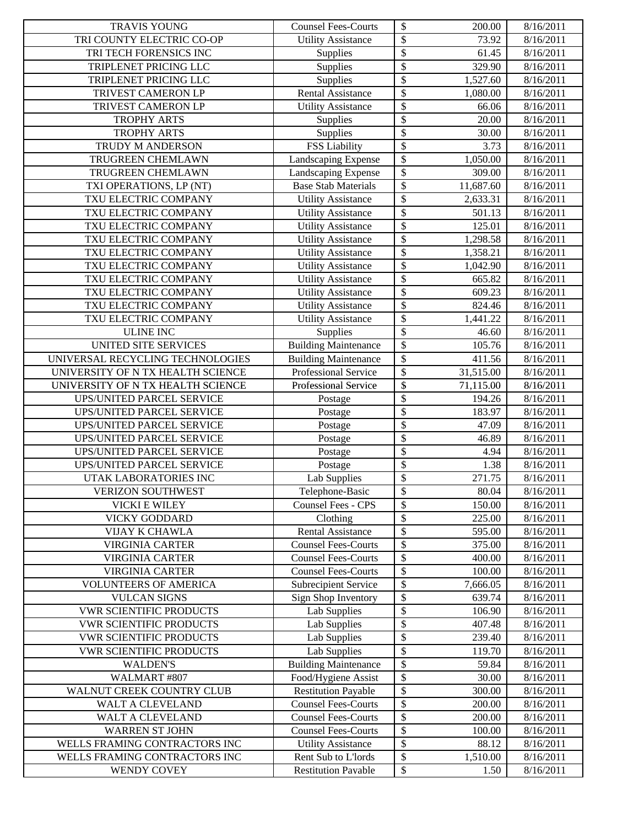| $\overline{\mathcal{S}}$<br>TRI COUNTY ELECTRIC CO-OP<br><b>Utility Assistance</b><br>73.92<br>8/16/2011<br>\$<br>Supplies<br>TRI TECH FORENSICS INC<br>61.45<br>8/16/2011<br>\$<br>Supplies<br>TRIPLENET PRICING LLC<br>329.90<br>8/16/2011<br>\$<br>TRIPLENET PRICING LLC<br>Supplies<br>1,527.60<br>8/16/2011<br>\$<br>TRIVEST CAMERON LP<br><b>Rental Assistance</b><br>1,080.00<br>8/16/2011<br>\$<br>TRIVEST CAMERON LP<br><b>Utility Assistance</b><br>66.06<br>8/16/2011<br>\$<br><b>TROPHY ARTS</b><br>Supplies<br>20.00<br>8/16/2011<br>\$<br><b>TROPHY ARTS</b><br>Supplies<br>30.00<br>8/16/2011<br><b>FSS Liability</b><br>\$<br>8/16/2011<br>TRUDY M ANDERSON<br>3.73<br>\$<br>Landscaping Expense<br>TRUGREEN CHEMLAWN<br>1,050.00<br>8/16/2011<br>\$<br>Landscaping Expense<br>TRUGREEN CHEMLAWN<br>309.00<br>8/16/2011<br>\$<br><b>Base Stab Materials</b><br>TXI OPERATIONS, LP (NT)<br>11,687.60<br>8/16/2011<br>\$<br>TXU ELECTRIC COMPANY<br>8/16/2011<br><b>Utility Assistance</b><br>2,633.31<br>\$<br>TXU ELECTRIC COMPANY<br><b>Utility Assistance</b><br>501.13<br>8/16/2011<br>\$<br>TXU ELECTRIC COMPANY<br>125.01<br><b>Utility Assistance</b><br>8/16/2011<br>\$<br>TXU ELECTRIC COMPANY<br>1,298.58<br><b>Utility Assistance</b><br>8/16/2011<br>\$<br>TXU ELECTRIC COMPANY<br><b>Utility Assistance</b><br>1,358.21<br>8/16/2011<br>\$<br>TXU ELECTRIC COMPANY<br><b>Utility Assistance</b><br>8/16/2011<br>1,042.90<br>\$<br><b>Utility Assistance</b><br>TXU ELECTRIC COMPANY<br>665.82<br>8/16/2011<br>\$<br><b>Utility Assistance</b><br>TXU ELECTRIC COMPANY<br>609.23<br>8/16/2011<br>\$<br>TXU ELECTRIC COMPANY<br><b>Utility Assistance</b><br>824.46<br>8/16/2011<br>\$<br>TXU ELECTRIC COMPANY<br><b>Utility Assistance</b><br>8/16/2011<br>1,441.22<br>\$<br><b>ULINE INC</b><br>Supplies<br>8/16/2011<br>46.60<br>$\overline{\mathcal{S}}$<br><b>UNITED SITE SERVICES</b><br><b>Building Maintenance</b><br>105.76<br>8/16/2011<br>\$<br>UNIVERSAL RECYCLING TECHNOLOGIES<br><b>Building Maintenance</b><br>411.56<br>8/16/2011<br>$\overline{\$}$<br>Professional Service<br>UNIVERSITY OF N TX HEALTH SCIENCE<br>31,515.00<br>8/16/2011<br>\$<br>Professional Service<br>UNIVERSITY OF N TX HEALTH SCIENCE<br>71,115.00<br>8/16/2011<br>\$<br>UPS/UNITED PARCEL SERVICE<br>8/16/2011<br>194.26<br>Postage<br>\$<br>UPS/UNITED PARCEL SERVICE<br>183.97<br>8/16/2011<br>Postage<br>\$<br>UPS/UNITED PARCEL SERVICE<br>47.09<br>8/16/2011<br>Postage<br>\$<br><b>UPS/UNITED PARCEL SERVICE</b><br>46.89<br>8/16/2011<br>Postage<br>\$<br><b>UPS/UNITED PARCEL SERVICE</b><br>4.94<br>8/16/2011<br>Postage<br>\$<br><b>UPS/UNITED PARCEL SERVICE</b><br>1.38<br>Postage<br>8/16/2011<br>\$<br>UTAK LABORATORIES INC<br><b>Lab Supplies</b><br>271.75<br>8/16/2011<br>Telephone-Basic<br>\$<br>80.04<br><b>VERIZON SOUTHWEST</b><br>8/16/2011<br>\$<br><b>Counsel Fees - CPS</b><br>8/16/2011<br><b>VICKI E WILEY</b><br>150.00<br>\$<br>Clothing<br>225.00<br><b>VICKY GODDARD</b><br>8/16/2011<br>\$<br>595.00<br><b>VIJAY K CHAWLA</b><br><b>Rental Assistance</b><br>8/16/2011<br>\$<br><b>VIRGINIA CARTER</b><br><b>Counsel Fees-Courts</b><br>375.00<br>8/16/2011<br>\$<br><b>VIRGINIA CARTER</b><br><b>Counsel Fees-Courts</b><br>400.00<br>8/16/2011<br>\$<br><b>VIRGINIA CARTER</b><br><b>Counsel Fees-Courts</b><br>100.00<br>8/16/2011<br>\$<br><b>Subrecipient Service</b><br><b>VOLUNTEERS OF AMERICA</b><br>7,666.05<br>8/16/2011<br>\$<br>Sign Shop Inventory<br><b>VULCAN SIGNS</b><br>639.74<br>8/16/2011 |
|----------------------------------------------------------------------------------------------------------------------------------------------------------------------------------------------------------------------------------------------------------------------------------------------------------------------------------------------------------------------------------------------------------------------------------------------------------------------------------------------------------------------------------------------------------------------------------------------------------------------------------------------------------------------------------------------------------------------------------------------------------------------------------------------------------------------------------------------------------------------------------------------------------------------------------------------------------------------------------------------------------------------------------------------------------------------------------------------------------------------------------------------------------------------------------------------------------------------------------------------------------------------------------------------------------------------------------------------------------------------------------------------------------------------------------------------------------------------------------------------------------------------------------------------------------------------------------------------------------------------------------------------------------------------------------------------------------------------------------------------------------------------------------------------------------------------------------------------------------------------------------------------------------------------------------------------------------------------------------------------------------------------------------------------------------------------------------------------------------------------------------------------------------------------------------------------------------------------------------------------------------------------------------------------------------------------------------------------------------------------------------------------------------------------------------------------------------------------------------------------------------------------------------------------------------------------------------------------------------------------------------------------------------------------------------------------------------------------------------------------------------------------------------------------------------------------------------------------------------------------------------------------------------------------------------------------------------------------------------------------------------------------------------------------------------------------------------------------------------------------------------------------------------------------------------------------------------------------------------------------------------------------------------------------------------------------------------------------------------------------------------------------------------------------------------------------------------------------------------------------------------------------------------------------------------------------|
|                                                                                                                                                                                                                                                                                                                                                                                                                                                                                                                                                                                                                                                                                                                                                                                                                                                                                                                                                                                                                                                                                                                                                                                                                                                                                                                                                                                                                                                                                                                                                                                                                                                                                                                                                                                                                                                                                                                                                                                                                                                                                                                                                                                                                                                                                                                                                                                                                                                                                                                                                                                                                                                                                                                                                                                                                                                                                                                                                                                                                                                                                                                                                                                                                                                                                                                                                                                                                                                                                                                                                                      |
|                                                                                                                                                                                                                                                                                                                                                                                                                                                                                                                                                                                                                                                                                                                                                                                                                                                                                                                                                                                                                                                                                                                                                                                                                                                                                                                                                                                                                                                                                                                                                                                                                                                                                                                                                                                                                                                                                                                                                                                                                                                                                                                                                                                                                                                                                                                                                                                                                                                                                                                                                                                                                                                                                                                                                                                                                                                                                                                                                                                                                                                                                                                                                                                                                                                                                                                                                                                                                                                                                                                                                                      |
|                                                                                                                                                                                                                                                                                                                                                                                                                                                                                                                                                                                                                                                                                                                                                                                                                                                                                                                                                                                                                                                                                                                                                                                                                                                                                                                                                                                                                                                                                                                                                                                                                                                                                                                                                                                                                                                                                                                                                                                                                                                                                                                                                                                                                                                                                                                                                                                                                                                                                                                                                                                                                                                                                                                                                                                                                                                                                                                                                                                                                                                                                                                                                                                                                                                                                                                                                                                                                                                                                                                                                                      |
|                                                                                                                                                                                                                                                                                                                                                                                                                                                                                                                                                                                                                                                                                                                                                                                                                                                                                                                                                                                                                                                                                                                                                                                                                                                                                                                                                                                                                                                                                                                                                                                                                                                                                                                                                                                                                                                                                                                                                                                                                                                                                                                                                                                                                                                                                                                                                                                                                                                                                                                                                                                                                                                                                                                                                                                                                                                                                                                                                                                                                                                                                                                                                                                                                                                                                                                                                                                                                                                                                                                                                                      |
|                                                                                                                                                                                                                                                                                                                                                                                                                                                                                                                                                                                                                                                                                                                                                                                                                                                                                                                                                                                                                                                                                                                                                                                                                                                                                                                                                                                                                                                                                                                                                                                                                                                                                                                                                                                                                                                                                                                                                                                                                                                                                                                                                                                                                                                                                                                                                                                                                                                                                                                                                                                                                                                                                                                                                                                                                                                                                                                                                                                                                                                                                                                                                                                                                                                                                                                                                                                                                                                                                                                                                                      |
|                                                                                                                                                                                                                                                                                                                                                                                                                                                                                                                                                                                                                                                                                                                                                                                                                                                                                                                                                                                                                                                                                                                                                                                                                                                                                                                                                                                                                                                                                                                                                                                                                                                                                                                                                                                                                                                                                                                                                                                                                                                                                                                                                                                                                                                                                                                                                                                                                                                                                                                                                                                                                                                                                                                                                                                                                                                                                                                                                                                                                                                                                                                                                                                                                                                                                                                                                                                                                                                                                                                                                                      |
|                                                                                                                                                                                                                                                                                                                                                                                                                                                                                                                                                                                                                                                                                                                                                                                                                                                                                                                                                                                                                                                                                                                                                                                                                                                                                                                                                                                                                                                                                                                                                                                                                                                                                                                                                                                                                                                                                                                                                                                                                                                                                                                                                                                                                                                                                                                                                                                                                                                                                                                                                                                                                                                                                                                                                                                                                                                                                                                                                                                                                                                                                                                                                                                                                                                                                                                                                                                                                                                                                                                                                                      |
|                                                                                                                                                                                                                                                                                                                                                                                                                                                                                                                                                                                                                                                                                                                                                                                                                                                                                                                                                                                                                                                                                                                                                                                                                                                                                                                                                                                                                                                                                                                                                                                                                                                                                                                                                                                                                                                                                                                                                                                                                                                                                                                                                                                                                                                                                                                                                                                                                                                                                                                                                                                                                                                                                                                                                                                                                                                                                                                                                                                                                                                                                                                                                                                                                                                                                                                                                                                                                                                                                                                                                                      |
|                                                                                                                                                                                                                                                                                                                                                                                                                                                                                                                                                                                                                                                                                                                                                                                                                                                                                                                                                                                                                                                                                                                                                                                                                                                                                                                                                                                                                                                                                                                                                                                                                                                                                                                                                                                                                                                                                                                                                                                                                                                                                                                                                                                                                                                                                                                                                                                                                                                                                                                                                                                                                                                                                                                                                                                                                                                                                                                                                                                                                                                                                                                                                                                                                                                                                                                                                                                                                                                                                                                                                                      |
|                                                                                                                                                                                                                                                                                                                                                                                                                                                                                                                                                                                                                                                                                                                                                                                                                                                                                                                                                                                                                                                                                                                                                                                                                                                                                                                                                                                                                                                                                                                                                                                                                                                                                                                                                                                                                                                                                                                                                                                                                                                                                                                                                                                                                                                                                                                                                                                                                                                                                                                                                                                                                                                                                                                                                                                                                                                                                                                                                                                                                                                                                                                                                                                                                                                                                                                                                                                                                                                                                                                                                                      |
|                                                                                                                                                                                                                                                                                                                                                                                                                                                                                                                                                                                                                                                                                                                                                                                                                                                                                                                                                                                                                                                                                                                                                                                                                                                                                                                                                                                                                                                                                                                                                                                                                                                                                                                                                                                                                                                                                                                                                                                                                                                                                                                                                                                                                                                                                                                                                                                                                                                                                                                                                                                                                                                                                                                                                                                                                                                                                                                                                                                                                                                                                                                                                                                                                                                                                                                                                                                                                                                                                                                                                                      |
|                                                                                                                                                                                                                                                                                                                                                                                                                                                                                                                                                                                                                                                                                                                                                                                                                                                                                                                                                                                                                                                                                                                                                                                                                                                                                                                                                                                                                                                                                                                                                                                                                                                                                                                                                                                                                                                                                                                                                                                                                                                                                                                                                                                                                                                                                                                                                                                                                                                                                                                                                                                                                                                                                                                                                                                                                                                                                                                                                                                                                                                                                                                                                                                                                                                                                                                                                                                                                                                                                                                                                                      |
|                                                                                                                                                                                                                                                                                                                                                                                                                                                                                                                                                                                                                                                                                                                                                                                                                                                                                                                                                                                                                                                                                                                                                                                                                                                                                                                                                                                                                                                                                                                                                                                                                                                                                                                                                                                                                                                                                                                                                                                                                                                                                                                                                                                                                                                                                                                                                                                                                                                                                                                                                                                                                                                                                                                                                                                                                                                                                                                                                                                                                                                                                                                                                                                                                                                                                                                                                                                                                                                                                                                                                                      |
|                                                                                                                                                                                                                                                                                                                                                                                                                                                                                                                                                                                                                                                                                                                                                                                                                                                                                                                                                                                                                                                                                                                                                                                                                                                                                                                                                                                                                                                                                                                                                                                                                                                                                                                                                                                                                                                                                                                                                                                                                                                                                                                                                                                                                                                                                                                                                                                                                                                                                                                                                                                                                                                                                                                                                                                                                                                                                                                                                                                                                                                                                                                                                                                                                                                                                                                                                                                                                                                                                                                                                                      |
|                                                                                                                                                                                                                                                                                                                                                                                                                                                                                                                                                                                                                                                                                                                                                                                                                                                                                                                                                                                                                                                                                                                                                                                                                                                                                                                                                                                                                                                                                                                                                                                                                                                                                                                                                                                                                                                                                                                                                                                                                                                                                                                                                                                                                                                                                                                                                                                                                                                                                                                                                                                                                                                                                                                                                                                                                                                                                                                                                                                                                                                                                                                                                                                                                                                                                                                                                                                                                                                                                                                                                                      |
|                                                                                                                                                                                                                                                                                                                                                                                                                                                                                                                                                                                                                                                                                                                                                                                                                                                                                                                                                                                                                                                                                                                                                                                                                                                                                                                                                                                                                                                                                                                                                                                                                                                                                                                                                                                                                                                                                                                                                                                                                                                                                                                                                                                                                                                                                                                                                                                                                                                                                                                                                                                                                                                                                                                                                                                                                                                                                                                                                                                                                                                                                                                                                                                                                                                                                                                                                                                                                                                                                                                                                                      |
|                                                                                                                                                                                                                                                                                                                                                                                                                                                                                                                                                                                                                                                                                                                                                                                                                                                                                                                                                                                                                                                                                                                                                                                                                                                                                                                                                                                                                                                                                                                                                                                                                                                                                                                                                                                                                                                                                                                                                                                                                                                                                                                                                                                                                                                                                                                                                                                                                                                                                                                                                                                                                                                                                                                                                                                                                                                                                                                                                                                                                                                                                                                                                                                                                                                                                                                                                                                                                                                                                                                                                                      |
|                                                                                                                                                                                                                                                                                                                                                                                                                                                                                                                                                                                                                                                                                                                                                                                                                                                                                                                                                                                                                                                                                                                                                                                                                                                                                                                                                                                                                                                                                                                                                                                                                                                                                                                                                                                                                                                                                                                                                                                                                                                                                                                                                                                                                                                                                                                                                                                                                                                                                                                                                                                                                                                                                                                                                                                                                                                                                                                                                                                                                                                                                                                                                                                                                                                                                                                                                                                                                                                                                                                                                                      |
|                                                                                                                                                                                                                                                                                                                                                                                                                                                                                                                                                                                                                                                                                                                                                                                                                                                                                                                                                                                                                                                                                                                                                                                                                                                                                                                                                                                                                                                                                                                                                                                                                                                                                                                                                                                                                                                                                                                                                                                                                                                                                                                                                                                                                                                                                                                                                                                                                                                                                                                                                                                                                                                                                                                                                                                                                                                                                                                                                                                                                                                                                                                                                                                                                                                                                                                                                                                                                                                                                                                                                                      |
|                                                                                                                                                                                                                                                                                                                                                                                                                                                                                                                                                                                                                                                                                                                                                                                                                                                                                                                                                                                                                                                                                                                                                                                                                                                                                                                                                                                                                                                                                                                                                                                                                                                                                                                                                                                                                                                                                                                                                                                                                                                                                                                                                                                                                                                                                                                                                                                                                                                                                                                                                                                                                                                                                                                                                                                                                                                                                                                                                                                                                                                                                                                                                                                                                                                                                                                                                                                                                                                                                                                                                                      |
|                                                                                                                                                                                                                                                                                                                                                                                                                                                                                                                                                                                                                                                                                                                                                                                                                                                                                                                                                                                                                                                                                                                                                                                                                                                                                                                                                                                                                                                                                                                                                                                                                                                                                                                                                                                                                                                                                                                                                                                                                                                                                                                                                                                                                                                                                                                                                                                                                                                                                                                                                                                                                                                                                                                                                                                                                                                                                                                                                                                                                                                                                                                                                                                                                                                                                                                                                                                                                                                                                                                                                                      |
|                                                                                                                                                                                                                                                                                                                                                                                                                                                                                                                                                                                                                                                                                                                                                                                                                                                                                                                                                                                                                                                                                                                                                                                                                                                                                                                                                                                                                                                                                                                                                                                                                                                                                                                                                                                                                                                                                                                                                                                                                                                                                                                                                                                                                                                                                                                                                                                                                                                                                                                                                                                                                                                                                                                                                                                                                                                                                                                                                                                                                                                                                                                                                                                                                                                                                                                                                                                                                                                                                                                                                                      |
|                                                                                                                                                                                                                                                                                                                                                                                                                                                                                                                                                                                                                                                                                                                                                                                                                                                                                                                                                                                                                                                                                                                                                                                                                                                                                                                                                                                                                                                                                                                                                                                                                                                                                                                                                                                                                                                                                                                                                                                                                                                                                                                                                                                                                                                                                                                                                                                                                                                                                                                                                                                                                                                                                                                                                                                                                                                                                                                                                                                                                                                                                                                                                                                                                                                                                                                                                                                                                                                                                                                                                                      |
|                                                                                                                                                                                                                                                                                                                                                                                                                                                                                                                                                                                                                                                                                                                                                                                                                                                                                                                                                                                                                                                                                                                                                                                                                                                                                                                                                                                                                                                                                                                                                                                                                                                                                                                                                                                                                                                                                                                                                                                                                                                                                                                                                                                                                                                                                                                                                                                                                                                                                                                                                                                                                                                                                                                                                                                                                                                                                                                                                                                                                                                                                                                                                                                                                                                                                                                                                                                                                                                                                                                                                                      |
|                                                                                                                                                                                                                                                                                                                                                                                                                                                                                                                                                                                                                                                                                                                                                                                                                                                                                                                                                                                                                                                                                                                                                                                                                                                                                                                                                                                                                                                                                                                                                                                                                                                                                                                                                                                                                                                                                                                                                                                                                                                                                                                                                                                                                                                                                                                                                                                                                                                                                                                                                                                                                                                                                                                                                                                                                                                                                                                                                                                                                                                                                                                                                                                                                                                                                                                                                                                                                                                                                                                                                                      |
|                                                                                                                                                                                                                                                                                                                                                                                                                                                                                                                                                                                                                                                                                                                                                                                                                                                                                                                                                                                                                                                                                                                                                                                                                                                                                                                                                                                                                                                                                                                                                                                                                                                                                                                                                                                                                                                                                                                                                                                                                                                                                                                                                                                                                                                                                                                                                                                                                                                                                                                                                                                                                                                                                                                                                                                                                                                                                                                                                                                                                                                                                                                                                                                                                                                                                                                                                                                                                                                                                                                                                                      |
|                                                                                                                                                                                                                                                                                                                                                                                                                                                                                                                                                                                                                                                                                                                                                                                                                                                                                                                                                                                                                                                                                                                                                                                                                                                                                                                                                                                                                                                                                                                                                                                                                                                                                                                                                                                                                                                                                                                                                                                                                                                                                                                                                                                                                                                                                                                                                                                                                                                                                                                                                                                                                                                                                                                                                                                                                                                                                                                                                                                                                                                                                                                                                                                                                                                                                                                                                                                                                                                                                                                                                                      |
|                                                                                                                                                                                                                                                                                                                                                                                                                                                                                                                                                                                                                                                                                                                                                                                                                                                                                                                                                                                                                                                                                                                                                                                                                                                                                                                                                                                                                                                                                                                                                                                                                                                                                                                                                                                                                                                                                                                                                                                                                                                                                                                                                                                                                                                                                                                                                                                                                                                                                                                                                                                                                                                                                                                                                                                                                                                                                                                                                                                                                                                                                                                                                                                                                                                                                                                                                                                                                                                                                                                                                                      |
|                                                                                                                                                                                                                                                                                                                                                                                                                                                                                                                                                                                                                                                                                                                                                                                                                                                                                                                                                                                                                                                                                                                                                                                                                                                                                                                                                                                                                                                                                                                                                                                                                                                                                                                                                                                                                                                                                                                                                                                                                                                                                                                                                                                                                                                                                                                                                                                                                                                                                                                                                                                                                                                                                                                                                                                                                                                                                                                                                                                                                                                                                                                                                                                                                                                                                                                                                                                                                                                                                                                                                                      |
|                                                                                                                                                                                                                                                                                                                                                                                                                                                                                                                                                                                                                                                                                                                                                                                                                                                                                                                                                                                                                                                                                                                                                                                                                                                                                                                                                                                                                                                                                                                                                                                                                                                                                                                                                                                                                                                                                                                                                                                                                                                                                                                                                                                                                                                                                                                                                                                                                                                                                                                                                                                                                                                                                                                                                                                                                                                                                                                                                                                                                                                                                                                                                                                                                                                                                                                                                                                                                                                                                                                                                                      |
|                                                                                                                                                                                                                                                                                                                                                                                                                                                                                                                                                                                                                                                                                                                                                                                                                                                                                                                                                                                                                                                                                                                                                                                                                                                                                                                                                                                                                                                                                                                                                                                                                                                                                                                                                                                                                                                                                                                                                                                                                                                                                                                                                                                                                                                                                                                                                                                                                                                                                                                                                                                                                                                                                                                                                                                                                                                                                                                                                                                                                                                                                                                                                                                                                                                                                                                                                                                                                                                                                                                                                                      |
|                                                                                                                                                                                                                                                                                                                                                                                                                                                                                                                                                                                                                                                                                                                                                                                                                                                                                                                                                                                                                                                                                                                                                                                                                                                                                                                                                                                                                                                                                                                                                                                                                                                                                                                                                                                                                                                                                                                                                                                                                                                                                                                                                                                                                                                                                                                                                                                                                                                                                                                                                                                                                                                                                                                                                                                                                                                                                                                                                                                                                                                                                                                                                                                                                                                                                                                                                                                                                                                                                                                                                                      |
|                                                                                                                                                                                                                                                                                                                                                                                                                                                                                                                                                                                                                                                                                                                                                                                                                                                                                                                                                                                                                                                                                                                                                                                                                                                                                                                                                                                                                                                                                                                                                                                                                                                                                                                                                                                                                                                                                                                                                                                                                                                                                                                                                                                                                                                                                                                                                                                                                                                                                                                                                                                                                                                                                                                                                                                                                                                                                                                                                                                                                                                                                                                                                                                                                                                                                                                                                                                                                                                                                                                                                                      |
|                                                                                                                                                                                                                                                                                                                                                                                                                                                                                                                                                                                                                                                                                                                                                                                                                                                                                                                                                                                                                                                                                                                                                                                                                                                                                                                                                                                                                                                                                                                                                                                                                                                                                                                                                                                                                                                                                                                                                                                                                                                                                                                                                                                                                                                                                                                                                                                                                                                                                                                                                                                                                                                                                                                                                                                                                                                                                                                                                                                                                                                                                                                                                                                                                                                                                                                                                                                                                                                                                                                                                                      |
|                                                                                                                                                                                                                                                                                                                                                                                                                                                                                                                                                                                                                                                                                                                                                                                                                                                                                                                                                                                                                                                                                                                                                                                                                                                                                                                                                                                                                                                                                                                                                                                                                                                                                                                                                                                                                                                                                                                                                                                                                                                                                                                                                                                                                                                                                                                                                                                                                                                                                                                                                                                                                                                                                                                                                                                                                                                                                                                                                                                                                                                                                                                                                                                                                                                                                                                                                                                                                                                                                                                                                                      |
|                                                                                                                                                                                                                                                                                                                                                                                                                                                                                                                                                                                                                                                                                                                                                                                                                                                                                                                                                                                                                                                                                                                                                                                                                                                                                                                                                                                                                                                                                                                                                                                                                                                                                                                                                                                                                                                                                                                                                                                                                                                                                                                                                                                                                                                                                                                                                                                                                                                                                                                                                                                                                                                                                                                                                                                                                                                                                                                                                                                                                                                                                                                                                                                                                                                                                                                                                                                                                                                                                                                                                                      |
|                                                                                                                                                                                                                                                                                                                                                                                                                                                                                                                                                                                                                                                                                                                                                                                                                                                                                                                                                                                                                                                                                                                                                                                                                                                                                                                                                                                                                                                                                                                                                                                                                                                                                                                                                                                                                                                                                                                                                                                                                                                                                                                                                                                                                                                                                                                                                                                                                                                                                                                                                                                                                                                                                                                                                                                                                                                                                                                                                                                                                                                                                                                                                                                                                                                                                                                                                                                                                                                                                                                                                                      |
|                                                                                                                                                                                                                                                                                                                                                                                                                                                                                                                                                                                                                                                                                                                                                                                                                                                                                                                                                                                                                                                                                                                                                                                                                                                                                                                                                                                                                                                                                                                                                                                                                                                                                                                                                                                                                                                                                                                                                                                                                                                                                                                                                                                                                                                                                                                                                                                                                                                                                                                                                                                                                                                                                                                                                                                                                                                                                                                                                                                                                                                                                                                                                                                                                                                                                                                                                                                                                                                                                                                                                                      |
|                                                                                                                                                                                                                                                                                                                                                                                                                                                                                                                                                                                                                                                                                                                                                                                                                                                                                                                                                                                                                                                                                                                                                                                                                                                                                                                                                                                                                                                                                                                                                                                                                                                                                                                                                                                                                                                                                                                                                                                                                                                                                                                                                                                                                                                                                                                                                                                                                                                                                                                                                                                                                                                                                                                                                                                                                                                                                                                                                                                                                                                                                                                                                                                                                                                                                                                                                                                                                                                                                                                                                                      |
|                                                                                                                                                                                                                                                                                                                                                                                                                                                                                                                                                                                                                                                                                                                                                                                                                                                                                                                                                                                                                                                                                                                                                                                                                                                                                                                                                                                                                                                                                                                                                                                                                                                                                                                                                                                                                                                                                                                                                                                                                                                                                                                                                                                                                                                                                                                                                                                                                                                                                                                                                                                                                                                                                                                                                                                                                                                                                                                                                                                                                                                                                                                                                                                                                                                                                                                                                                                                                                                                                                                                                                      |
|                                                                                                                                                                                                                                                                                                                                                                                                                                                                                                                                                                                                                                                                                                                                                                                                                                                                                                                                                                                                                                                                                                                                                                                                                                                                                                                                                                                                                                                                                                                                                                                                                                                                                                                                                                                                                                                                                                                                                                                                                                                                                                                                                                                                                                                                                                                                                                                                                                                                                                                                                                                                                                                                                                                                                                                                                                                                                                                                                                                                                                                                                                                                                                                                                                                                                                                                                                                                                                                                                                                                                                      |
|                                                                                                                                                                                                                                                                                                                                                                                                                                                                                                                                                                                                                                                                                                                                                                                                                                                                                                                                                                                                                                                                                                                                                                                                                                                                                                                                                                                                                                                                                                                                                                                                                                                                                                                                                                                                                                                                                                                                                                                                                                                                                                                                                                                                                                                                                                                                                                                                                                                                                                                                                                                                                                                                                                                                                                                                                                                                                                                                                                                                                                                                                                                                                                                                                                                                                                                                                                                                                                                                                                                                                                      |
|                                                                                                                                                                                                                                                                                                                                                                                                                                                                                                                                                                                                                                                                                                                                                                                                                                                                                                                                                                                                                                                                                                                                                                                                                                                                                                                                                                                                                                                                                                                                                                                                                                                                                                                                                                                                                                                                                                                                                                                                                                                                                                                                                                                                                                                                                                                                                                                                                                                                                                                                                                                                                                                                                                                                                                                                                                                                                                                                                                                                                                                                                                                                                                                                                                                                                                                                                                                                                                                                                                                                                                      |
| \$<br><b>VWR SCIENTIFIC PRODUCTS</b><br>Lab Supplies<br>106.90<br>8/16/2011                                                                                                                                                                                                                                                                                                                                                                                                                                                                                                                                                                                                                                                                                                                                                                                                                                                                                                                                                                                                                                                                                                                                                                                                                                                                                                                                                                                                                                                                                                                                                                                                                                                                                                                                                                                                                                                                                                                                                                                                                                                                                                                                                                                                                                                                                                                                                                                                                                                                                                                                                                                                                                                                                                                                                                                                                                                                                                                                                                                                                                                                                                                                                                                                                                                                                                                                                                                                                                                                                          |
| \$<br><b>Lab Supplies</b><br><b>VWR SCIENTIFIC PRODUCTS</b><br>407.48<br>8/16/2011                                                                                                                                                                                                                                                                                                                                                                                                                                                                                                                                                                                                                                                                                                                                                                                                                                                                                                                                                                                                                                                                                                                                                                                                                                                                                                                                                                                                                                                                                                                                                                                                                                                                                                                                                                                                                                                                                                                                                                                                                                                                                                                                                                                                                                                                                                                                                                                                                                                                                                                                                                                                                                                                                                                                                                                                                                                                                                                                                                                                                                                                                                                                                                                                                                                                                                                                                                                                                                                                                   |
| Lab Supplies<br>\$<br>239.40<br><b>VWR SCIENTIFIC PRODUCTS</b><br>8/16/2011                                                                                                                                                                                                                                                                                                                                                                                                                                                                                                                                                                                                                                                                                                                                                                                                                                                                                                                                                                                                                                                                                                                                                                                                                                                                                                                                                                                                                                                                                                                                                                                                                                                                                                                                                                                                                                                                                                                                                                                                                                                                                                                                                                                                                                                                                                                                                                                                                                                                                                                                                                                                                                                                                                                                                                                                                                                                                                                                                                                                                                                                                                                                                                                                                                                                                                                                                                                                                                                                                          |
| \$<br>Lab Supplies<br><b>VWR SCIENTIFIC PRODUCTS</b><br>119.70<br>8/16/2011                                                                                                                                                                                                                                                                                                                                                                                                                                                                                                                                                                                                                                                                                                                                                                                                                                                                                                                                                                                                                                                                                                                                                                                                                                                                                                                                                                                                                                                                                                                                                                                                                                                                                                                                                                                                                                                                                                                                                                                                                                                                                                                                                                                                                                                                                                                                                                                                                                                                                                                                                                                                                                                                                                                                                                                                                                                                                                                                                                                                                                                                                                                                                                                                                                                                                                                                                                                                                                                                                          |
| \$<br><b>Building Maintenance</b><br><b>WALDEN'S</b><br>59.84<br>8/16/2011                                                                                                                                                                                                                                                                                                                                                                                                                                                                                                                                                                                                                                                                                                                                                                                                                                                                                                                                                                                                                                                                                                                                                                                                                                                                                                                                                                                                                                                                                                                                                                                                                                                                                                                                                                                                                                                                                                                                                                                                                                                                                                                                                                                                                                                                                                                                                                                                                                                                                                                                                                                                                                                                                                                                                                                                                                                                                                                                                                                                                                                                                                                                                                                                                                                                                                                                                                                                                                                                                           |
| \$<br>Food/Hygiene Assist<br>WALMART #807<br>30.00<br>8/16/2011                                                                                                                                                                                                                                                                                                                                                                                                                                                                                                                                                                                                                                                                                                                                                                                                                                                                                                                                                                                                                                                                                                                                                                                                                                                                                                                                                                                                                                                                                                                                                                                                                                                                                                                                                                                                                                                                                                                                                                                                                                                                                                                                                                                                                                                                                                                                                                                                                                                                                                                                                                                                                                                                                                                                                                                                                                                                                                                                                                                                                                                                                                                                                                                                                                                                                                                                                                                                                                                                                                      |
| \$<br><b>Restitution Payable</b><br>WALNUT CREEK COUNTRY CLUB<br>300.00<br>8/16/2011                                                                                                                                                                                                                                                                                                                                                                                                                                                                                                                                                                                                                                                                                                                                                                                                                                                                                                                                                                                                                                                                                                                                                                                                                                                                                                                                                                                                                                                                                                                                                                                                                                                                                                                                                                                                                                                                                                                                                                                                                                                                                                                                                                                                                                                                                                                                                                                                                                                                                                                                                                                                                                                                                                                                                                                                                                                                                                                                                                                                                                                                                                                                                                                                                                                                                                                                                                                                                                                                                 |
| \$<br><b>Counsel Fees-Courts</b><br>200.00<br>8/16/2011<br>WALT A CLEVELAND                                                                                                                                                                                                                                                                                                                                                                                                                                                                                                                                                                                                                                                                                                                                                                                                                                                                                                                                                                                                                                                                                                                                                                                                                                                                                                                                                                                                                                                                                                                                                                                                                                                                                                                                                                                                                                                                                                                                                                                                                                                                                                                                                                                                                                                                                                                                                                                                                                                                                                                                                                                                                                                                                                                                                                                                                                                                                                                                                                                                                                                                                                                                                                                                                                                                                                                                                                                                                                                                                          |
| \$<br><b>Counsel Fees-Courts</b><br>WALT A CLEVELAND<br>200.00<br>8/16/2011                                                                                                                                                                                                                                                                                                                                                                                                                                                                                                                                                                                                                                                                                                                                                                                                                                                                                                                                                                                                                                                                                                                                                                                                                                                                                                                                                                                                                                                                                                                                                                                                                                                                                                                                                                                                                                                                                                                                                                                                                                                                                                                                                                                                                                                                                                                                                                                                                                                                                                                                                                                                                                                                                                                                                                                                                                                                                                                                                                                                                                                                                                                                                                                                                                                                                                                                                                                                                                                                                          |
| \$<br><b>Counsel Fees-Courts</b><br><b>WARREN ST JOHN</b><br>100.00<br>8/16/2011                                                                                                                                                                                                                                                                                                                                                                                                                                                                                                                                                                                                                                                                                                                                                                                                                                                                                                                                                                                                                                                                                                                                                                                                                                                                                                                                                                                                                                                                                                                                                                                                                                                                                                                                                                                                                                                                                                                                                                                                                                                                                                                                                                                                                                                                                                                                                                                                                                                                                                                                                                                                                                                                                                                                                                                                                                                                                                                                                                                                                                                                                                                                                                                                                                                                                                                                                                                                                                                                                     |
| \$<br>WELLS FRAMING CONTRACTORS INC<br><b>Utility Assistance</b><br>88.12<br>8/16/2011                                                                                                                                                                                                                                                                                                                                                                                                                                                                                                                                                                                                                                                                                                                                                                                                                                                                                                                                                                                                                                                                                                                                                                                                                                                                                                                                                                                                                                                                                                                                                                                                                                                                                                                                                                                                                                                                                                                                                                                                                                                                                                                                                                                                                                                                                                                                                                                                                                                                                                                                                                                                                                                                                                                                                                                                                                                                                                                                                                                                                                                                                                                                                                                                                                                                                                                                                                                                                                                                               |
| \$<br>WELLS FRAMING CONTRACTORS INC<br>Rent Sub to L'Iords<br>1,510.00<br>8/16/2011                                                                                                                                                                                                                                                                                                                                                                                                                                                                                                                                                                                                                                                                                                                                                                                                                                                                                                                                                                                                                                                                                                                                                                                                                                                                                                                                                                                                                                                                                                                                                                                                                                                                                                                                                                                                                                                                                                                                                                                                                                                                                                                                                                                                                                                                                                                                                                                                                                                                                                                                                                                                                                                                                                                                                                                                                                                                                                                                                                                                                                                                                                                                                                                                                                                                                                                                                                                                                                                                                  |
| $\mathbb{S}$<br>WENDY COVEY<br><b>Restitution Pavable</b><br>1.50<br>8/16/2011                                                                                                                                                                                                                                                                                                                                                                                                                                                                                                                                                                                                                                                                                                                                                                                                                                                                                                                                                                                                                                                                                                                                                                                                                                                                                                                                                                                                                                                                                                                                                                                                                                                                                                                                                                                                                                                                                                                                                                                                                                                                                                                                                                                                                                                                                                                                                                                                                                                                                                                                                                                                                                                                                                                                                                                                                                                                                                                                                                                                                                                                                                                                                                                                                                                                                                                                                                                                                                                                                       |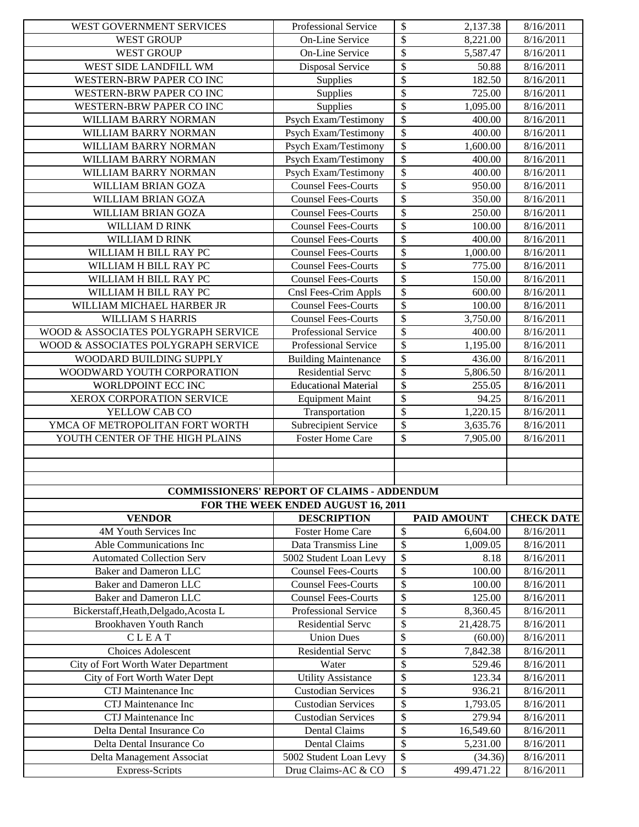| WEST GOVERNMENT SERVICES                            | Professional Service                              | $\boldsymbol{\mathsf{S}}$      | 2,137.38              | 8/16/2011              |
|-----------------------------------------------------|---------------------------------------------------|--------------------------------|-----------------------|------------------------|
| <b>WEST GROUP</b>                                   | On-Line Service                                   | \$                             | 8,221.00              | 8/16/2011              |
| <b>WEST GROUP</b>                                   | On-Line Service                                   | \$                             | 5,587.47              | 8/16/2011              |
| WEST SIDE LANDFILL WM                               | Disposal Service                                  | \$                             | 50.88                 | 8/16/2011              |
| WESTERN-BRW PAPER CO INC                            | Supplies                                          | \$                             | 182.50                | 8/16/2011              |
| WESTERN-BRW PAPER CO INC                            | Supplies                                          | \$                             | 725.00                | 8/16/2011              |
| WESTERN-BRW PAPER CO INC                            | Supplies                                          | $\overline{\$}$                | 1,095.00              | 8/16/2011              |
| WILLIAM BARRY NORMAN                                | Psych Exam/Testimony                              | \$                             | 400.00                | 8/16/2011              |
| WILLIAM BARRY NORMAN                                | Psych Exam/Testimony                              | $\overline{\$}$                | 400.00                | 8/16/2011              |
| WILLIAM BARRY NORMAN                                | Psych Exam/Testimony                              | $\overline{\mathcal{S}}$       | 1,600.00              | 8/16/2011              |
| WILLIAM BARRY NORMAN                                | Psych Exam/Testimony                              | $\overline{\$}$                | 400.00                | 8/16/2011              |
| WILLIAM BARRY NORMAN                                | Psych Exam/Testimony                              | $\overline{\$}$                | 400.00                | 8/16/2011              |
| WILLIAM BRIAN GOZA                                  | <b>Counsel Fees-Courts</b>                        | \$                             | 950.00                | 8/16/2011              |
| WILLIAM BRIAN GOZA                                  | <b>Counsel Fees-Courts</b>                        | $\overline{\$}$                | 350.00                | 8/16/2011              |
| WILLIAM BRIAN GOZA                                  | <b>Counsel Fees-Courts</b>                        | $\overline{\$}$                | 250.00                | 8/16/2011              |
| WILLIAM D RINK                                      | <b>Counsel Fees-Courts</b>                        | $\overline{\$}$                | 100.00                | 8/16/2011              |
| WILLIAM D RINK                                      | <b>Counsel Fees-Courts</b>                        | $\overline{\$}$                | 400.00                | 8/16/2011              |
| WILLIAM H BILL RAY PC                               | <b>Counsel Fees-Courts</b>                        | \$                             | 1,000.00              | 8/16/2011              |
| WILLIAM H BILL RAY PC                               | <b>Counsel Fees-Courts</b>                        | \$                             | 775.00                | 8/16/2011              |
| WILLIAM H BILL RAY PC                               | <b>Counsel Fees-Courts</b>                        | \$                             | 150.00                | 8/16/2011              |
| WILLIAM H BILL RAY PC                               | Cnsl Fees-Crim Appls                              | \$                             | 600.00                | 8/16/2011              |
| WILLIAM MICHAEL HARBER JR                           | <b>Counsel Fees-Courts</b>                        | \$                             | 100.00                | 8/16/2011              |
| WILLIAM S HARRIS                                    | <b>Counsel Fees-Courts</b>                        | $\overline{\$}$                | $\overline{3,750.00}$ | 8/16/2011              |
| WOOD & ASSOCIATES POLYGRAPH SERVICE                 | Professional Service                              | $\overline{\mathcal{S}}$       | 400.00                | 8/16/2011              |
| WOOD & ASSOCIATES POLYGRAPH SERVICE                 | Professional Service                              | $\overline{\$}$                | 1,195.00              | 8/16/2011              |
| WOODARD BUILDING SUPPLY                             | <b>Building Maintenance</b>                       | \$                             | 436.00                | 8/16/2011              |
| WOODWARD YOUTH CORPORATION                          | <b>Residential Serve</b>                          | \$                             | 5,806.50              | 8/16/2011              |
| WORLDPOINT ECC INC                                  | <b>Educational Material</b>                       | \$                             | 255.05                | 8/16/2011              |
| XEROX CORPORATION SERVICE                           | <b>Equipment Maint</b>                            | \$                             | 94.25                 | 8/16/2011              |
|                                                     |                                                   |                                |                       |                        |
|                                                     |                                                   |                                |                       |                        |
| YELLOW CAB CO                                       | Transportation                                    | \$                             | 1,220.15              | 8/16/2011              |
| YMCA OF METROPOLITAN FORT WORTH                     | Subrecipient Service                              | \$                             | 3,635.76              | 8/16/2011              |
| YOUTH CENTER OF THE HIGH PLAINS                     | <b>Foster Home Care</b>                           | \$                             | 7,905.00              | 8/16/2011              |
|                                                     |                                                   |                                |                       |                        |
|                                                     |                                                   |                                |                       |                        |
|                                                     |                                                   |                                |                       |                        |
|                                                     | <b>COMMISSIONERS' REPORT OF CLAIMS - ADDENDUM</b> |                                |                       |                        |
|                                                     | FOR THE WEEK ENDED AUGUST 16, 2011                |                                |                       |                        |
| <b>VENDOR</b>                                       | <b>DESCRIPTION</b>                                |                                | <b>PAID AMOUNT</b>    | <b>CHECK DATE</b>      |
| 4M Youth Services Inc                               | <b>Foster Home Care</b>                           | $\boldsymbol{\mathsf{S}}$      | 6,604.00              | 8/16/2011              |
| Able Communications Inc                             | Data Transmiss Line                               | $\overline{\mathcal{S}}$       | 1,009.05              | 8/16/2011              |
| <b>Automated Collection Serv</b>                    | 5002 Student Loan Levy                            | \$                             | 8.18                  | 8/16/2011              |
| <b>Baker and Dameron LLC</b>                        | <b>Counsel Fees-Courts</b>                        | \$                             | 100.00                | 8/16/2011              |
| <b>Baker and Dameron LLC</b>                        | <b>Counsel Fees-Courts</b>                        | \$                             | 100.00                | 8/16/2011              |
| <b>Baker and Dameron LLC</b>                        | <b>Counsel Fees-Courts</b>                        | \$                             | 125.00                | 8/16/2011              |
| Bickerstaff, Heath, Delgado, Acosta L               | Professional Service                              | \$                             | 8,360.45              | 8/16/2011              |
| <b>Brookhaven Youth Ranch</b>                       | Residential Servc                                 | \$                             | 21,428.75             | 8/16/2011              |
| CLEAT                                               | <b>Union Dues</b>                                 | \$                             | (60.00)               | 8/16/2011              |
| <b>Choices Adolescent</b>                           | Residential Servc                                 | \$                             | 7,842.38              | 8/16/2011              |
| City of Fort Worth Water Department                 | Water                                             | \$                             | 529.46                | 8/16/2011              |
| City of Fort Worth Water Dept                       | <b>Utility Assistance</b>                         | $\overline{\$}$                | 123.34                | 8/16/2011              |
| CTJ Maintenance Inc                                 | <b>Custodian Services</b>                         | \$                             | 936.21                | 8/16/2011              |
| CTJ Maintenance Inc                                 | <b>Custodian Services</b>                         | \$                             | 1,793.05              | 8/16/2011              |
| CTJ Maintenance Inc                                 | <b>Custodian Services</b>                         | \$                             | 279.94                | 8/16/2011              |
| Delta Dental Insurance Co                           | Dental Claims                                     | \$                             | 16,549.60             | 8/16/2011              |
| Delta Dental Insurance Co                           | <b>Dental Claims</b>                              | \$                             | 5,231.00              | 8/16/2011              |
| Delta Management Associat<br><b>Express-Scripts</b> | 5002 Student Loan Levy<br>Drug Claims-AC & CO     | $\mathcal{S}$<br>$\mathcal{S}$ | (34.36)<br>499.471.22 | 8/16/2011<br>8/16/2011 |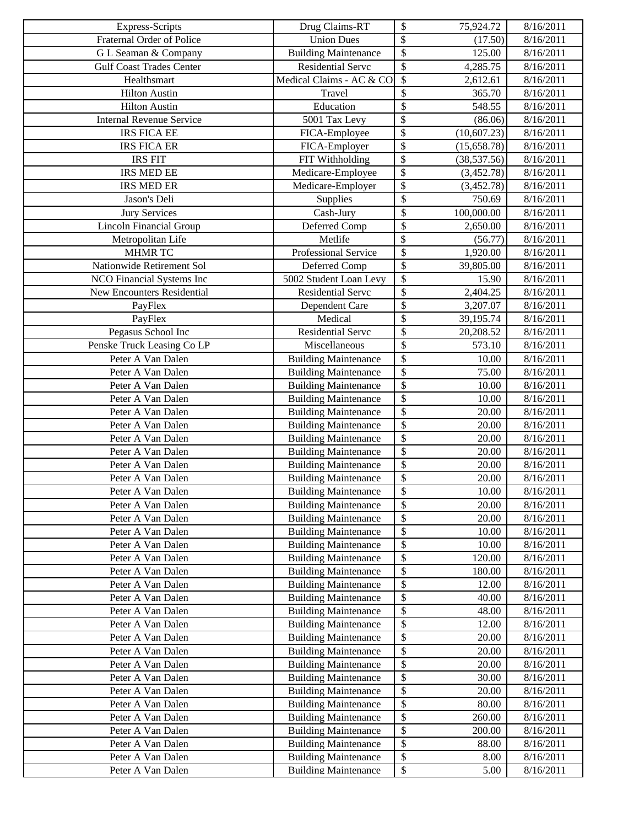| <b>Express-Scripts</b>                 | Drug Claims-RT                                             | \$<br>75,924.72                     | 8/16/2011              |
|----------------------------------------|------------------------------------------------------------|-------------------------------------|------------------------|
| Fraternal Order of Police              | <b>Union Dues</b>                                          | $\overline{\mathcal{S}}$<br>(17.50) | 8/16/2011              |
| G L Seaman & Company                   | <b>Building Maintenance</b>                                | \$<br>125.00                        | 8/16/2011              |
| <b>Gulf Coast Trades Center</b>        | Residential Servc                                          | \$<br>4,285.75                      | 8/16/2011              |
| Healthsmart                            | Medical Claims - AC & CO                                   | \$<br>2,612.61                      | 8/16/2011              |
| <b>Hilton Austin</b>                   | Travel                                                     | \$<br>365.70                        | 8/16/2011              |
| <b>Hilton Austin</b>                   | Education                                                  | \$<br>548.55                        | 8/16/2011              |
| <b>Internal Revenue Service</b>        | 5001 Tax Levy                                              | \$<br>(86.06)                       | 8/16/2011              |
| <b>IRS FICA EE</b>                     | FICA-Employee                                              | $\overline{\$}$<br>(10,607.23)      | 8/16/2011              |
| <b>IRS FICA ER</b>                     | FICA-Employer                                              | \$<br>(15,658.78)                   | 8/16/2011              |
| <b>IRS FIT</b>                         | FIT Withholding                                            | \$<br>(38, 537.56)                  | 8/16/2011              |
| <b>IRS MED EE</b>                      | Medicare-Employee                                          | \$<br>(3,452.78)                    | 8/16/2011              |
| <b>IRS MED ER</b>                      | Medicare-Employer                                          | \$<br>(3,452.78)                    | 8/16/2011              |
| Jason's Deli                           | Supplies                                                   | \$<br>750.69                        | 8/16/2011              |
| <b>Jury Services</b>                   | Cash-Jury                                                  | \$<br>100,000.00                    | 8/16/2011              |
| <b>Lincoln Financial Group</b>         | Deferred Comp                                              | \$<br>2,650.00                      | 8/16/2011              |
| Metropolitan Life                      | Metlife                                                    | \$<br>(56.77)                       | 8/16/2011              |
| <b>MHMR TC</b>                         | Professional Service                                       | \$<br>1,920.00                      | 8/16/2011              |
| Nationwide Retirement Sol              | Deferred Comp                                              | \$<br>39,805.00                     | 8/16/2011              |
| NCO Financial Systems Inc              | 5002 Student Loan Levy                                     | \$<br>15.90                         | 8/16/2011              |
| <b>New Encounters Residential</b>      | <b>Residential Servc</b>                                   | \$<br>2,404.25                      | 8/16/2011              |
| PayFlex                                | Dependent Care                                             | \$<br>3,207.07                      | 8/16/2011              |
| PayFlex                                | Medical                                                    | \$<br>39,195.74                     | 8/16/2011              |
| Pegasus School Inc                     | <b>Residential Serve</b>                                   | \$<br>20,208.52                     | 8/16/2011              |
| Penske Truck Leasing Co LP             | Miscellaneous                                              | \$<br>573.10                        | 8/16/2011              |
| Peter A Van Dalen                      | <b>Building Maintenance</b>                                | \$<br>10.00                         | 8/16/2011              |
| Peter A Van Dalen                      | <b>Building Maintenance</b>                                | $\overline{\$}$<br>75.00            | 8/16/2011              |
| Peter A Van Dalen                      | <b>Building Maintenance</b>                                | \$<br>10.00                         | 8/16/2011              |
| Peter A Van Dalen                      | <b>Building Maintenance</b>                                | \$<br>10.00                         | 8/16/2011              |
| Peter A Van Dalen                      | <b>Building Maintenance</b>                                | \$<br>20.00                         | 8/16/2011              |
| Peter A Van Dalen                      | <b>Building Maintenance</b>                                | \$<br>20.00                         | 8/16/2011              |
| Peter A Van Dalen                      | <b>Building Maintenance</b>                                | \$<br>20.00                         | 8/16/2011              |
| Peter A Van Dalen                      | <b>Building Maintenance</b>                                | \$<br>20.00                         | 8/16/2011              |
| Peter A Van Dalen                      | <b>Building Maintenance</b>                                | \$<br>20.00                         | 8/16/2011              |
| Peter A Van Dalen                      | <b>Building Maintenance</b>                                | \$<br>20.00                         | 8/16/2011              |
| Peter A Van Dalen                      | <b>Building Maintenance</b>                                | \$<br>10.00                         | 8/16/2011              |
| Peter A Van Dalen                      | <b>Building Maintenance</b>                                | \$<br>20.00                         | 8/16/2011              |
| Peter A Van Dalen                      | <b>Building Maintenance</b>                                | \$<br>20.00                         | 8/16/2011              |
| Peter A Van Dalen                      | <b>Building Maintenance</b>                                | \$<br>10.00                         | 8/16/2011              |
| Peter A Van Dalen                      | <b>Building Maintenance</b>                                | \$<br>10.00                         | 8/16/2011              |
| Peter A Van Dalen                      | <b>Building Maintenance</b>                                | \$<br>120.00                        | 8/16/2011              |
| Peter A Van Dalen<br>Peter A Van Dalen | <b>Building Maintenance</b><br><b>Building Maintenance</b> | \$<br>180.00<br>\$<br>12.00         | 8/16/2011<br>8/16/2011 |
|                                        | <b>Building Maintenance</b>                                | \$                                  |                        |
| Peter A Van Dalen                      | <b>Building Maintenance</b>                                | 40.00                               | 8/16/2011              |
| Peter A Van Dalen<br>Peter A Van Dalen | <b>Building Maintenance</b>                                | \$<br>48.00<br>\$<br>12.00          | 8/16/2011<br>8/16/2011 |
| Peter A Van Dalen                      | <b>Building Maintenance</b>                                | \$<br>20.00                         | 8/16/2011              |
| Peter A Van Dalen                      | <b>Building Maintenance</b>                                | \$<br>20.00                         | 8/16/2011              |
| Peter A Van Dalen                      | <b>Building Maintenance</b>                                | \$<br>20.00                         | 8/16/2011              |
| Peter A Van Dalen                      | <b>Building Maintenance</b>                                | \$<br>30.00                         | 8/16/2011              |
| Peter A Van Dalen                      | <b>Building Maintenance</b>                                | \$<br>20.00                         | 8/16/2011              |
| Peter A Van Dalen                      | <b>Building Maintenance</b>                                | \$<br>80.00                         | 8/16/2011              |
| Peter A Van Dalen                      | <b>Building Maintenance</b>                                | \$<br>260.00                        | 8/16/2011              |
| Peter A Van Dalen                      | <b>Building Maintenance</b>                                | \$<br>200.00                        | 8/16/2011              |
| Peter A Van Dalen                      | <b>Building Maintenance</b>                                | \$<br>88.00                         | 8/16/2011              |
| Peter A Van Dalen                      | <b>Building Maintenance</b>                                | \$<br>8.00                          | 8/16/2011              |
| Peter A Van Dalen                      | <b>Building Maintenance</b>                                | ${\mathbb S}$<br>5.00               | 8/16/2011              |